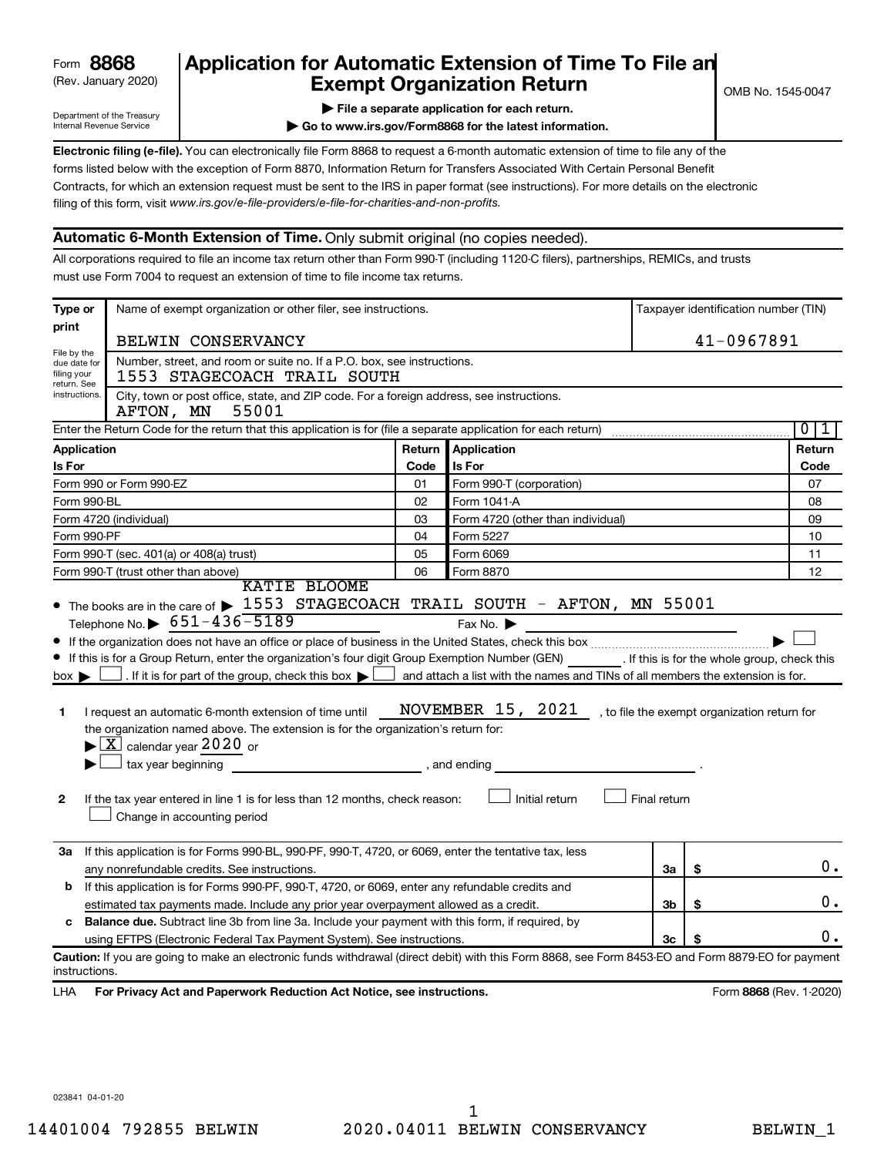| 8868<br>Form |  |
|--------------|--|
|--------------|--|

## (Rev. January 2020) **Cxempt Organization Return** Manuary 2020) and the settern **Canadian Exempt Organization Return Form 8868 Application for Automatic Extension of Time To File an**<br>**Exempt Organization Beturn**

Department of the Treasury Internal Revenue Service

| File a separate application for each return. |
|----------------------------------------------|
|----------------------------------------------|

**| Go to www.irs.gov/Form8868 for the latest information.**

**Electronic filing (e-file).** You can electronically file Form 8868 to request a 6-month automatic extension of time to file any of the filing of this form, visit www.irs.gov/e-file-providers/e-file-for-charities-and-non-profits. forms listed below with the exception of Form 8870, Information Return for Transfers Associated With Certain Personal Benefit Contracts, for which an extension request must be sent to the IRS in paper format (see instructions). For more details on the electronic

#### **Automatic 6-Month Extension of Time.** Only submit original (no copies needed).

All corporations required to file an income tax return other than Form 990-T (including 1120-C filers), partnerships, REMICs, and trusts must use Form 7004 to request an extension of time to file income tax returns.

| Type or                                    | Name of exempt organization or other filer, see instructions.                                                                                                                                                                                                                                                                                                                                                                                                                                                                                                                        |              |                                                                                                                                                                    |              |            | Taxpayer identification number (TIN) |  |
|--------------------------------------------|--------------------------------------------------------------------------------------------------------------------------------------------------------------------------------------------------------------------------------------------------------------------------------------------------------------------------------------------------------------------------------------------------------------------------------------------------------------------------------------------------------------------------------------------------------------------------------------|--------------|--------------------------------------------------------------------------------------------------------------------------------------------------------------------|--------------|------------|--------------------------------------|--|
| print                                      | BELWIN CONSERVANCY                                                                                                                                                                                                                                                                                                                                                                                                                                                                                                                                                                   |              |                                                                                                                                                                    |              | 41-0967891 |                                      |  |
| File by the<br>due date for<br>filing your | Number, street, and room or suite no. If a P.O. box, see instructions.<br>1553 STAGECOACH TRAIL SOUTH                                                                                                                                                                                                                                                                                                                                                                                                                                                                                |              |                                                                                                                                                                    |              |            |                                      |  |
| return. See<br>instructions.               | City, town or post office, state, and ZIP code. For a foreign address, see instructions.<br>55001<br>AFTON, MN                                                                                                                                                                                                                                                                                                                                                                                                                                                                       |              |                                                                                                                                                                    |              |            |                                      |  |
|                                            | Enter the Return Code for the return that this application is for (file a separate application for each return)                                                                                                                                                                                                                                                                                                                                                                                                                                                                      |              |                                                                                                                                                                    |              |            | $\overline{0}$<br>$\mathbf{1}$       |  |
| <b>Application</b>                         |                                                                                                                                                                                                                                                                                                                                                                                                                                                                                                                                                                                      | Return       | Application                                                                                                                                                        |              |            | Return                               |  |
| Is For                                     |                                                                                                                                                                                                                                                                                                                                                                                                                                                                                                                                                                                      | Code         | Is For                                                                                                                                                             |              |            | Code                                 |  |
|                                            | Form 990 or Form 990-EZ                                                                                                                                                                                                                                                                                                                                                                                                                                                                                                                                                              | 01           | Form 990-T (corporation)                                                                                                                                           |              |            | 07                                   |  |
| Form 990-BL                                |                                                                                                                                                                                                                                                                                                                                                                                                                                                                                                                                                                                      | 02           | Form 1041-A                                                                                                                                                        |              |            | 08                                   |  |
|                                            | Form 4720 (individual)                                                                                                                                                                                                                                                                                                                                                                                                                                                                                                                                                               | 03           | Form 4720 (other than individual)                                                                                                                                  |              |            | 09                                   |  |
| Form 990-PF                                |                                                                                                                                                                                                                                                                                                                                                                                                                                                                                                                                                                                      | 04           | Form 5227                                                                                                                                                          |              |            | 10                                   |  |
|                                            | Form 990-T (sec. 401(a) or 408(a) trust)                                                                                                                                                                                                                                                                                                                                                                                                                                                                                                                                             | 05           | Form 6069                                                                                                                                                          |              |            | 11                                   |  |
|                                            | Form 990-T (trust other than above)<br><b>KATIE BLOOME</b>                                                                                                                                                                                                                                                                                                                                                                                                                                                                                                                           | 06           | Form 8870                                                                                                                                                          |              |            | 12                                   |  |
| $box \blacktriangleright$<br>1<br>2        | If this is for a Group Return, enter the organization's four digit Group Exemption Number (GEN) [If this is for the whole group, check this<br>$\Box$ . If it is for part of the group, check this box $\blacktriangleright$<br>I request an automatic 6-month extension of time until<br>the organization named above. The extension is for the organization's return for:<br>$\blacktriangleright$ $\lfloor$ X $\rfloor$ calendar year 2020 or<br>tax year beginning<br>If the tax year entered in line 1 is for less than 12 months, check reason:<br>Change in accounting period | , and ending | and attach a list with the names and TINs of all members the extension is for.<br>NOVEMBER 15, 2021 , to file the exempt organization return for<br>Initial return | Final return |            |                                      |  |
| За                                         | If this application is for Forms 990-BL, 990-PF, 990-T, 4720, or 6069, enter the tentative tax, less                                                                                                                                                                                                                                                                                                                                                                                                                                                                                 |              |                                                                                                                                                                    |              |            |                                      |  |
|                                            | any nonrefundable credits. See instructions.                                                                                                                                                                                                                                                                                                                                                                                                                                                                                                                                         |              |                                                                                                                                                                    | За           | \$         | $0$ .                                |  |
| b                                          | If this application is for Forms 990-PF, 990-T, 4720, or 6069, enter any refundable credits and                                                                                                                                                                                                                                                                                                                                                                                                                                                                                      |              |                                                                                                                                                                    |              |            |                                      |  |
|                                            | estimated tax payments made. Include any prior year overpayment allowed as a credit.                                                                                                                                                                                                                                                                                                                                                                                                                                                                                                 |              | 3b                                                                                                                                                                 | \$           | 0.         |                                      |  |
| c                                          | <b>Balance due.</b> Subtract line 3b from line 3a. Include your payment with this form, if required, by                                                                                                                                                                                                                                                                                                                                                                                                                                                                              |              |                                                                                                                                                                    |              |            |                                      |  |
|                                            | using EFTPS (Electronic Federal Tax Payment System). See instructions.                                                                                                                                                                                                                                                                                                                                                                                                                                                                                                               |              |                                                                                                                                                                    | Зс           | S          | $0$ .                                |  |
| instructions.<br>LHA                       | Caution: If you are going to make an electronic funds withdrawal (direct debit) with this Form 8868, see Form 8453-EO and Form 8879-EO for payment<br>For Privacy Act and Paperwork Reduction Act Notice, see instructions.                                                                                                                                                                                                                                                                                                                                                          |              |                                                                                                                                                                    |              |            | Form 8868 (Rev. 1-2020)              |  |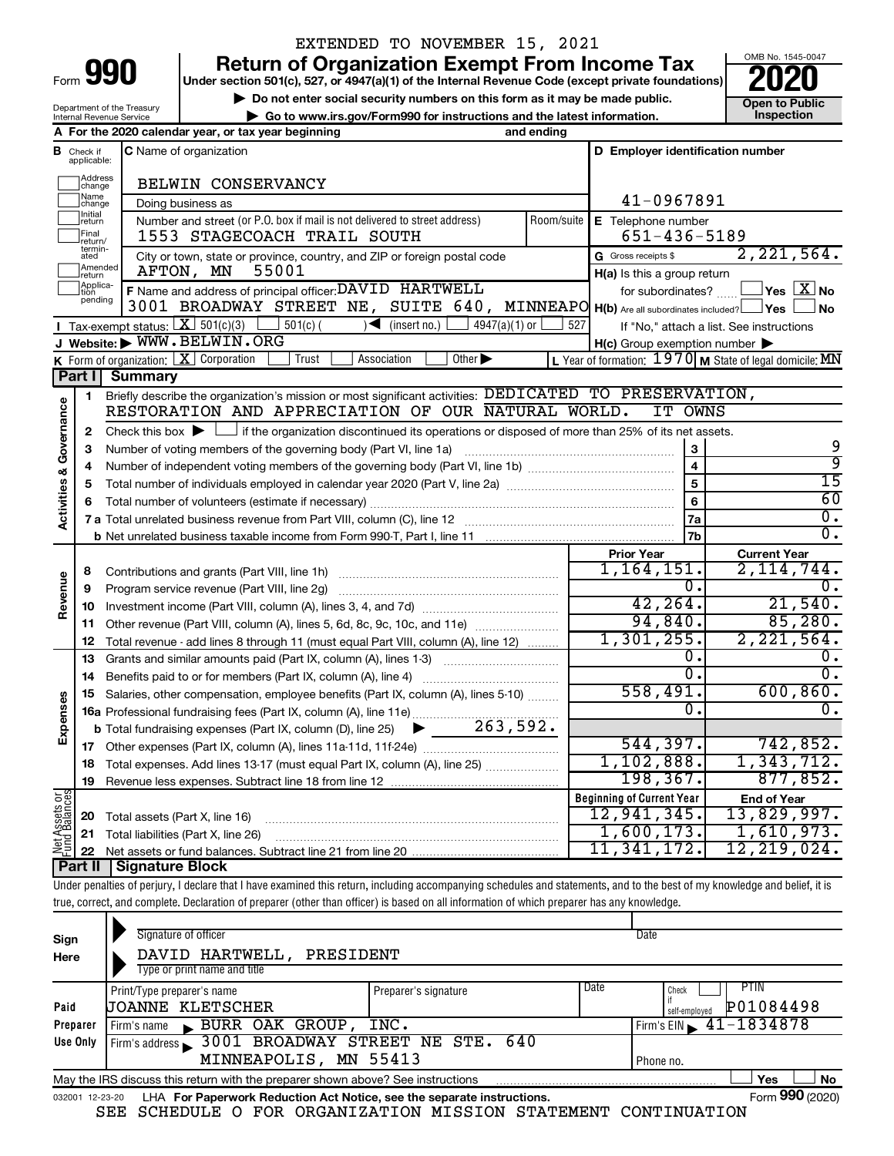| Form |
|------|
|------|

# EXTENDED TO NOVEMBER 15, 2021

**990** Return of Organization Exempt From Income Tax <br>
Under section 501(c), 527, or 4947(a)(1) of the Internal Revenue Code (except private foundations)<br> **PO20** 

**▶ Do not enter social security numbers on this form as it may be made public. Open to Public**<br>
inspection and the latest information. Inspection **| Go to www.irs.gov/Form990 for instructions and the latest information. Inspection**



Department of the Treasury Internal Revenue Service

|                                                                 |                                                                                                                                                                            | A For the 2020 calendar year, or tax year beginning<br>and ending                                                                           |            |                                                     |                                                           |  |
|-----------------------------------------------------------------|----------------------------------------------------------------------------------------------------------------------------------------------------------------------------|---------------------------------------------------------------------------------------------------------------------------------------------|------------|-----------------------------------------------------|-----------------------------------------------------------|--|
|                                                                 | <b>B</b> Check if<br>applicable:                                                                                                                                           | C Name of organization                                                                                                                      |            | D Employer identification number                    |                                                           |  |
|                                                                 | Address<br> change                                                                                                                                                         | BELWIN CONSERVANCY                                                                                                                          |            |                                                     |                                                           |  |
|                                                                 | Name<br>change                                                                                                                                                             | Doing business as                                                                                                                           |            | 41-0967891                                          |                                                           |  |
|                                                                 | Initial<br>return                                                                                                                                                          | Number and street (or P.O. box if mail is not delivered to street address)                                                                  | Room/suite | E Telephone number                                  |                                                           |  |
|                                                                 | Final<br>return/                                                                                                                                                           | 1553 STAGECOACH TRAIL SOUTH                                                                                                                 |            | $651 - 436 - 5189$                                  |                                                           |  |
|                                                                 | termin-<br>ated                                                                                                                                                            | City or town, state or province, country, and ZIP or foreign postal code                                                                    |            | G Gross receipts \$                                 | 2, 221, 564.                                              |  |
|                                                                 | Amended<br>Ireturn                                                                                                                                                         | 55001<br>AFTON, MN                                                                                                                          |            | H(a) Is this a group return                         |                                                           |  |
|                                                                 | Applica-<br>Ition                                                                                                                                                          | F Name and address of principal officer: DAVID HARTWELL                                                                                     |            | for subordinates?                                   | $\Box$ Yes $\Box X$ No                                    |  |
|                                                                 | pending                                                                                                                                                                    | 3001 BROADWAY STREET NE, SUITE 640, MINNEAPO H(b) Are all subordinates included? Ses                                                        |            |                                                     | ⊿No                                                       |  |
|                                                                 |                                                                                                                                                                            | Tax-exempt status: $X \ 501(c)(3)$ 501(c)(<br>$\leq$ (insert no.)<br>4947(a)(1) or $\vert$                                                  | 527        |                                                     | If "No," attach a list. See instructions                  |  |
|                                                                 |                                                                                                                                                                            | J Website: WWW.BELWIN.ORG                                                                                                                   |            | $H(c)$ Group exemption number $\blacktriangleright$ |                                                           |  |
|                                                                 |                                                                                                                                                                            | <b>K</b> Form of organization: $\boxed{\textbf{X}}$ Corporation<br>$\overline{Other}$<br>Trust<br>Association                               |            |                                                     | L Year of formation: $1970$ M State of legal domicile: MN |  |
|                                                                 |                                                                                                                                                                            | Part I Summary                                                                                                                              |            |                                                     |                                                           |  |
|                                                                 | 1                                                                                                                                                                          | Briefly describe the organization's mission or most significant activities: DEDICATED TO PRESERVATION,                                      |            |                                                     |                                                           |  |
| Governance                                                      |                                                                                                                                                                            | RESTORATION AND APPRECIATION OF OUR NATURAL WORLD.                                                                                          |            | IT OWNS                                             |                                                           |  |
|                                                                 | 2                                                                                                                                                                          | Check this box $\blacktriangleright$ $\Box$ if the organization discontinued its operations or disposed of more than 25% of its net assets. |            |                                                     |                                                           |  |
|                                                                 | 3                                                                                                                                                                          | Number of voting members of the governing body (Part VI, line 1a)                                                                           |            | 3                                                   | 9                                                         |  |
|                                                                 | 4                                                                                                                                                                          |                                                                                                                                             |            | $\overline{\mathbf{4}}$                             | 9                                                         |  |
|                                                                 | 5                                                                                                                                                                          |                                                                                                                                             |            | 5                                                   | $\overline{15}$                                           |  |
|                                                                 | 6                                                                                                                                                                          |                                                                                                                                             |            | 6                                                   | 60                                                        |  |
| <b>Activities &amp;</b>                                         |                                                                                                                                                                            |                                                                                                                                             |            | 7a                                                  | $\overline{0}$ .                                          |  |
|                                                                 |                                                                                                                                                                            |                                                                                                                                             |            | 7b                                                  | 0.                                                        |  |
|                                                                 |                                                                                                                                                                            |                                                                                                                                             |            | <b>Prior Year</b>                                   | <b>Current Year</b>                                       |  |
|                                                                 | 8                                                                                                                                                                          |                                                                                                                                             |            | 1,164,151.                                          | 2,114,744.                                                |  |
| Revenue                                                         | 9                                                                                                                                                                          | Program service revenue (Part VIII, line 2g)                                                                                                |            | Ο.                                                  | 0.                                                        |  |
| 10                                                              |                                                                                                                                                                            |                                                                                                                                             |            | 42, 264.                                            | 21,540.                                                   |  |
|                                                                 | 11                                                                                                                                                                         | Other revenue (Part VIII, column (A), lines 5, 6d, 8c, 9c, 10c, and 11e)                                                                    |            | 94,840.                                             | 85,280.                                                   |  |
|                                                                 | 12                                                                                                                                                                         | Total revenue - add lines 8 through 11 (must equal Part VIII, column (A), line 12)                                                          |            | 1,301,255.                                          | 2, 221, 564.                                              |  |
|                                                                 | 13                                                                                                                                                                         | Grants and similar amounts paid (Part IX, column (A), lines 1-3) <i>multimaron community</i>                                                |            | 0.                                                  | ο.                                                        |  |
|                                                                 | 14                                                                                                                                                                         |                                                                                                                                             |            | σ.                                                  | $\overline{0}$ .                                          |  |
|                                                                 | 15                                                                                                                                                                         | Salaries, other compensation, employee benefits (Part IX, column (A), lines 5-10)                                                           |            | 558,491.                                            | 600, 860.                                                 |  |
| Expenses                                                        |                                                                                                                                                                            | 16a Professional fundraising fees (Part IX, column (A), line 11e)                                                                           |            | 0.                                                  | 0.                                                        |  |
|                                                                 |                                                                                                                                                                            | <b>b</b> Total fundraising expenses (Part IX, column (D), line 25) $\bullet$ 263, 592.                                                      |            |                                                     |                                                           |  |
|                                                                 |                                                                                                                                                                            |                                                                                                                                             |            | 544, 397.<br>1,102,888.                             | 742,852.<br>1,343,712.                                    |  |
|                                                                 |                                                                                                                                                                            | 18 Total expenses. Add lines 13-17 (must equal Part IX, column (A), line 25)                                                                |            | 198, 367.                                           | 877,852.                                                  |  |
|                                                                 |                                                                                                                                                                            | 19 Revenue less expenses. Subtract line 18 from line 12                                                                                     |            |                                                     |                                                           |  |
|                                                                 |                                                                                                                                                                            |                                                                                                                                             |            | <b>Beginning of Current Year</b><br>12,941,345.     | <b>End of Year</b><br>13,829,997.                         |  |
|                                                                 | 20                                                                                                                                                                         | Total assets (Part X, line 16)                                                                                                              |            | 1,600,173.                                          | 1,610,973.                                                |  |
|                                                                 | 21                                                                                                                                                                         | Total liabilities (Part X, line 26)                                                                                                         |            | 11, 341, 172.                                       | 12,219,024.                                               |  |
| Net Assets or<br>22<br><b>Part II</b><br><b>Signature Block</b> |                                                                                                                                                                            |                                                                                                                                             |            |                                                     |                                                           |  |
|                                                                 | Under penalties of perjury, I declare that I have examined this return, including accompanying schedules and statements, and to the best of my knowledge and belief, it is |                                                                                                                                             |            |                                                     |                                                           |  |
|                                                                 |                                                                                                                                                                            | true, correct, and complete. Declaration of preparer (other than officer) is based on all information of which preparer has any knowledge.  |            |                                                     |                                                           |  |
|                                                                 |                                                                                                                                                                            |                                                                                                                                             |            |                                                     |                                                           |  |
|                                                                 |                                                                                                                                                                            | Signature of officer                                                                                                                        |            | Date                                                |                                                           |  |
|                                                                 |                                                                                                                                                                            |                                                                                                                                             |            |                                                     |                                                           |  |
| Sign<br>Here                                                    |                                                                                                                                                                            | DAVID HARTWELL,<br>PRESIDENT                                                                                                                |            |                                                     |                                                           |  |

| Here     | DAVID AARTWEDD,<br>PRESIDENT                                                                                 |                      |                                            |  |  |
|----------|--------------------------------------------------------------------------------------------------------------|----------------------|--------------------------------------------|--|--|
|          | Type or print name and title                                                                                 |                      |                                            |  |  |
|          | Print/Type preparer's name                                                                                   | Preparer's signature | Date<br>PTIN<br>Check                      |  |  |
| Paid     | <b>UOANNE KLETSCHER</b>                                                                                      |                      | P01084498<br>self-employed                 |  |  |
| Preparer | $\blacktriangleright$ BURR OAK GROUP,<br>Firm's name                                                         | INC.                 | $1$ Firm's EIN $\triangleright$ 41-1834878 |  |  |
| Use Only | Firm's address 3001 BROADWAY STREET NE STE. 640                                                              |                      |                                            |  |  |
|          | MINNEAPOLIS, MN 55413                                                                                        |                      | Phone no.                                  |  |  |
|          | <b>No</b><br>May the IRS discuss this return with the preparer shown above? See instructions<br>Yes          |                      |                                            |  |  |
|          | Form 990 (2020)<br>LHA For Paperwork Reduction Act Notice, see the separate instructions.<br>032001 12-23-20 |                      |                                            |  |  |

SEE SCHEDULE O FOR ORGANIZATION MISSION STATEMENT CONTINUATION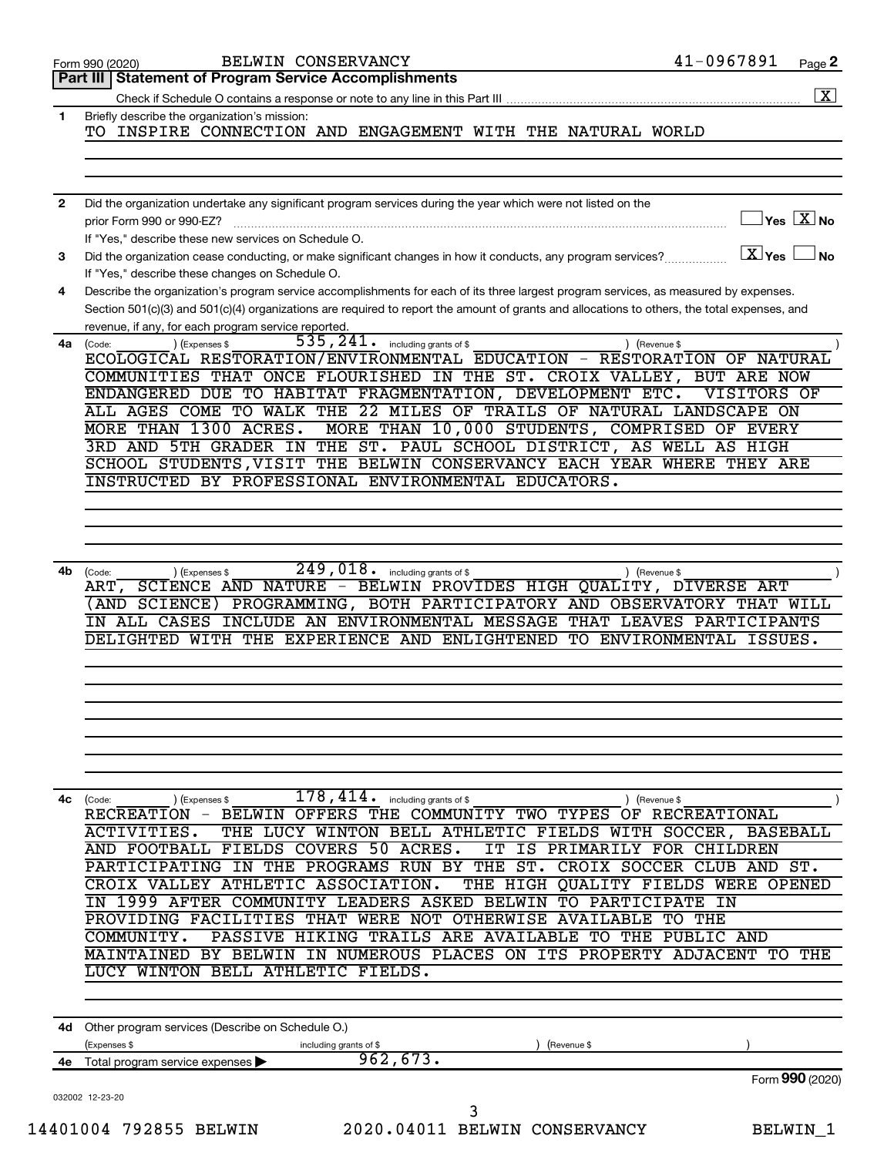|                | BELWIN CONSERVANCY<br>Form 990 (2020)<br>Part III   Statement of Program Service Accomplishments                                                                                                        | 41-0967891<br>Page 2                      |
|----------------|---------------------------------------------------------------------------------------------------------------------------------------------------------------------------------------------------------|-------------------------------------------|
|                |                                                                                                                                                                                                         |                                           |
| 1              | Briefly describe the organization's mission:                                                                                                                                                            |                                           |
|                | TO INSPIRE CONNECTION AND ENGAGEMENT WITH THE NATURAL WORLD                                                                                                                                             |                                           |
|                |                                                                                                                                                                                                         |                                           |
|                |                                                                                                                                                                                                         |                                           |
|                |                                                                                                                                                                                                         |                                           |
| $\overline{2}$ | Did the organization undertake any significant program services during the year which were not listed on the                                                                                            |                                           |
|                | prior Form 990 or 990-EZ?                                                                                                                                                                               | $\overline{\ }$ Yes $\overline{\rm X}$ No |
|                | If "Yes," describe these new services on Schedule O.                                                                                                                                                    |                                           |
| 3              | Did the organization cease conducting, or make significant changes in how it conducts, any program services?                                                                                            | $\lfloor \text{X} \rfloor$ Yes            |
|                | If "Yes," describe these changes on Schedule O.                                                                                                                                                         |                                           |
| 4              | Describe the organization's program service accomplishments for each of its three largest program services, as measured by expenses.                                                                    |                                           |
|                | Section 501(c)(3) and 501(c)(4) organizations are required to report the amount of grants and allocations to others, the total expenses, and                                                            |                                           |
|                | revenue, if any, for each program service reported.                                                                                                                                                     |                                           |
| 4a             | $\overline{535}$ , $\overline{241}$ $\cdot$ including grants of \$<br>(Expenses \$<br>) (Revenue \$<br>(Code:<br>ECOLOGICAL RESTORATION/ENVIRONMENTAL EDUCATION - RESTORATION OF NATURAL                |                                           |
|                | COMMUNITIES THAT ONCE FLOURISHED IN THE ST. CROIX VALLEY, BUT ARE NOW                                                                                                                                   |                                           |
|                | ENDANGERED DUE TO HABITAT FRAGMENTATION, DEVELOPMENT ETC.                                                                                                                                               | <b>VISITORS OF</b>                        |
|                | ALL AGES COME TO WALK THE 22 MILES OF TRAILS OF NATURAL LANDSCAPE ON                                                                                                                                    |                                           |
|                | MORE THAN 10,000 STUDENTS, COMPRISED OF EVERY<br>MORE THAN 1300 ACRES.                                                                                                                                  |                                           |
|                | 3RD AND 5TH GRADER IN THE ST. PAUL SCHOOL DISTRICT, AS WELL AS HIGH                                                                                                                                     |                                           |
|                | SCHOOL STUDENTS, VISIT THE BELWIN CONSERVANCY EACH YEAR WHERE THEY ARE                                                                                                                                  |                                           |
|                | INSTRUCTED BY PROFESSIONAL ENVIRONMENTAL EDUCATORS.                                                                                                                                                     |                                           |
|                |                                                                                                                                                                                                         |                                           |
|                |                                                                                                                                                                                                         |                                           |
|                |                                                                                                                                                                                                         |                                           |
|                |                                                                                                                                                                                                         |                                           |
| 4b             | 249,018. including grants of \$<br>) (Revenue \$<br>(Code:<br>(Expenses \$                                                                                                                              |                                           |
|                | SCIENCE AND NATURE - BELWIN PROVIDES HIGH QUALITY, DIVERSE ART<br>ART,                                                                                                                                  |                                           |
|                | (AND SCIENCE) PROGRAMMING, BOTH PARTICIPATORY AND OBSERVATORY THAT WILL                                                                                                                                 |                                           |
|                | IN ALL CASES INCLUDE AN ENVIRONMENTAL MESSAGE THAT LEAVES PARTICIPANTS                                                                                                                                  |                                           |
|                | DELIGHTED WITH THE EXPERIENCE AND ENLIGHTENED TO ENVIRONMENTAL ISSUES.                                                                                                                                  |                                           |
|                |                                                                                                                                                                                                         |                                           |
|                |                                                                                                                                                                                                         |                                           |
|                |                                                                                                                                                                                                         |                                           |
|                |                                                                                                                                                                                                         |                                           |
|                |                                                                                                                                                                                                         |                                           |
|                |                                                                                                                                                                                                         |                                           |
|                |                                                                                                                                                                                                         |                                           |
|                | $\overline{178}$ ,414.                                                                                                                                                                                  |                                           |
| 4c             | including grants of \$<br>) (Expenses \$<br>) (Revenue \$<br>(Code:<br>THE<br><b>TYPES</b><br><b>RECREATION</b><br><b>BELWIN</b><br><b>OFFERS</b><br>COMMUNITY<br>TWO<br>$\overline{\phantom{m}}$<br>OF | <b>RECREATIONAL</b>                       |
|                | LUCY WINTON BELL ATHLETIC FIELDS WITH SOCCER,<br>ACTIVITIES.<br><b>THE</b>                                                                                                                              | <b>BASEBALL</b>                           |
|                | <b>COVERS</b><br>50 ACRES.<br>FOOTBALL<br><b>FIELDS</b><br>IT<br>IS<br>PRIMARILY FOR<br>AND                                                                                                             | CHILDREN                                  |
|                | PROGRAMS RUN BY THE<br>ST.<br>CROIX SOCCER<br>PARTICIPATING<br>THE<br>ΙN                                                                                                                                | <b>CLUB AND</b><br>ST.                    |
|                | THE HIGH QUALITY FIELDS<br>CROIX VALLEY<br>ATHLETIC<br>ASSOCIATION.                                                                                                                                     | <b>WERE</b><br>OPENED                     |
|                | 1999<br>AFTER<br>COMMUNITY<br>LEADERS<br>ASKED<br><b>BELWIN</b><br>TО<br>PARTICIPATE                                                                                                                    | ΙN                                        |
|                | PROVIDING FACILITIES<br>THAT<br>WERE<br>NOT<br><b>OTHERWISE</b><br><b>AVAILABLE</b><br>TО                                                                                                               | THE                                       |
|                | TRAILS<br>AVAILABLE<br>HIKING<br>ARE<br>TО<br>THE<br>COMMUNITY.<br>PASSIVE                                                                                                                              | PUBLIC AND                                |
|                | NUMEROUS PLACES<br>MAINTAINED<br><b>BELWIN</b><br>ON<br>PROPERTY<br>BY<br>IN<br>ITS                                                                                                                     | <b>ADJACENT</b><br>TO<br>THE              |
|                | <b>ATHLETIC</b><br>FIELDS.<br>LUCY WINTON<br>BELL                                                                                                                                                       |                                           |
|                |                                                                                                                                                                                                         |                                           |
|                |                                                                                                                                                                                                         |                                           |
|                | 4d Other program services (Describe on Schedule O.)                                                                                                                                                     |                                           |
|                | (Revenue \$<br>(Expenses \$<br>including grants of \$                                                                                                                                                   |                                           |
| 4е             | 962,673.<br>Total program service expenses                                                                                                                                                              |                                           |
|                |                                                                                                                                                                                                         | Form 990 (2020)                           |
|                | 032002 12-23-20                                                                                                                                                                                         |                                           |
|                | 3                                                                                                                                                                                                       |                                           |
|                | 14401004 792855 BELWIN<br>2020.04011 BELWIN CONSERVANCY                                                                                                                                                 | BELWIN <sub>1</sub>                       |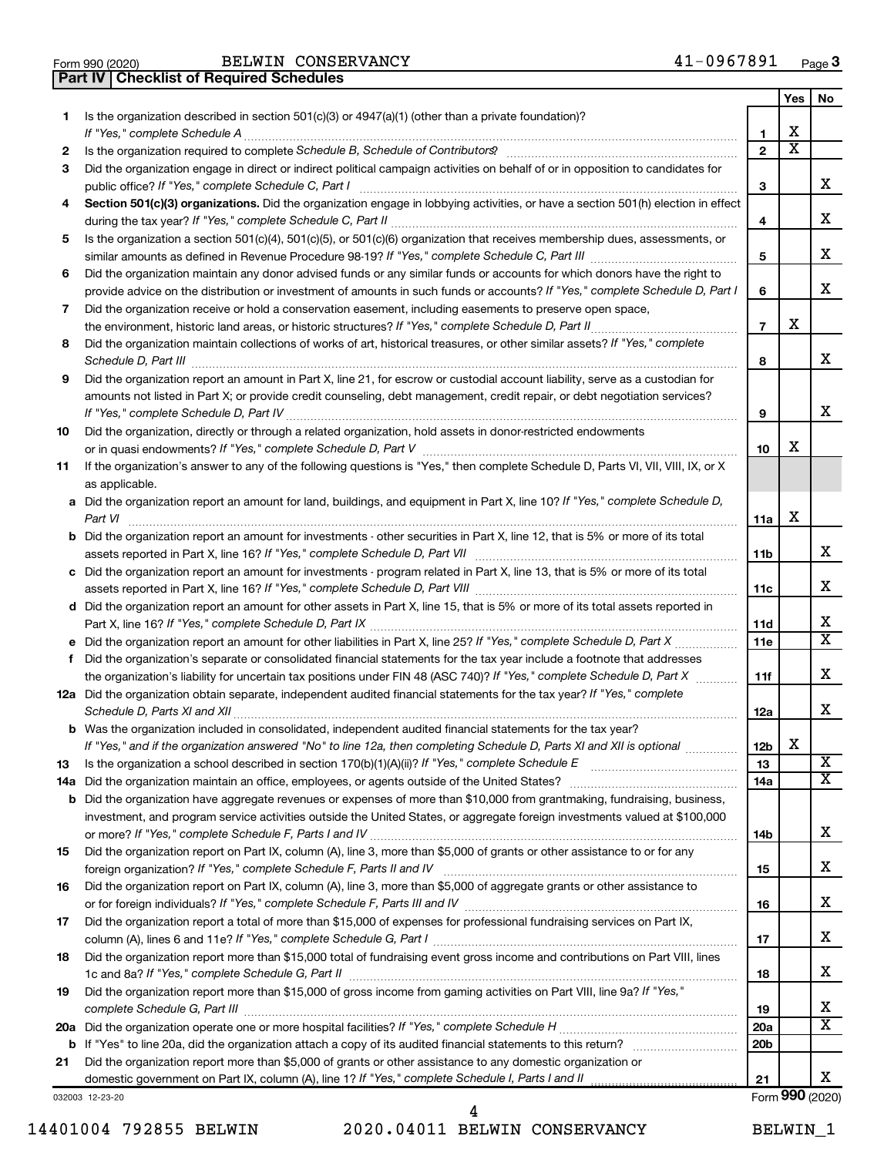|  | Form 990 (2020) |
|--|-----------------|

**Part IV Checklist of Required Schedules**

Form 990 (2020) Page BELWIN CONSERVANCY 41-0967891

|     |                                                                                                                                                                                                                                                     |                 | Yes                     | No                      |
|-----|-----------------------------------------------------------------------------------------------------------------------------------------------------------------------------------------------------------------------------------------------------|-----------------|-------------------------|-------------------------|
| 1   | Is the organization described in section 501(c)(3) or 4947(a)(1) (other than a private foundation)?                                                                                                                                                 |                 |                         |                         |
|     |                                                                                                                                                                                                                                                     | 1               | х                       |                         |
| 2   |                                                                                                                                                                                                                                                     | $\mathbf{2}$    | $\overline{\mathbf{X}}$ |                         |
| З   | Did the organization engage in direct or indirect political campaign activities on behalf of or in opposition to candidates for                                                                                                                     | 3               |                         | x                       |
| 4   | Section 501(c)(3) organizations. Did the organization engage in lobbying activities, or have a section 501(h) election in effect                                                                                                                    |                 |                         |                         |
|     |                                                                                                                                                                                                                                                     | 4               |                         | X                       |
| 5   | Is the organization a section 501(c)(4), 501(c)(5), or 501(c)(6) organization that receives membership dues, assessments, or                                                                                                                        |                 |                         |                         |
|     |                                                                                                                                                                                                                                                     | 5               |                         | X                       |
| 6   | Did the organization maintain any donor advised funds or any similar funds or accounts for which donors have the right to                                                                                                                           |                 |                         |                         |
|     | provide advice on the distribution or investment of amounts in such funds or accounts? If "Yes," complete Schedule D, Part I                                                                                                                        | 6               |                         | х                       |
| 7   | Did the organization receive or hold a conservation easement, including easements to preserve open space,                                                                                                                                           |                 |                         |                         |
|     |                                                                                                                                                                                                                                                     | $\overline{7}$  | X                       |                         |
| 8   | Did the organization maintain collections of works of art, historical treasures, or other similar assets? If "Yes," complete                                                                                                                        |                 |                         |                         |
|     |                                                                                                                                                                                                                                                     | 8               |                         | х                       |
| 9   | Did the organization report an amount in Part X, line 21, for escrow or custodial account liability, serve as a custodian for                                                                                                                       |                 |                         |                         |
|     | amounts not listed in Part X; or provide credit counseling, debt management, credit repair, or debt negotiation services?                                                                                                                           |                 |                         |                         |
|     |                                                                                                                                                                                                                                                     | 9               |                         | х                       |
| 10  | Did the organization, directly or through a related organization, hold assets in donor-restricted endowments                                                                                                                                        |                 |                         |                         |
|     |                                                                                                                                                                                                                                                     | 10              | х                       |                         |
| 11  | If the organization's answer to any of the following questions is "Yes," then complete Schedule D, Parts VI, VII, VIII, IX, or X                                                                                                                    |                 |                         |                         |
|     | as applicable.                                                                                                                                                                                                                                      |                 |                         |                         |
|     | a Did the organization report an amount for land, buildings, and equipment in Part X, line 10? If "Yes," complete Schedule D,                                                                                                                       |                 |                         |                         |
|     |                                                                                                                                                                                                                                                     | 11a             | X                       |                         |
|     | <b>b</b> Did the organization report an amount for investments - other securities in Part X, line 12, that is 5% or more of its total                                                                                                               |                 |                         |                         |
|     |                                                                                                                                                                                                                                                     | 11b             |                         | х                       |
|     | c Did the organization report an amount for investments - program related in Part X, line 13, that is 5% or more of its total                                                                                                                       |                 |                         | х                       |
|     |                                                                                                                                                                                                                                                     | 11c             |                         |                         |
|     | d Did the organization report an amount for other assets in Part X, line 15, that is 5% or more of its total assets reported in                                                                                                                     |                 |                         | х                       |
|     |                                                                                                                                                                                                                                                     | 11d             |                         | $\overline{\textbf{X}}$ |
|     |                                                                                                                                                                                                                                                     | 11e             |                         |                         |
|     | f Did the organization's separate or consolidated financial statements for the tax year include a footnote that addresses<br>the organization's liability for uncertain tax positions under FIN 48 (ASC 740)? If "Yes," complete Schedule D, Part X | 11f             |                         | х                       |
|     | 12a Did the organization obtain separate, independent audited financial statements for the tax year? If "Yes," complete                                                                                                                             |                 |                         |                         |
|     |                                                                                                                                                                                                                                                     | 12a             |                         | х                       |
|     | <b>b</b> Was the organization included in consolidated, independent audited financial statements for the tax year?                                                                                                                                  |                 |                         |                         |
|     | If "Yes," and if the organization answered "No" to line 12a, then completing Schedule D, Parts XI and XII is optional                                                                                                                               | 12 <sub>b</sub> | X                       |                         |
| 13  |                                                                                                                                                                                                                                                     | 13              |                         | $\overline{\mathbf{X}}$ |
| 14a |                                                                                                                                                                                                                                                     | 14a             |                         | x                       |
|     | <b>b</b> Did the organization have aggregate revenues or expenses of more than \$10,000 from grantmaking, fundraising, business,                                                                                                                    |                 |                         |                         |
|     | investment, and program service activities outside the United States, or aggregate foreign investments valued at \$100,000                                                                                                                          |                 |                         |                         |
|     |                                                                                                                                                                                                                                                     | 14b             |                         | х                       |
| 15  | Did the organization report on Part IX, column (A), line 3, more than \$5,000 of grants or other assistance to or for any                                                                                                                           |                 |                         |                         |
|     |                                                                                                                                                                                                                                                     | 15              |                         | х                       |
| 16  | Did the organization report on Part IX, column (A), line 3, more than \$5,000 of aggregate grants or other assistance to                                                                                                                            |                 |                         |                         |
|     |                                                                                                                                                                                                                                                     | 16              |                         | х                       |
| 17  | Did the organization report a total of more than \$15,000 of expenses for professional fundraising services on Part IX,                                                                                                                             |                 |                         |                         |
|     |                                                                                                                                                                                                                                                     | 17              |                         | х                       |
| 18  | Did the organization report more than \$15,000 total of fundraising event gross income and contributions on Part VIII, lines                                                                                                                        |                 |                         | x                       |
| 19  | Did the organization report more than \$15,000 of gross income from gaming activities on Part VIII, line 9a? If "Yes,"                                                                                                                              | 18              |                         |                         |
|     |                                                                                                                                                                                                                                                     | 19              |                         | х                       |
|     |                                                                                                                                                                                                                                                     | 20a             |                         | х                       |
|     |                                                                                                                                                                                                                                                     | 20b             |                         |                         |
| 21  | Did the organization report more than \$5,000 of grants or other assistance to any domestic organization or                                                                                                                                         |                 |                         |                         |
|     |                                                                                                                                                                                                                                                     | 21              |                         | х                       |
|     | 032003 12-23-20                                                                                                                                                                                                                                     |                 |                         | Form 990 (2020)         |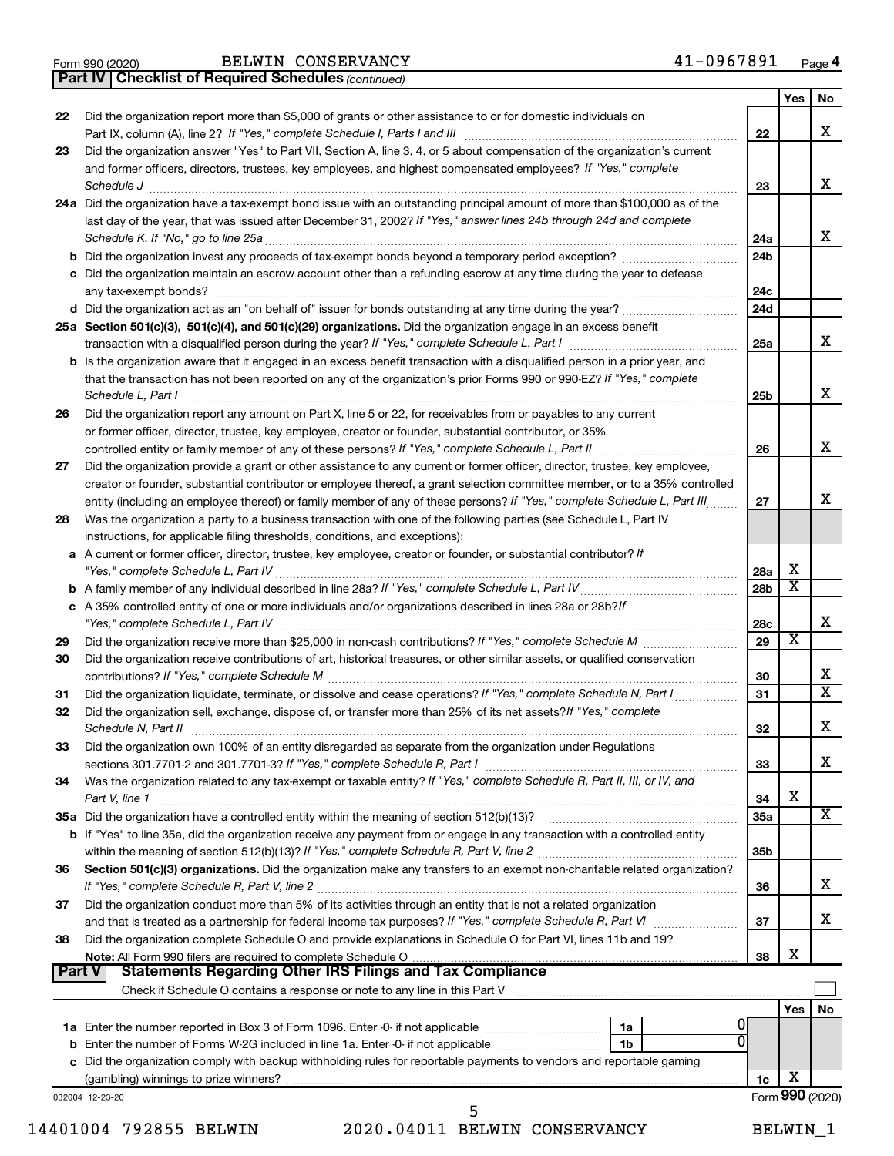|  | Form 990 (2020) |
|--|-----------------|
|  |                 |

*(continued)* **Part IV Checklist of Required Schedules**

|        |                                                                                                                                                           |                 | Yes             | <b>No</b>               |
|--------|-----------------------------------------------------------------------------------------------------------------------------------------------------------|-----------------|-----------------|-------------------------|
| 22     | Did the organization report more than \$5,000 of grants or other assistance to or for domestic individuals on                                             |                 |                 |                         |
|        |                                                                                                                                                           | 22              |                 | х                       |
| 23     | Did the organization answer "Yes" to Part VII, Section A, line 3, 4, or 5 about compensation of the organization's current                                |                 |                 |                         |
|        | and former officers, directors, trustees, key employees, and highest compensated employees? If "Yes," complete                                            |                 |                 | X                       |
|        | Schedule J                                                                                                                                                | 23              |                 |                         |
|        | 24a Did the organization have a tax-exempt bond issue with an outstanding principal amount of more than \$100,000 as of the                               |                 |                 |                         |
|        | last day of the year, that was issued after December 31, 2002? If "Yes," answer lines 24b through 24d and complete<br>Schedule K. If "No," go to line 25a | 24a             |                 | х                       |
|        |                                                                                                                                                           | 24b             |                 |                         |
|        | c Did the organization maintain an escrow account other than a refunding escrow at any time during the year to defease                                    |                 |                 |                         |
|        |                                                                                                                                                           | 24c             |                 |                         |
|        |                                                                                                                                                           | 24d             |                 |                         |
|        | 25a Section 501(c)(3), 501(c)(4), and 501(c)(29) organizations. Did the organization engage in an excess benefit                                          |                 |                 |                         |
|        |                                                                                                                                                           | 25a             |                 | x                       |
|        | <b>b</b> Is the organization aware that it engaged in an excess benefit transaction with a disqualified person in a prior year, and                       |                 |                 |                         |
|        | that the transaction has not been reported on any of the organization's prior Forms 990 or 990-EZ? If "Yes," complete                                     |                 |                 |                         |
|        | Schedule L, Part I                                                                                                                                        | 25b             |                 | X                       |
| 26     | Did the organization report any amount on Part X, line 5 or 22, for receivables from or payables to any current                                           |                 |                 |                         |
|        | or former officer, director, trustee, key employee, creator or founder, substantial contributor, or 35%                                                   |                 |                 |                         |
|        |                                                                                                                                                           | 26              |                 | х                       |
| 27     | Did the organization provide a grant or other assistance to any current or former officer, director, trustee, key employee,                               |                 |                 |                         |
|        | creator or founder, substantial contributor or employee thereof, a grant selection committee member, or to a 35% controlled                               |                 |                 |                         |
|        | entity (including an employee thereof) or family member of any of these persons? If "Yes," complete Schedule L, Part III                                  | 27              |                 | х                       |
| 28     | Was the organization a party to a business transaction with one of the following parties (see Schedule L, Part IV                                         |                 |                 |                         |
|        | instructions, for applicable filing thresholds, conditions, and exceptions):                                                                              |                 |                 |                         |
|        | a A current or former officer, director, trustee, key employee, creator or founder, or substantial contributor? If                                        | 28a             | х               |                         |
|        |                                                                                                                                                           | 28 <sub>b</sub> | х               |                         |
|        | c A 35% controlled entity of one or more individuals and/or organizations described in lines 28a or 28b?If                                                |                 |                 |                         |
|        |                                                                                                                                                           | 28c             |                 | х                       |
| 29     |                                                                                                                                                           | 29              | х               |                         |
| 30     | Did the organization receive contributions of art, historical treasures, or other similar assets, or qualified conservation                               |                 |                 |                         |
|        |                                                                                                                                                           | 30              |                 | х                       |
| 31     | Did the organization liquidate, terminate, or dissolve and cease operations? If "Yes," complete Schedule N, Part I                                        | 31              |                 | $\overline{\textbf{X}}$ |
| 32     | Did the organization sell, exchange, dispose of, or transfer more than 25% of its net assets? If "Yes," complete                                          |                 |                 |                         |
|        | Schedule N, Part II                                                                                                                                       | 32              |                 | X                       |
| 33     | Did the organization own 100% of an entity disregarded as separate from the organization under Regulations                                                |                 |                 |                         |
|        |                                                                                                                                                           | 33              |                 | x                       |
| 34     | Was the organization related to any tax-exempt or taxable entity? If "Yes," complete Schedule R, Part II, III, or IV, and                                 |                 |                 |                         |
|        | Part V, line 1                                                                                                                                            | 34              | х               | X                       |
|        |                                                                                                                                                           | <b>35a</b>      |                 |                         |
|        | b If "Yes" to line 35a, did the organization receive any payment from or engage in any transaction with a controlled entity                               | 35b             |                 |                         |
| 36     | Section 501(c)(3) organizations. Did the organization make any transfers to an exempt non-charitable related organization?                                |                 |                 |                         |
|        |                                                                                                                                                           | 36              |                 | х                       |
| 37     | Did the organization conduct more than 5% of its activities through an entity that is not a related organization                                          |                 |                 |                         |
|        |                                                                                                                                                           | 37              |                 | x                       |
| 38     | Did the organization complete Schedule O and provide explanations in Schedule O for Part VI, lines 11b and 19?                                            |                 |                 |                         |
|        |                                                                                                                                                           | 38              | X               |                         |
| Part V | Statements Regarding Other IRS Filings and Tax Compliance                                                                                                 |                 |                 |                         |
|        |                                                                                                                                                           |                 |                 |                         |
|        |                                                                                                                                                           |                 | Yes             | No                      |
|        | 1a                                                                                                                                                        |                 |                 |                         |
|        | b Enter the number of Forms W-2G included in line 1a. Enter -0- if not applicable<br>1b                                                                   |                 |                 |                         |
|        | c Did the organization comply with backup withholding rules for reportable payments to vendors and reportable gaming                                      | 1c              | X               |                         |
|        | 032004 12-23-20                                                                                                                                           |                 | Form 990 (2020) |                         |
|        | 5                                                                                                                                                         |                 |                 |                         |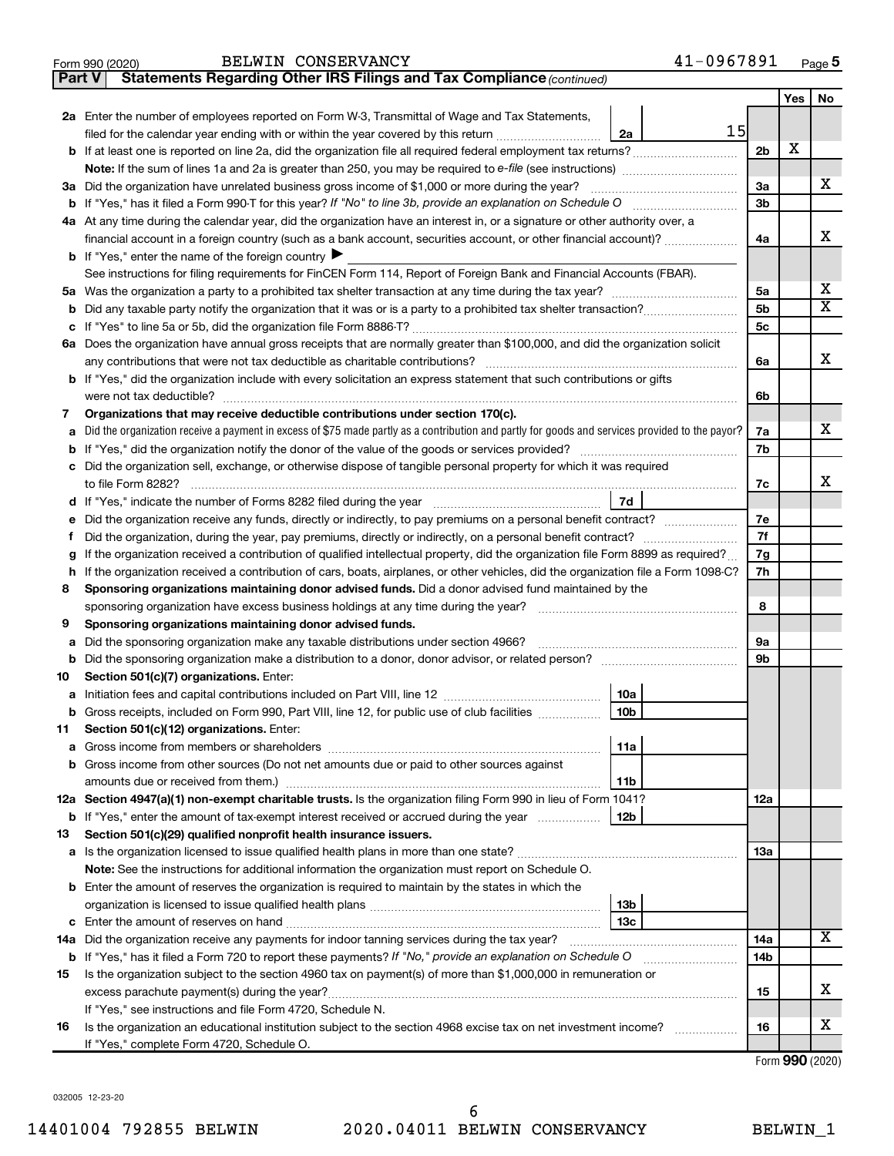| $-0967891$ | <sup>o</sup> ane 5 |
|------------|--------------------|
|------------|--------------------|

|               | BELWIN CONSERVANCY<br>Form 990 (2020)                                                                                                                                                                                          | 41-0967891      |                 |     | Page 5                  |  |
|---------------|--------------------------------------------------------------------------------------------------------------------------------------------------------------------------------------------------------------------------------|-----------------|-----------------|-----|-------------------------|--|
| <b>Part V</b> | Statements Regarding Other IRS Filings and Tax Compliance (continued)                                                                                                                                                          |                 |                 |     |                         |  |
|               |                                                                                                                                                                                                                                |                 |                 | Yes | No                      |  |
|               | 2a Enter the number of employees reported on Form W-3, Transmittal of Wage and Tax Statements,                                                                                                                                 |                 |                 |     |                         |  |
|               | filed for the calendar year ending with or within the year covered by this return <i>manumumumum</i>                                                                                                                           | 15<br>2a        |                 |     |                         |  |
|               |                                                                                                                                                                                                                                |                 | 2 <sub>b</sub>  | X   |                         |  |
|               |                                                                                                                                                                                                                                |                 |                 |     |                         |  |
|               | 3a Did the organization have unrelated business gross income of \$1,000 or more during the year?                                                                                                                               |                 | 3a              |     | x                       |  |
|               |                                                                                                                                                                                                                                |                 | 3b              |     |                         |  |
|               | 4a At any time during the calendar year, did the organization have an interest in, or a signature or other authority over, a                                                                                                   |                 |                 |     |                         |  |
|               | financial account in a foreign country (such as a bank account, securities account, or other financial account)?                                                                                                               |                 | 4a              |     | x                       |  |
|               | <b>b</b> If "Yes," enter the name of the foreign country $\blacktriangleright$                                                                                                                                                 |                 |                 |     |                         |  |
|               | See instructions for filing requirements for FinCEN Form 114, Report of Foreign Bank and Financial Accounts (FBAR).                                                                                                            |                 |                 |     |                         |  |
| 5а            |                                                                                                                                                                                                                                |                 | 5a              |     | x                       |  |
| b             |                                                                                                                                                                                                                                |                 | 5b              |     | $\overline{\mathbf{X}}$ |  |
| с             |                                                                                                                                                                                                                                |                 | 5c              |     |                         |  |
|               | 6a Does the organization have annual gross receipts that are normally greater than \$100,000, and did the organization solicit                                                                                                 |                 |                 |     |                         |  |
|               |                                                                                                                                                                                                                                |                 | 6a              |     | x                       |  |
|               | <b>b</b> If "Yes," did the organization include with every solicitation an express statement that such contributions or gifts                                                                                                  |                 |                 |     |                         |  |
|               | were not tax deductible?                                                                                                                                                                                                       |                 | 6b              |     |                         |  |
| 7             | Organizations that may receive deductible contributions under section 170(c).                                                                                                                                                  |                 |                 |     |                         |  |
| a             | Did the organization receive a payment in excess of \$75 made partly as a contribution and partly for goods and services provided to the payor?                                                                                |                 | 7a              |     | x                       |  |
| b             |                                                                                                                                                                                                                                |                 | 7b              |     |                         |  |
| с             | Did the organization sell, exchange, or otherwise dispose of tangible personal property for which it was required                                                                                                              |                 |                 |     |                         |  |
|               |                                                                                                                                                                                                                                |                 | 7c              |     | x                       |  |
|               |                                                                                                                                                                                                                                | 7d              |                 |     |                         |  |
| е             | Did the organization receive any funds, directly or indirectly, to pay premiums on a personal benefit contract?                                                                                                                |                 | 7e              |     |                         |  |
| Ť             | Did the organization, during the year, pay premiums, directly or indirectly, on a personal benefit contract?                                                                                                                   |                 | 7f<br>7g        |     |                         |  |
|               | If the organization received a contribution of qualified intellectual property, did the organization file Form 8899 as required?                                                                                               |                 |                 |     |                         |  |
| h             | If the organization received a contribution of cars, boats, airplanes, or other vehicles, did the organization file a Form 1098-C?                                                                                             |                 | 7h              |     |                         |  |
| 8             | Sponsoring organizations maintaining donor advised funds. Did a donor advised fund maintained by the                                                                                                                           |                 |                 |     |                         |  |
|               |                                                                                                                                                                                                                                |                 | 8               |     |                         |  |
| 9             | Sponsoring organizations maintaining donor advised funds.                                                                                                                                                                      |                 |                 |     |                         |  |
| а             | Did the sponsoring organization make any taxable distributions under section 4966?                                                                                                                                             |                 | 9а              |     |                         |  |
| b             | Did the sponsoring organization make a distribution to a donor, donor advisor, or related person?                                                                                                                              |                 | 9b              |     |                         |  |
| 10            | Section 501(c)(7) organizations. Enter:                                                                                                                                                                                        |                 |                 |     |                         |  |
|               | a Initiation fees and capital contributions included on Part VIII, line 12 [111] [11] [12] [11] [12] [11] [12] [11] [12] [11] [12] [11] [12] [11] [12] [11] [12] [11] [12] [11] [12] [11] [12] [11] [12] [11] [12] [11] [12] [ | <b>10a</b>      |                 |     |                         |  |
|               | Gross receipts, included on Form 990, Part VIII, line 12, for public use of club facilities                                                                                                                                    | 10 <sub>b</sub> |                 |     |                         |  |
| 11            | Section 501(c)(12) organizations. Enter:                                                                                                                                                                                       |                 |                 |     |                         |  |
| а             |                                                                                                                                                                                                                                | 11a             |                 |     |                         |  |
| b             | Gross income from other sources (Do not net amounts due or paid to other sources against                                                                                                                                       |                 |                 |     |                         |  |
|               | 12a Section 4947(a)(1) non-exempt charitable trusts. Is the organization filing Form 990 in lieu of Form 1041?                                                                                                                 | 11 <sub>b</sub> |                 |     |                         |  |
|               | <b>b</b> If "Yes," enter the amount of tax-exempt interest received or accrued during the year                                                                                                                                 | 12b             | 12a             |     |                         |  |
|               |                                                                                                                                                                                                                                |                 |                 |     |                         |  |
| 13            | Section 501(c)(29) qualified nonprofit health insurance issuers.<br>a Is the organization licensed to issue qualified health plans in more than one state?                                                                     |                 | 1За             |     |                         |  |
|               | Note: See the instructions for additional information the organization must report on Schedule O.                                                                                                                              |                 |                 |     |                         |  |
| b             | Enter the amount of reserves the organization is required to maintain by the states in which the                                                                                                                               |                 |                 |     |                         |  |
|               |                                                                                                                                                                                                                                | 13 <sub>b</sub> |                 |     |                         |  |
|               |                                                                                                                                                                                                                                | 13 <sub>c</sub> |                 |     |                         |  |
|               | 14a Did the organization receive any payments for indoor tanning services during the tax year?                                                                                                                                 |                 | 14a             |     | X                       |  |
|               | b If "Yes," has it filed a Form 720 to report these payments? If "No," provide an explanation on Schedule O                                                                                                                    |                 | 14 <sub>b</sub> |     |                         |  |
|               |                                                                                                                                                                                                                                |                 |                 |     |                         |  |

| 15 | Is the organization subject to the section 4960 tax on payment(s) of more than \$1,000,000 in remuneration or   |    |  |
|----|-----------------------------------------------------------------------------------------------------------------|----|--|
|    | excess parachute payment(s) during the year?                                                                    | 15 |  |
|    | If "Yes," see instructions and file Form 4720, Schedule N.                                                      |    |  |
| 16 | Is the organization an educational institution subject to the section 4968 excise tax on net investment income? | 16 |  |
|    | If "Yes." complete Form 4720, Schedule O.                                                                       |    |  |

Form (2020) **990**

 $\overline{X}$ 

X

032005 12-23-20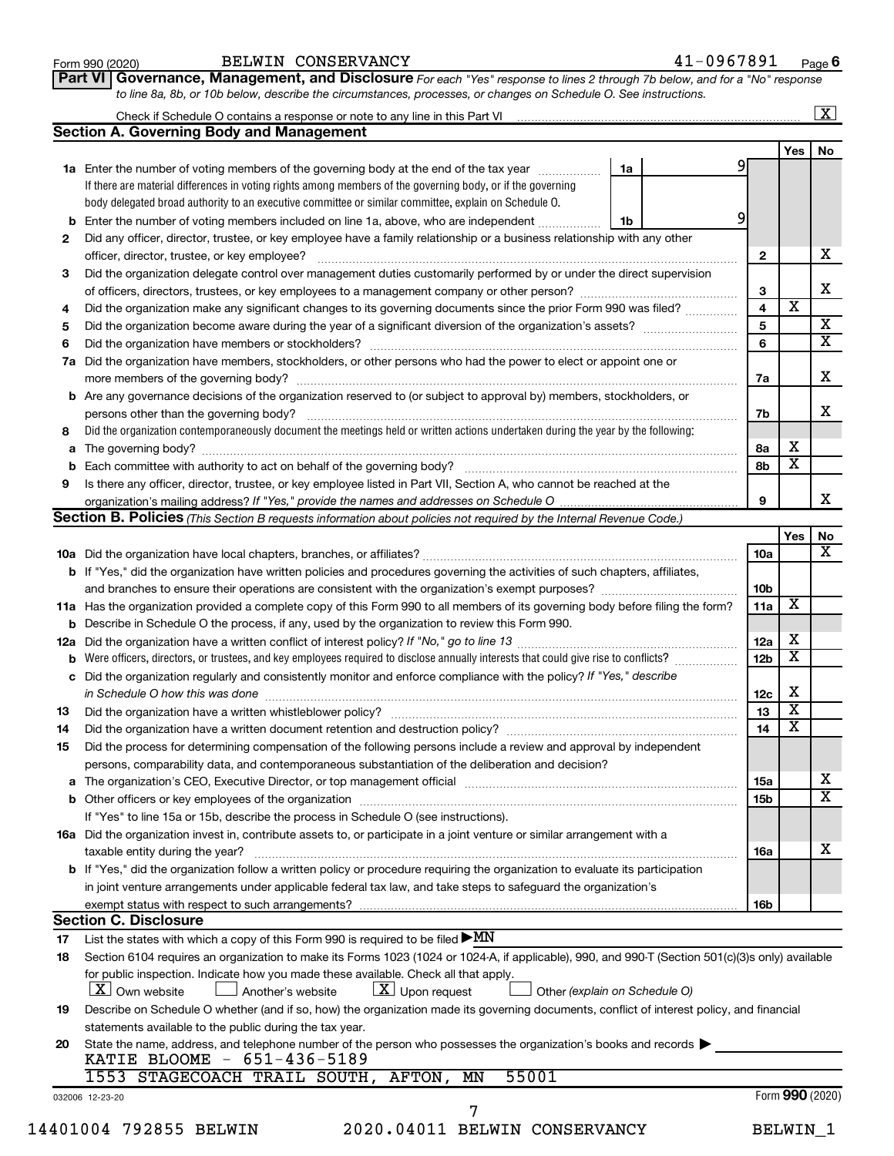| Form 990 (2020) |  |
|-----------------|--|
|-----------------|--|

#### Form 990 (2020) Page BELWIN CONSERVANCY 41-0967891

**Part VI** Governance, Management, and Disclosure For each "Yes" response to lines 2 through 7b below, and for a "No" response *to line 8a, 8b, or 10b below, describe the circumstances, processes, or changes on Schedule O. See instructions.*

|     | Check if Schedule O contains a response or note to any line in this Part VI [1] [1] [1] [1] [1] [1] [1] [1] [1                                                                                                                |    |                 |                         | $\mathbf{X}$                                       |
|-----|-------------------------------------------------------------------------------------------------------------------------------------------------------------------------------------------------------------------------------|----|-----------------|-------------------------|----------------------------------------------------|
|     | <b>Section A. Governing Body and Management</b>                                                                                                                                                                               |    |                 |                         |                                                    |
|     |                                                                                                                                                                                                                               |    |                 | Yes                     | No                                                 |
|     | 1a Enter the number of voting members of the governing body at the end of the tax year                                                                                                                                        | 1a | 9               |                         |                                                    |
|     | If there are material differences in voting rights among members of the governing body, or if the governing                                                                                                                   |    |                 |                         |                                                    |
|     | body delegated broad authority to an executive committee or similar committee, explain on Schedule O.                                                                                                                         |    |                 |                         |                                                    |
| b   | Enter the number of voting members included on line 1a, above, who are independent                                                                                                                                            | 1b | 9               |                         |                                                    |
| 2   | Did any officer, director, trustee, or key employee have a family relationship or a business relationship with any other                                                                                                      |    |                 |                         |                                                    |
|     | officer, director, trustee, or key employee?                                                                                                                                                                                  |    | $\mathbf{2}$    |                         | х                                                  |
| 3   | Did the organization delegate control over management duties customarily performed by or under the direct supervision                                                                                                         |    |                 |                         |                                                    |
|     |                                                                                                                                                                                                                               |    | 3               |                         | x                                                  |
| 4   | Did the organization make any significant changes to its governing documents since the prior Form 990 was filed?                                                                                                              |    | $\overline{4}$  | $\overline{\text{x}}$   |                                                    |
| 5   |                                                                                                                                                                                                                               |    | 5               |                         |                                                    |
| 6   |                                                                                                                                                                                                                               |    | 6               |                         | $\overline{\mathbf{X}}$<br>$\overline{\textbf{x}}$ |
| 7a  | Did the organization have members, stockholders, or other persons who had the power to elect or appoint one or                                                                                                                |    |                 |                         |                                                    |
|     |                                                                                                                                                                                                                               |    | 7a              |                         | х                                                  |
|     |                                                                                                                                                                                                                               |    |                 |                         |                                                    |
| b   | Are any governance decisions of the organization reserved to (or subject to approval by) members, stockholders, or                                                                                                            |    |                 |                         | x                                                  |
|     |                                                                                                                                                                                                                               |    | 7b              |                         |                                                    |
| 8   | Did the organization contemporaneously document the meetings held or written actions undertaken during the year by the following:                                                                                             |    |                 |                         |                                                    |
| а   |                                                                                                                                                                                                                               |    | 8а              | х                       |                                                    |
| b   |                                                                                                                                                                                                                               |    | 8b              | $\overline{\textbf{x}}$ |                                                    |
| 9   | Is there any officer, director, trustee, or key employee listed in Part VII, Section A, who cannot be reached at the                                                                                                          |    |                 |                         | x                                                  |
|     |                                                                                                                                                                                                                               |    | 9               |                         |                                                    |
|     | <b>Section B. Policies</b> (This Section B requests information about policies not required by the Internal Revenue Code.)                                                                                                    |    |                 |                         |                                                    |
|     |                                                                                                                                                                                                                               |    |                 | Yes                     | No                                                 |
|     |                                                                                                                                                                                                                               |    | 10a             |                         |                                                    |
|     | <b>b</b> If "Yes," did the organization have written policies and procedures governing the activities of such chapters, affiliates,                                                                                           |    |                 |                         |                                                    |
|     |                                                                                                                                                                                                                               |    | 10 <sub>b</sub> |                         |                                                    |
|     | 11a Has the organization provided a complete copy of this Form 990 to all members of its governing body before filing the form?                                                                                               |    | 11a             | X                       |                                                    |
|     | <b>b</b> Describe in Schedule O the process, if any, used by the organization to review this Form 990.                                                                                                                        |    |                 |                         |                                                    |
| 12a |                                                                                                                                                                                                                               |    | 12a             | х                       |                                                    |
| b   | Were officers, directors, or trustees, and key employees required to disclose annually interests that could give rise to conflicts?                                                                                           |    | 12 <sub>b</sub> | $\overline{\mathbf{X}}$ |                                                    |
| с   | Did the organization regularly and consistently monitor and enforce compliance with the policy? If "Yes," describe                                                                                                            |    |                 |                         |                                                    |
|     |                                                                                                                                                                                                                               |    | 12c             | Х                       |                                                    |
| 13  |                                                                                                                                                                                                                               |    | 13              | $\overline{\mathbf{X}}$ |                                                    |
| 14  | Did the organization have a written document retention and destruction policy? [11] manufaction manufaction in                                                                                                                |    | 14              | $\overline{\mathbf{X}}$ |                                                    |
| 15  | Did the process for determining compensation of the following persons include a review and approval by independent                                                                                                            |    |                 |                         |                                                    |
|     |                                                                                                                                                                                                                               |    |                 |                         |                                                    |
|     | persons, comparability data, and contemporaneous substantiation of the deliberation and decision?                                                                                                                             |    |                 |                         | х                                                  |
| а   | The organization's CEO, Executive Director, or top management official [111] [11] manument content of the organization's CEO, Executive Director, or top management official [11] manument content of the organization of the |    | 15a             |                         |                                                    |
|     |                                                                                                                                                                                                                               |    | 15b             |                         |                                                    |
|     | If "Yes" to line 15a or 15b, describe the process in Schedule O (see instructions).                                                                                                                                           |    |                 |                         |                                                    |
|     | 16a Did the organization invest in, contribute assets to, or participate in a joint venture or similar arrangement with a                                                                                                     |    |                 |                         |                                                    |
|     | taxable entity during the year?                                                                                                                                                                                               |    | 16a             |                         | х                                                  |
|     | b If "Yes," did the organization follow a written policy or procedure requiring the organization to evaluate its participation                                                                                                |    |                 |                         |                                                    |
|     | in joint venture arrangements under applicable federal tax law, and take steps to safeguard the organization's                                                                                                                |    |                 |                         |                                                    |
|     | exempt status with respect to such arrangements?                                                                                                                                                                              |    | 16b             |                         |                                                    |
|     | <b>Section C. Disclosure</b>                                                                                                                                                                                                  |    |                 |                         |                                                    |
| 17  | List the states with which a copy of this Form 990 is required to be filed $\blacktriangleright MN$                                                                                                                           |    |                 |                         |                                                    |
| 18  | Section 6104 requires an organization to make its Forms 1023 (1024 or 1024-A, if applicable), 990, and 990-T (Section 501(c)(3)s only) available                                                                              |    |                 |                         |                                                    |
|     | for public inspection. Indicate how you made these available. Check all that apply.<br>$\lfloor x \rfloor$ Upon request<br><b>X</b> Own website<br>Another's website<br>Other (explain on Schedule O)                         |    |                 |                         |                                                    |
| 19  | Describe on Schedule O whether (and if so, how) the organization made its governing documents, conflict of interest policy, and financial                                                                                     |    |                 |                         |                                                    |
|     | statements available to the public during the tax year.                                                                                                                                                                       |    |                 |                         |                                                    |
|     |                                                                                                                                                                                                                               |    |                 |                         |                                                    |
| 20  | State the name, address, and telephone number of the person who possesses the organization's books and records $\blacktriangleright$<br>KATIE BLOOME - 651-436-5189                                                           |    |                 |                         |                                                    |
|     | 55001<br>1553 STAGECOACH TRAIL SOUTH, AFTON,<br>$\overline{\text{MN}}$                                                                                                                                                        |    |                 |                         |                                                    |
|     | 032006 12-23-20                                                                                                                                                                                                               |    |                 | Form 990 (2020)         |                                                    |
|     | 7                                                                                                                                                                                                                             |    |                 |                         |                                                    |
|     | 2020.04011 BELWIN CONSERVANCY<br>14401004 792855 BELWIN                                                                                                                                                                       |    |                 | BELWIN <sub>1</sub>     |                                                    |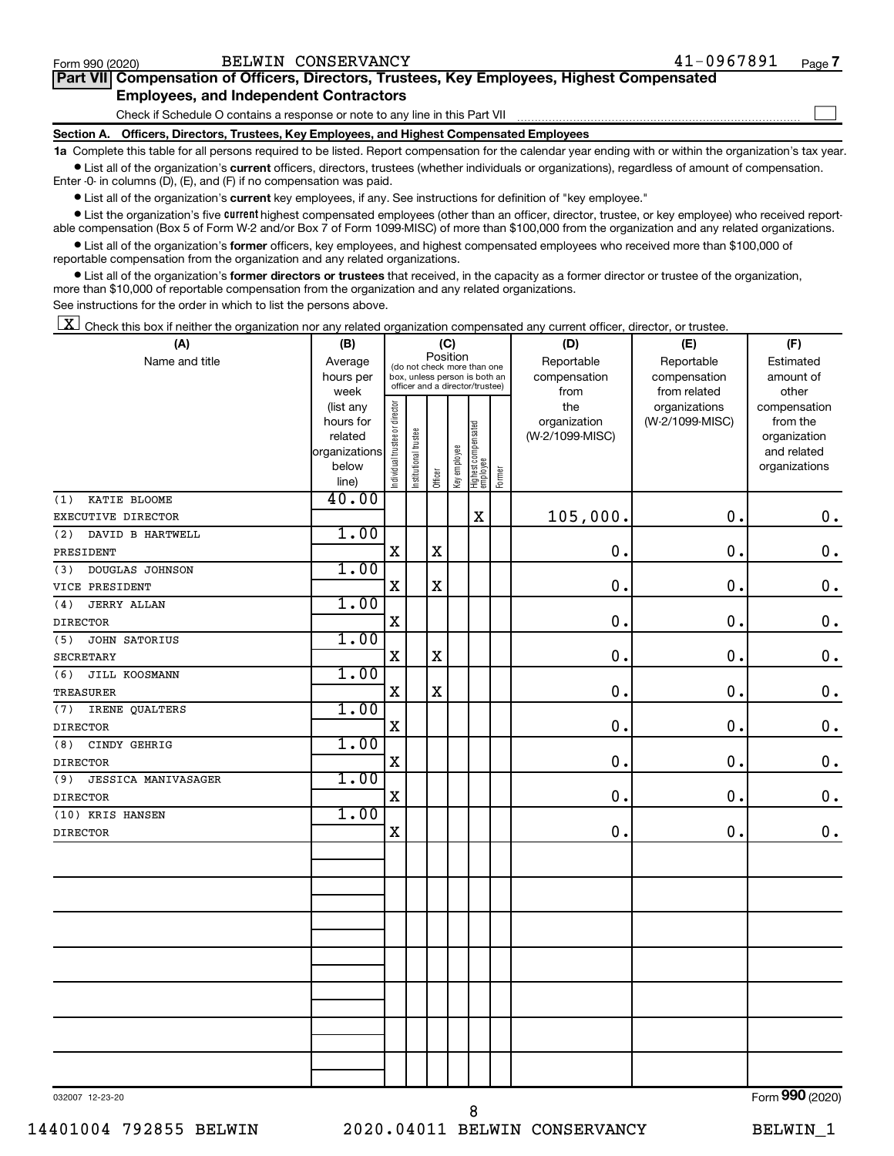$\Box$ 

| Part VII Compensation of Officers, Directors, Trustees, Key Employees, Highest Compensated |  |  |
|--------------------------------------------------------------------------------------------|--|--|
| <b>Employees, and Independent Contractors</b>                                              |  |  |

Check if Schedule O contains a response or note to any line in this Part VII

**Section A. Officers, Directors, Trustees, Key Employees, and Highest Compensated Employees**

**1a**  Complete this table for all persons required to be listed. Report compensation for the calendar year ending with or within the organization's tax year.  $\bullet$  List all of the organization's current officers, directors, trustees (whether individuals or organizations), regardless of amount of compensation.

Enter -0- in columns (D), (E), and (F) if no compensation was paid.

**•** List all of the organization's current key employees, if any. See instructions for definition of "key employee."

• List the organization's five *current* highest compensated employees (other than an officer, director, trustee, or key employee) who received reportable compensation (Box 5 of Form W-2 and/or Box 7 of Form 1099-MISC) of more than \$100,000 from the organization and any related organizations.

 $\bullet$  List all of the organization's former officers, key employees, and highest compensated employees who received more than \$100,000 of reportable compensation from the organization and any related organizations.

**•** List all of the organization's former directors or trustees that received, in the capacity as a former director or trustee of the organization, more than \$10,000 of reportable compensation from the organization and any related organizations.

See instructions for the order in which to list the persons above.

 $\boxed{\textbf{X}}$  Check this box if neither the organization nor any related organization compensated any current officer, director, or trustee.

| (A)                               | (B)<br>(C)     |                                         |                                                                  |                         |              |                                 |            | (D)             | (E)             | (F)             |  |  |
|-----------------------------------|----------------|-----------------------------------------|------------------------------------------------------------------|-------------------------|--------------|---------------------------------|------------|-----------------|-----------------|-----------------|--|--|
| Name and title                    | Average        | Position<br>(do not check more than one |                                                                  |                         |              |                                 | Reportable | Reportable      | Estimated       |                 |  |  |
|                                   | hours per      |                                         | box, unless person is both an<br>officer and a director/trustee) |                         |              |                                 |            | compensation    | compensation    | amount of       |  |  |
|                                   | week           |                                         |                                                                  |                         |              |                                 |            | from            | from related    | other           |  |  |
|                                   | (list any      |                                         |                                                                  |                         |              |                                 |            | the             | organizations   | compensation    |  |  |
|                                   | hours for      |                                         |                                                                  |                         |              |                                 |            | organization    | (W-2/1099-MISC) | from the        |  |  |
|                                   | related        |                                         |                                                                  |                         |              |                                 |            | (W-2/1099-MISC) |                 | organization    |  |  |
|                                   | organizations  |                                         |                                                                  |                         |              |                                 |            |                 |                 | and related     |  |  |
|                                   | below          | Individual trustee or director          | Institutional trustee                                            | Officer                 | Key employee | Highest compensated<br>employee | Former     |                 |                 | organizations   |  |  |
|                                   | line)<br>40.00 |                                         |                                                                  |                         |              |                                 |            |                 |                 |                 |  |  |
| KATIE BLOOME<br>(1)               |                |                                         |                                                                  |                         |              | $\mathbf X$                     |            |                 | 0.              |                 |  |  |
| EXECUTIVE DIRECTOR                | 1.00           |                                         |                                                                  |                         |              |                                 |            | 105,000.        |                 | $\mathbf 0$ .   |  |  |
| DAVID B HARTWELL<br>(2)           |                |                                         |                                                                  |                         |              |                                 |            |                 |                 |                 |  |  |
| PRESIDENT                         |                | X                                       |                                                                  | $\mathbf X$             |              |                                 |            | $\mathbf 0$ .   | $\mathbf 0$ .   | $\mathbf 0$ .   |  |  |
| DOUGLAS JOHNSON<br>(3)            | 1.00           |                                         |                                                                  |                         |              |                                 |            |                 |                 |                 |  |  |
| VICE PRESIDENT                    |                | $\mathbf X$                             |                                                                  | $\mathbf X$             |              |                                 |            | $\mathbf 0$ .   | 0.              | $\mathbf 0$ .   |  |  |
| (4)<br><b>JERRY ALLAN</b>         | 1.00           |                                         |                                                                  |                         |              |                                 |            |                 |                 |                 |  |  |
| <b>DIRECTOR</b>                   |                | X                                       |                                                                  |                         |              |                                 |            | $\mathbf 0$ .   | $\mathbf 0$ .   | $\mathbf 0$ .   |  |  |
| (5)<br>JOHN SATORIUS              | 1.00           |                                         |                                                                  |                         |              |                                 |            |                 |                 |                 |  |  |
| <b>SECRETARY</b>                  |                | $\mathbf X$                             |                                                                  | $\mathbf X$             |              |                                 |            | $\mathbf 0$ .   | $\mathbf 0$ .   | $\mathbf 0$ .   |  |  |
| JILL KOOSMANN<br>(6)              | 1.00           |                                         |                                                                  |                         |              |                                 |            |                 |                 |                 |  |  |
| <b>TREASURER</b>                  |                | $\mathbf X$                             |                                                                  | $\overline{\textbf{X}}$ |              |                                 |            | $\mathbf 0$ .   | $\mathbf 0$ .   | $\mathbf 0$ .   |  |  |
| IRENE QUALTERS<br>(7)             | 1.00           |                                         |                                                                  |                         |              |                                 |            |                 |                 |                 |  |  |
| <b>DIRECTOR</b>                   |                | $\mathbf X$                             |                                                                  |                         |              |                                 |            | $\mathbf 0$ .   | $\mathbf 0$ .   | $\mathbf 0$ .   |  |  |
| (8)<br>CINDY GEHRIG               | 1.00           |                                         |                                                                  |                         |              |                                 |            |                 |                 |                 |  |  |
| <b>DIRECTOR</b>                   |                | X                                       |                                                                  |                         |              |                                 |            | $\mathbf 0$ .   | 0.              | $\mathbf 0$ .   |  |  |
| (9)<br><b>JESSICA MANIVASAGER</b> | 1.00           |                                         |                                                                  |                         |              |                                 |            |                 |                 |                 |  |  |
| <b>DIRECTOR</b>                   |                | $\mathbf X$                             |                                                                  |                         |              |                                 |            | 0.              | 0.              | $\mathbf 0$ .   |  |  |
| (10) KRIS HANSEN                  | 1.00           |                                         |                                                                  |                         |              |                                 |            |                 |                 |                 |  |  |
| <b>DIRECTOR</b>                   |                | X                                       |                                                                  |                         |              |                                 |            | $\mathbf 0$ .   | 0.              | $\mathbf 0$ .   |  |  |
|                                   |                |                                         |                                                                  |                         |              |                                 |            |                 |                 |                 |  |  |
|                                   |                |                                         |                                                                  |                         |              |                                 |            |                 |                 |                 |  |  |
|                                   |                |                                         |                                                                  |                         |              |                                 |            |                 |                 |                 |  |  |
|                                   |                |                                         |                                                                  |                         |              |                                 |            |                 |                 |                 |  |  |
|                                   |                |                                         |                                                                  |                         |              |                                 |            |                 |                 |                 |  |  |
|                                   |                |                                         |                                                                  |                         |              |                                 |            |                 |                 |                 |  |  |
|                                   |                |                                         |                                                                  |                         |              |                                 |            |                 |                 |                 |  |  |
|                                   |                |                                         |                                                                  |                         |              |                                 |            |                 |                 |                 |  |  |
|                                   |                |                                         |                                                                  |                         |              |                                 |            |                 |                 |                 |  |  |
|                                   |                |                                         |                                                                  |                         |              |                                 |            |                 |                 |                 |  |  |
|                                   |                |                                         |                                                                  |                         |              |                                 |            |                 |                 |                 |  |  |
|                                   |                |                                         |                                                                  |                         |              |                                 |            |                 |                 |                 |  |  |
|                                   |                |                                         |                                                                  |                         |              |                                 |            |                 |                 |                 |  |  |
|                                   |                |                                         |                                                                  |                         |              |                                 |            |                 |                 |                 |  |  |
| 032007 12-23-20                   |                |                                         |                                                                  |                         |              |                                 |            |                 |                 | Form 990 (2020) |  |  |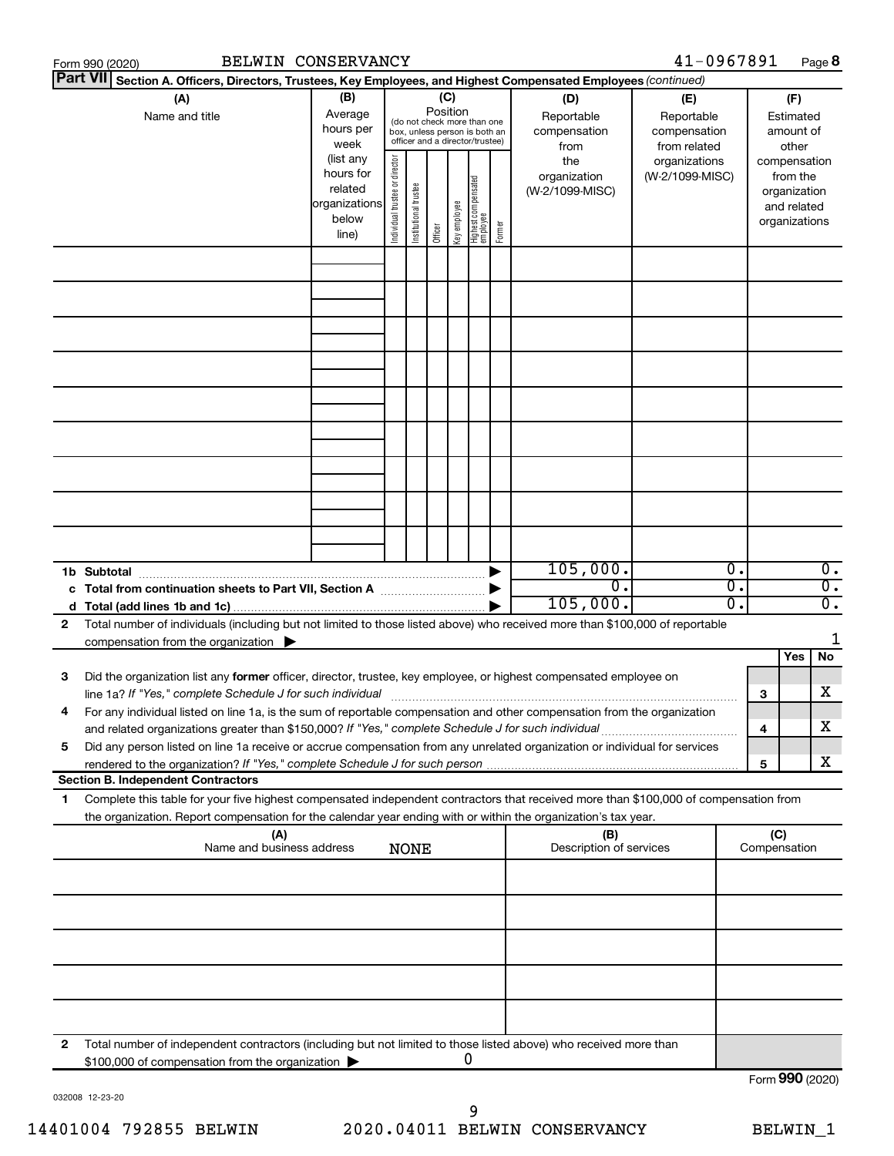|              | BELWIN CONSERVANCY<br>Form 990 (2020)                                                                                                                                                                                           |                                                         |                                                                                                                    |                       |                                                                                                |              |                                        |        |                                        | 41-0967891                       |                                                                          |     |                 | Page 8           |
|--------------|---------------------------------------------------------------------------------------------------------------------------------------------------------------------------------------------------------------------------------|---------------------------------------------------------|--------------------------------------------------------------------------------------------------------------------|-----------------------|------------------------------------------------------------------------------------------------|--------------|----------------------------------------|--------|----------------------------------------|----------------------------------|--------------------------------------------------------------------------|-----|-----------------|------------------|
|              | <b>Part VII</b><br>Section A. Officers, Directors, Trustees, Key Employees, and Highest Compensated Employees (continued)                                                                                                       |                                                         |                                                                                                                    |                       |                                                                                                |              |                                        |        |                                        |                                  |                                                                          |     |                 |                  |
|              | (A)<br>Name and title                                                                                                                                                                                                           | (B)<br>Average<br>hours per<br>week<br>(list any        | (C)<br>Position<br>(do not check more than one<br>box, unless person is both an<br>officer and a director/trustee) |                       | (D)<br>(E)<br>Reportable<br>Reportable<br>compensation<br>compensation<br>from related<br>from |              | (F)<br>Estimated<br>amount of<br>other |        |                                        |                                  |                                                                          |     |                 |                  |
|              |                                                                                                                                                                                                                                 | hours for<br>related<br>organizations<br>below<br>line) | Individual trustee or director                                                                                     | Institutional trustee | Officer                                                                                        | Key employee | Highest compensated<br>  employee      | Former | the<br>organization<br>(W-2/1099-MISC) | organizations<br>(W-2/1099-MISC) | compensation<br>from the<br>organization<br>and related<br>organizations |     |                 |                  |
|              |                                                                                                                                                                                                                                 |                                                         |                                                                                                                    |                       |                                                                                                |              |                                        |        |                                        |                                  |                                                                          |     |                 |                  |
|              |                                                                                                                                                                                                                                 |                                                         |                                                                                                                    |                       |                                                                                                |              |                                        |        |                                        |                                  |                                                                          |     |                 |                  |
|              |                                                                                                                                                                                                                                 |                                                         |                                                                                                                    |                       |                                                                                                |              |                                        |        |                                        |                                  |                                                                          |     |                 |                  |
|              |                                                                                                                                                                                                                                 |                                                         |                                                                                                                    |                       |                                                                                                |              |                                        |        |                                        |                                  |                                                                          |     |                 |                  |
|              |                                                                                                                                                                                                                                 |                                                         |                                                                                                                    |                       |                                                                                                |              |                                        |        |                                        |                                  |                                                                          |     |                 |                  |
|              |                                                                                                                                                                                                                                 |                                                         |                                                                                                                    |                       |                                                                                                |              |                                        |        |                                        |                                  |                                                                          |     |                 |                  |
|              |                                                                                                                                                                                                                                 |                                                         |                                                                                                                    |                       |                                                                                                |              |                                        |        |                                        |                                  |                                                                          |     |                 |                  |
|              |                                                                                                                                                                                                                                 |                                                         |                                                                                                                    |                       |                                                                                                |              |                                        |        |                                        |                                  |                                                                          |     |                 |                  |
|              |                                                                                                                                                                                                                                 |                                                         |                                                                                                                    |                       |                                                                                                |              |                                        |        | 105,000.                               |                                  | 0.                                                                       |     |                 | 0.               |
|              | 1b Subtotal<br>c Total from continuation sheets to Part VII, Section A [111] [2000]                                                                                                                                             |                                                         |                                                                                                                    |                       |                                                                                                |              |                                        |        | $\overline{0}$ .                       |                                  | σ.                                                                       |     |                 | $\overline{0}$ . |
| $\mathbf{2}$ | Total number of individuals (including but not limited to those listed above) who received more than \$100,000 of reportable                                                                                                    |                                                         |                                                                                                                    |                       |                                                                                                |              |                                        |        | 105,000.                               |                                  | σ.                                                                       |     |                 | σ.               |
|              | compensation from the organization $\blacktriangleright$                                                                                                                                                                        |                                                         |                                                                                                                    |                       |                                                                                                |              |                                        |        |                                        |                                  |                                                                          |     | Yes             | 1<br>No          |
| 3            | Did the organization list any former officer, director, trustee, key employee, or highest compensated employee on<br>line 1a? If "Yes," complete Schedule J for such individual                                                 |                                                         |                                                                                                                    |                       |                                                                                                |              |                                        |        |                                        |                                  |                                                                          | 3   |                 | x.               |
| 4            | For any individual listed on line 1a, is the sum of reportable compensation and other compensation from the organization<br>and related organizations greater than \$150,000? If "Yes," complete Schedule J for such individual |                                                         |                                                                                                                    |                       |                                                                                                |              |                                        |        |                                        |                                  |                                                                          | 4   |                 | х                |
| 5            | Did any person listed on line 1a receive or accrue compensation from any unrelated organization or individual for services                                                                                                      |                                                         |                                                                                                                    |                       |                                                                                                |              |                                        |        |                                        |                                  |                                                                          | 5   |                 | x                |
| 1            | <b>Section B. Independent Contractors</b><br>Complete this table for your five highest compensated independent contractors that received more than \$100,000 of compensation from                                               |                                                         |                                                                                                                    |                       |                                                                                                |              |                                        |        |                                        |                                  |                                                                          |     |                 |                  |
|              | the organization. Report compensation for the calendar year ending with or within the organization's tax year.                                                                                                                  |                                                         |                                                                                                                    |                       |                                                                                                |              |                                        |        |                                        |                                  |                                                                          |     |                 |                  |
|              | (A)<br>Name and business address                                                                                                                                                                                                |                                                         |                                                                                                                    | <b>NONE</b>           |                                                                                                |              |                                        |        | (B)<br>Description of services         |                                  |                                                                          | (C) | Compensation    |                  |
|              |                                                                                                                                                                                                                                 |                                                         |                                                                                                                    |                       |                                                                                                |              |                                        |        |                                        |                                  |                                                                          |     |                 |                  |
|              |                                                                                                                                                                                                                                 |                                                         |                                                                                                                    |                       |                                                                                                |              |                                        |        |                                        |                                  |                                                                          |     |                 |                  |
|              |                                                                                                                                                                                                                                 |                                                         |                                                                                                                    |                       |                                                                                                |              |                                        |        |                                        |                                  |                                                                          |     |                 |                  |
|              |                                                                                                                                                                                                                                 |                                                         |                                                                                                                    |                       |                                                                                                |              |                                        |        |                                        |                                  |                                                                          |     |                 |                  |
| 2            | Total number of independent contractors (including but not limited to those listed above) who received more than                                                                                                                |                                                         |                                                                                                                    |                       |                                                                                                |              |                                        |        |                                        |                                  |                                                                          |     |                 |                  |
|              | \$100,000 of compensation from the organization                                                                                                                                                                                 |                                                         |                                                                                                                    |                       |                                                                                                | 0            |                                        |        |                                        |                                  |                                                                          |     | Form 990 (2020) |                  |

032008 12-23-20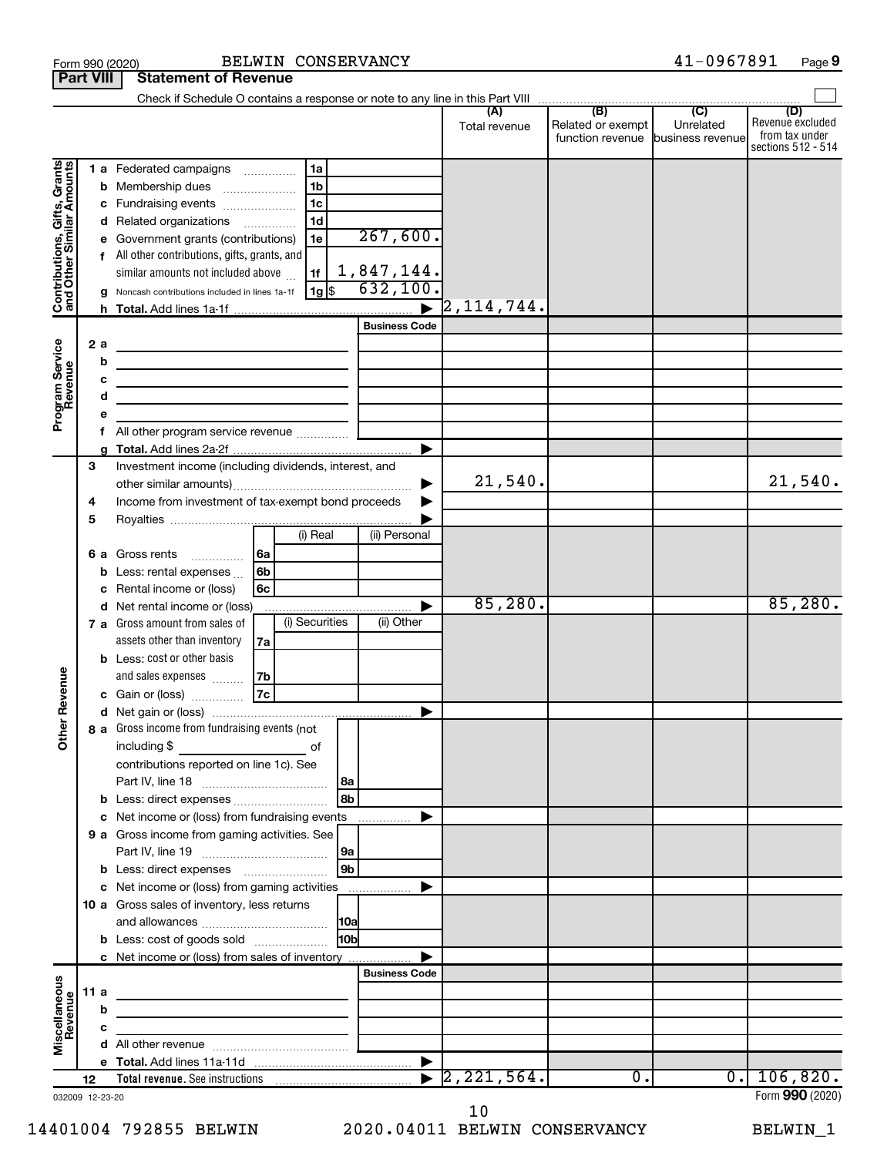| Check if Schedule O contains a response or note to any line in this Part VIII<br>(B)<br>$\overline{C}$<br>(D)<br>(A)<br>Revenue excluded<br>Related or exempt<br>Unrelated<br>Total revenue<br>from tax under<br>function revenue business revenue<br>sections 512 - 514<br>Contributions, Gifts, Grants<br>and Other Similar Amounts<br>1 a Federated campaigns<br>1a<br>1 <sub>b</sub><br>Membership dues<br>b<br>1 <sub>c</sub><br>Fundraising events<br>1 <sub>d</sub><br>d Related organizations<br>$\overline{\phantom{a}}$<br>267,600.<br>Government grants (contributions)<br>1e<br>All other contributions, gifts, grants, and<br>1,847,144.<br>similar amounts not included above<br>1f<br>632,100.<br>  1g  \$<br>Noncash contributions included in lines 1a-1f<br>$\n  \lceil 2 \,$ , 114 , 744.<br><b>Business Code</b><br>Program Service<br>Revenue<br>2 a<br>the control of the control of the control of the control of the control of<br>b<br>c<br>the control of the control of the control of the control of the control of<br>d<br>the control of the control of the control of the control of the control of<br>f<br>▶<br>3<br>Investment income (including dividends, interest, and<br>21,540.<br>21,540.<br>Income from investment of tax-exempt bond proceeds<br>4<br>5<br>(i) Real<br>(ii) Personal<br>Gross rents<br> 6a<br>6а<br>6b<br>Less: rental expenses<br>b<br>Rental income or (loss)<br>6с<br>85,280.<br>85,280.<br>d Net rental income or (loss)<br>(i) Securities<br>(ii) Other<br>7 a Gross amount from sales of<br>assets other than inventory<br>7a<br><b>b</b> Less: cost or other basis<br>Revenue<br>and sales expenses<br> 7b<br> 7c <br>c Gain or (loss)<br>৯<br>8 a Gross income from fundraising events (not<br>$\tilde{\vec{c}}$<br>including $$$<br>of<br>contributions reported on line 1c). See<br>l8a<br>8b<br><b>b</b> Less: direct expenses <b>contained b</b> Less: direct expenses<br>c Net income or (loss) from fundraising events<br>.<br>9 a Gross income from gaming activities. See<br> 9a<br>9b<br>c Net income or (loss) from gaming activities<br>10 a Gross sales of inventory, less returns<br><b>HObl</b><br><b>b</b> Less: cost of goods sold<br>c Net income or (loss) from sales of inventory<br><b>Business Code</b><br>Miscellaneous<br>Revenue<br>11 a<br>b<br><u> 1989 - Johann Stein, mars an deus an deus Amerikaansk kommunister (</u><br>с<br>the control of the control of the control of the control of<br>2, 221, 564.<br>106,820.<br>0.<br>0.1<br>$\blacktriangleright$<br>12<br>Form 990 (2020)<br>032009 12-23-20 | <b>Part VIII</b> | <b>Statement of Revenue</b> |  |  |  |
|---------------------------------------------------------------------------------------------------------------------------------------------------------------------------------------------------------------------------------------------------------------------------------------------------------------------------------------------------------------------------------------------------------------------------------------------------------------------------------------------------------------------------------------------------------------------------------------------------------------------------------------------------------------------------------------------------------------------------------------------------------------------------------------------------------------------------------------------------------------------------------------------------------------------------------------------------------------------------------------------------------------------------------------------------------------------------------------------------------------------------------------------------------------------------------------------------------------------------------------------------------------------------------------------------------------------------------------------------------------------------------------------------------------------------------------------------------------------------------------------------------------------------------------------------------------------------------------------------------------------------------------------------------------------------------------------------------------------------------------------------------------------------------------------------------------------------------------------------------------------------------------------------------------------------------------------------------------------------------------------------------------------------------------------------------------------------------------------------------------------------------------------------------------------------------------------------------------------------------------------------------------------------------------------------------------------------------------------------------------------------------------------------------------------------------------------------------------------------------------------------------------------------------------------------------------------------------------------------------|------------------|-----------------------------|--|--|--|
|                                                                                                                                                                                                                                                                                                                                                                                                                                                                                                                                                                                                                                                                                                                                                                                                                                                                                                                                                                                                                                                                                                                                                                                                                                                                                                                                                                                                                                                                                                                                                                                                                                                                                                                                                                                                                                                                                                                                                                                                                                                                                                                                                                                                                                                                                                                                                                                                                                                                                                                                                                                                         |                  |                             |  |  |  |
|                                                                                                                                                                                                                                                                                                                                                                                                                                                                                                                                                                                                                                                                                                                                                                                                                                                                                                                                                                                                                                                                                                                                                                                                                                                                                                                                                                                                                                                                                                                                                                                                                                                                                                                                                                                                                                                                                                                                                                                                                                                                                                                                                                                                                                                                                                                                                                                                                                                                                                                                                                                                         |                  |                             |  |  |  |
|                                                                                                                                                                                                                                                                                                                                                                                                                                                                                                                                                                                                                                                                                                                                                                                                                                                                                                                                                                                                                                                                                                                                                                                                                                                                                                                                                                                                                                                                                                                                                                                                                                                                                                                                                                                                                                                                                                                                                                                                                                                                                                                                                                                                                                                                                                                                                                                                                                                                                                                                                                                                         |                  |                             |  |  |  |
|                                                                                                                                                                                                                                                                                                                                                                                                                                                                                                                                                                                                                                                                                                                                                                                                                                                                                                                                                                                                                                                                                                                                                                                                                                                                                                                                                                                                                                                                                                                                                                                                                                                                                                                                                                                                                                                                                                                                                                                                                                                                                                                                                                                                                                                                                                                                                                                                                                                                                                                                                                                                         |                  |                             |  |  |  |
|                                                                                                                                                                                                                                                                                                                                                                                                                                                                                                                                                                                                                                                                                                                                                                                                                                                                                                                                                                                                                                                                                                                                                                                                                                                                                                                                                                                                                                                                                                                                                                                                                                                                                                                                                                                                                                                                                                                                                                                                                                                                                                                                                                                                                                                                                                                                                                                                                                                                                                                                                                                                         |                  |                             |  |  |  |
|                                                                                                                                                                                                                                                                                                                                                                                                                                                                                                                                                                                                                                                                                                                                                                                                                                                                                                                                                                                                                                                                                                                                                                                                                                                                                                                                                                                                                                                                                                                                                                                                                                                                                                                                                                                                                                                                                                                                                                                                                                                                                                                                                                                                                                                                                                                                                                                                                                                                                                                                                                                                         |                  |                             |  |  |  |
|                                                                                                                                                                                                                                                                                                                                                                                                                                                                                                                                                                                                                                                                                                                                                                                                                                                                                                                                                                                                                                                                                                                                                                                                                                                                                                                                                                                                                                                                                                                                                                                                                                                                                                                                                                                                                                                                                                                                                                                                                                                                                                                                                                                                                                                                                                                                                                                                                                                                                                                                                                                                         |                  |                             |  |  |  |
|                                                                                                                                                                                                                                                                                                                                                                                                                                                                                                                                                                                                                                                                                                                                                                                                                                                                                                                                                                                                                                                                                                                                                                                                                                                                                                                                                                                                                                                                                                                                                                                                                                                                                                                                                                                                                                                                                                                                                                                                                                                                                                                                                                                                                                                                                                                                                                                                                                                                                                                                                                                                         |                  |                             |  |  |  |
|                                                                                                                                                                                                                                                                                                                                                                                                                                                                                                                                                                                                                                                                                                                                                                                                                                                                                                                                                                                                                                                                                                                                                                                                                                                                                                                                                                                                                                                                                                                                                                                                                                                                                                                                                                                                                                                                                                                                                                                                                                                                                                                                                                                                                                                                                                                                                                                                                                                                                                                                                                                                         |                  |                             |  |  |  |
|                                                                                                                                                                                                                                                                                                                                                                                                                                                                                                                                                                                                                                                                                                                                                                                                                                                                                                                                                                                                                                                                                                                                                                                                                                                                                                                                                                                                                                                                                                                                                                                                                                                                                                                                                                                                                                                                                                                                                                                                                                                                                                                                                                                                                                                                                                                                                                                                                                                                                                                                                                                                         |                  |                             |  |  |  |
|                                                                                                                                                                                                                                                                                                                                                                                                                                                                                                                                                                                                                                                                                                                                                                                                                                                                                                                                                                                                                                                                                                                                                                                                                                                                                                                                                                                                                                                                                                                                                                                                                                                                                                                                                                                                                                                                                                                                                                                                                                                                                                                                                                                                                                                                                                                                                                                                                                                                                                                                                                                                         |                  |                             |  |  |  |
|                                                                                                                                                                                                                                                                                                                                                                                                                                                                                                                                                                                                                                                                                                                                                                                                                                                                                                                                                                                                                                                                                                                                                                                                                                                                                                                                                                                                                                                                                                                                                                                                                                                                                                                                                                                                                                                                                                                                                                                                                                                                                                                                                                                                                                                                                                                                                                                                                                                                                                                                                                                                         |                  |                             |  |  |  |
|                                                                                                                                                                                                                                                                                                                                                                                                                                                                                                                                                                                                                                                                                                                                                                                                                                                                                                                                                                                                                                                                                                                                                                                                                                                                                                                                                                                                                                                                                                                                                                                                                                                                                                                                                                                                                                                                                                                                                                                                                                                                                                                                                                                                                                                                                                                                                                                                                                                                                                                                                                                                         |                  |                             |  |  |  |
|                                                                                                                                                                                                                                                                                                                                                                                                                                                                                                                                                                                                                                                                                                                                                                                                                                                                                                                                                                                                                                                                                                                                                                                                                                                                                                                                                                                                                                                                                                                                                                                                                                                                                                                                                                                                                                                                                                                                                                                                                                                                                                                                                                                                                                                                                                                                                                                                                                                                                                                                                                                                         |                  |                             |  |  |  |
|                                                                                                                                                                                                                                                                                                                                                                                                                                                                                                                                                                                                                                                                                                                                                                                                                                                                                                                                                                                                                                                                                                                                                                                                                                                                                                                                                                                                                                                                                                                                                                                                                                                                                                                                                                                                                                                                                                                                                                                                                                                                                                                                                                                                                                                                                                                                                                                                                                                                                                                                                                                                         |                  |                             |  |  |  |
|                                                                                                                                                                                                                                                                                                                                                                                                                                                                                                                                                                                                                                                                                                                                                                                                                                                                                                                                                                                                                                                                                                                                                                                                                                                                                                                                                                                                                                                                                                                                                                                                                                                                                                                                                                                                                                                                                                                                                                                                                                                                                                                                                                                                                                                                                                                                                                                                                                                                                                                                                                                                         |                  |                             |  |  |  |
|                                                                                                                                                                                                                                                                                                                                                                                                                                                                                                                                                                                                                                                                                                                                                                                                                                                                                                                                                                                                                                                                                                                                                                                                                                                                                                                                                                                                                                                                                                                                                                                                                                                                                                                                                                                                                                                                                                                                                                                                                                                                                                                                                                                                                                                                                                                                                                                                                                                                                                                                                                                                         |                  |                             |  |  |  |
|                                                                                                                                                                                                                                                                                                                                                                                                                                                                                                                                                                                                                                                                                                                                                                                                                                                                                                                                                                                                                                                                                                                                                                                                                                                                                                                                                                                                                                                                                                                                                                                                                                                                                                                                                                                                                                                                                                                                                                                                                                                                                                                                                                                                                                                                                                                                                                                                                                                                                                                                                                                                         |                  |                             |  |  |  |
|                                                                                                                                                                                                                                                                                                                                                                                                                                                                                                                                                                                                                                                                                                                                                                                                                                                                                                                                                                                                                                                                                                                                                                                                                                                                                                                                                                                                                                                                                                                                                                                                                                                                                                                                                                                                                                                                                                                                                                                                                                                                                                                                                                                                                                                                                                                                                                                                                                                                                                                                                                                                         |                  |                             |  |  |  |
|                                                                                                                                                                                                                                                                                                                                                                                                                                                                                                                                                                                                                                                                                                                                                                                                                                                                                                                                                                                                                                                                                                                                                                                                                                                                                                                                                                                                                                                                                                                                                                                                                                                                                                                                                                                                                                                                                                                                                                                                                                                                                                                                                                                                                                                                                                                                                                                                                                                                                                                                                                                                         |                  |                             |  |  |  |
|                                                                                                                                                                                                                                                                                                                                                                                                                                                                                                                                                                                                                                                                                                                                                                                                                                                                                                                                                                                                                                                                                                                                                                                                                                                                                                                                                                                                                                                                                                                                                                                                                                                                                                                                                                                                                                                                                                                                                                                                                                                                                                                                                                                                                                                                                                                                                                                                                                                                                                                                                                                                         |                  |                             |  |  |  |
|                                                                                                                                                                                                                                                                                                                                                                                                                                                                                                                                                                                                                                                                                                                                                                                                                                                                                                                                                                                                                                                                                                                                                                                                                                                                                                                                                                                                                                                                                                                                                                                                                                                                                                                                                                                                                                                                                                                                                                                                                                                                                                                                                                                                                                                                                                                                                                                                                                                                                                                                                                                                         |                  |                             |  |  |  |
|                                                                                                                                                                                                                                                                                                                                                                                                                                                                                                                                                                                                                                                                                                                                                                                                                                                                                                                                                                                                                                                                                                                                                                                                                                                                                                                                                                                                                                                                                                                                                                                                                                                                                                                                                                                                                                                                                                                                                                                                                                                                                                                                                                                                                                                                                                                                                                                                                                                                                                                                                                                                         |                  |                             |  |  |  |
|                                                                                                                                                                                                                                                                                                                                                                                                                                                                                                                                                                                                                                                                                                                                                                                                                                                                                                                                                                                                                                                                                                                                                                                                                                                                                                                                                                                                                                                                                                                                                                                                                                                                                                                                                                                                                                                                                                                                                                                                                                                                                                                                                                                                                                                                                                                                                                                                                                                                                                                                                                                                         |                  |                             |  |  |  |
|                                                                                                                                                                                                                                                                                                                                                                                                                                                                                                                                                                                                                                                                                                                                                                                                                                                                                                                                                                                                                                                                                                                                                                                                                                                                                                                                                                                                                                                                                                                                                                                                                                                                                                                                                                                                                                                                                                                                                                                                                                                                                                                                                                                                                                                                                                                                                                                                                                                                                                                                                                                                         |                  |                             |  |  |  |
|                                                                                                                                                                                                                                                                                                                                                                                                                                                                                                                                                                                                                                                                                                                                                                                                                                                                                                                                                                                                                                                                                                                                                                                                                                                                                                                                                                                                                                                                                                                                                                                                                                                                                                                                                                                                                                                                                                                                                                                                                                                                                                                                                                                                                                                                                                                                                                                                                                                                                                                                                                                                         |                  |                             |  |  |  |
|                                                                                                                                                                                                                                                                                                                                                                                                                                                                                                                                                                                                                                                                                                                                                                                                                                                                                                                                                                                                                                                                                                                                                                                                                                                                                                                                                                                                                                                                                                                                                                                                                                                                                                                                                                                                                                                                                                                                                                                                                                                                                                                                                                                                                                                                                                                                                                                                                                                                                                                                                                                                         |                  |                             |  |  |  |
|                                                                                                                                                                                                                                                                                                                                                                                                                                                                                                                                                                                                                                                                                                                                                                                                                                                                                                                                                                                                                                                                                                                                                                                                                                                                                                                                                                                                                                                                                                                                                                                                                                                                                                                                                                                                                                                                                                                                                                                                                                                                                                                                                                                                                                                                                                                                                                                                                                                                                                                                                                                                         |                  |                             |  |  |  |
|                                                                                                                                                                                                                                                                                                                                                                                                                                                                                                                                                                                                                                                                                                                                                                                                                                                                                                                                                                                                                                                                                                                                                                                                                                                                                                                                                                                                                                                                                                                                                                                                                                                                                                                                                                                                                                                                                                                                                                                                                                                                                                                                                                                                                                                                                                                                                                                                                                                                                                                                                                                                         |                  |                             |  |  |  |
|                                                                                                                                                                                                                                                                                                                                                                                                                                                                                                                                                                                                                                                                                                                                                                                                                                                                                                                                                                                                                                                                                                                                                                                                                                                                                                                                                                                                                                                                                                                                                                                                                                                                                                                                                                                                                                                                                                                                                                                                                                                                                                                                                                                                                                                                                                                                                                                                                                                                                                                                                                                                         |                  |                             |  |  |  |
|                                                                                                                                                                                                                                                                                                                                                                                                                                                                                                                                                                                                                                                                                                                                                                                                                                                                                                                                                                                                                                                                                                                                                                                                                                                                                                                                                                                                                                                                                                                                                                                                                                                                                                                                                                                                                                                                                                                                                                                                                                                                                                                                                                                                                                                                                                                                                                                                                                                                                                                                                                                                         |                  |                             |  |  |  |
|                                                                                                                                                                                                                                                                                                                                                                                                                                                                                                                                                                                                                                                                                                                                                                                                                                                                                                                                                                                                                                                                                                                                                                                                                                                                                                                                                                                                                                                                                                                                                                                                                                                                                                                                                                                                                                                                                                                                                                                                                                                                                                                                                                                                                                                                                                                                                                                                                                                                                                                                                                                                         |                  |                             |  |  |  |
|                                                                                                                                                                                                                                                                                                                                                                                                                                                                                                                                                                                                                                                                                                                                                                                                                                                                                                                                                                                                                                                                                                                                                                                                                                                                                                                                                                                                                                                                                                                                                                                                                                                                                                                                                                                                                                                                                                                                                                                                                                                                                                                                                                                                                                                                                                                                                                                                                                                                                                                                                                                                         |                  |                             |  |  |  |
|                                                                                                                                                                                                                                                                                                                                                                                                                                                                                                                                                                                                                                                                                                                                                                                                                                                                                                                                                                                                                                                                                                                                                                                                                                                                                                                                                                                                                                                                                                                                                                                                                                                                                                                                                                                                                                                                                                                                                                                                                                                                                                                                                                                                                                                                                                                                                                                                                                                                                                                                                                                                         |                  |                             |  |  |  |
|                                                                                                                                                                                                                                                                                                                                                                                                                                                                                                                                                                                                                                                                                                                                                                                                                                                                                                                                                                                                                                                                                                                                                                                                                                                                                                                                                                                                                                                                                                                                                                                                                                                                                                                                                                                                                                                                                                                                                                                                                                                                                                                                                                                                                                                                                                                                                                                                                                                                                                                                                                                                         |                  |                             |  |  |  |
|                                                                                                                                                                                                                                                                                                                                                                                                                                                                                                                                                                                                                                                                                                                                                                                                                                                                                                                                                                                                                                                                                                                                                                                                                                                                                                                                                                                                                                                                                                                                                                                                                                                                                                                                                                                                                                                                                                                                                                                                                                                                                                                                                                                                                                                                                                                                                                                                                                                                                                                                                                                                         |                  |                             |  |  |  |
|                                                                                                                                                                                                                                                                                                                                                                                                                                                                                                                                                                                                                                                                                                                                                                                                                                                                                                                                                                                                                                                                                                                                                                                                                                                                                                                                                                                                                                                                                                                                                                                                                                                                                                                                                                                                                                                                                                                                                                                                                                                                                                                                                                                                                                                                                                                                                                                                                                                                                                                                                                                                         |                  |                             |  |  |  |
|                                                                                                                                                                                                                                                                                                                                                                                                                                                                                                                                                                                                                                                                                                                                                                                                                                                                                                                                                                                                                                                                                                                                                                                                                                                                                                                                                                                                                                                                                                                                                                                                                                                                                                                                                                                                                                                                                                                                                                                                                                                                                                                                                                                                                                                                                                                                                                                                                                                                                                                                                                                                         |                  |                             |  |  |  |
|                                                                                                                                                                                                                                                                                                                                                                                                                                                                                                                                                                                                                                                                                                                                                                                                                                                                                                                                                                                                                                                                                                                                                                                                                                                                                                                                                                                                                                                                                                                                                                                                                                                                                                                                                                                                                                                                                                                                                                                                                                                                                                                                                                                                                                                                                                                                                                                                                                                                                                                                                                                                         |                  |                             |  |  |  |
|                                                                                                                                                                                                                                                                                                                                                                                                                                                                                                                                                                                                                                                                                                                                                                                                                                                                                                                                                                                                                                                                                                                                                                                                                                                                                                                                                                                                                                                                                                                                                                                                                                                                                                                                                                                                                                                                                                                                                                                                                                                                                                                                                                                                                                                                                                                                                                                                                                                                                                                                                                                                         |                  |                             |  |  |  |
|                                                                                                                                                                                                                                                                                                                                                                                                                                                                                                                                                                                                                                                                                                                                                                                                                                                                                                                                                                                                                                                                                                                                                                                                                                                                                                                                                                                                                                                                                                                                                                                                                                                                                                                                                                                                                                                                                                                                                                                                                                                                                                                                                                                                                                                                                                                                                                                                                                                                                                                                                                                                         |                  |                             |  |  |  |
|                                                                                                                                                                                                                                                                                                                                                                                                                                                                                                                                                                                                                                                                                                                                                                                                                                                                                                                                                                                                                                                                                                                                                                                                                                                                                                                                                                                                                                                                                                                                                                                                                                                                                                                                                                                                                                                                                                                                                                                                                                                                                                                                                                                                                                                                                                                                                                                                                                                                                                                                                                                                         |                  |                             |  |  |  |
|                                                                                                                                                                                                                                                                                                                                                                                                                                                                                                                                                                                                                                                                                                                                                                                                                                                                                                                                                                                                                                                                                                                                                                                                                                                                                                                                                                                                                                                                                                                                                                                                                                                                                                                                                                                                                                                                                                                                                                                                                                                                                                                                                                                                                                                                                                                                                                                                                                                                                                                                                                                                         |                  |                             |  |  |  |
|                                                                                                                                                                                                                                                                                                                                                                                                                                                                                                                                                                                                                                                                                                                                                                                                                                                                                                                                                                                                                                                                                                                                                                                                                                                                                                                                                                                                                                                                                                                                                                                                                                                                                                                                                                                                                                                                                                                                                                                                                                                                                                                                                                                                                                                                                                                                                                                                                                                                                                                                                                                                         |                  |                             |  |  |  |
|                                                                                                                                                                                                                                                                                                                                                                                                                                                                                                                                                                                                                                                                                                                                                                                                                                                                                                                                                                                                                                                                                                                                                                                                                                                                                                                                                                                                                                                                                                                                                                                                                                                                                                                                                                                                                                                                                                                                                                                                                                                                                                                                                                                                                                                                                                                                                                                                                                                                                                                                                                                                         |                  |                             |  |  |  |
|                                                                                                                                                                                                                                                                                                                                                                                                                                                                                                                                                                                                                                                                                                                                                                                                                                                                                                                                                                                                                                                                                                                                                                                                                                                                                                                                                                                                                                                                                                                                                                                                                                                                                                                                                                                                                                                                                                                                                                                                                                                                                                                                                                                                                                                                                                                                                                                                                                                                                                                                                                                                         |                  |                             |  |  |  |
|                                                                                                                                                                                                                                                                                                                                                                                                                                                                                                                                                                                                                                                                                                                                                                                                                                                                                                                                                                                                                                                                                                                                                                                                                                                                                                                                                                                                                                                                                                                                                                                                                                                                                                                                                                                                                                                                                                                                                                                                                                                                                                                                                                                                                                                                                                                                                                                                                                                                                                                                                                                                         |                  |                             |  |  |  |
|                                                                                                                                                                                                                                                                                                                                                                                                                                                                                                                                                                                                                                                                                                                                                                                                                                                                                                                                                                                                                                                                                                                                                                                                                                                                                                                                                                                                                                                                                                                                                                                                                                                                                                                                                                                                                                                                                                                                                                                                                                                                                                                                                                                                                                                                                                                                                                                                                                                                                                                                                                                                         |                  |                             |  |  |  |
|                                                                                                                                                                                                                                                                                                                                                                                                                                                                                                                                                                                                                                                                                                                                                                                                                                                                                                                                                                                                                                                                                                                                                                                                                                                                                                                                                                                                                                                                                                                                                                                                                                                                                                                                                                                                                                                                                                                                                                                                                                                                                                                                                                                                                                                                                                                                                                                                                                                                                                                                                                                                         |                  |                             |  |  |  |
|                                                                                                                                                                                                                                                                                                                                                                                                                                                                                                                                                                                                                                                                                                                                                                                                                                                                                                                                                                                                                                                                                                                                                                                                                                                                                                                                                                                                                                                                                                                                                                                                                                                                                                                                                                                                                                                                                                                                                                                                                                                                                                                                                                                                                                                                                                                                                                                                                                                                                                                                                                                                         |                  |                             |  |  |  |
|                                                                                                                                                                                                                                                                                                                                                                                                                                                                                                                                                                                                                                                                                                                                                                                                                                                                                                                                                                                                                                                                                                                                                                                                                                                                                                                                                                                                                                                                                                                                                                                                                                                                                                                                                                                                                                                                                                                                                                                                                                                                                                                                                                                                                                                                                                                                                                                                                                                                                                                                                                                                         |                  |                             |  |  |  |

Form 990 (2020) BELWIN CONSERVANCY  $41-0967891$  Page

032009 12-23-20

**9**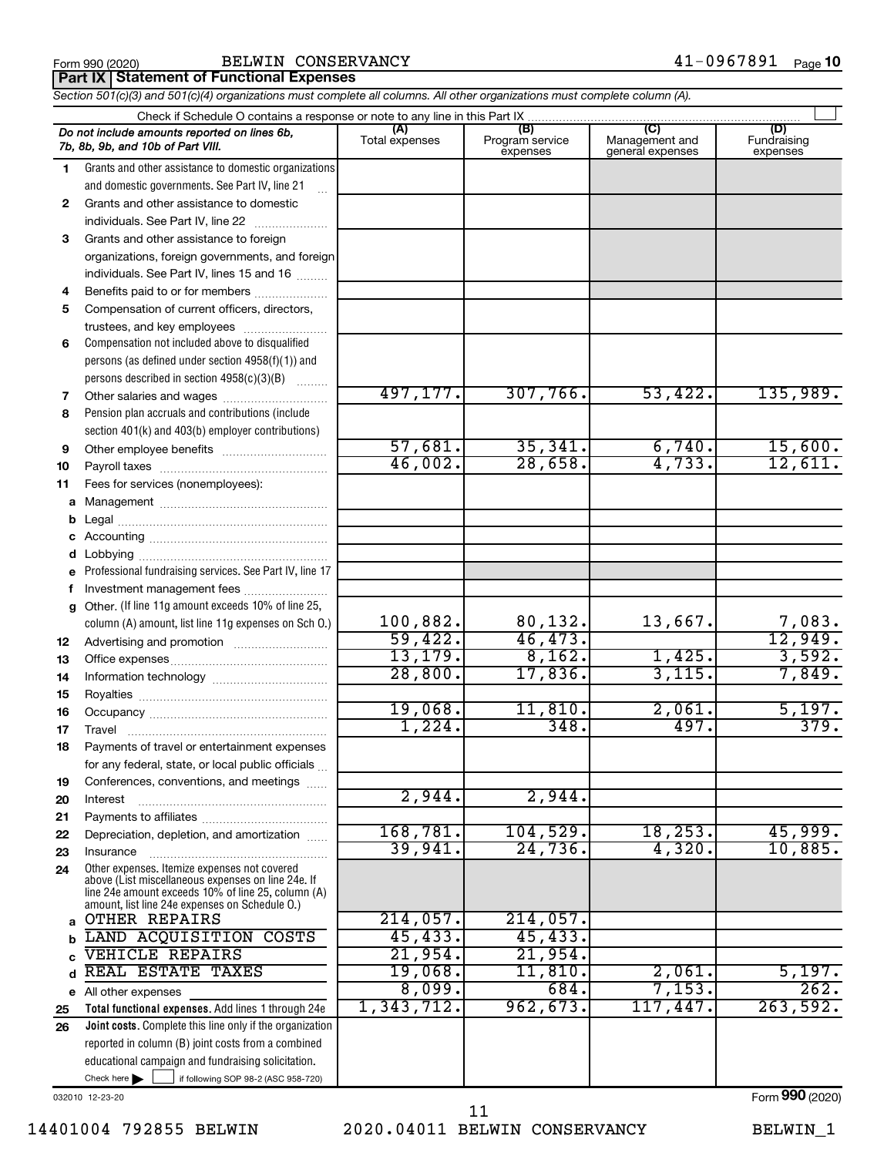Form 990 (2020) BELWIN CONSERVANCY  $41-0967891$  Page

**Part IX Statement of Functional Expenses**

|              | Section 501(c)(3) and 501(c)(4) organizations must complete all columns. All other organizations must complete column (A).                                                                                 |                       |                                    |                                           |                                |
|--------------|------------------------------------------------------------------------------------------------------------------------------------------------------------------------------------------------------------|-----------------------|------------------------------------|-------------------------------------------|--------------------------------|
|              |                                                                                                                                                                                                            |                       |                                    |                                           |                                |
|              | Do not include amounts reported on lines 6b,<br>7b, 8b, 9b, and 10b of Part VIII.                                                                                                                          | (A)<br>Total expenses | (B)<br>Program service<br>expenses | (C)<br>Management and<br>general expenses | (D)<br>Fundraising<br>expenses |
| 1.           | Grants and other assistance to domestic organizations                                                                                                                                                      |                       |                                    |                                           |                                |
|              | and domestic governments. See Part IV, line 21                                                                                                                                                             |                       |                                    |                                           |                                |
| $\mathbf{2}$ | Grants and other assistance to domestic                                                                                                                                                                    |                       |                                    |                                           |                                |
|              | individuals. See Part IV, line 22                                                                                                                                                                          |                       |                                    |                                           |                                |
| 3            | Grants and other assistance to foreign<br>organizations, foreign governments, and foreign                                                                                                                  |                       |                                    |                                           |                                |
|              | individuals. See Part IV, lines 15 and 16                                                                                                                                                                  |                       |                                    |                                           |                                |
| 4            | Benefits paid to or for members                                                                                                                                                                            |                       |                                    |                                           |                                |
| 5            | Compensation of current officers, directors,                                                                                                                                                               |                       |                                    |                                           |                                |
|              |                                                                                                                                                                                                            |                       |                                    |                                           |                                |
| 6            | Compensation not included above to disqualified                                                                                                                                                            |                       |                                    |                                           |                                |
|              | persons (as defined under section 4958(f)(1)) and                                                                                                                                                          |                       |                                    |                                           |                                |
|              | persons described in section $4958(c)(3)(B)$                                                                                                                                                               |                       |                                    |                                           |                                |
| 7            | Other salaries and wages                                                                                                                                                                                   | 497,177.              | 307,766.                           | 53,422.                                   | 135,989.                       |
| 8            | Pension plan accruals and contributions (include                                                                                                                                                           |                       |                                    |                                           |                                |
|              | section 401(k) and 403(b) employer contributions)                                                                                                                                                          |                       |                                    |                                           |                                |
| 9            |                                                                                                                                                                                                            | 57,681.               | 35,341.                            | 6,740.                                    | 15,600.                        |
| 10           |                                                                                                                                                                                                            | 46,002.               | 28,658.                            | 4,733.                                    | 12,611.                        |
| 11           | Fees for services (nonemployees):                                                                                                                                                                          |                       |                                    |                                           |                                |
| а            |                                                                                                                                                                                                            |                       |                                    |                                           |                                |
| b            |                                                                                                                                                                                                            |                       |                                    |                                           |                                |
| c            |                                                                                                                                                                                                            |                       |                                    |                                           |                                |
| d            |                                                                                                                                                                                                            |                       |                                    |                                           |                                |
| е            | Professional fundraising services. See Part IV, line 17                                                                                                                                                    |                       |                                    |                                           |                                |
| f            | Investment management fees                                                                                                                                                                                 |                       |                                    |                                           |                                |
| g            | Other. (If line 11g amount exceeds 10% of line 25,                                                                                                                                                         | 100,882.              | 80, 132.                           | 13,667.                                   | 7,083.                         |
|              | column (A) amount, list line 11g expenses on Sch O.)                                                                                                                                                       | 59,422.               | 46,473.                            |                                           | 12,949.                        |
| 12<br>13     |                                                                                                                                                                                                            | 13, 179.              | 8,162.                             | 1,425.                                    | 3,592.                         |
| 14           |                                                                                                                                                                                                            | 28,800.               | 17,836.                            | 3,115.                                    | 7,849.                         |
| 15           |                                                                                                                                                                                                            |                       |                                    |                                           |                                |
| 16           |                                                                                                                                                                                                            | 19,068.               | 11,810.                            | 2,061.                                    | 5,197.                         |
| 17           |                                                                                                                                                                                                            | 1,224.                | 348.                               | 497.                                      | 379.                           |
| 18           | Payments of travel or entertainment expenses                                                                                                                                                               |                       |                                    |                                           |                                |
|              | for any federal, state, or local public officials                                                                                                                                                          |                       |                                    |                                           |                                |
| 19           | Conferences, conventions, and meetings                                                                                                                                                                     |                       |                                    |                                           |                                |
| 20           | Interest                                                                                                                                                                                                   | 2,944.                | 2,944.                             |                                           |                                |
| 21           |                                                                                                                                                                                                            |                       |                                    |                                           |                                |
| 22           | Depreciation, depletion, and amortization                                                                                                                                                                  | 168, 781.             | 104,529.                           | 18, 253.                                  | 45,999.                        |
| 23           | Insurance                                                                                                                                                                                                  | 39,941.               | 24,736.                            | 4,320.                                    | 10,885.                        |
| 24           | Other expenses. Itemize expenses not covered<br>above (List miscellaneous expenses on line 24e. If<br>line 24e amount exceeds 10% of line 25, column (A)<br>amount, list line 24e expenses on Schedule O.) |                       |                                    |                                           |                                |
| a            | OTHER REPAIRS                                                                                                                                                                                              | 214,057.              | 214,057.                           |                                           |                                |
|              | LAND ACQUISITION COSTS                                                                                                                                                                                     | 45,433.               | 45, 433.                           |                                           |                                |
|              | <b>VEHICLE REPAIRS</b>                                                                                                                                                                                     | 21,954.               | 21,954.                            |                                           |                                |
|              | REAL ESTATE TAXES                                                                                                                                                                                          | 19,068.               | 11,810.                            | 2,061.                                    | 5,197.                         |
|              | e All other expenses                                                                                                                                                                                       | 8,099.                | 684.                               | 7,153.                                    | 262.                           |
| 25           | Total functional expenses. Add lines 1 through 24e                                                                                                                                                         | 1,343,712.            | 962,673.                           | 117,447.                                  | 263,592.                       |
| 26           | Joint costs. Complete this line only if the organization                                                                                                                                                   |                       |                                    |                                           |                                |
|              | reported in column (B) joint costs from a combined<br>educational campaign and fundraising solicitation.                                                                                                   |                       |                                    |                                           |                                |
|              | Check here $\blacktriangleright$<br>if following SOP 98-2 (ASC 958-720)                                                                                                                                    |                       |                                    |                                           |                                |
|              |                                                                                                                                                                                                            |                       |                                    |                                           |                                |

032010 12-23-20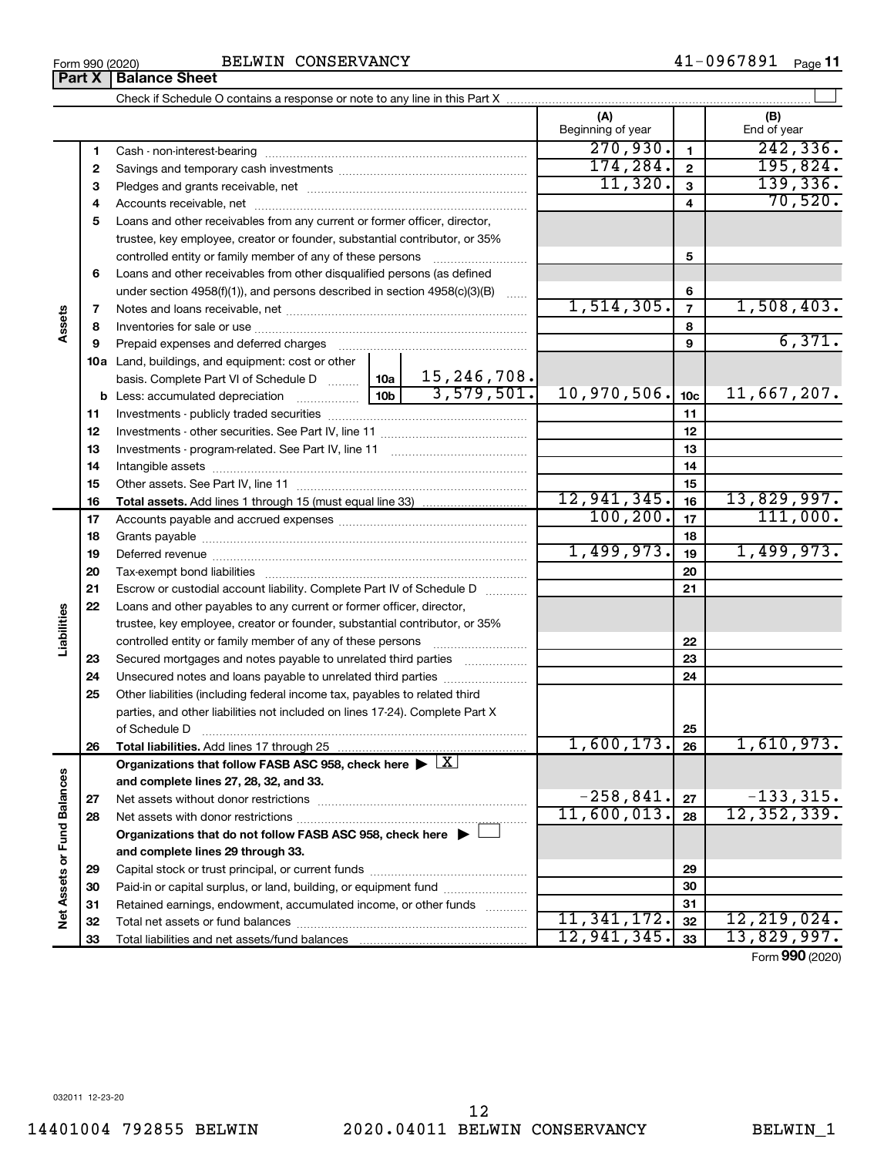Form 990 (2020) BELWIN CONSERVANCY  $41-0967891$  Page 41-0967891 Page 11

|                             |    |                                                                                            |                 |                                  | (A)<br>Beginning of year |                         | (B)<br>End of year |
|-----------------------------|----|--------------------------------------------------------------------------------------------|-----------------|----------------------------------|--------------------------|-------------------------|--------------------|
|                             | 1  |                                                                                            |                 |                                  | 270,930.                 | $\mathbf{1}$            | 242, 336.          |
|                             | 2  |                                                                                            |                 |                                  | 174, 284.                | $\mathbf{2}$            | 195,824.           |
|                             | 3  |                                                                                            |                 |                                  | 11,320.                  | 3                       | 139,336.           |
|                             | 4  |                                                                                            |                 |                                  | 4                        | 70,520.                 |                    |
|                             | 5  | Loans and other receivables from any current or former officer, director,                  |                 |                                  |                          |                         |                    |
|                             |    | trustee, key employee, creator or founder, substantial contributor, or 35%                 |                 |                                  |                          |                         |                    |
|                             |    | controlled entity or family member of any of these persons                                 |                 | 5                                |                          |                         |                    |
|                             | 6  | Loans and other receivables from other disqualified persons (as defined                    |                 |                                  |                          |                         |                    |
|                             |    | under section 4958(f)(1)), and persons described in section 4958(c)(3)(B)                  |                 |                                  |                          | 6                       |                    |
|                             | 7  |                                                                                            |                 |                                  | 1,514,305.               | $\overline{\mathbf{z}}$ | 1,508,403.         |
| Assets                      | 8  |                                                                                            |                 |                                  |                          | 8                       |                    |
|                             | 9  | Prepaid expenses and deferred charges                                                      |                 |                                  |                          | 9                       | 6,371.             |
|                             |    | <b>10a</b> Land, buildings, and equipment: cost or other                                   |                 |                                  |                          |                         |                    |
|                             |    | basis. Complete Part VI of Schedule D  10a                                                 |                 | $\frac{15,246,708.}{3,579,501.}$ |                          |                         |                    |
|                             |    |                                                                                            | 10 <sub>b</sub> |                                  | 10,970,506.              | 10 <sub>c</sub>         | 11,667,207.        |
|                             | 11 |                                                                                            |                 |                                  | 11                       |                         |                    |
|                             | 12 |                                                                                            |                 | 12                               |                          |                         |                    |
|                             | 13 |                                                                                            |                 | 13                               |                          |                         |                    |
|                             | 14 |                                                                                            |                 |                                  |                          | 14                      |                    |
|                             | 15 |                                                                                            |                 |                                  |                          | 15                      |                    |
|                             | 16 |                                                                                            |                 |                                  | 12,941,345.              | 16                      | 13,829,997.        |
|                             | 17 |                                                                                            |                 | 100, 200.                        | 17                       | 111,000.                |                    |
|                             | 18 |                                                                                            |                 | 18                               |                          |                         |                    |
|                             | 19 |                                                                                            |                 | 1,499,973.                       | 19                       | 1,499,973.              |                    |
|                             | 20 |                                                                                            |                 |                                  |                          | 20                      |                    |
|                             | 21 | Escrow or custodial account liability. Complete Part IV of Schedule D                      |                 |                                  |                          | 21                      |                    |
|                             | 22 | Loans and other payables to any current or former officer, director,                       |                 |                                  |                          |                         |                    |
| Liabilities                 |    | trustee, key employee, creator or founder, substantial contributor, or 35%                 |                 |                                  |                          |                         |                    |
|                             |    | controlled entity or family member of any of these persons                                 |                 |                                  |                          | 22                      |                    |
|                             | 23 | Secured mortgages and notes payable to unrelated third parties <i>manumum</i>              |                 |                                  |                          | 23                      |                    |
|                             | 24 |                                                                                            |                 |                                  |                          | 24                      |                    |
|                             | 25 | Other liabilities (including federal income tax, payables to related third                 |                 |                                  |                          |                         |                    |
|                             |    | parties, and other liabilities not included on lines 17-24). Complete Part X               |                 |                                  |                          |                         |                    |
|                             |    | of Schedule D                                                                              |                 |                                  |                          | 25                      |                    |
|                             | 26 |                                                                                            |                 |                                  | 1,600,173.               | 26                      | 1,610,973.         |
|                             |    | Organizations that follow FASB ASC 958, check here $\blacktriangleright \lfloor X \rfloor$ |                 |                                  |                          |                         |                    |
|                             |    | and complete lines 27, 28, 32, and 33.                                                     |                 |                                  |                          |                         |                    |
|                             | 27 |                                                                                            |                 |                                  | $-258,841.$              | 27                      | $-133, 315.$       |
|                             | 28 |                                                                                            |                 |                                  | 11,600,013.              | 28                      | 12, 352, 339.      |
|                             |    | Organizations that do not follow FASB ASC 958, check here $\blacktriangleright$            |                 |                                  |                          |                         |                    |
| Net Assets or Fund Balances |    | and complete lines 29 through 33.                                                          |                 |                                  |                          |                         |                    |
|                             | 29 |                                                                                            |                 |                                  | 29                       |                         |                    |
|                             | 30 | Paid-in or capital surplus, or land, building, or equipment fund                           |                 |                                  |                          | 30                      |                    |
|                             | 31 | Retained earnings, endowment, accumulated income, or other funds                           |                 |                                  |                          | 31                      |                    |
|                             | 32 |                                                                                            |                 |                                  | 11, 341, 172.            | 32                      | 12, 219, 024.      |
|                             | 33 |                                                                                            |                 |                                  | 12,941,345.              | 33                      | 13,829,997.        |

Form (2020) **990**

**Part X Balance Sheet**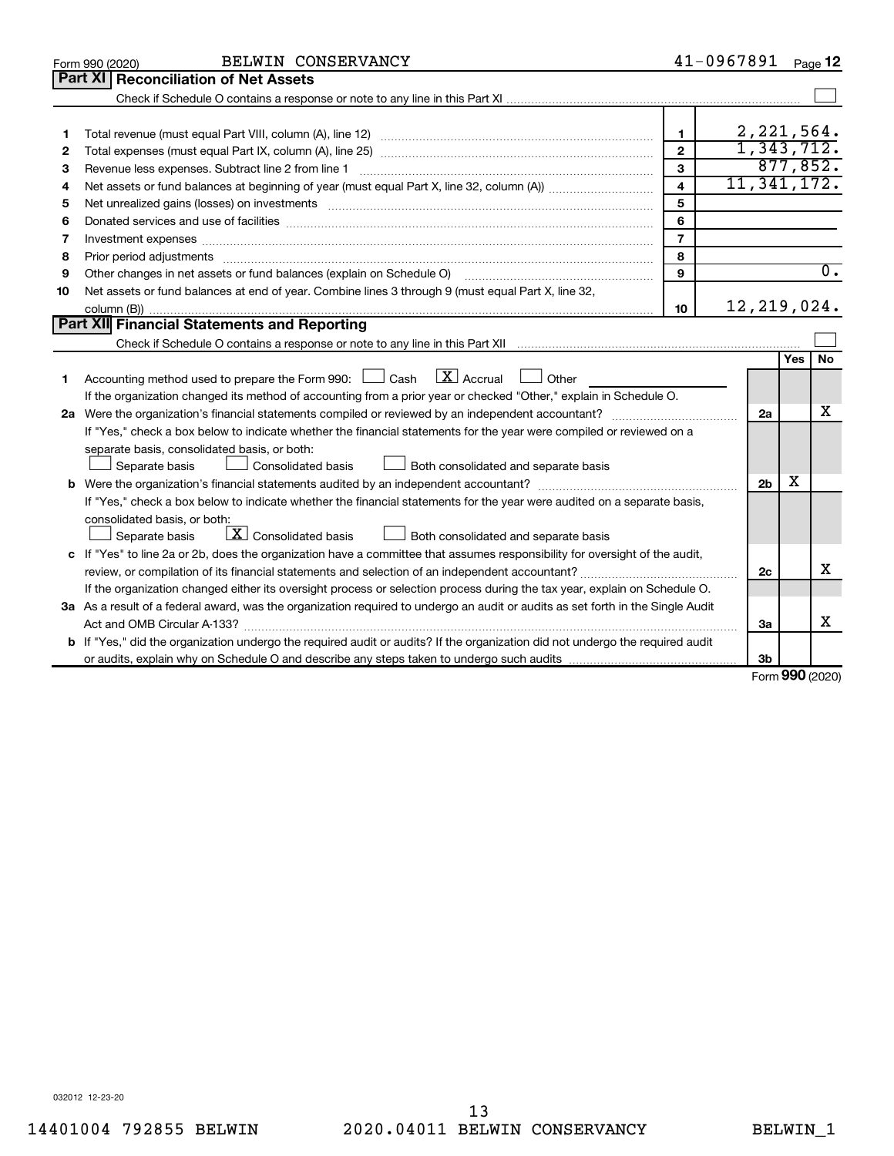|    | BELWIN CONSERVANCY<br>Form 990 (2020)                                                                                                                                                                                         |                         | 41-0967891     |        | Page 12          |
|----|-------------------------------------------------------------------------------------------------------------------------------------------------------------------------------------------------------------------------------|-------------------------|----------------|--------|------------------|
|    | Part XI<br><b>Reconciliation of Net Assets</b>                                                                                                                                                                                |                         |                |        |                  |
|    |                                                                                                                                                                                                                               |                         |                |        |                  |
|    |                                                                                                                                                                                                                               |                         |                |        |                  |
| 1  |                                                                                                                                                                                                                               | $\mathbf{1}$            | 2, 221, 564.   |        |                  |
| 2  |                                                                                                                                                                                                                               | $\overline{2}$          | 1,343,712.     |        |                  |
| з  | Revenue less expenses. Subtract line 2 from line 1                                                                                                                                                                            | 3                       |                |        | 877,852.         |
| 4  |                                                                                                                                                                                                                               | $\overline{\mathbf{4}}$ | 11, 341, 172.  |        |                  |
| 5  |                                                                                                                                                                                                                               | 5                       |                |        |                  |
| 6  | Donated services and use of facilities [[111][12] matter is a series and service in the services and use of facilities [[11][12] matter is a service of facilities [[11] matter is a service of the service of the service of | 6                       |                |        |                  |
| 7  |                                                                                                                                                                                                                               | $\overline{7}$          |                |        |                  |
| 8  |                                                                                                                                                                                                                               | 8                       |                |        |                  |
| 9  | Other changes in net assets or fund balances (explain on Schedule O)                                                                                                                                                          | $\mathbf{Q}$            |                |        | $\overline{0}$ . |
| 10 | Net assets or fund balances at end of year. Combine lines 3 through 9 (must equal Part X, line 32,                                                                                                                            |                         |                |        |                  |
|    |                                                                                                                                                                                                                               | 10                      | 12, 219, 024.  |        |                  |
|    | Part XII Financial Statements and Reporting                                                                                                                                                                                   |                         |                |        |                  |
|    |                                                                                                                                                                                                                               |                         |                |        |                  |
|    |                                                                                                                                                                                                                               |                         |                | Yes    | <b>No</b>        |
| 1  | $\lfloor x \rfloor$ Accrual<br>Accounting method used to prepare the Form 990: $\Box$ Cash<br>Other                                                                                                                           |                         |                |        |                  |
|    | If the organization changed its method of accounting from a prior year or checked "Other," explain in Schedule O.                                                                                                             |                         |                |        |                  |
|    |                                                                                                                                                                                                                               |                         | 2a             |        | x                |
|    | If "Yes," check a box below to indicate whether the financial statements for the year were compiled or reviewed on a                                                                                                          |                         |                |        |                  |
|    | separate basis, consolidated basis, or both:                                                                                                                                                                                  |                         |                |        |                  |
|    | Both consolidated and separate basis<br>Separate basis<br>Consolidated basis                                                                                                                                                  |                         |                |        |                  |
|    |                                                                                                                                                                                                                               |                         | 2 <sub>b</sub> | х      |                  |
|    | If "Yes," check a box below to indicate whether the financial statements for the year were audited on a separate basis,                                                                                                       |                         |                |        |                  |
|    | consolidated basis, or both:                                                                                                                                                                                                  |                         |                |        |                  |
|    | $\lfloor \mathbf{X} \rfloor$ Consolidated basis<br>Both consolidated and separate basis<br>Separate basis                                                                                                                     |                         |                |        |                  |
|    | c If "Yes" to line 2a or 2b, does the organization have a committee that assumes responsibility for oversight of the audit,                                                                                                   |                         |                |        |                  |
|    | review, or compilation of its financial statements and selection of an independent accountant?                                                                                                                                |                         | 2c             |        | x                |
|    | If the organization changed either its oversight process or selection process during the tax year, explain on Schedule O.                                                                                                     |                         |                |        |                  |
|    | 3a As a result of a federal award, was the organization required to undergo an audit or audits as set forth in the Single Audit                                                                                               |                         |                |        |                  |
|    | Act and OMB Circular A-133?                                                                                                                                                                                                   |                         | За             |        | x                |
|    | <b>b</b> If "Yes," did the organization undergo the required audit or audits? If the organization did not undergo the required audit                                                                                          |                         |                |        |                  |
|    |                                                                                                                                                                                                                               |                         | Зb             | $\sim$ |                  |

Form (2020) **990**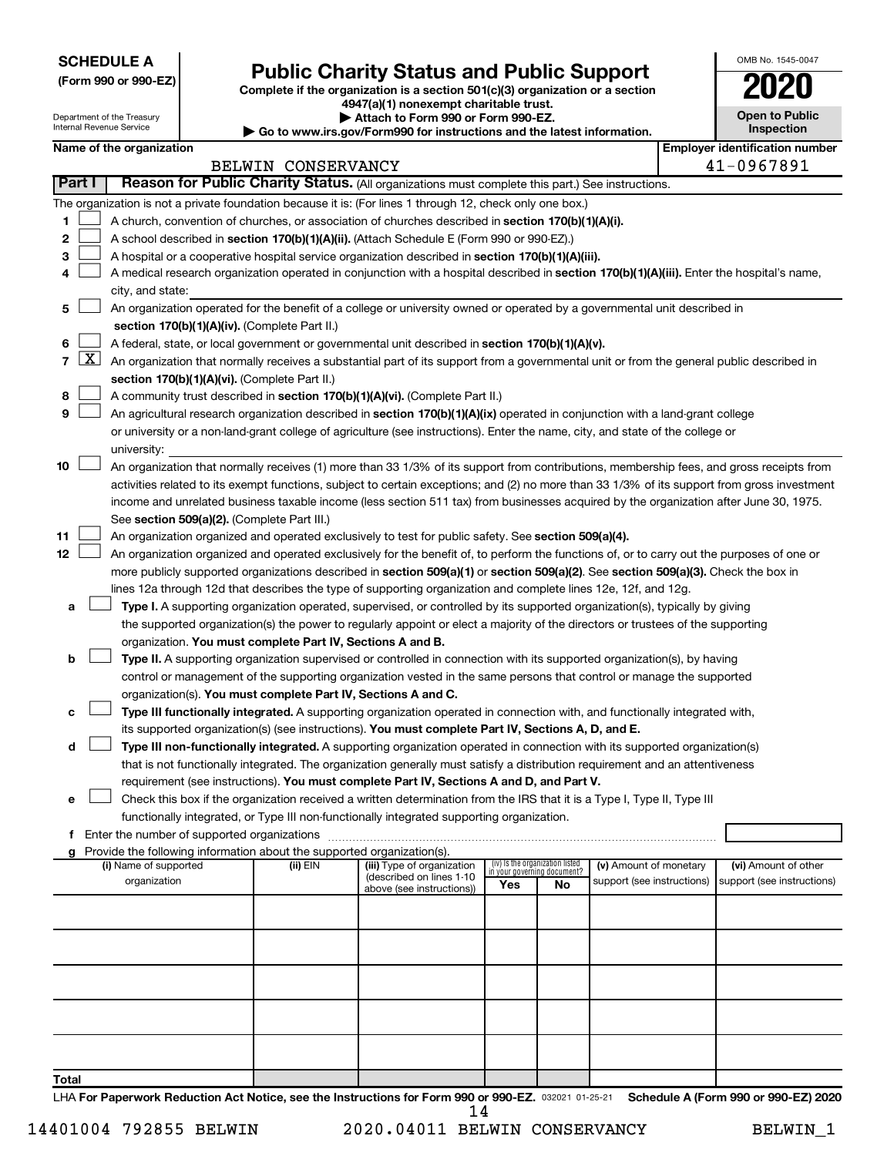**SCHEDULE A**

Department of the Treasury Internal Revenue Service

# Form 990 or 990-EZ) **Public Charity Status and Public Support**<br>
Complete if the organization is a section 501(c)(3) organization or a section<br> **2020**

**4947(a)(1) nonexempt charitable trust. | Attach to Form 990 or Form 990-EZ.** 

**| Go to www.irs.gov/Form990 for instructions and the latest information.**

|     | <b>Open to Public</b><br>Inspection |
|-----|-------------------------------------|
| 'n. | identification numbe                |

OMB No. 1545-0047

|        |                 | Name of the organization                                                                                                                                                   |                    |                            |     |                                   |                            |  | <b>Employer identification number</b> |
|--------|-----------------|----------------------------------------------------------------------------------------------------------------------------------------------------------------------------|--------------------|----------------------------|-----|-----------------------------------|----------------------------|--|---------------------------------------|
| Part I |                 | Reason for Public Charity Status. (All organizations must complete this part.) See instructions.                                                                           | BELWIN CONSERVANCY |                            |     |                                   |                            |  | 41-0967891                            |
|        |                 |                                                                                                                                                                            |                    |                            |     |                                   |                            |  |                                       |
|        |                 | The organization is not a private foundation because it is: (For lines 1 through 12, check only one box.)                                                                  |                    |                            |     |                                   |                            |  |                                       |
| 1      |                 | A church, convention of churches, or association of churches described in section 170(b)(1)(A)(i).                                                                         |                    |                            |     |                                   |                            |  |                                       |
| 2      |                 | A school described in section 170(b)(1)(A)(ii). (Attach Schedule E (Form 990 or 990-EZ).)                                                                                  |                    |                            |     |                                   |                            |  |                                       |
| 3      |                 | A hospital or a cooperative hospital service organization described in section 170(b)(1)(A)(iii).                                                                          |                    |                            |     |                                   |                            |  |                                       |
| 4      |                 | A medical research organization operated in conjunction with a hospital described in section 170(b)(1)(A)(iii). Enter the hospital's name,                                 |                    |                            |     |                                   |                            |  |                                       |
|        |                 | city, and state:                                                                                                                                                           |                    |                            |     |                                   |                            |  |                                       |
| 5      |                 | An organization operated for the benefit of a college or university owned or operated by a governmental unit described in<br>section 170(b)(1)(A)(iv). (Complete Part II.) |                    |                            |     |                                   |                            |  |                                       |
|        |                 |                                                                                                                                                                            |                    |                            |     |                                   |                            |  |                                       |
| 6      | $7 \mid X \mid$ | A federal, state, or local government or governmental unit described in section 170(b)(1)(A)(v).                                                                           |                    |                            |     |                                   |                            |  |                                       |
|        |                 | An organization that normally receives a substantial part of its support from a governmental unit or from the general public described in                                  |                    |                            |     |                                   |                            |  |                                       |
| 8      |                 | section 170(b)(1)(A)(vi). (Complete Part II.)<br>A community trust described in section 170(b)(1)(A)(vi). (Complete Part II.)                                              |                    |                            |     |                                   |                            |  |                                       |
| 9      |                 | An agricultural research organization described in section 170(b)(1)(A)(ix) operated in conjunction with a land-grant college                                              |                    |                            |     |                                   |                            |  |                                       |
|        |                 | or university or a non-land-grant college of agriculture (see instructions). Enter the name, city, and state of the college or                                             |                    |                            |     |                                   |                            |  |                                       |
|        |                 | university:                                                                                                                                                                |                    |                            |     |                                   |                            |  |                                       |
| 10     |                 | An organization that normally receives (1) more than 33 1/3% of its support from contributions, membership fees, and gross receipts from                                   |                    |                            |     |                                   |                            |  |                                       |
|        |                 | activities related to its exempt functions, subject to certain exceptions; and (2) no more than 33 1/3% of its support from gross investment                               |                    |                            |     |                                   |                            |  |                                       |
|        |                 | income and unrelated business taxable income (less section 511 tax) from businesses acquired by the organization after June 30, 1975.                                      |                    |                            |     |                                   |                            |  |                                       |
|        |                 | See section 509(a)(2). (Complete Part III.)                                                                                                                                |                    |                            |     |                                   |                            |  |                                       |
| 11     |                 | An organization organized and operated exclusively to test for public safety. See section 509(a)(4).                                                                       |                    |                            |     |                                   |                            |  |                                       |
| 12     |                 | An organization organized and operated exclusively for the benefit of, to perform the functions of, or to carry out the purposes of one or                                 |                    |                            |     |                                   |                            |  |                                       |
|        |                 | more publicly supported organizations described in section 509(a)(1) or section 509(a)(2). See section 509(a)(3). Check the box in                                         |                    |                            |     |                                   |                            |  |                                       |
|        |                 | lines 12a through 12d that describes the type of supporting organization and complete lines 12e, 12f, and 12g.                                                             |                    |                            |     |                                   |                            |  |                                       |
| а      |                 | Type I. A supporting organization operated, supervised, or controlled by its supported organization(s), typically by giving                                                |                    |                            |     |                                   |                            |  |                                       |
|        |                 | the supported organization(s) the power to regularly appoint or elect a majority of the directors or trustees of the supporting                                            |                    |                            |     |                                   |                            |  |                                       |
|        |                 | organization. You must complete Part IV, Sections A and B.                                                                                                                 |                    |                            |     |                                   |                            |  |                                       |
| b      |                 | Type II. A supporting organization supervised or controlled in connection with its supported organization(s), by having                                                    |                    |                            |     |                                   |                            |  |                                       |
|        |                 | control or management of the supporting organization vested in the same persons that control or manage the supported                                                       |                    |                            |     |                                   |                            |  |                                       |
|        |                 | organization(s). You must complete Part IV, Sections A and C.                                                                                                              |                    |                            |     |                                   |                            |  |                                       |
| с      |                 | Type III functionally integrated. A supporting organization operated in connection with, and functionally integrated with,                                                 |                    |                            |     |                                   |                            |  |                                       |
|        |                 | its supported organization(s) (see instructions). You must complete Part IV, Sections A, D, and E.                                                                         |                    |                            |     |                                   |                            |  |                                       |
| d      |                 | Type III non-functionally integrated. A supporting organization operated in connection with its supported organization(s)                                                  |                    |                            |     |                                   |                            |  |                                       |
|        |                 | that is not functionally integrated. The organization generally must satisfy a distribution requirement and an attentiveness                                               |                    |                            |     |                                   |                            |  |                                       |
|        |                 | requirement (see instructions). You must complete Part IV, Sections A and D, and Part V.                                                                                   |                    |                            |     |                                   |                            |  |                                       |
|        |                 | Check this box if the organization received a written determination from the IRS that it is a Type I, Type II, Type III                                                    |                    |                            |     |                                   |                            |  |                                       |
|        |                 | functionally integrated, or Type III non-functionally integrated supporting organization.                                                                                  |                    |                            |     |                                   |                            |  |                                       |
|        |                 | f Enter the number of supported organizations                                                                                                                              |                    |                            |     |                                   |                            |  |                                       |
|        |                 | g Provide the following information about the supported organization(s).<br>(i) Name of supported                                                                          | (ii) EIN           | (iii) Type of organization |     | (iv) Is the organization listed   | (v) Amount of monetary     |  | (vi) Amount of other                  |
|        |                 | organization                                                                                                                                                               |                    | (described on lines 1-10   | Yes | in your governing document?<br>No | support (see instructions) |  | support (see instructions)            |
|        |                 |                                                                                                                                                                            |                    | above (see instructions))  |     |                                   |                            |  |                                       |
|        |                 |                                                                                                                                                                            |                    |                            |     |                                   |                            |  |                                       |
|        |                 |                                                                                                                                                                            |                    |                            |     |                                   |                            |  |                                       |
|        |                 |                                                                                                                                                                            |                    |                            |     |                                   |                            |  |                                       |
|        |                 |                                                                                                                                                                            |                    |                            |     |                                   |                            |  |                                       |
|        |                 |                                                                                                                                                                            |                    |                            |     |                                   |                            |  |                                       |
|        |                 |                                                                                                                                                                            |                    |                            |     |                                   |                            |  |                                       |
|        |                 |                                                                                                                                                                            |                    |                            |     |                                   |                            |  |                                       |
|        |                 |                                                                                                                                                                            |                    |                            |     |                                   |                            |  |                                       |
|        |                 |                                                                                                                                                                            |                    |                            |     |                                   |                            |  |                                       |
| Total  |                 |                                                                                                                                                                            |                    |                            |     |                                   |                            |  |                                       |

LHA For Paperwork Reduction Act Notice, see the Instructions for Form 990 or 990-EZ. 032021 01-25-21 Schedule A (Form 990 or 990-EZ) 2020 14

14401004 792855 BELWIN 2020.04011 BELWIN CONSERVANCY BELWIN\_1

 $\Box$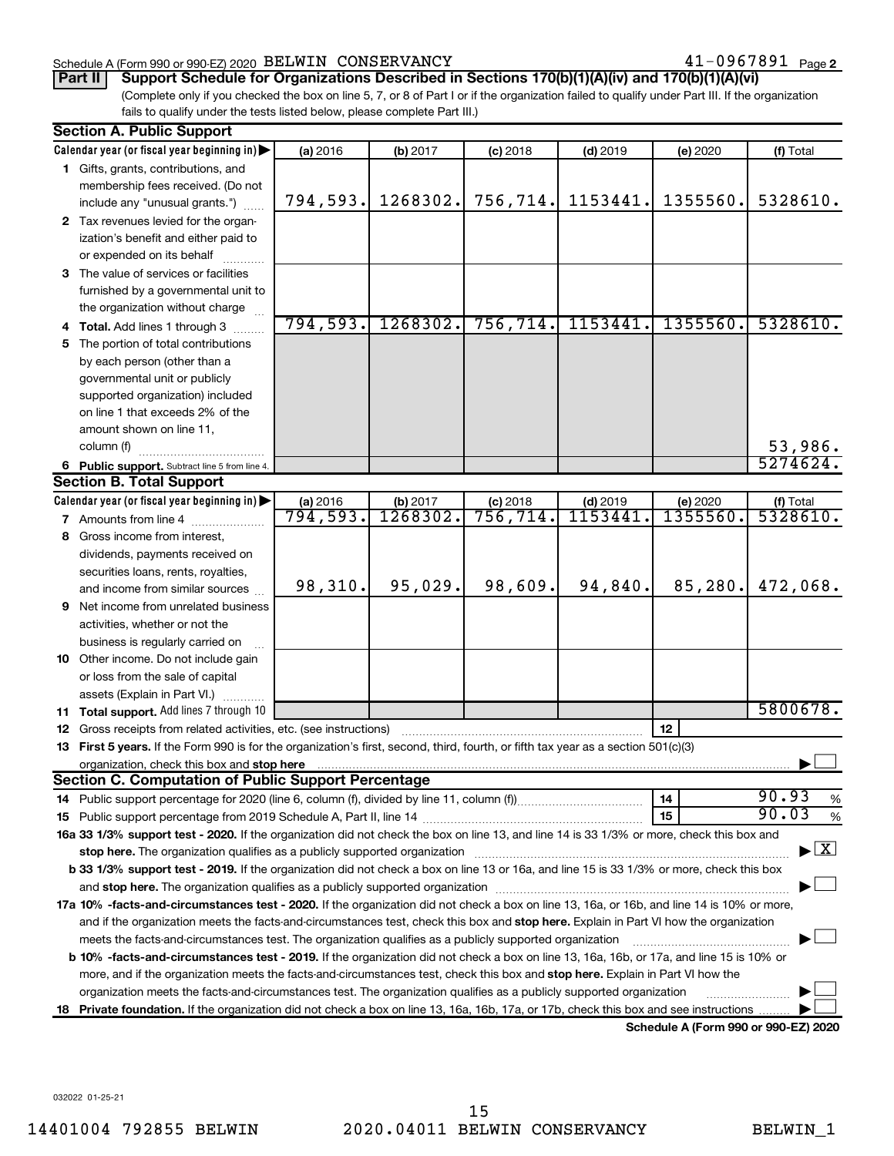#### Schedule A (Form 990 or 990-EZ) 2020 BELWIN CONSERVANCY  $41-0967891$  Page

(Complete only if you checked the box on line 5, 7, or 8 of Part I or if the organization failed to qualify under Part III. If the organization **Part II Support Schedule for Organizations Described in Sections 170(b)(1)(A)(iv) and 170(b)(1)(A)(vi)**

fails to qualify under the tests listed below, please complete Part III.)

| Calendar year (or fiscal year beginning in)<br>(a) 2016<br>(f) Total<br>(b) 2017<br>$(c)$ 2018<br>$(d)$ 2019<br>(e) 2020<br>1 Gifts, grants, contributions, and<br>membership fees received. (Do not<br>756,714.<br>1153441.<br>1355560.<br>1268302.<br>794,593.<br>include any "unusual grants.")<br>2 Tax revenues levied for the organ-<br>ization's benefit and either paid to<br>or expended on its behalf<br>3 The value of services or facilities<br>furnished by a governmental unit to<br>the organization without charge<br>756, 714.<br>794,593.<br>1268302.<br>1153441.<br>1355560.<br><b>Total.</b> Add lines 1 through 3<br>The portion of total contributions<br>5<br>by each person (other than a<br>governmental unit or publicly<br>supported organization) included<br>on line 1 that exceeds 2% of the<br>amount shown on line 11,<br>53,986.<br>column (f)<br>5274624.<br>6 Public support. Subtract line 5 from line 4.<br><b>Section B. Total Support</b><br>Calendar year (or fiscal year beginning in)<br>(a) 2016<br>(b) 2017<br>$(c)$ 2018<br>$(d)$ 2019<br>(e) 2020<br>(f) Total<br>1268302.<br>5328610.<br>1153441<br>1355560.<br>794,593.<br>756, 714.<br><b>7</b> Amounts from line 4<br>Gross income from interest,<br>8<br>dividends, payments received on<br>securities loans, rents, royalties,<br>95,029.<br>98,310.<br>98,609.<br>94,840.<br>85,280.<br>472,068.<br>and income from similar sources<br>Net income from unrelated business<br>9<br>activities, whether or not the<br>business is regularly carried on<br>10 Other income. Do not include gain<br>or loss from the sale of capital<br>assets (Explain in Part VI.)<br>5800678.<br><b>11 Total support.</b> Add lines 7 through 10<br>12<br><b>12</b> Gross receipts from related activities, etc. (see instructions)<br>13 First 5 years. If the Form 990 is for the organization's first, second, third, fourth, or fifth tax year as a section 501(c)(3) | <b>Section A. Public Support</b> |  |  |          |
|---------------------------------------------------------------------------------------------------------------------------------------------------------------------------------------------------------------------------------------------------------------------------------------------------------------------------------------------------------------------------------------------------------------------------------------------------------------------------------------------------------------------------------------------------------------------------------------------------------------------------------------------------------------------------------------------------------------------------------------------------------------------------------------------------------------------------------------------------------------------------------------------------------------------------------------------------------------------------------------------------------------------------------------------------------------------------------------------------------------------------------------------------------------------------------------------------------------------------------------------------------------------------------------------------------------------------------------------------------------------------------------------------------------------------------------------------------------------------------------------------------------------------------------------------------------------------------------------------------------------------------------------------------------------------------------------------------------------------------------------------------------------------------------------------------------------------------------------------------------------------------------------------------------------------------------------------------------|----------------------------------|--|--|----------|
|                                                                                                                                                                                                                                                                                                                                                                                                                                                                                                                                                                                                                                                                                                                                                                                                                                                                                                                                                                                                                                                                                                                                                                                                                                                                                                                                                                                                                                                                                                                                                                                                                                                                                                                                                                                                                                                                                                                                                               |                                  |  |  |          |
|                                                                                                                                                                                                                                                                                                                                                                                                                                                                                                                                                                                                                                                                                                                                                                                                                                                                                                                                                                                                                                                                                                                                                                                                                                                                                                                                                                                                                                                                                                                                                                                                                                                                                                                                                                                                                                                                                                                                                               |                                  |  |  |          |
|                                                                                                                                                                                                                                                                                                                                                                                                                                                                                                                                                                                                                                                                                                                                                                                                                                                                                                                                                                                                                                                                                                                                                                                                                                                                                                                                                                                                                                                                                                                                                                                                                                                                                                                                                                                                                                                                                                                                                               |                                  |  |  |          |
|                                                                                                                                                                                                                                                                                                                                                                                                                                                                                                                                                                                                                                                                                                                                                                                                                                                                                                                                                                                                                                                                                                                                                                                                                                                                                                                                                                                                                                                                                                                                                                                                                                                                                                                                                                                                                                                                                                                                                               |                                  |  |  | 5328610. |
|                                                                                                                                                                                                                                                                                                                                                                                                                                                                                                                                                                                                                                                                                                                                                                                                                                                                                                                                                                                                                                                                                                                                                                                                                                                                                                                                                                                                                                                                                                                                                                                                                                                                                                                                                                                                                                                                                                                                                               |                                  |  |  |          |
|                                                                                                                                                                                                                                                                                                                                                                                                                                                                                                                                                                                                                                                                                                                                                                                                                                                                                                                                                                                                                                                                                                                                                                                                                                                                                                                                                                                                                                                                                                                                                                                                                                                                                                                                                                                                                                                                                                                                                               |                                  |  |  |          |
|                                                                                                                                                                                                                                                                                                                                                                                                                                                                                                                                                                                                                                                                                                                                                                                                                                                                                                                                                                                                                                                                                                                                                                                                                                                                                                                                                                                                                                                                                                                                                                                                                                                                                                                                                                                                                                                                                                                                                               |                                  |  |  |          |
|                                                                                                                                                                                                                                                                                                                                                                                                                                                                                                                                                                                                                                                                                                                                                                                                                                                                                                                                                                                                                                                                                                                                                                                                                                                                                                                                                                                                                                                                                                                                                                                                                                                                                                                                                                                                                                                                                                                                                               |                                  |  |  |          |
|                                                                                                                                                                                                                                                                                                                                                                                                                                                                                                                                                                                                                                                                                                                                                                                                                                                                                                                                                                                                                                                                                                                                                                                                                                                                                                                                                                                                                                                                                                                                                                                                                                                                                                                                                                                                                                                                                                                                                               |                                  |  |  |          |
|                                                                                                                                                                                                                                                                                                                                                                                                                                                                                                                                                                                                                                                                                                                                                                                                                                                                                                                                                                                                                                                                                                                                                                                                                                                                                                                                                                                                                                                                                                                                                                                                                                                                                                                                                                                                                                                                                                                                                               |                                  |  |  |          |
|                                                                                                                                                                                                                                                                                                                                                                                                                                                                                                                                                                                                                                                                                                                                                                                                                                                                                                                                                                                                                                                                                                                                                                                                                                                                                                                                                                                                                                                                                                                                                                                                                                                                                                                                                                                                                                                                                                                                                               |                                  |  |  | 5328610. |
|                                                                                                                                                                                                                                                                                                                                                                                                                                                                                                                                                                                                                                                                                                                                                                                                                                                                                                                                                                                                                                                                                                                                                                                                                                                                                                                                                                                                                                                                                                                                                                                                                                                                                                                                                                                                                                                                                                                                                               |                                  |  |  |          |
|                                                                                                                                                                                                                                                                                                                                                                                                                                                                                                                                                                                                                                                                                                                                                                                                                                                                                                                                                                                                                                                                                                                                                                                                                                                                                                                                                                                                                                                                                                                                                                                                                                                                                                                                                                                                                                                                                                                                                               |                                  |  |  |          |
|                                                                                                                                                                                                                                                                                                                                                                                                                                                                                                                                                                                                                                                                                                                                                                                                                                                                                                                                                                                                                                                                                                                                                                                                                                                                                                                                                                                                                                                                                                                                                                                                                                                                                                                                                                                                                                                                                                                                                               |                                  |  |  |          |
|                                                                                                                                                                                                                                                                                                                                                                                                                                                                                                                                                                                                                                                                                                                                                                                                                                                                                                                                                                                                                                                                                                                                                                                                                                                                                                                                                                                                                                                                                                                                                                                                                                                                                                                                                                                                                                                                                                                                                               |                                  |  |  |          |
|                                                                                                                                                                                                                                                                                                                                                                                                                                                                                                                                                                                                                                                                                                                                                                                                                                                                                                                                                                                                                                                                                                                                                                                                                                                                                                                                                                                                                                                                                                                                                                                                                                                                                                                                                                                                                                                                                                                                                               |                                  |  |  |          |
|                                                                                                                                                                                                                                                                                                                                                                                                                                                                                                                                                                                                                                                                                                                                                                                                                                                                                                                                                                                                                                                                                                                                                                                                                                                                                                                                                                                                                                                                                                                                                                                                                                                                                                                                                                                                                                                                                                                                                               |                                  |  |  |          |
|                                                                                                                                                                                                                                                                                                                                                                                                                                                                                                                                                                                                                                                                                                                                                                                                                                                                                                                                                                                                                                                                                                                                                                                                                                                                                                                                                                                                                                                                                                                                                                                                                                                                                                                                                                                                                                                                                                                                                               |                                  |  |  |          |
|                                                                                                                                                                                                                                                                                                                                                                                                                                                                                                                                                                                                                                                                                                                                                                                                                                                                                                                                                                                                                                                                                                                                                                                                                                                                                                                                                                                                                                                                                                                                                                                                                                                                                                                                                                                                                                                                                                                                                               |                                  |  |  |          |
|                                                                                                                                                                                                                                                                                                                                                                                                                                                                                                                                                                                                                                                                                                                                                                                                                                                                                                                                                                                                                                                                                                                                                                                                                                                                                                                                                                                                                                                                                                                                                                                                                                                                                                                                                                                                                                                                                                                                                               |                                  |  |  |          |
|                                                                                                                                                                                                                                                                                                                                                                                                                                                                                                                                                                                                                                                                                                                                                                                                                                                                                                                                                                                                                                                                                                                                                                                                                                                                                                                                                                                                                                                                                                                                                                                                                                                                                                                                                                                                                                                                                                                                                               |                                  |  |  |          |
|                                                                                                                                                                                                                                                                                                                                                                                                                                                                                                                                                                                                                                                                                                                                                                                                                                                                                                                                                                                                                                                                                                                                                                                                                                                                                                                                                                                                                                                                                                                                                                                                                                                                                                                                                                                                                                                                                                                                                               |                                  |  |  |          |
|                                                                                                                                                                                                                                                                                                                                                                                                                                                                                                                                                                                                                                                                                                                                                                                                                                                                                                                                                                                                                                                                                                                                                                                                                                                                                                                                                                                                                                                                                                                                                                                                                                                                                                                                                                                                                                                                                                                                                               |                                  |  |  |          |
|                                                                                                                                                                                                                                                                                                                                                                                                                                                                                                                                                                                                                                                                                                                                                                                                                                                                                                                                                                                                                                                                                                                                                                                                                                                                                                                                                                                                                                                                                                                                                                                                                                                                                                                                                                                                                                                                                                                                                               |                                  |  |  |          |
|                                                                                                                                                                                                                                                                                                                                                                                                                                                                                                                                                                                                                                                                                                                                                                                                                                                                                                                                                                                                                                                                                                                                                                                                                                                                                                                                                                                                                                                                                                                                                                                                                                                                                                                                                                                                                                                                                                                                                               |                                  |  |  |          |
|                                                                                                                                                                                                                                                                                                                                                                                                                                                                                                                                                                                                                                                                                                                                                                                                                                                                                                                                                                                                                                                                                                                                                                                                                                                                                                                                                                                                                                                                                                                                                                                                                                                                                                                                                                                                                                                                                                                                                               |                                  |  |  |          |
|                                                                                                                                                                                                                                                                                                                                                                                                                                                                                                                                                                                                                                                                                                                                                                                                                                                                                                                                                                                                                                                                                                                                                                                                                                                                                                                                                                                                                                                                                                                                                                                                                                                                                                                                                                                                                                                                                                                                                               |                                  |  |  |          |
|                                                                                                                                                                                                                                                                                                                                                                                                                                                                                                                                                                                                                                                                                                                                                                                                                                                                                                                                                                                                                                                                                                                                                                                                                                                                                                                                                                                                                                                                                                                                                                                                                                                                                                                                                                                                                                                                                                                                                               |                                  |  |  |          |
|                                                                                                                                                                                                                                                                                                                                                                                                                                                                                                                                                                                                                                                                                                                                                                                                                                                                                                                                                                                                                                                                                                                                                                                                                                                                                                                                                                                                                                                                                                                                                                                                                                                                                                                                                                                                                                                                                                                                                               |                                  |  |  |          |
|                                                                                                                                                                                                                                                                                                                                                                                                                                                                                                                                                                                                                                                                                                                                                                                                                                                                                                                                                                                                                                                                                                                                                                                                                                                                                                                                                                                                                                                                                                                                                                                                                                                                                                                                                                                                                                                                                                                                                               |                                  |  |  |          |
|                                                                                                                                                                                                                                                                                                                                                                                                                                                                                                                                                                                                                                                                                                                                                                                                                                                                                                                                                                                                                                                                                                                                                                                                                                                                                                                                                                                                                                                                                                                                                                                                                                                                                                                                                                                                                                                                                                                                                               |                                  |  |  |          |
|                                                                                                                                                                                                                                                                                                                                                                                                                                                                                                                                                                                                                                                                                                                                                                                                                                                                                                                                                                                                                                                                                                                                                                                                                                                                                                                                                                                                                                                                                                                                                                                                                                                                                                                                                                                                                                                                                                                                                               |                                  |  |  |          |
|                                                                                                                                                                                                                                                                                                                                                                                                                                                                                                                                                                                                                                                                                                                                                                                                                                                                                                                                                                                                                                                                                                                                                                                                                                                                                                                                                                                                                                                                                                                                                                                                                                                                                                                                                                                                                                                                                                                                                               |                                  |  |  |          |
|                                                                                                                                                                                                                                                                                                                                                                                                                                                                                                                                                                                                                                                                                                                                                                                                                                                                                                                                                                                                                                                                                                                                                                                                                                                                                                                                                                                                                                                                                                                                                                                                                                                                                                                                                                                                                                                                                                                                                               |                                  |  |  |          |
|                                                                                                                                                                                                                                                                                                                                                                                                                                                                                                                                                                                                                                                                                                                                                                                                                                                                                                                                                                                                                                                                                                                                                                                                                                                                                                                                                                                                                                                                                                                                                                                                                                                                                                                                                                                                                                                                                                                                                               |                                  |  |  |          |
|                                                                                                                                                                                                                                                                                                                                                                                                                                                                                                                                                                                                                                                                                                                                                                                                                                                                                                                                                                                                                                                                                                                                                                                                                                                                                                                                                                                                                                                                                                                                                                                                                                                                                                                                                                                                                                                                                                                                                               |                                  |  |  |          |
| organization, check this box and stop here<br><b>Section C. Computation of Public Support Percentage</b>                                                                                                                                                                                                                                                                                                                                                                                                                                                                                                                                                                                                                                                                                                                                                                                                                                                                                                                                                                                                                                                                                                                                                                                                                                                                                                                                                                                                                                                                                                                                                                                                                                                                                                                                                                                                                                                      |                                  |  |  |          |
| 90.93<br>14                                                                                                                                                                                                                                                                                                                                                                                                                                                                                                                                                                                                                                                                                                                                                                                                                                                                                                                                                                                                                                                                                                                                                                                                                                                                                                                                                                                                                                                                                                                                                                                                                                                                                                                                                                                                                                                                                                                                                   |                                  |  |  | %        |
| 90.03<br>15                                                                                                                                                                                                                                                                                                                                                                                                                                                                                                                                                                                                                                                                                                                                                                                                                                                                                                                                                                                                                                                                                                                                                                                                                                                                                                                                                                                                                                                                                                                                                                                                                                                                                                                                                                                                                                                                                                                                                   |                                  |  |  | %        |
| 16a 33 1/3% support test - 2020. If the organization did not check the box on line 13, and line 14 is 33 1/3% or more, check this box and                                                                                                                                                                                                                                                                                                                                                                                                                                                                                                                                                                                                                                                                                                                                                                                                                                                                                                                                                                                                                                                                                                                                                                                                                                                                                                                                                                                                                                                                                                                                                                                                                                                                                                                                                                                                                     |                                  |  |  |          |
| $\blacktriangleright$ $\mathbf{X}$                                                                                                                                                                                                                                                                                                                                                                                                                                                                                                                                                                                                                                                                                                                                                                                                                                                                                                                                                                                                                                                                                                                                                                                                                                                                                                                                                                                                                                                                                                                                                                                                                                                                                                                                                                                                                                                                                                                            |                                  |  |  |          |
| stop here. The organization qualifies as a publicly supported organization manufaction manufacture or manufacture or the organization manufacture or the state of the state of the state of the state of the state of the stat                                                                                                                                                                                                                                                                                                                                                                                                                                                                                                                                                                                                                                                                                                                                                                                                                                                                                                                                                                                                                                                                                                                                                                                                                                                                                                                                                                                                                                                                                                                                                                                                                                                                                                                                |                                  |  |  |          |
| b 33 1/3% support test - 2019. If the organization did not check a box on line 13 or 16a, and line 15 is 33 1/3% or more, check this box                                                                                                                                                                                                                                                                                                                                                                                                                                                                                                                                                                                                                                                                                                                                                                                                                                                                                                                                                                                                                                                                                                                                                                                                                                                                                                                                                                                                                                                                                                                                                                                                                                                                                                                                                                                                                      |                                  |  |  |          |
|                                                                                                                                                                                                                                                                                                                                                                                                                                                                                                                                                                                                                                                                                                                                                                                                                                                                                                                                                                                                                                                                                                                                                                                                                                                                                                                                                                                                                                                                                                                                                                                                                                                                                                                                                                                                                                                                                                                                                               |                                  |  |  |          |
| 17a 10% -facts-and-circumstances test - 2020. If the organization did not check a box on line 13, 16a, or 16b, and line 14 is 10% or more,                                                                                                                                                                                                                                                                                                                                                                                                                                                                                                                                                                                                                                                                                                                                                                                                                                                                                                                                                                                                                                                                                                                                                                                                                                                                                                                                                                                                                                                                                                                                                                                                                                                                                                                                                                                                                    |                                  |  |  |          |
| and if the organization meets the facts-and-circumstances test, check this box and stop here. Explain in Part VI how the organization                                                                                                                                                                                                                                                                                                                                                                                                                                                                                                                                                                                                                                                                                                                                                                                                                                                                                                                                                                                                                                                                                                                                                                                                                                                                                                                                                                                                                                                                                                                                                                                                                                                                                                                                                                                                                         |                                  |  |  |          |
| meets the facts-and-circumstances test. The organization qualifies as a publicly supported organization                                                                                                                                                                                                                                                                                                                                                                                                                                                                                                                                                                                                                                                                                                                                                                                                                                                                                                                                                                                                                                                                                                                                                                                                                                                                                                                                                                                                                                                                                                                                                                                                                                                                                                                                                                                                                                                       |                                  |  |  |          |
| <b>b 10% -facts-and-circumstances test - 2019.</b> If the organization did not check a box on line 13, 16a, 16b, or 17a, and line 15 is 10% or                                                                                                                                                                                                                                                                                                                                                                                                                                                                                                                                                                                                                                                                                                                                                                                                                                                                                                                                                                                                                                                                                                                                                                                                                                                                                                                                                                                                                                                                                                                                                                                                                                                                                                                                                                                                                |                                  |  |  |          |
| more, and if the organization meets the facts-and-circumstances test, check this box and stop here. Explain in Part VI how the                                                                                                                                                                                                                                                                                                                                                                                                                                                                                                                                                                                                                                                                                                                                                                                                                                                                                                                                                                                                                                                                                                                                                                                                                                                                                                                                                                                                                                                                                                                                                                                                                                                                                                                                                                                                                                |                                  |  |  |          |
| organization meets the facts-and-circumstances test. The organization qualifies as a publicly supported organization                                                                                                                                                                                                                                                                                                                                                                                                                                                                                                                                                                                                                                                                                                                                                                                                                                                                                                                                                                                                                                                                                                                                                                                                                                                                                                                                                                                                                                                                                                                                                                                                                                                                                                                                                                                                                                          |                                  |  |  |          |
| 18 Private foundation. If the organization did not check a box on line 13, 16a, 16b, 17a, or 17b, check this box and see instructions.<br>Schedule A (Form 990 or 990-F7) 2020                                                                                                                                                                                                                                                                                                                                                                                                                                                                                                                                                                                                                                                                                                                                                                                                                                                                                                                                                                                                                                                                                                                                                                                                                                                                                                                                                                                                                                                                                                                                                                                                                                                                                                                                                                                |                                  |  |  |          |

**Schedule A (Form 990 or 990-EZ) 2020**

032022 01-25-21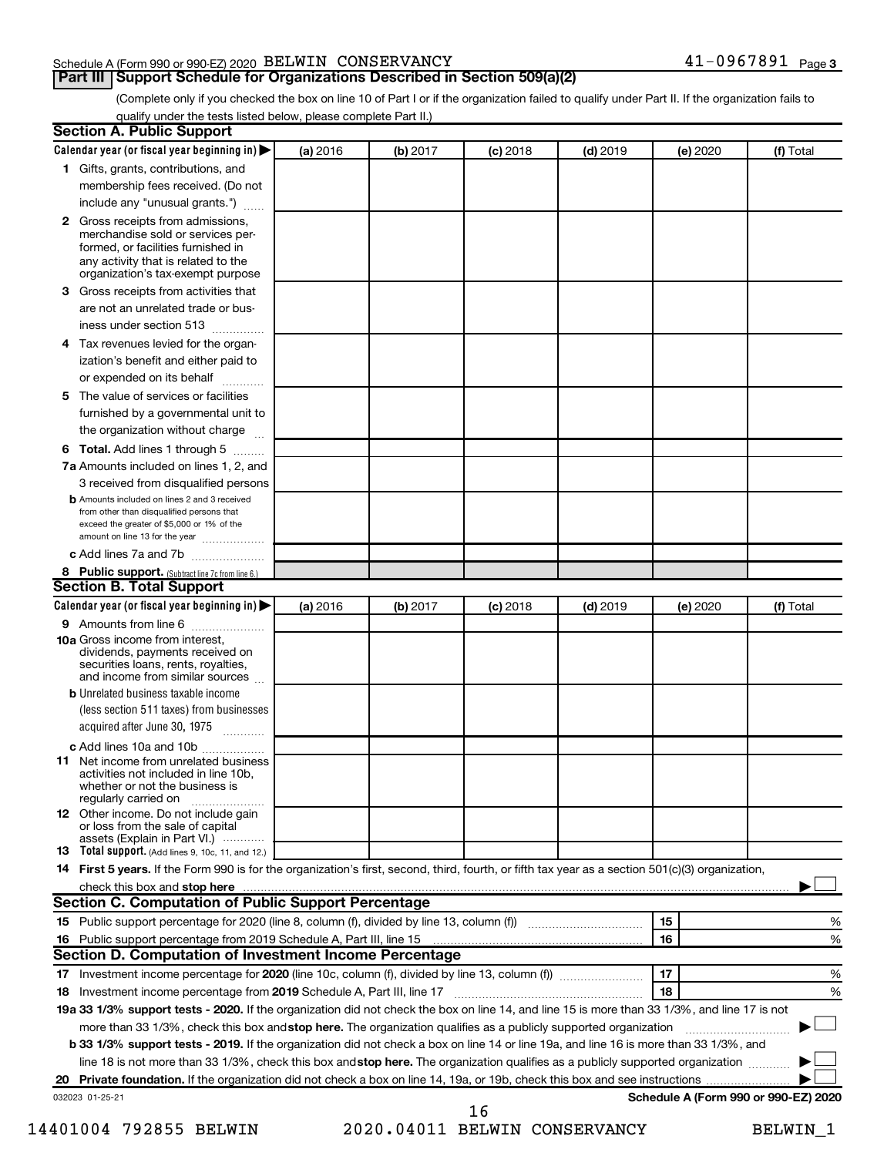#### Schedule A (Form 990 or 990-EZ) 2020 BELWIN CONSERVANCY  $41-0967891$  Page

41-0967891 Page 3

(Complete only if you checked the box on line 10 of Part I or if the organization failed to qualify under Part II. If the organization fails to qualify under the tests listed below, please complete Part II.)

| <b>Section A. Public Support</b>                                                                                                                                                                |          |          |            |            |          |                                      |
|-------------------------------------------------------------------------------------------------------------------------------------------------------------------------------------------------|----------|----------|------------|------------|----------|--------------------------------------|
| Calendar year (or fiscal year beginning in)                                                                                                                                                     | (a) 2016 | (b) 2017 | $(c)$ 2018 | $(d)$ 2019 | (e) 2020 | (f) Total                            |
| 1 Gifts, grants, contributions, and                                                                                                                                                             |          |          |            |            |          |                                      |
| membership fees received. (Do not                                                                                                                                                               |          |          |            |            |          |                                      |
| include any "unusual grants.")                                                                                                                                                                  |          |          |            |            |          |                                      |
| <b>2</b> Gross receipts from admissions,<br>merchandise sold or services per-<br>formed, or facilities furnished in<br>any activity that is related to the<br>organization's tax-exempt purpose |          |          |            |            |          |                                      |
| 3 Gross receipts from activities that                                                                                                                                                           |          |          |            |            |          |                                      |
| are not an unrelated trade or bus-                                                                                                                                                              |          |          |            |            |          |                                      |
|                                                                                                                                                                                                 |          |          |            |            |          |                                      |
| iness under section 513                                                                                                                                                                         |          |          |            |            |          |                                      |
| 4 Tax revenues levied for the organ-                                                                                                                                                            |          |          |            |            |          |                                      |
| ization's benefit and either paid to                                                                                                                                                            |          |          |            |            |          |                                      |
| or expended on its behalf                                                                                                                                                                       |          |          |            |            |          |                                      |
| 5 The value of services or facilities                                                                                                                                                           |          |          |            |            |          |                                      |
| furnished by a governmental unit to                                                                                                                                                             |          |          |            |            |          |                                      |
| the organization without charge                                                                                                                                                                 |          |          |            |            |          |                                      |
| 6 Total. Add lines 1 through 5                                                                                                                                                                  |          |          |            |            |          |                                      |
| 7a Amounts included on lines 1, 2, and                                                                                                                                                          |          |          |            |            |          |                                      |
| 3 received from disqualified persons                                                                                                                                                            |          |          |            |            |          |                                      |
| <b>b</b> Amounts included on lines 2 and 3 received<br>from other than disqualified persons that<br>exceed the greater of \$5,000 or 1% of the<br>amount on line 13 for the year                |          |          |            |            |          |                                      |
| c Add lines 7a and 7b                                                                                                                                                                           |          |          |            |            |          |                                      |
| 8 Public support. (Subtract line 7c from line 6.)                                                                                                                                               |          |          |            |            |          |                                      |
| <b>Section B. Total Support</b>                                                                                                                                                                 |          |          |            |            |          |                                      |
| Calendar year (or fiscal year beginning in)                                                                                                                                                     | (a) 2016 | (b) 2017 | $(c)$ 2018 | $(d)$ 2019 | (e) 2020 | (f) Total                            |
| 9 Amounts from line 6                                                                                                                                                                           |          |          |            |            |          |                                      |
| <b>10a</b> Gross income from interest,<br>dividends, payments received on<br>securities loans, rents, royalties,<br>and income from similar sources                                             |          |          |            |            |          |                                      |
| <b>b</b> Unrelated business taxable income                                                                                                                                                      |          |          |            |            |          |                                      |
| (less section 511 taxes) from businesses<br>acquired after June 30, 1975                                                                                                                        |          |          |            |            |          |                                      |
| c Add lines 10a and 10b                                                                                                                                                                         |          |          |            |            |          |                                      |
| <b>11</b> Net income from unrelated business<br>activities not included in line 10b.<br>whether or not the business is<br>regularly carried on                                                  |          |          |            |            |          |                                      |
| <b>12</b> Other income. Do not include gain<br>or loss from the sale of capital<br>assets (Explain in Part VI.)                                                                                 |          |          |            |            |          |                                      |
| <b>13</b> Total support. (Add lines 9, 10c, 11, and 12.)                                                                                                                                        |          |          |            |            |          |                                      |
| 14 First 5 years. If the Form 990 is for the organization's first, second, third, fourth, or fifth tax year as a section 501(c)(3) organization,                                                |          |          |            |            |          |                                      |
| check this box and stop here <b>contained and the contained and starting and stop here</b> check this box and stop here                                                                         |          |          |            |            |          |                                      |
| Section C. Computation of Public Support Percentage                                                                                                                                             |          |          |            |            |          |                                      |
| 15 Public support percentage for 2020 (line 8, column (f), divided by line 13, column (f) <i></i>                                                                                               |          |          |            |            | 15       | ℅                                    |
|                                                                                                                                                                                                 |          |          |            |            | 16       | %                                    |
| Section D. Computation of Investment Income Percentage                                                                                                                                          |          |          |            |            |          |                                      |
|                                                                                                                                                                                                 |          |          |            |            | 17       | %                                    |
| 18 Investment income percentage from 2019 Schedule A, Part III, line 17                                                                                                                         |          |          |            |            | 18       | %                                    |
| 19a 33 1/3% support tests - 2020. If the organization did not check the box on line 14, and line 15 is more than 33 1/3%, and line 17 is not                                                    |          |          |            |            |          |                                      |
| more than 33 1/3%, check this box and stop here. The organization qualifies as a publicly supported organization                                                                                |          |          |            |            |          |                                      |
|                                                                                                                                                                                                 |          |          |            |            |          |                                      |
| b 33 1/3% support tests - 2019. If the organization did not check a box on line 14 or line 19a, and line 16 is more than 33 1/3%, and                                                           |          |          |            |            |          |                                      |
| line 18 is not more than 33 1/3%, check this box and stop here. The organization qualifies as a publicly supported organization                                                                 |          |          |            |            |          |                                      |
|                                                                                                                                                                                                 |          |          |            |            |          |                                      |
| 032023 01-25-21                                                                                                                                                                                 |          |          | 16         |            |          | Schedule A (Form 990 or 990-EZ) 2020 |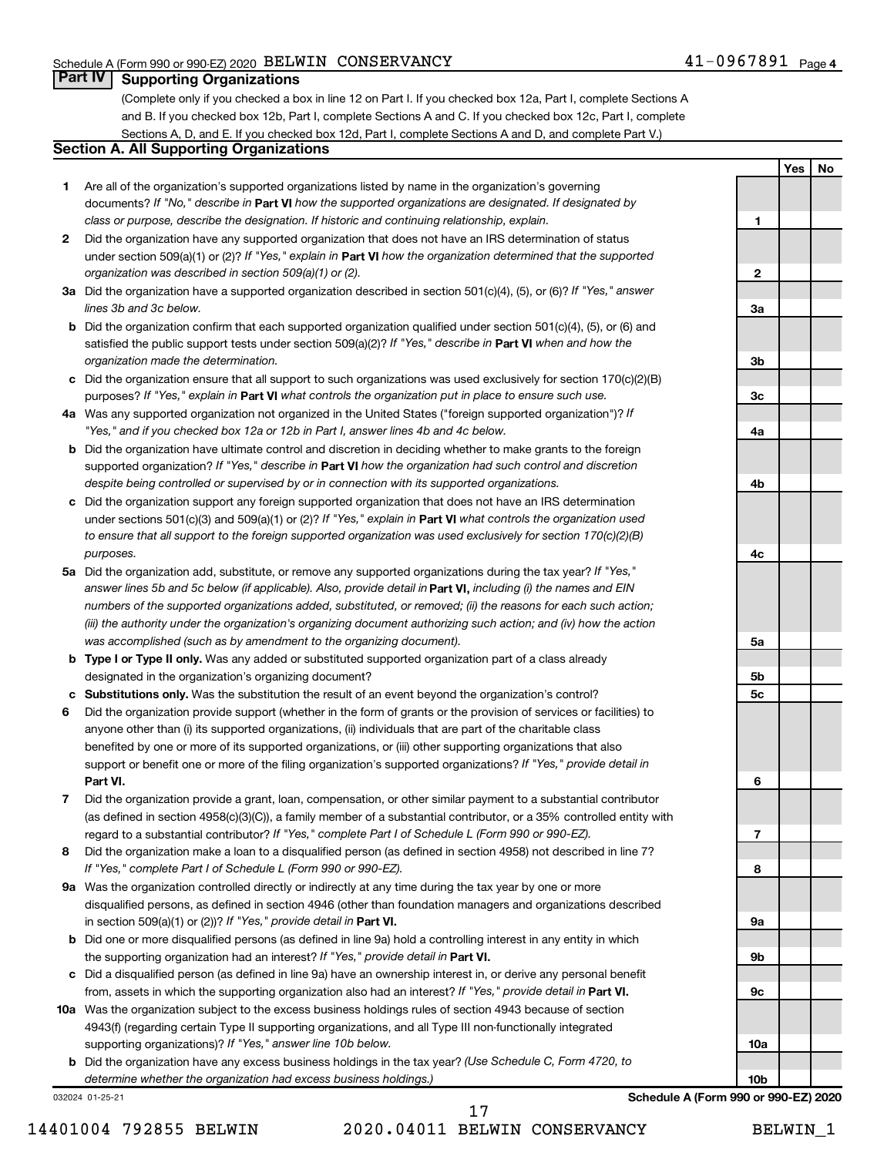**1**

**2**

**3a**

**3b**

**3c**

**4a**

**4b**

**4c**

**5a**

**5b 5c**

**6**

**7**

**8**

**9a**

**9b**

**9c**

**10a**

**10b**

**Yes No**

#### **Part IV Supporting Organizations**

(Complete only if you checked a box in line 12 on Part I. If you checked box 12a, Part I, complete Sections A and B. If you checked box 12b, Part I, complete Sections A and C. If you checked box 12c, Part I, complete Sections A, D, and E. If you checked box 12d, Part I, complete Sections A and D, and complete Part V.)

#### **Section A. All Supporting Organizations**

- **1** Are all of the organization's supported organizations listed by name in the organization's governing documents? If "No," describe in Part VI how the supported organizations are designated. If designated by *class or purpose, describe the designation. If historic and continuing relationship, explain.*
- **2** Did the organization have any supported organization that does not have an IRS determination of status under section 509(a)(1) or (2)? If "Yes," explain in Part **VI** how the organization determined that the supported *organization was described in section 509(a)(1) or (2).*
- **3a** Did the organization have a supported organization described in section 501(c)(4), (5), or (6)? If "Yes," answer *lines 3b and 3c below.*
- **b** Did the organization confirm that each supported organization qualified under section 501(c)(4), (5), or (6) and satisfied the public support tests under section 509(a)(2)? If "Yes," describe in Part VI when and how the *organization made the determination.*
- **c** Did the organization ensure that all support to such organizations was used exclusively for section 170(c)(2)(B) purposes? If "Yes," explain in Part VI what controls the organization put in place to ensure such use.
- **4 a** *If* Was any supported organization not organized in the United States ("foreign supported organization")? *"Yes," and if you checked box 12a or 12b in Part I, answer lines 4b and 4c below.*
- **b** Did the organization have ultimate control and discretion in deciding whether to make grants to the foreign supported organization? If "Yes," describe in Part VI how the organization had such control and discretion *despite being controlled or supervised by or in connection with its supported organizations.*
- **c** Did the organization support any foreign supported organization that does not have an IRS determination under sections 501(c)(3) and 509(a)(1) or (2)? If "Yes," explain in Part VI what controls the organization used *to ensure that all support to the foreign supported organization was used exclusively for section 170(c)(2)(B) purposes.*
- **5a** Did the organization add, substitute, or remove any supported organizations during the tax year? If "Yes," answer lines 5b and 5c below (if applicable). Also, provide detail in **Part VI,** including (i) the names and EIN *numbers of the supported organizations added, substituted, or removed; (ii) the reasons for each such action; (iii) the authority under the organization's organizing document authorizing such action; and (iv) how the action was accomplished (such as by amendment to the organizing document).*
- **b Type I or Type II only.** Was any added or substituted supported organization part of a class already designated in the organization's organizing document?
- **c Substitutions only.**  Was the substitution the result of an event beyond the organization's control?
- **6** Did the organization provide support (whether in the form of grants or the provision of services or facilities) to **Part VI.** support or benefit one or more of the filing organization's supported organizations? If "Yes," provide detail in anyone other than (i) its supported organizations, (ii) individuals that are part of the charitable class benefited by one or more of its supported organizations, or (iii) other supporting organizations that also
- **7** Did the organization provide a grant, loan, compensation, or other similar payment to a substantial contributor regard to a substantial contributor? If "Yes," complete Part I of Schedule L (Form 990 or 990-EZ). (as defined in section 4958(c)(3)(C)), a family member of a substantial contributor, or a 35% controlled entity with
- **8** Did the organization make a loan to a disqualified person (as defined in section 4958) not described in line 7? *If "Yes," complete Part I of Schedule L (Form 990 or 990-EZ).*
- **9 a** Was the organization controlled directly or indirectly at any time during the tax year by one or more in section 509(a)(1) or (2))? If "Yes," provide detail in **Part VI.** disqualified persons, as defined in section 4946 (other than foundation managers and organizations described
- **b** Did one or more disqualified persons (as defined in line 9a) hold a controlling interest in any entity in which the supporting organization had an interest? If "Yes," provide detail in Part VI.
- **c** Did a disqualified person (as defined in line 9a) have an ownership interest in, or derive any personal benefit from, assets in which the supporting organization also had an interest? If "Yes," provide detail in Part VI.
- **10 a** Was the organization subject to the excess business holdings rules of section 4943 because of section supporting organizations)? If "Yes," answer line 10b below. 4943(f) (regarding certain Type II supporting organizations, and all Type III non-functionally integrated
	- **b** Did the organization have any excess business holdings in the tax year? (Use Schedule C, Form 4720, to *determine whether the organization had excess business holdings.)*

032024 01-25-21

**Schedule A (Form 990 or 990-EZ) 2020**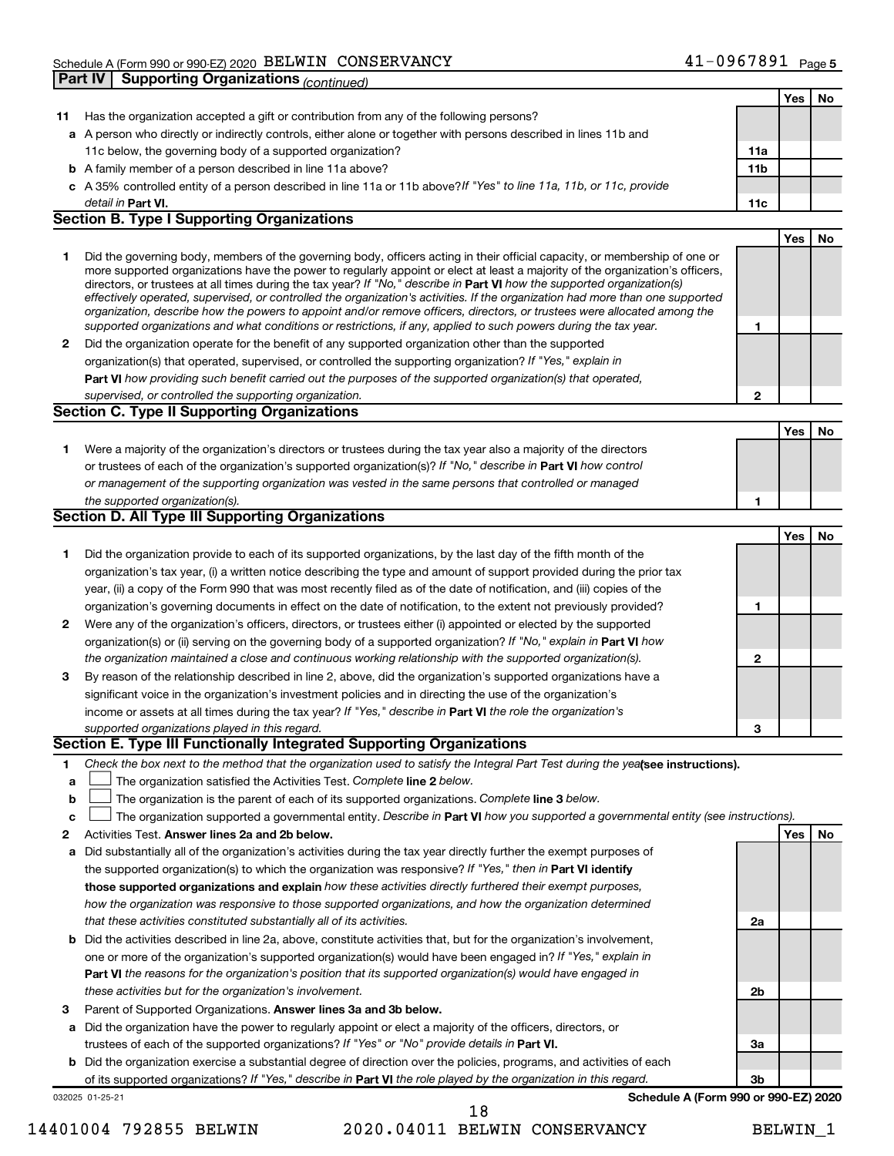|              | <b>Supporting Organizations (continued)</b><br>Part IV                                                                                                                                                                                                      |                 |     |    |
|--------------|-------------------------------------------------------------------------------------------------------------------------------------------------------------------------------------------------------------------------------------------------------------|-----------------|-----|----|
|              |                                                                                                                                                                                                                                                             |                 | Yes | No |
| 11           | Has the organization accepted a gift or contribution from any of the following persons?                                                                                                                                                                     |                 |     |    |
|              | a A person who directly or indirectly controls, either alone or together with persons described in lines 11b and                                                                                                                                            |                 |     |    |
|              | 11c below, the governing body of a supported organization?                                                                                                                                                                                                  | 11a             |     |    |
|              | <b>b</b> A family member of a person described in line 11a above?                                                                                                                                                                                           | 11 <sub>b</sub> |     |    |
|              | c A 35% controlled entity of a person described in line 11a or 11b above? If "Yes" to line 11a, 11b, or 11c, provide                                                                                                                                        |                 |     |    |
|              | detail in Part VI.                                                                                                                                                                                                                                          | 11c             |     |    |
|              | <b>Section B. Type I Supporting Organizations</b>                                                                                                                                                                                                           |                 |     |    |
|              |                                                                                                                                                                                                                                                             |                 | Yes | No |
| 1            | Did the governing body, members of the governing body, officers acting in their official capacity, or membership of one or<br>more supported organizations have the power to regularly appoint or elect at least a majority of the organization's officers, |                 |     |    |
|              | directors, or trustees at all times during the tax year? If "No," describe in Part VI how the supported organization(s)                                                                                                                                     |                 |     |    |
|              | effectively operated, supervised, or controlled the organization's activities. If the organization had more than one supported                                                                                                                              |                 |     |    |
|              | organization, describe how the powers to appoint and/or remove officers, directors, or trustees were allocated among the<br>supported organizations and what conditions or restrictions, if any, applied to such powers during the tax year.                | 1               |     |    |
| $\mathbf{2}$ | Did the organization operate for the benefit of any supported organization other than the supported                                                                                                                                                         |                 |     |    |
|              | organization(s) that operated, supervised, or controlled the supporting organization? If "Yes," explain in                                                                                                                                                  |                 |     |    |
|              | Part VI how providing such benefit carried out the purposes of the supported organization(s) that operated,                                                                                                                                                 |                 |     |    |
|              | supervised, or controlled the supporting organization.                                                                                                                                                                                                      | $\mathbf{2}$    |     |    |
|              | <b>Section C. Type II Supporting Organizations</b>                                                                                                                                                                                                          |                 |     |    |
|              |                                                                                                                                                                                                                                                             |                 | Yes | No |
| 1            | Were a majority of the organization's directors or trustees during the tax year also a majority of the directors                                                                                                                                            |                 |     |    |
|              | or trustees of each of the organization's supported organization(s)? If "No," describe in Part VI how control                                                                                                                                               |                 |     |    |
|              | or management of the supporting organization was vested in the same persons that controlled or managed                                                                                                                                                      |                 |     |    |
|              | the supported organization(s).                                                                                                                                                                                                                              | 1               |     |    |
|              | <b>Section D. All Type III Supporting Organizations</b>                                                                                                                                                                                                     |                 |     |    |
|              |                                                                                                                                                                                                                                                             |                 | Yes | No |
| 1            | Did the organization provide to each of its supported organizations, by the last day of the fifth month of the                                                                                                                                              |                 |     |    |
|              | organization's tax year, (i) a written notice describing the type and amount of support provided during the prior tax                                                                                                                                       |                 |     |    |
|              | year, (ii) a copy of the Form 990 that was most recently filed as of the date of notification, and (iii) copies of the                                                                                                                                      |                 |     |    |
|              | organization's governing documents in effect on the date of notification, to the extent not previously provided?                                                                                                                                            | 1               |     |    |
| 2            | Were any of the organization's officers, directors, or trustees either (i) appointed or elected by the supported                                                                                                                                            |                 |     |    |
|              | organization(s) or (ii) serving on the governing body of a supported organization? If "No," explain in Part VI how                                                                                                                                          |                 |     |    |
|              | the organization maintained a close and continuous working relationship with the supported organization(s).                                                                                                                                                 | $\mathbf{2}$    |     |    |
| 3            | By reason of the relationship described in line 2, above, did the organization's supported organizations have a                                                                                                                                             |                 |     |    |
|              | significant voice in the organization's investment policies and in directing the use of the organization's                                                                                                                                                  |                 |     |    |
|              | income or assets at all times during the tax year? If "Yes," describe in Part VI the role the organization's                                                                                                                                                |                 |     |    |
|              | supported organizations played in this regard.<br>Section E. Type III Functionally Integrated Supporting Organizations                                                                                                                                      | 3               |     |    |
| 1            | Check the box next to the method that the organization used to satisfy the Integral Part Test during the yealsee instructions).                                                                                                                             |                 |     |    |
| a            | The organization satisfied the Activities Test. Complete line 2 below.                                                                                                                                                                                      |                 |     |    |
| b            | The organization is the parent of each of its supported organizations. Complete line 3 below.                                                                                                                                                               |                 |     |    |
| c            | The organization supported a governmental entity. Describe in Part VI how you supported a governmental entity (see instructions).                                                                                                                           |                 |     |    |
| 2            | Activities Test. Answer lines 2a and 2b below.                                                                                                                                                                                                              |                 | Yes | No |
| a            | Did substantially all of the organization's activities during the tax year directly further the exempt purposes of                                                                                                                                          |                 |     |    |
|              | the supported organization(s) to which the organization was responsive? If "Yes," then in Part VI identify                                                                                                                                                  |                 |     |    |
|              | those supported organizations and explain how these activities directly furthered their exempt purposes,                                                                                                                                                    |                 |     |    |
|              | how the organization was responsive to those supported organizations, and how the organization determined                                                                                                                                                   |                 |     |    |
|              | that these activities constituted substantially all of its activities.                                                                                                                                                                                      | 2a              |     |    |
|              | <b>b</b> Did the activities described in line 2a, above, constitute activities that, but for the organization's involvement,                                                                                                                                |                 |     |    |
|              | one or more of the organization's supported organization(s) would have been engaged in? If "Yes," explain in                                                                                                                                                |                 |     |    |
|              | Part VI the reasons for the organization's position that its supported organization(s) would have engaged in                                                                                                                                                |                 |     |    |
|              | these activities but for the organization's involvement.                                                                                                                                                                                                    | 2b              |     |    |
| з            | Parent of Supported Organizations. Answer lines 3a and 3b below.                                                                                                                                                                                            |                 |     |    |
| a            | Did the organization have the power to regularly appoint or elect a majority of the officers, directors, or                                                                                                                                                 |                 |     |    |
|              | trustees of each of the supported organizations? If "Yes" or "No" provide details in Part VI.                                                                                                                                                               | За              |     |    |
|              | <b>b</b> Did the organization exercise a substantial degree of direction over the policies, programs, and activities of each                                                                                                                                |                 |     |    |
|              | of its supported organizations? If "Yes," describe in Part VI the role played by the organization in this regard.                                                                                                                                           | 3b              |     |    |

032025 01-25-21

**Schedule A (Form 990 or 990-EZ) 2020**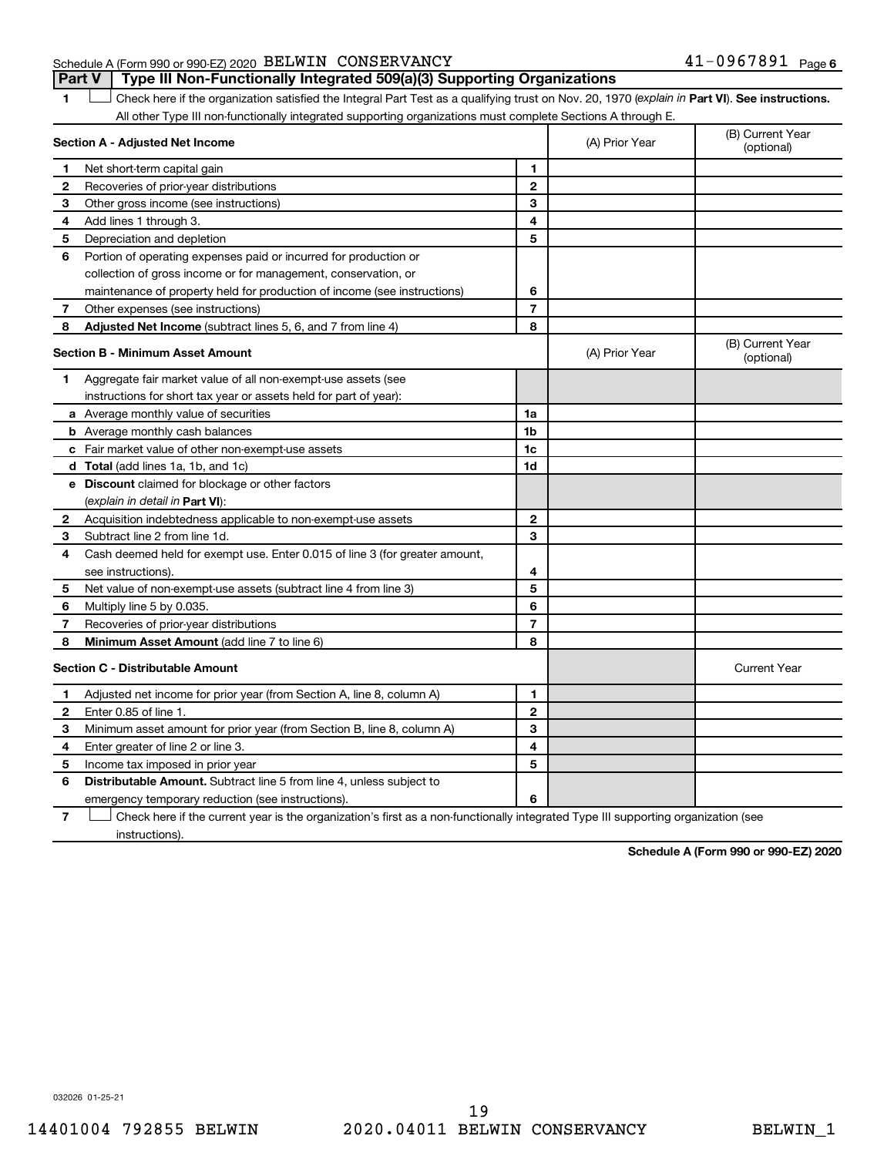#### Schedule A (Form 990 or 990-EZ) 2020 BELWIN CONSERVANCY  $41-0967891$  Page **Part V Type III Non-Functionally Integrated 509(a)(3) Supporting Organizations**

1 **Letter See instructions.** Check here if the organization satisfied the Integral Part Test as a qualifying trust on Nov. 20, 1970 (*explain in* Part **VI**). See instructions. All other Type III non-functionally integrated supporting organizations must complete Sections A through E.

| Section A - Adjusted Net Income |                                                                                                                                   |                | (A) Prior Year | (B) Current Year<br>(optional) |
|---------------------------------|-----------------------------------------------------------------------------------------------------------------------------------|----------------|----------------|--------------------------------|
| 1                               | Net short-term capital gain                                                                                                       | 1              |                |                                |
| 2                               | Recoveries of prior-year distributions                                                                                            | $\mathbf{2}$   |                |                                |
| 3                               | Other gross income (see instructions)                                                                                             | 3              |                |                                |
| 4                               | Add lines 1 through 3.                                                                                                            | 4              |                |                                |
| 5                               | Depreciation and depletion                                                                                                        | 5              |                |                                |
| 6                               | Portion of operating expenses paid or incurred for production or                                                                  |                |                |                                |
|                                 | collection of gross income or for management, conservation, or                                                                    |                |                |                                |
|                                 | maintenance of property held for production of income (see instructions)                                                          | 6              |                |                                |
| 7                               | Other expenses (see instructions)                                                                                                 | $\overline{7}$ |                |                                |
| 8                               | Adjusted Net Income (subtract lines 5, 6, and 7 from line 4)                                                                      | 8              |                |                                |
|                                 | <b>Section B - Minimum Asset Amount</b>                                                                                           |                | (A) Prior Year | (B) Current Year<br>(optional) |
| 1                               | Aggregate fair market value of all non-exempt-use assets (see                                                                     |                |                |                                |
|                                 | instructions for short tax year or assets held for part of year):                                                                 |                |                |                                |
|                                 | a Average monthly value of securities                                                                                             | 1a             |                |                                |
|                                 | <b>b</b> Average monthly cash balances                                                                                            | 1 <sub>b</sub> |                |                                |
|                                 | c Fair market value of other non-exempt-use assets                                                                                | 1 <sub>c</sub> |                |                                |
|                                 | d Total (add lines 1a, 1b, and 1c)                                                                                                | 1 <sub>d</sub> |                |                                |
|                                 | e Discount claimed for blockage or other factors                                                                                  |                |                |                                |
|                                 | (explain in detail in <b>Part VI</b> ):                                                                                           |                |                |                                |
| 2                               | Acquisition indebtedness applicable to non-exempt-use assets                                                                      | $\mathbf{2}$   |                |                                |
| 3                               | Subtract line 2 from line 1d.                                                                                                     | 3              |                |                                |
| 4                               | Cash deemed held for exempt use. Enter 0.015 of line 3 (for greater amount,                                                       |                |                |                                |
|                                 | see instructions).                                                                                                                | 4              |                |                                |
| 5                               | Net value of non-exempt-use assets (subtract line 4 from line 3)                                                                  | 5              |                |                                |
| 6                               | Multiply line 5 by 0.035.                                                                                                         | 6              |                |                                |
| 7                               | Recoveries of prior-year distributions                                                                                            | $\overline{7}$ |                |                                |
| 8                               | Minimum Asset Amount (add line 7 to line 6)                                                                                       | 8              |                |                                |
|                                 | <b>Section C - Distributable Amount</b>                                                                                           |                |                | <b>Current Year</b>            |
| 1                               | Adjusted net income for prior year (from Section A, line 8, column A)                                                             | $\mathbf{1}$   |                |                                |
| 2                               | Enter 0.85 of line 1.                                                                                                             | $\mathbf{2}$   |                |                                |
| 3                               | Minimum asset amount for prior year (from Section B, line 8, column A)                                                            | 3              |                |                                |
| 4                               | Enter greater of line 2 or line 3.                                                                                                | 4              |                |                                |
| 5                               | Income tax imposed in prior year                                                                                                  | 5              |                |                                |
| 6                               | <b>Distributable Amount.</b> Subtract line 5 from line 4, unless subject to                                                       |                |                |                                |
|                                 | emergency temporary reduction (see instructions).                                                                                 | 6              |                |                                |
| 7                               | Check here if the current year is the organization's first as a non-functionally integrated Type III supporting organization (see |                |                |                                |

instructions).

**Schedule A (Form 990 or 990-EZ) 2020**

032026 01-25-21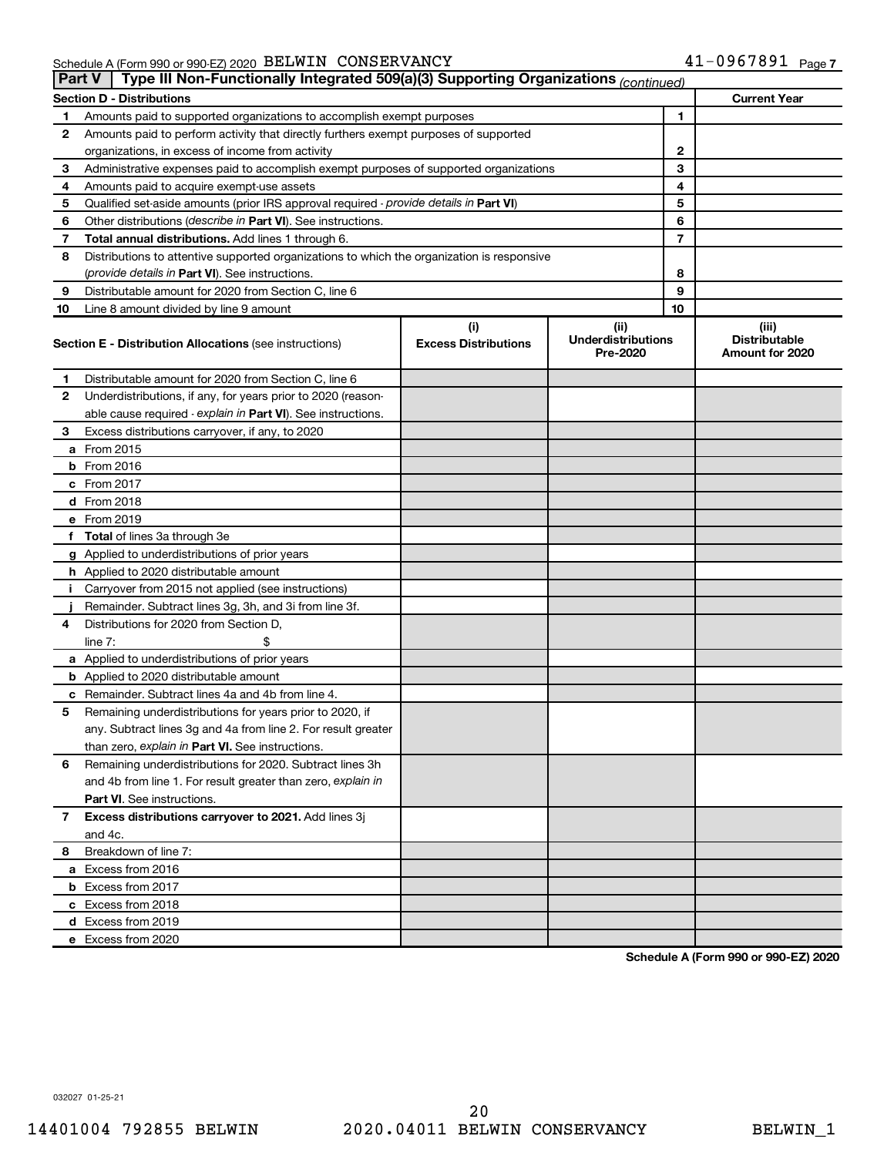Schedule A (Form 990 or 990-EZ) 2020 BELWIN CONSERVANCY  $41-0967891$  Page

|    | Type III Non-Functionally Integrated 509(a)(3) Supporting Organizations (continued)<br><b>Part V</b> |                             |                                       |    |                                         |  |  |
|----|------------------------------------------------------------------------------------------------------|-----------------------------|---------------------------------------|----|-----------------------------------------|--|--|
|    | <b>Section D - Distributions</b>                                                                     |                             |                                       |    | <b>Current Year</b>                     |  |  |
| 1  | Amounts paid to supported organizations to accomplish exempt purposes                                |                             |                                       | 1  |                                         |  |  |
| 2  | Amounts paid to perform activity that directly furthers exempt purposes of supported                 |                             |                                       |    |                                         |  |  |
|    | organizations, in excess of income from activity                                                     |                             | 2                                     |    |                                         |  |  |
| 3  | Administrative expenses paid to accomplish exempt purposes of supported organizations                |                             |                                       | 3  |                                         |  |  |
| 4  | Amounts paid to acquire exempt-use assets                                                            |                             |                                       | 4  |                                         |  |  |
| 5  | Qualified set-aside amounts (prior IRS approval required - provide details in Part VI)               |                             |                                       | 5  |                                         |  |  |
| 6  | Other distributions ( <i>describe in Part VI</i> ). See instructions.                                |                             |                                       | 6  |                                         |  |  |
| 7  | Total annual distributions. Add lines 1 through 6.                                                   |                             |                                       | 7  |                                         |  |  |
| 8  | Distributions to attentive supported organizations to which the organization is responsive           |                             |                                       |    |                                         |  |  |
|    | (provide details in Part VI). See instructions.                                                      |                             |                                       | 8  |                                         |  |  |
| 9  | Distributable amount for 2020 from Section C, line 6                                                 |                             |                                       | 9  |                                         |  |  |
| 10 | Line 8 amount divided by line 9 amount                                                               |                             |                                       | 10 |                                         |  |  |
|    |                                                                                                      | (i)                         | (ii)                                  |    | (iii)                                   |  |  |
|    | <b>Section E - Distribution Allocations (see instructions)</b>                                       | <b>Excess Distributions</b> | <b>Underdistributions</b><br>Pre-2020 |    | <b>Distributable</b><br>Amount for 2020 |  |  |
| 1  | Distributable amount for 2020 from Section C, line 6                                                 |                             |                                       |    |                                         |  |  |
| 2  | Underdistributions, if any, for years prior to 2020 (reason-                                         |                             |                                       |    |                                         |  |  |
|    | able cause required - explain in Part VI). See instructions.                                         |                             |                                       |    |                                         |  |  |
| 3  | Excess distributions carryover, if any, to 2020                                                      |                             |                                       |    |                                         |  |  |
|    | a From 2015                                                                                          |                             |                                       |    |                                         |  |  |
|    | <b>b</b> From 2016                                                                                   |                             |                                       |    |                                         |  |  |
|    | c From 2017                                                                                          |                             |                                       |    |                                         |  |  |
|    | d From 2018                                                                                          |                             |                                       |    |                                         |  |  |
|    | e From 2019                                                                                          |                             |                                       |    |                                         |  |  |
|    | f Total of lines 3a through 3e                                                                       |                             |                                       |    |                                         |  |  |
|    | g Applied to underdistributions of prior years                                                       |                             |                                       |    |                                         |  |  |
|    | <b>h</b> Applied to 2020 distributable amount                                                        |                             |                                       |    |                                         |  |  |
| Ť. | Carryover from 2015 not applied (see instructions)                                                   |                             |                                       |    |                                         |  |  |
|    | Remainder. Subtract lines 3g, 3h, and 3i from line 3f.                                               |                             |                                       |    |                                         |  |  |
| 4  | Distributions for 2020 from Section D,                                                               |                             |                                       |    |                                         |  |  |
|    | line $7:$                                                                                            |                             |                                       |    |                                         |  |  |
|    | a Applied to underdistributions of prior years                                                       |                             |                                       |    |                                         |  |  |
|    | <b>b</b> Applied to 2020 distributable amount                                                        |                             |                                       |    |                                         |  |  |
|    | c Remainder. Subtract lines 4a and 4b from line 4.                                                   |                             |                                       |    |                                         |  |  |
| 5  | Remaining underdistributions for years prior to 2020, if                                             |                             |                                       |    |                                         |  |  |
|    | any. Subtract lines 3g and 4a from line 2. For result greater                                        |                             |                                       |    |                                         |  |  |
|    | than zero, explain in Part VI. See instructions.                                                     |                             |                                       |    |                                         |  |  |
| 6  | Remaining underdistributions for 2020. Subtract lines 3h                                             |                             |                                       |    |                                         |  |  |
|    | and 4b from line 1. For result greater than zero, explain in                                         |                             |                                       |    |                                         |  |  |
|    | <b>Part VI.</b> See instructions.                                                                    |                             |                                       |    |                                         |  |  |
| 7  | Excess distributions carryover to 2021. Add lines 3j                                                 |                             |                                       |    |                                         |  |  |
|    | and 4c.                                                                                              |                             |                                       |    |                                         |  |  |
| 8  | Breakdown of line 7:                                                                                 |                             |                                       |    |                                         |  |  |
|    | a Excess from 2016                                                                                   |                             |                                       |    |                                         |  |  |
|    | <b>b</b> Excess from 2017                                                                            |                             |                                       |    |                                         |  |  |
|    | c Excess from 2018                                                                                   |                             |                                       |    |                                         |  |  |
|    | d Excess from 2019                                                                                   |                             |                                       |    |                                         |  |  |
|    | e Excess from 2020                                                                                   |                             |                                       |    |                                         |  |  |

**Schedule A (Form 990 or 990-EZ) 2020**

032027 01-25-21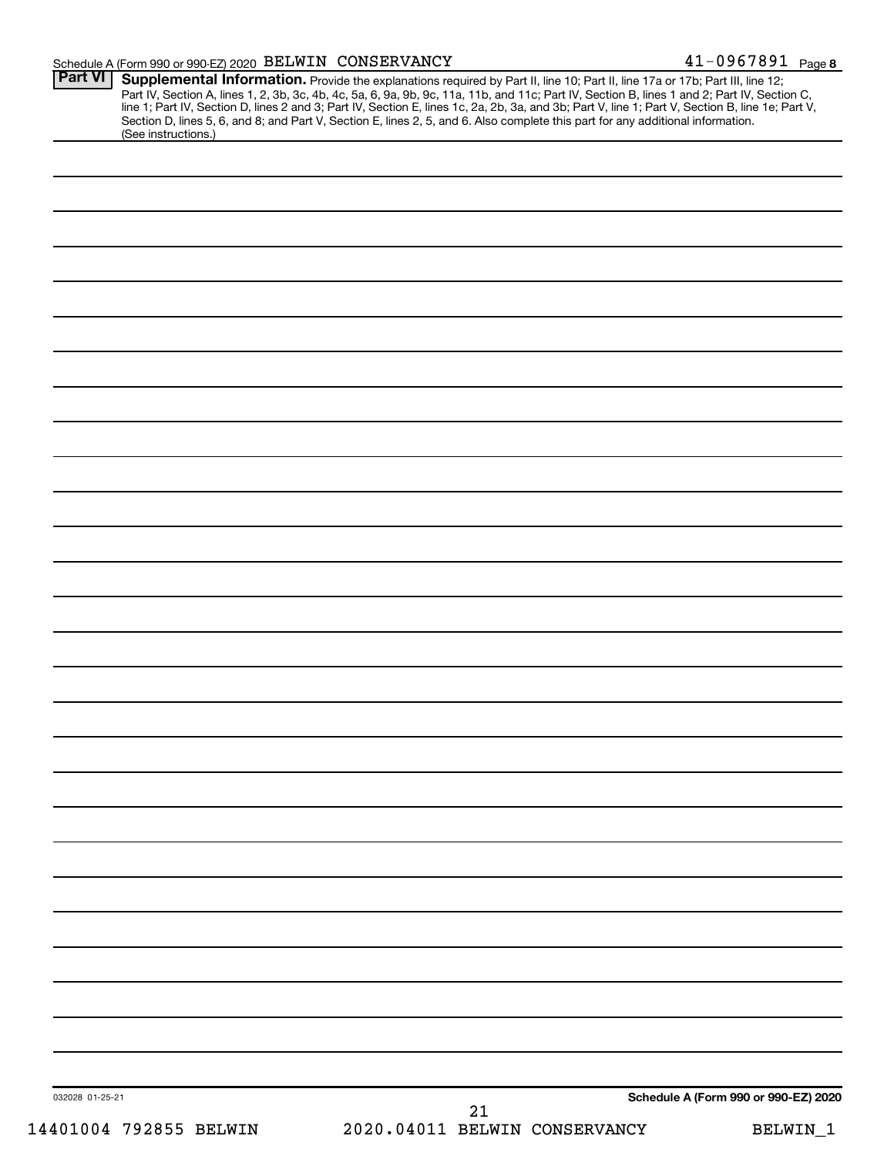#### Schedule A (Form 990 or 990-EZ) 2020 Page BELWIN CONSERVANCY 41-0967891

|                        | <b>Supplemental Information.</b> Provide the explanations required by Part II, line 10; Part II, line 17a or 17b; Part III, line 12;<br>Part IV, Section A, lines 1, 2, 3b, 3c, 4b, 4c, 5a, 6, 9a, 9b, 9c, 11a, 11b, and 11c; Part IV,<br>Section D, lines 5, 6, and 8; and Part V, Section E, lines 2, 5, and 6. Also complete this part for any additional information. |
|------------------------|---------------------------------------------------------------------------------------------------------------------------------------------------------------------------------------------------------------------------------------------------------------------------------------------------------------------------------------------------------------------------|
| (See instructions.)    |                                                                                                                                                                                                                                                                                                                                                                           |
|                        |                                                                                                                                                                                                                                                                                                                                                                           |
|                        |                                                                                                                                                                                                                                                                                                                                                                           |
|                        |                                                                                                                                                                                                                                                                                                                                                                           |
|                        |                                                                                                                                                                                                                                                                                                                                                                           |
|                        |                                                                                                                                                                                                                                                                                                                                                                           |
|                        |                                                                                                                                                                                                                                                                                                                                                                           |
|                        |                                                                                                                                                                                                                                                                                                                                                                           |
|                        |                                                                                                                                                                                                                                                                                                                                                                           |
|                        |                                                                                                                                                                                                                                                                                                                                                                           |
|                        |                                                                                                                                                                                                                                                                                                                                                                           |
|                        |                                                                                                                                                                                                                                                                                                                                                                           |
|                        |                                                                                                                                                                                                                                                                                                                                                                           |
|                        |                                                                                                                                                                                                                                                                                                                                                                           |
|                        |                                                                                                                                                                                                                                                                                                                                                                           |
|                        |                                                                                                                                                                                                                                                                                                                                                                           |
|                        |                                                                                                                                                                                                                                                                                                                                                                           |
|                        |                                                                                                                                                                                                                                                                                                                                                                           |
|                        |                                                                                                                                                                                                                                                                                                                                                                           |
|                        |                                                                                                                                                                                                                                                                                                                                                                           |
|                        |                                                                                                                                                                                                                                                                                                                                                                           |
|                        |                                                                                                                                                                                                                                                                                                                                                                           |
|                        |                                                                                                                                                                                                                                                                                                                                                                           |
|                        |                                                                                                                                                                                                                                                                                                                                                                           |
|                        |                                                                                                                                                                                                                                                                                                                                                                           |
|                        |                                                                                                                                                                                                                                                                                                                                                                           |
|                        |                                                                                                                                                                                                                                                                                                                                                                           |
|                        |                                                                                                                                                                                                                                                                                                                                                                           |
|                        |                                                                                                                                                                                                                                                                                                                                                                           |
| 032028 01-25-21        | Schedule A (Form 990 or 990-EZ) 2020                                                                                                                                                                                                                                                                                                                                      |
| 14401004 792855 BELWIN | 21<br>2020.04011 BELWIN CONSERVANCY<br>BELWIN_1                                                                                                                                                                                                                                                                                                                           |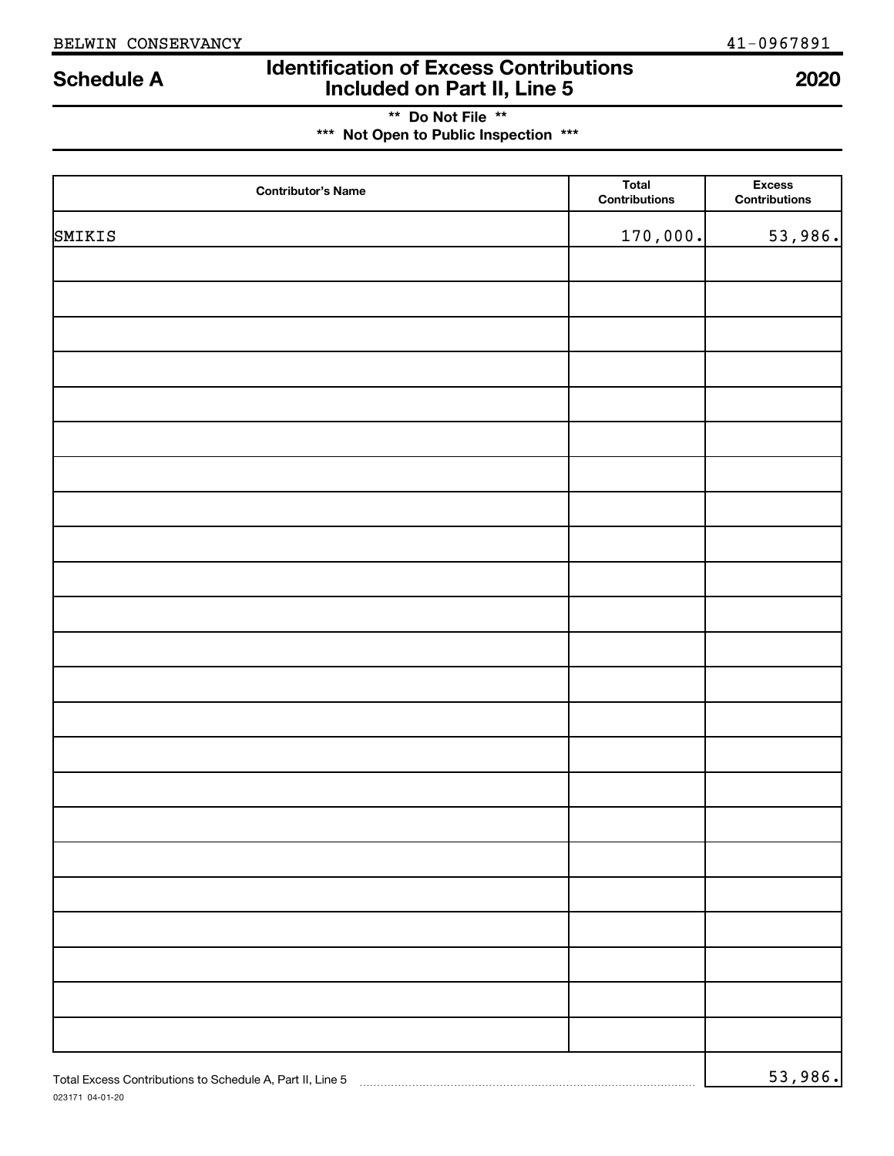023171 04-01-20

## **Identification of Excess Contributions Included on Part II, Line 5 Schedule A <sup>2020</sup>**

**\*\* Do Not File \*\* \*\*\* Not Open to Public Inspection \*\*\***

| <b>Contributor's Name</b>                                                                                                          | <b>Total</b><br>Contributions | <b>Excess</b><br><b>Contributions</b> |
|------------------------------------------------------------------------------------------------------------------------------------|-------------------------------|---------------------------------------|
| SMIKIS                                                                                                                             | 170,000.                      | 53,986.                               |
|                                                                                                                                    |                               |                                       |
|                                                                                                                                    |                               |                                       |
|                                                                                                                                    |                               |                                       |
|                                                                                                                                    |                               |                                       |
|                                                                                                                                    |                               |                                       |
|                                                                                                                                    |                               |                                       |
|                                                                                                                                    |                               |                                       |
|                                                                                                                                    |                               |                                       |
|                                                                                                                                    |                               |                                       |
|                                                                                                                                    |                               |                                       |
|                                                                                                                                    |                               |                                       |
|                                                                                                                                    |                               |                                       |
|                                                                                                                                    |                               |                                       |
|                                                                                                                                    |                               |                                       |
|                                                                                                                                    |                               |                                       |
|                                                                                                                                    |                               |                                       |
|                                                                                                                                    |                               |                                       |
|                                                                                                                                    |                               |                                       |
|                                                                                                                                    |                               |                                       |
|                                                                                                                                    |                               |                                       |
|                                                                                                                                    |                               |                                       |
|                                                                                                                                    |                               |                                       |
|                                                                                                                                    |                               |                                       |
| Total Excess Contributions to Schedule A, Part II, Line 5 [11] manument contributions contributions to Schedule A, Part II, Line 5 |                               | 53,986.                               |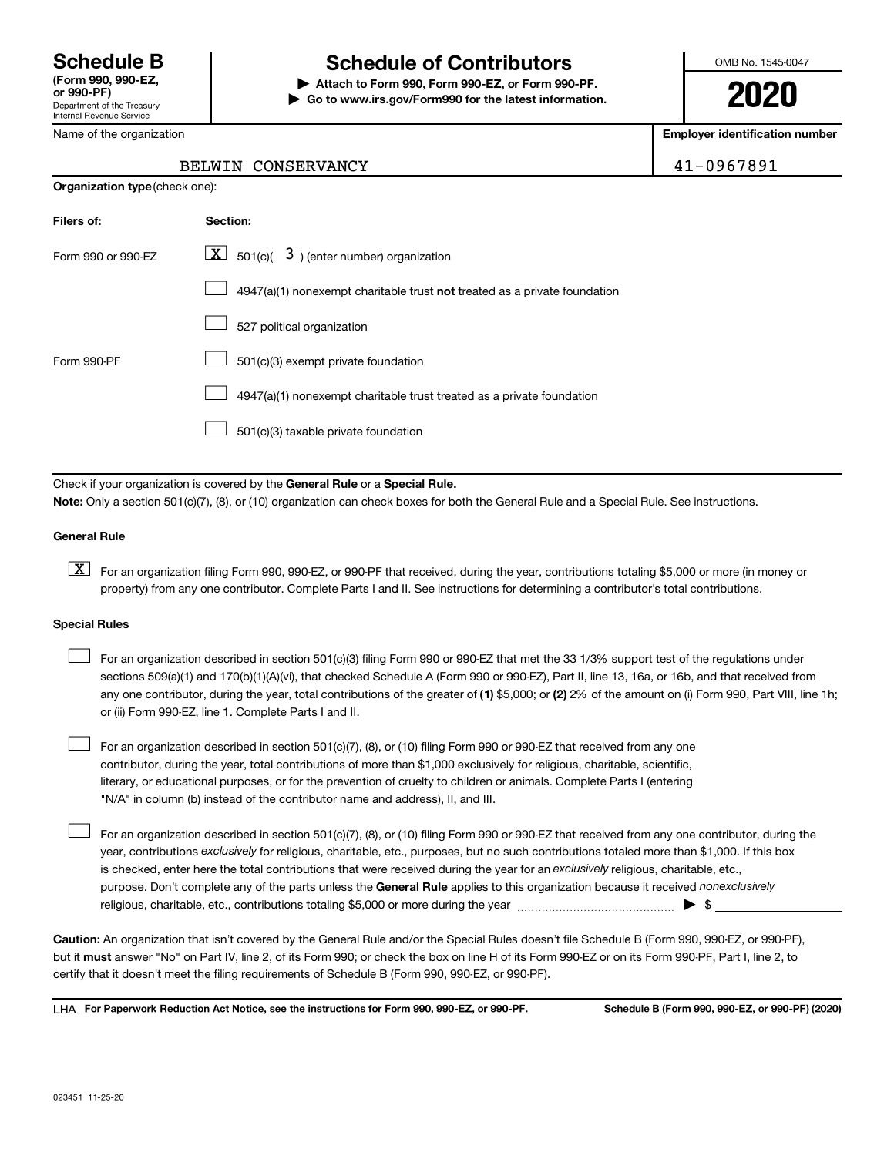Department of the Treasury Internal Revenue Service

# **Schedule B Schedule of Contributors**

**or 990-PF) | Attach to Form 990, Form 990-EZ, or Form 990-PF. | Go to www.irs.gov/Form990 for the latest information.** OMB No. 1545-0047

**2020**

**Employer identification number**

#### Name of the organization

**Organization type** (check one):

|  | BELWIN CONSERVANCY |
|--|--------------------|
|--|--------------------|

| Filers of:         | Section:                                                                  |
|--------------------|---------------------------------------------------------------------------|
| Form 990 or 990-EZ | $ \mathbf{X} $ 501(c)( 3) (enter number) organization                     |
|                    | 4947(a)(1) nonexempt charitable trust not treated as a private foundation |
|                    | 527 political organization                                                |
| Form 990-PF        | 501(c)(3) exempt private foundation                                       |
|                    | 4947(a)(1) nonexempt charitable trust treated as a private foundation     |
|                    | 501(c)(3) taxable private foundation                                      |

Check if your organization is covered by the General Rule or a Special Rule. **Note:**  Only a section 501(c)(7), (8), or (10) organization can check boxes for both the General Rule and a Special Rule. See instructions.

#### **General Rule**

**K** For an organization filing Form 990, 990-EZ, or 990-PF that received, during the year, contributions totaling \$5,000 or more (in money or property) from any one contributor. Complete Parts I and II. See instructions for determining a contributor's total contributions.

#### **Special Rules**

 $\Box$ 

any one contributor, during the year, total contributions of the greater of (1) \$5,000; or (2) 2% of the amount on (i) Form 990, Part VIII, line 1h; For an organization described in section 501(c)(3) filing Form 990 or 990-EZ that met the 33 1/3% support test of the regulations under sections 509(a)(1) and 170(b)(1)(A)(vi), that checked Schedule A (Form 990 or 990-EZ), Part II, line 13, 16a, or 16b, and that received from or (ii) Form 990-EZ, line 1. Complete Parts I and II.  $\Box$ 

For an organization described in section 501(c)(7), (8), or (10) filing Form 990 or 990-EZ that received from any one contributor, during the year, total contributions of more than \$1,000 exclusively for religious, charitable, scientific, literary, or educational purposes, or for the prevention of cruelty to children or animals. Complete Parts I (entering "N/A" in column (b) instead of the contributor name and address), II, and III.  $\Box$ 

purpose. Don't complete any of the parts unless the General Rule applies to this organization because it received nonexclusively year, contributions exclusively for religious, charitable, etc., purposes, but no such contributions totaled more than \$1,000. If this box is checked, enter here the total contributions that were received during the year for an exclusively religious, charitable, etc., For an organization described in section 501(c)(7), (8), or (10) filing Form 990 or 990-EZ that received from any one contributor, during the religious, charitable, etc., contributions totaling \$5,000 or more during the year  $~\ldots\ldots\ldots\ldots\ldots\ldots\ldots\ldots\blacktriangleright~$ \$

**Caution:**  An organization that isn't covered by the General Rule and/or the Special Rules doesn't file Schedule B (Form 990, 990-EZ, or 990-PF),  **must** but it answer "No" on Part IV, line 2, of its Form 990; or check the box on line H of its Form 990-EZ or on its Form 990-PF, Part I, line 2, to certify that it doesn't meet the filing requirements of Schedule B (Form 990, 990-EZ, or 990-PF).

**For Paperwork Reduction Act Notice, see the instructions for Form 990, 990-EZ, or 990-PF. Schedule B (Form 990, 990-EZ, or 990-PF) (2020)** LHA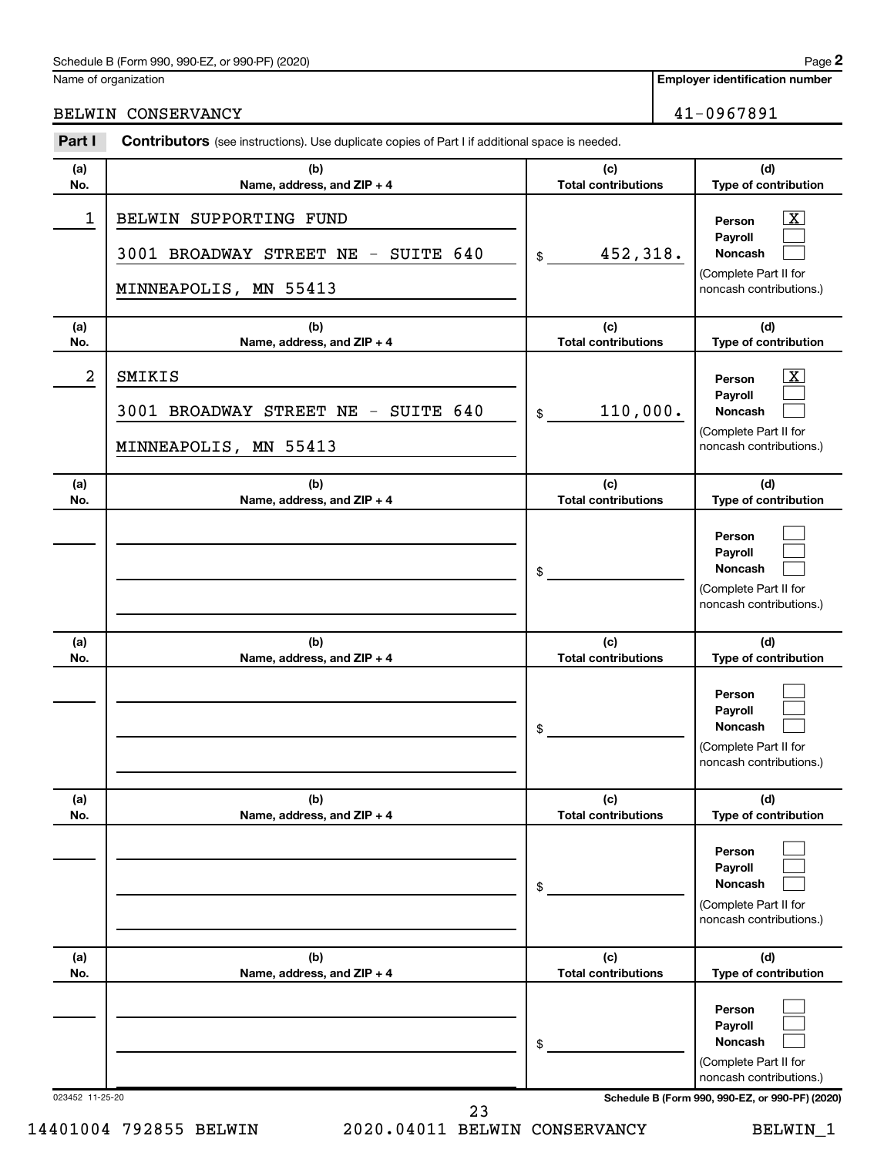Name of organization

**Employer identification number**

BELWIN CONSERVANCY 41-0967891

| Part I           | Contributors (see instructions). Use duplicate copies of Part I if additional space is needed. |                                   |                                                                                                  |
|------------------|------------------------------------------------------------------------------------------------|-----------------------------------|--------------------------------------------------------------------------------------------------|
| (a)<br>No.       | (b)<br>Name, address, and ZIP + 4                                                              | (c)<br><b>Total contributions</b> | (d)<br>Type of contribution                                                                      |
| 1                | BELWIN SUPPORTING FUND<br>3001 BROADWAY STREET NE - SUITE 640<br>MINNEAPOLIS, MN 55413         | 452,318.<br>\$                    | $\mathbf{X}$<br>Person<br>Payroll<br>Noncash<br>(Complete Part II for<br>noncash contributions.) |
| (a)<br>No.       | (b)<br>Name, address, and ZIP + 4                                                              | (c)<br><b>Total contributions</b> | (d)<br>Type of contribution                                                                      |
| $\boldsymbol{2}$ | SMIKIS<br>3001 BROADWAY STREET NE - SUITE 640<br>MINNEAPOLIS, MN 55413                         | 110,000.<br>\$                    | $\mathbf{X}$<br>Person<br>Payroll<br>Noncash<br>(Complete Part II for<br>noncash contributions.) |
| (a)<br>No.       | (b)<br>Name, address, and ZIP + 4                                                              | (c)<br><b>Total contributions</b> | (d)<br>Type of contribution                                                                      |
|                  |                                                                                                | \$                                | Person<br>Payroll<br>Noncash<br>(Complete Part II for<br>noncash contributions.)                 |
| (a)<br>No.       | (b)<br>Name, address, and ZIP + 4                                                              | (c)<br><b>Total contributions</b> | (d)<br>Type of contribution                                                                      |
|                  |                                                                                                | \$                                | Person<br>Payroll<br>Noncash<br>(Complete Part II for<br>noncash contributions.)                 |
| (a)<br>No.       | (b)<br>Name, address, and ZIP + 4                                                              | (c)<br><b>Total contributions</b> | (d)<br>Type of contribution                                                                      |
|                  |                                                                                                | \$                                | Person<br>Payroll<br>Noncash<br>(Complete Part II for<br>noncash contributions.)                 |
| (a)<br>No.       | (b)<br>Name, address, and ZIP + 4                                                              | (c)<br><b>Total contributions</b> | (d)<br>Type of contribution                                                                      |
|                  |                                                                                                | \$                                | Person<br>Payroll<br>Noncash<br>(Complete Part II for<br>noncash contributions.)                 |
| 023452 11-25-20  |                                                                                                |                                   | Schedule B (Form 990, 990-EZ, or 990-PF) (2020)                                                  |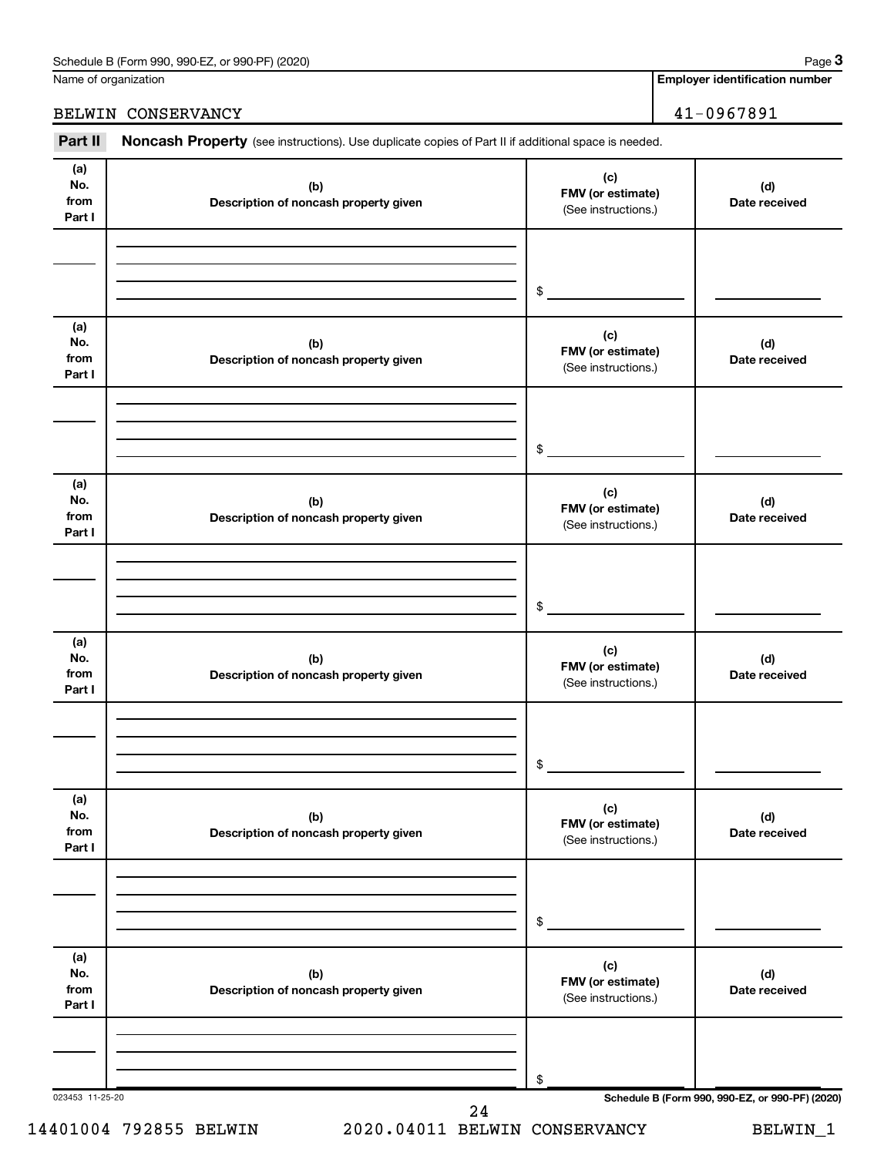Name of organization

BELWIN CONSERVANCY 141-0967891

**Employer identification number**

023453 11-25-20 **Schedule B (Form 990, 990-EZ, or 990-PF) (2020) (a) No. from Part I (c) FMV (or estimate) (b) Description of noncash property given (d) Date received (a) No. from Part I (c) FMV (or estimate) (b) Description of noncash property given (d) Date received (a) No. from Part I (c) FMV (or estimate) (b) Description of noncash property given (d) Date received (a) No. from Part I (c) FMV (or estimate) (b) Description of noncash property given (d) Date received (a) No. from Part I (c) FMV (or estimate) (b) Description of noncash property given (d) Date received (a) No. from Part I (c) FMV (or estimate) (b) Description of noncash property given (d) Date received** Part II Noncash Property (see instructions). Use duplicate copies of Part II if additional space is needed. (See instructions.) \$ (See instructions.) \$ (See instructions.) \$ (See instructions.) \$ (See instructions.) \$ (See instructions.) \$ 24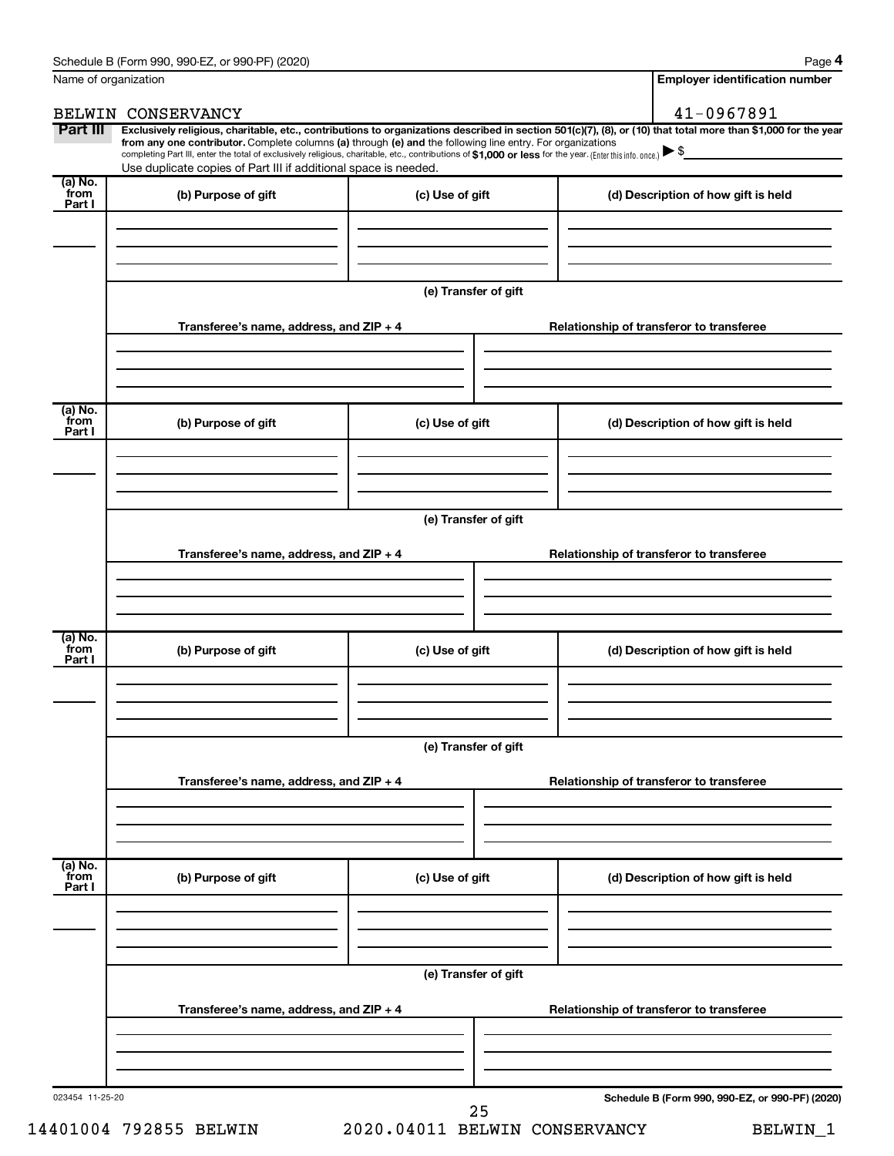**4**

|                            | Name of organization                                                                                                                                                                                                                                                                                                                                                                                                                                                                                                                 |                      |  | <b>Employer identification number</b>           |
|----------------------------|--------------------------------------------------------------------------------------------------------------------------------------------------------------------------------------------------------------------------------------------------------------------------------------------------------------------------------------------------------------------------------------------------------------------------------------------------------------------------------------------------------------------------------------|----------------------|--|-------------------------------------------------|
|                            | BELWIN CONSERVANCY                                                                                                                                                                                                                                                                                                                                                                                                                                                                                                                   |                      |  | 41-0967891                                      |
| Part III                   | Exclusively religious, charitable, etc., contributions to organizations described in section 501(c)(7), (8), or (10) that total more than \$1,000 for the year<br>from any one contributor. Complete columns (a) through (e) and the following line entry. For organizations<br>completing Part III, enter the total of exclusively religious, charitable, etc., contributions of \$1,000 or less for the year. (Enter this info. once.) $\blacktriangleright$ \$<br>Use duplicate copies of Part III if additional space is needed. |                      |  |                                                 |
| (a) No.<br>`from<br>Part I | (b) Purpose of gift                                                                                                                                                                                                                                                                                                                                                                                                                                                                                                                  | (c) Use of gift      |  | (d) Description of how gift is held             |
|                            |                                                                                                                                                                                                                                                                                                                                                                                                                                                                                                                                      |                      |  |                                                 |
|                            |                                                                                                                                                                                                                                                                                                                                                                                                                                                                                                                                      | (e) Transfer of gift |  |                                                 |
|                            | Transferee's name, address, and ZIP + 4                                                                                                                                                                                                                                                                                                                                                                                                                                                                                              |                      |  | Relationship of transferor to transferee        |
| (a) No.                    |                                                                                                                                                                                                                                                                                                                                                                                                                                                                                                                                      |                      |  |                                                 |
| from<br>Part I             | (b) Purpose of gift                                                                                                                                                                                                                                                                                                                                                                                                                                                                                                                  | (c) Use of gift      |  | (d) Description of how gift is held             |
|                            |                                                                                                                                                                                                                                                                                                                                                                                                                                                                                                                                      |                      |  |                                                 |
|                            |                                                                                                                                                                                                                                                                                                                                                                                                                                                                                                                                      | (e) Transfer of gift |  |                                                 |
|                            | Transferee's name, address, and ZIP + 4                                                                                                                                                                                                                                                                                                                                                                                                                                                                                              |                      |  | Relationship of transferor to transferee        |
|                            |                                                                                                                                                                                                                                                                                                                                                                                                                                                                                                                                      |                      |  |                                                 |
| (a) No.<br>from<br>Part I  | (b) Purpose of gift                                                                                                                                                                                                                                                                                                                                                                                                                                                                                                                  | (c) Use of gift      |  | (d) Description of how gift is held             |
|                            |                                                                                                                                                                                                                                                                                                                                                                                                                                                                                                                                      |                      |  |                                                 |
|                            |                                                                                                                                                                                                                                                                                                                                                                                                                                                                                                                                      | (e) Transfer of gift |  |                                                 |
|                            | Transferee's name, address, and ZIP + 4                                                                                                                                                                                                                                                                                                                                                                                                                                                                                              |                      |  | Relationship of transferor to transferee        |
|                            |                                                                                                                                                                                                                                                                                                                                                                                                                                                                                                                                      |                      |  |                                                 |
| (a) No.<br>from<br>Part I  | (b) Purpose of gift                                                                                                                                                                                                                                                                                                                                                                                                                                                                                                                  | (c) Use of gift      |  | (d) Description of how gift is held             |
|                            |                                                                                                                                                                                                                                                                                                                                                                                                                                                                                                                                      |                      |  |                                                 |
|                            |                                                                                                                                                                                                                                                                                                                                                                                                                                                                                                                                      | (e) Transfer of gift |  |                                                 |
|                            | Transferee's name, address, and ZIP + 4                                                                                                                                                                                                                                                                                                                                                                                                                                                                                              |                      |  | Relationship of transferor to transferee        |
|                            |                                                                                                                                                                                                                                                                                                                                                                                                                                                                                                                                      |                      |  |                                                 |
| 023454 11-25-20            |                                                                                                                                                                                                                                                                                                                                                                                                                                                                                                                                      | 25                   |  | Schedule B (Form 990, 990-EZ, or 990-PF) (2020) |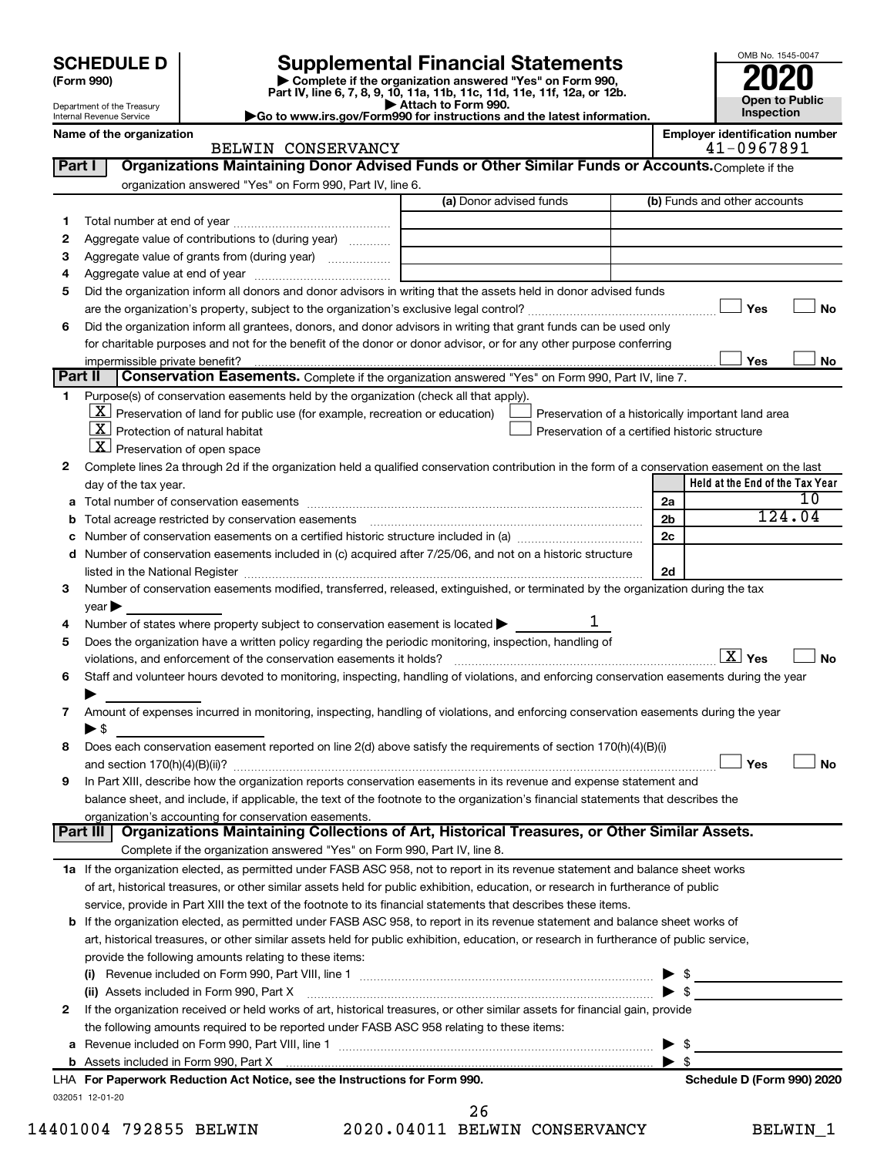| <b>SCHEDULE D</b> |  |
|-------------------|--|
|-------------------|--|

| (Form 990) |  |
|------------|--|
|------------|--|

# **SCHEDULE D Supplemental Financial Statements**<br> **Form 990 2020**<br> **Part IV** line 6.7.8.9.10, 11a, 11b, 11d, 11d, 11d, 11d, 11d, 12a, 0r, 12b

**(Form 990) | Complete if the organization answered "Yes" on Form 990, Part IV, line 6, 7, 8, 9, 10, 11a, 11b, 11c, 11d, 11e, 11f, 12a, or 12b.**

**| Attach to Form 990. |Go to www.irs.gov/Form990 for instructions and the latest information.**



Department of the Treasury Internal Revenue Service

| <b>ILWIN CONSERVANCY</b> |  |                                              |
|--------------------------|--|----------------------------------------------|
|                          |  | de la terra la la ser Desenera de de la serd |

**Name of the organization Employer identification number** BELWIN CONSERVANCY **11-0967891** 

| Part I  | Organizations Maintaining Donor Advised Funds or Other Similar Funds or Accounts. Complete if the<br>organization answered "Yes" on Form 990, Part IV, line 6.                                                                |                         |                                                    |                                 |
|---------|-------------------------------------------------------------------------------------------------------------------------------------------------------------------------------------------------------------------------------|-------------------------|----------------------------------------------------|---------------------------------|
|         |                                                                                                                                                                                                                               | (a) Donor advised funds | (b) Funds and other accounts                       |                                 |
| 1       |                                                                                                                                                                                                                               |                         |                                                    |                                 |
| 2       | Aggregate value of contributions to (during year)                                                                                                                                                                             |                         |                                                    |                                 |
| з       | Aggregate value of grants from (during year)                                                                                                                                                                                  |                         |                                                    |                                 |
| 4       |                                                                                                                                                                                                                               |                         |                                                    |                                 |
| 5       | Did the organization inform all donors and donor advisors in writing that the assets held in donor advised funds                                                                                                              |                         |                                                    |                                 |
|         |                                                                                                                                                                                                                               |                         |                                                    | Yes<br><b>No</b>                |
| 6       | Did the organization inform all grantees, donors, and donor advisors in writing that grant funds can be used only                                                                                                             |                         |                                                    |                                 |
|         | for charitable purposes and not for the benefit of the donor or donor advisor, or for any other purpose conferring                                                                                                            |                         |                                                    |                                 |
|         |                                                                                                                                                                                                                               |                         |                                                    | Yes<br>No                       |
| Part II | Conservation Easements. Complete if the organization answered "Yes" on Form 990, Part IV, line 7.                                                                                                                             |                         |                                                    |                                 |
| 1       | Purpose(s) of conservation easements held by the organization (check all that apply).                                                                                                                                         |                         |                                                    |                                 |
|         | $X$ Preservation of land for public use (for example, recreation or education)                                                                                                                                                |                         | Preservation of a historically important land area |                                 |
|         | $X$ Protection of natural habitat                                                                                                                                                                                             |                         | Preservation of a certified historic structure     |                                 |
|         | $ \mathbf{X} $ Preservation of open space                                                                                                                                                                                     |                         |                                                    |                                 |
| 2       | Complete lines 2a through 2d if the organization held a qualified conservation contribution in the form of a conservation easement on the last                                                                                |                         |                                                    |                                 |
|         | day of the tax year.                                                                                                                                                                                                          |                         |                                                    | Held at the End of the Tax Year |
| а       |                                                                                                                                                                                                                               |                         | 2a                                                 | 10                              |
| b       |                                                                                                                                                                                                                               |                         | 2 <sub>b</sub>                                     | 124.04                          |
|         |                                                                                                                                                                                                                               |                         | 2c                                                 |                                 |
|         | d Number of conservation easements included in (c) acquired after 7/25/06, and not on a historic structure                                                                                                                    |                         |                                                    |                                 |
|         | listed in the National Register [111] Marshall Register [11] Marshall Register [11] Marshall Register [11] Marshall Register [11] Marshall Register [11] Marshall Register [11] Marshall Register [11] Marshall Register [11] |                         | 2d                                                 |                                 |
| 3       | Number of conservation easements modified, transferred, released, extinguished, or terminated by the organization during the tax                                                                                              |                         |                                                    |                                 |
|         | $year \triangleright$                                                                                                                                                                                                         |                         |                                                    |                                 |
| 4       | Number of states where property subject to conservation easement is located >                                                                                                                                                 | 1                       |                                                    |                                 |
| 5       | Does the organization have a written policy regarding the periodic monitoring, inspection, handling of                                                                                                                        |                         |                                                    |                                 |
|         | violations, and enforcement of the conservation easements it holds?                                                                                                                                                           |                         | $\boxed{\text{X}}$ Yes                             | <b>No</b>                       |
| 6       | Staff and volunteer hours devoted to monitoring, inspecting, handling of violations, and enforcing conservation easements during the year                                                                                     |                         |                                                    |                                 |
|         |                                                                                                                                                                                                                               |                         |                                                    |                                 |
| 7       | Amount of expenses incurred in monitoring, inspecting, handling of violations, and enforcing conservation easements during the year                                                                                           |                         |                                                    |                                 |
|         | ► \$                                                                                                                                                                                                                          |                         |                                                    |                                 |
| 8       | Does each conservation easement reported on line 2(d) above satisfy the requirements of section 170(h)(4)(B)(i)                                                                                                               |                         |                                                    |                                 |
|         |                                                                                                                                                                                                                               |                         |                                                    | Yes<br><b>No</b>                |
| 9       | In Part XIII, describe how the organization reports conservation easements in its revenue and expense statement and                                                                                                           |                         |                                                    |                                 |
|         | balance sheet, and include, if applicable, the text of the footnote to the organization's financial statements that describes the                                                                                             |                         |                                                    |                                 |
|         | organization's accounting for conservation easements.                                                                                                                                                                         |                         |                                                    |                                 |
|         | Organizations Maintaining Collections of Art, Historical Treasures, or Other Similar Assets.<br>Part III                                                                                                                      |                         |                                                    |                                 |
|         | Complete if the organization answered "Yes" on Form 990, Part IV, line 8.                                                                                                                                                     |                         |                                                    |                                 |
|         | 1a If the organization elected, as permitted under FASB ASC 958, not to report in its revenue statement and balance sheet works                                                                                               |                         |                                                    |                                 |
|         | of art, historical treasures, or other similar assets held for public exhibition, education, or research in furtherance of public                                                                                             |                         |                                                    |                                 |
|         | service, provide in Part XIII the text of the footnote to its financial statements that describes these items.                                                                                                                |                         |                                                    |                                 |
|         | <b>b</b> If the organization elected, as permitted under FASB ASC 958, to report in its revenue statement and balance sheet works of                                                                                          |                         |                                                    |                                 |
|         | art, historical treasures, or other similar assets held for public exhibition, education, or research in furtherance of public service,                                                                                       |                         |                                                    |                                 |
|         | provide the following amounts relating to these items:                                                                                                                                                                        |                         |                                                    |                                 |
|         |                                                                                                                                                                                                                               |                         | \$<br>$\bullet$ \$                                 |                                 |
|         | (ii) Assets included in Form 990, Part X                                                                                                                                                                                      |                         |                                                    |                                 |
| 2       | If the organization received or held works of art, historical treasures, or other similar assets for financial gain, provide                                                                                                  |                         |                                                    |                                 |
|         | the following amounts required to be reported under FASB ASC 958 relating to these items:                                                                                                                                     |                         |                                                    |                                 |
|         |                                                                                                                                                                                                                               |                         | \$                                                 |                                 |
|         | b Assets included in Form 990, Part X [11, 120] Marten and March 2014 March 2015 (120) March 2015 (120) March 2015                                                                                                            |                         | $\blacktriangleright$ s                            |                                 |
|         | LHA For Paperwork Reduction Act Notice, see the Instructions for Form 990.                                                                                                                                                    |                         |                                                    | Schedule D (Form 990) 2020      |
|         | 032051 12-01-20                                                                                                                                                                                                               | 26                      |                                                    |                                 |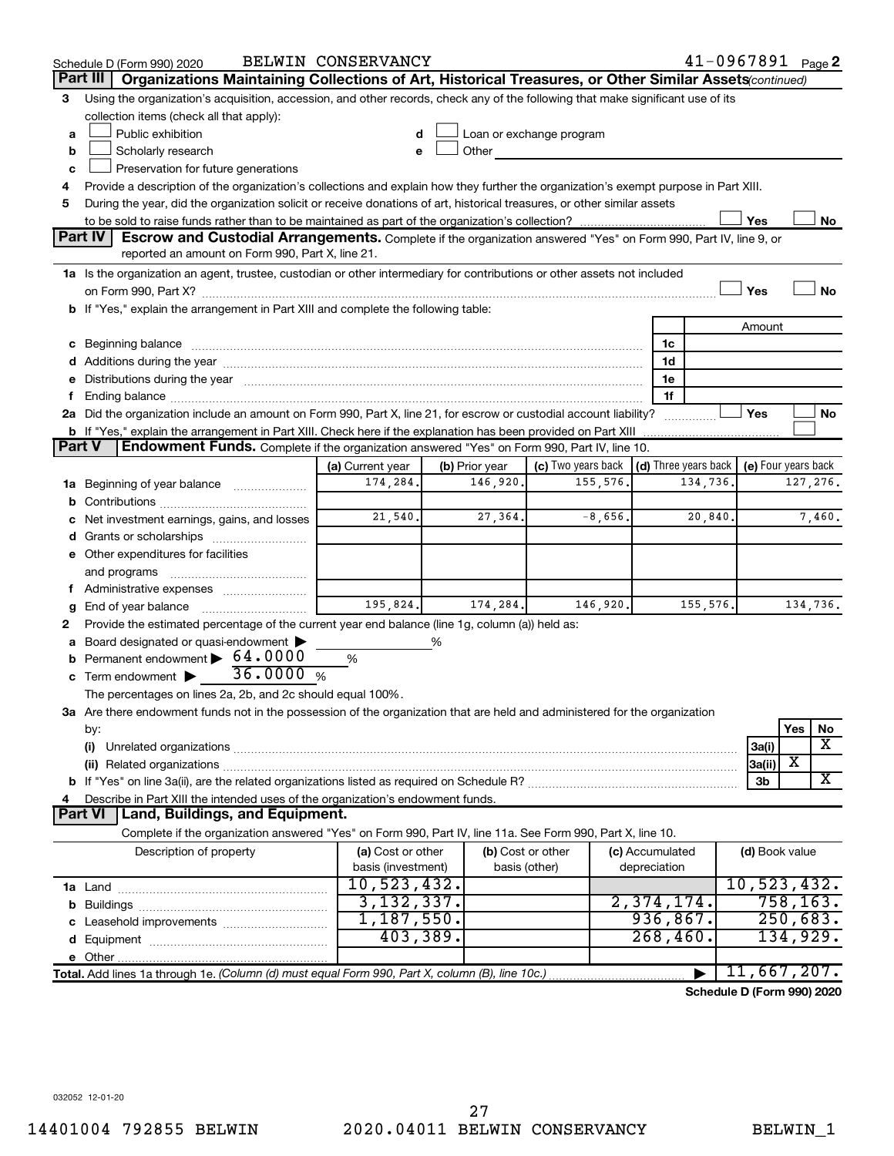|               | Schedule D (Form 990) 2020                                                                                                                                                                                                     | BELWIN CONSERVANCY |                |                                                                             |                 | $41 - 0967891$ Page 2      |                |          |           |
|---------------|--------------------------------------------------------------------------------------------------------------------------------------------------------------------------------------------------------------------------------|--------------------|----------------|-----------------------------------------------------------------------------|-----------------|----------------------------|----------------|----------|-----------|
|               | Organizations Maintaining Collections of Art, Historical Treasures, or Other Similar Assets (continued)<br>Part III                                                                                                            |                    |                |                                                                             |                 |                            |                |          |           |
| З             | Using the organization's acquisition, accession, and other records, check any of the following that make significant use of its                                                                                                |                    |                |                                                                             |                 |                            |                |          |           |
|               | collection items (check all that apply):                                                                                                                                                                                       |                    |                |                                                                             |                 |                            |                |          |           |
| a             | Public exhibition                                                                                                                                                                                                              |                    |                | Loan or exchange program                                                    |                 |                            |                |          |           |
| b             | Scholarly research                                                                                                                                                                                                             |                    | Other          |                                                                             |                 |                            |                |          |           |
| с             | Preservation for future generations                                                                                                                                                                                            |                    |                |                                                                             |                 |                            |                |          |           |
| 4             | Provide a description of the organization's collections and explain how they further the organization's exempt purpose in Part XIII.                                                                                           |                    |                |                                                                             |                 |                            |                |          |           |
| 5             | During the year, did the organization solicit or receive donations of art, historical treasures, or other similar assets                                                                                                       |                    |                |                                                                             |                 |                            |                |          |           |
|               |                                                                                                                                                                                                                                |                    |                |                                                                             |                 |                            | Yes            |          | No        |
|               | Part IV<br><b>Escrow and Custodial Arrangements.</b> Complete if the organization answered "Yes" on Form 990, Part IV, line 9, or<br>reported an amount on Form 990, Part X, line 21.                                          |                    |                |                                                                             |                 |                            |                |          |           |
|               | 1a Is the organization an agent, trustee, custodian or other intermediary for contributions or other assets not included                                                                                                       |                    |                |                                                                             |                 |                            |                |          |           |
|               |                                                                                                                                                                                                                                |                    |                |                                                                             |                 |                            | Yes            |          | No        |
|               | b If "Yes," explain the arrangement in Part XIII and complete the following table:                                                                                                                                             |                    |                |                                                                             |                 |                            |                |          |           |
|               |                                                                                                                                                                                                                                |                    |                |                                                                             |                 |                            | Amount         |          |           |
|               |                                                                                                                                                                                                                                |                    |                |                                                                             | 1c              |                            |                |          |           |
|               |                                                                                                                                                                                                                                |                    |                |                                                                             | 1d              |                            |                |          |           |
|               | e Distributions during the year manufactured and contain an account of the year manufactured and the year manufactured and the year manufactured and the year manufactured and the year manufactured and the year manufactured |                    |                |                                                                             | 1e              |                            |                |          |           |
|               |                                                                                                                                                                                                                                |                    |                |                                                                             | 1f              |                            |                |          |           |
|               | 2a Did the organization include an amount on Form 990, Part X, line 21, for escrow or custodial account liability?                                                                                                             |                    |                |                                                                             |                 |                            | Yes            |          | No        |
|               | <b>b</b> If "Yes," explain the arrangement in Part XIII. Check here if the explanation has been provided on Part XIII                                                                                                          |                    |                |                                                                             |                 |                            |                |          |           |
| <b>Part V</b> | Endowment Funds. Complete if the organization answered "Yes" on Form 990, Part IV, line 10.                                                                                                                                    |                    |                |                                                                             |                 |                            |                |          |           |
|               |                                                                                                                                                                                                                                | (a) Current year   | (b) Prior year | (c) Two years back $\vert$ (d) Three years back $\vert$ (e) Four years back |                 |                            |                |          |           |
|               | 1a Beginning of year balance                                                                                                                                                                                                   | 174,284.           | 146,920.       | 155,576.                                                                    |                 | 134,736.                   |                |          | 127,276.  |
| b             |                                                                                                                                                                                                                                |                    |                |                                                                             |                 |                            |                |          |           |
|               | Net investment earnings, gains, and losses                                                                                                                                                                                     | 21,540.            | 27, 364.       | $-8,656.$                                                                   |                 | 20,840.                    |                |          | 7,460.    |
|               | <b>d</b> Grants or scholarships <i></i>                                                                                                                                                                                        |                    |                |                                                                             |                 |                            |                |          |           |
|               | e Other expenditures for facilities                                                                                                                                                                                            |                    |                |                                                                             |                 |                            |                |          |           |
|               | and programs                                                                                                                                                                                                                   |                    |                |                                                                             |                 |                            |                |          |           |
|               | f Administrative expenses                                                                                                                                                                                                      |                    |                |                                                                             |                 |                            |                |          |           |
| g             | End of year balance <i></i>                                                                                                                                                                                                    | 195.824.           | 174,284.       | 146,920.                                                                    |                 | 155,576.                   |                |          | 134,736.  |
| 2             | Provide the estimated percentage of the current year end balance (line 1g, column (a)) held as:                                                                                                                                |                    |                |                                                                             |                 |                            |                |          |           |
|               | Board designated or quasi-endowment                                                                                                                                                                                            |                    | %              |                                                                             |                 |                            |                |          |           |
|               | <b>b</b> Permanent endowment $\triangleright$ 64.0000<br>36.0000%                                                                                                                                                              | %                  |                |                                                                             |                 |                            |                |          |           |
|               | c Term endowment $\blacktriangleright$                                                                                                                                                                                         |                    |                |                                                                             |                 |                            |                |          |           |
|               | The percentages on lines 2a, 2b, and 2c should equal 100%.                                                                                                                                                                     |                    |                |                                                                             |                 |                            |                |          |           |
|               | 3a Are there endowment funds not in the possession of the organization that are held and administered for the organization                                                                                                     |                    |                |                                                                             |                 |                            |                |          |           |
|               | by:                                                                                                                                                                                                                            |                    |                |                                                                             |                 |                            |                | Yes      | No<br>х   |
|               | (i)                                                                                                                                                                                                                            |                    |                |                                                                             |                 |                            | 3a(i)          | х        |           |
|               |                                                                                                                                                                                                                                |                    |                |                                                                             |                 |                            | 3a(ii)<br>3b   |          | x         |
| 4             | Describe in Part XIII the intended uses of the organization's endowment funds.                                                                                                                                                 |                    |                |                                                                             |                 |                            |                |          |           |
|               | Land, Buildings, and Equipment.<br><b>Part VI</b>                                                                                                                                                                              |                    |                |                                                                             |                 |                            |                |          |           |
|               | Complete if the organization answered "Yes" on Form 990, Part IV, line 11a. See Form 990, Part X, line 10.                                                                                                                     |                    |                |                                                                             |                 |                            |                |          |           |
|               | Description of property                                                                                                                                                                                                        | (a) Cost or other  |                | (b) Cost or other                                                           | (c) Accumulated |                            | (d) Book value |          |           |
|               |                                                                                                                                                                                                                                | basis (investment) |                | basis (other)                                                               | depreciation    |                            |                |          |           |
|               |                                                                                                                                                                                                                                | 10, 523, 432.      |                |                                                                             |                 |                            | 10, 523, 432.  |          |           |
|               |                                                                                                                                                                                                                                | 3,132,337.         |                |                                                                             | 2,374,174.      |                            |                |          | 758, 163. |
|               |                                                                                                                                                                                                                                | 1, 187, 550.       |                |                                                                             | 936,867.        |                            |                |          | 250,683.  |
|               |                                                                                                                                                                                                                                | 403,389.           |                |                                                                             | 268,460.        |                            |                | 134,929. |           |
|               |                                                                                                                                                                                                                                |                    |                |                                                                             |                 |                            |                |          |           |
|               | Total. Add lines 1a through 1e. (Column (d) must equal Form 990, Part X, column (B), line 10c.)                                                                                                                                |                    |                |                                                                             |                 |                            | 11,667,207.    |          |           |
|               |                                                                                                                                                                                                                                |                    |                |                                                                             |                 | Schedule D (Form 990) 2020 |                |          |           |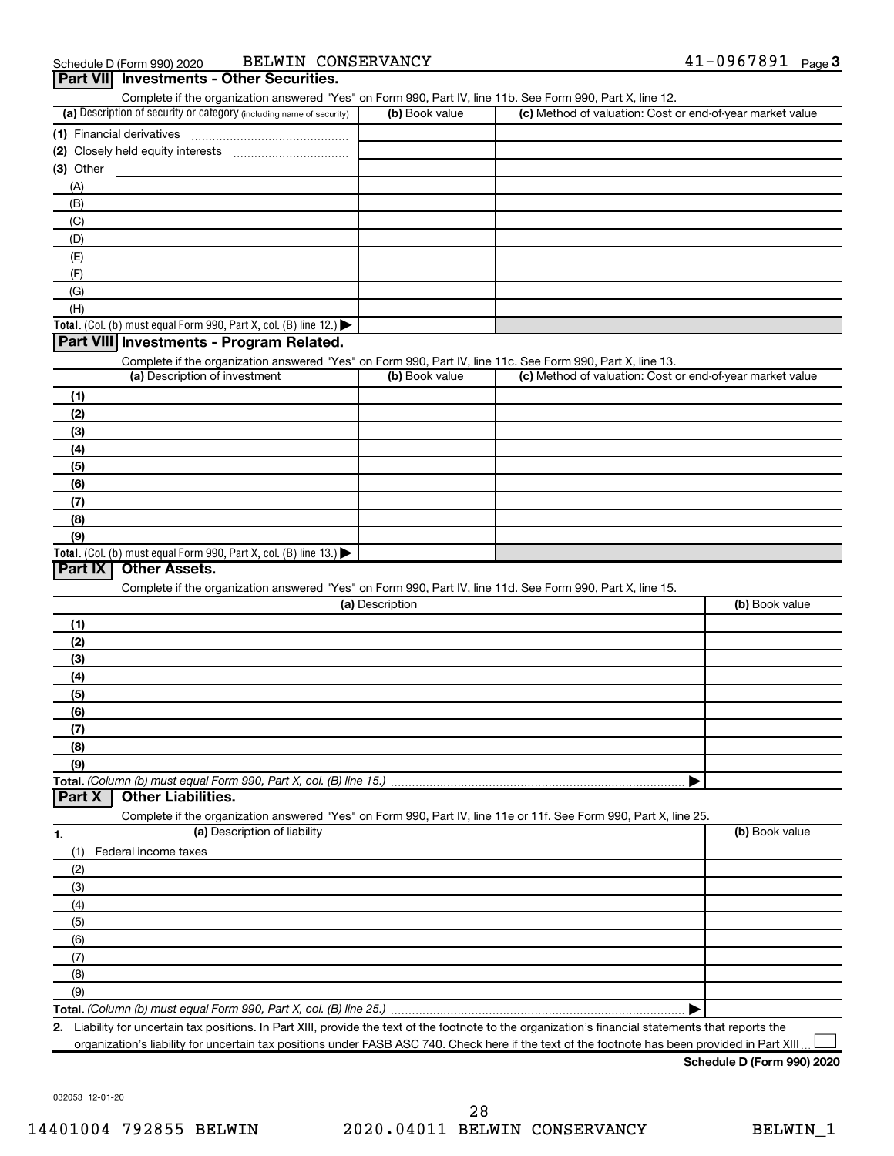**Part VII Investments - Other Securities.**

| Complete if the organization answered "Yes" on Form 990, Part IV, line 11b. See Form 990, Part X, line 12.        |                 |                                                           |                |
|-------------------------------------------------------------------------------------------------------------------|-----------------|-----------------------------------------------------------|----------------|
| (a) Description of security or category (including name of security)                                              | (b) Book value  | (c) Method of valuation: Cost or end-of-year market value |                |
|                                                                                                                   |                 |                                                           |                |
|                                                                                                                   |                 |                                                           |                |
| $(3)$ Other                                                                                                       |                 |                                                           |                |
| (A)                                                                                                               |                 |                                                           |                |
| (B)                                                                                                               |                 |                                                           |                |
| (C)                                                                                                               |                 |                                                           |                |
| (D)                                                                                                               |                 |                                                           |                |
| (E)                                                                                                               |                 |                                                           |                |
| (F)                                                                                                               |                 |                                                           |                |
| (G)                                                                                                               |                 |                                                           |                |
| (H)                                                                                                               |                 |                                                           |                |
| Total. (Col. (b) must equal Form 990, Part X, col. (B) line 12.) $\blacktriangleright$                            |                 |                                                           |                |
| Part VIII Investments - Program Related.                                                                          |                 |                                                           |                |
| Complete if the organization answered "Yes" on Form 990, Part IV, line 11c. See Form 990, Part X, line 13.        |                 |                                                           |                |
| (a) Description of investment                                                                                     | (b) Book value  | (c) Method of valuation: Cost or end-of-year market value |                |
|                                                                                                                   |                 |                                                           |                |
| (1)                                                                                                               |                 |                                                           |                |
| (2)                                                                                                               |                 |                                                           |                |
| (3)                                                                                                               |                 |                                                           |                |
| (4)                                                                                                               |                 |                                                           |                |
| (5)                                                                                                               |                 |                                                           |                |
| (6)                                                                                                               |                 |                                                           |                |
| (7)                                                                                                               |                 |                                                           |                |
| (8)                                                                                                               |                 |                                                           |                |
| (9)                                                                                                               |                 |                                                           |                |
| Total. (Col. (b) must equal Form 990, Part X, col. (B) line 13.)                                                  |                 |                                                           |                |
| Part IX<br><b>Other Assets.</b>                                                                                   |                 |                                                           |                |
| Complete if the organization answered "Yes" on Form 990, Part IV, line 11d. See Form 990, Part X, line 15.        |                 |                                                           |                |
|                                                                                                                   | (a) Description |                                                           | (b) Book value |
| (1)                                                                                                               |                 |                                                           |                |
| (2)                                                                                                               |                 |                                                           |                |
| (3)                                                                                                               |                 |                                                           |                |
| (4)                                                                                                               |                 |                                                           |                |
| (5)                                                                                                               |                 |                                                           |                |
| (6)                                                                                                               |                 |                                                           |                |
| (7)                                                                                                               |                 |                                                           |                |
| (8)                                                                                                               |                 |                                                           |                |
| (9)                                                                                                               |                 |                                                           |                |
| Total. (Column (b) must equal Form 990, Part X, col. (B) line 15.)                                                |                 |                                                           |                |
| <b>Other Liabilities.</b><br>Part X                                                                               |                 |                                                           |                |
| Complete if the organization answered "Yes" on Form 990, Part IV, line 11e or 11f. See Form 990, Part X, line 25. |                 |                                                           |                |
| (a) Description of liability<br>1.                                                                                |                 |                                                           | (b) Book value |
| (1)<br>Federal income taxes                                                                                       |                 |                                                           |                |
| (2)                                                                                                               |                 |                                                           |                |
| (3)                                                                                                               |                 |                                                           |                |
|                                                                                                                   |                 |                                                           |                |
| (4)                                                                                                               |                 |                                                           |                |
| (5)                                                                                                               |                 |                                                           |                |
| (6)                                                                                                               |                 |                                                           |                |
| (7)                                                                                                               |                 |                                                           |                |
|                                                                                                                   |                 |                                                           |                |
| (8)                                                                                                               |                 |                                                           |                |
| (9)                                                                                                               |                 |                                                           |                |

**2.** Liability for uncertain tax positions. In Part XIII, provide the text of the footnote to the organization's financial statements that reports the organization's liability for uncertain tax positions under FASB ASC 740. Check here if the text of the footnote has been provided in Part XIII  $\perp$ 

**Schedule D (Form 990) 2020**

032053 12-01-20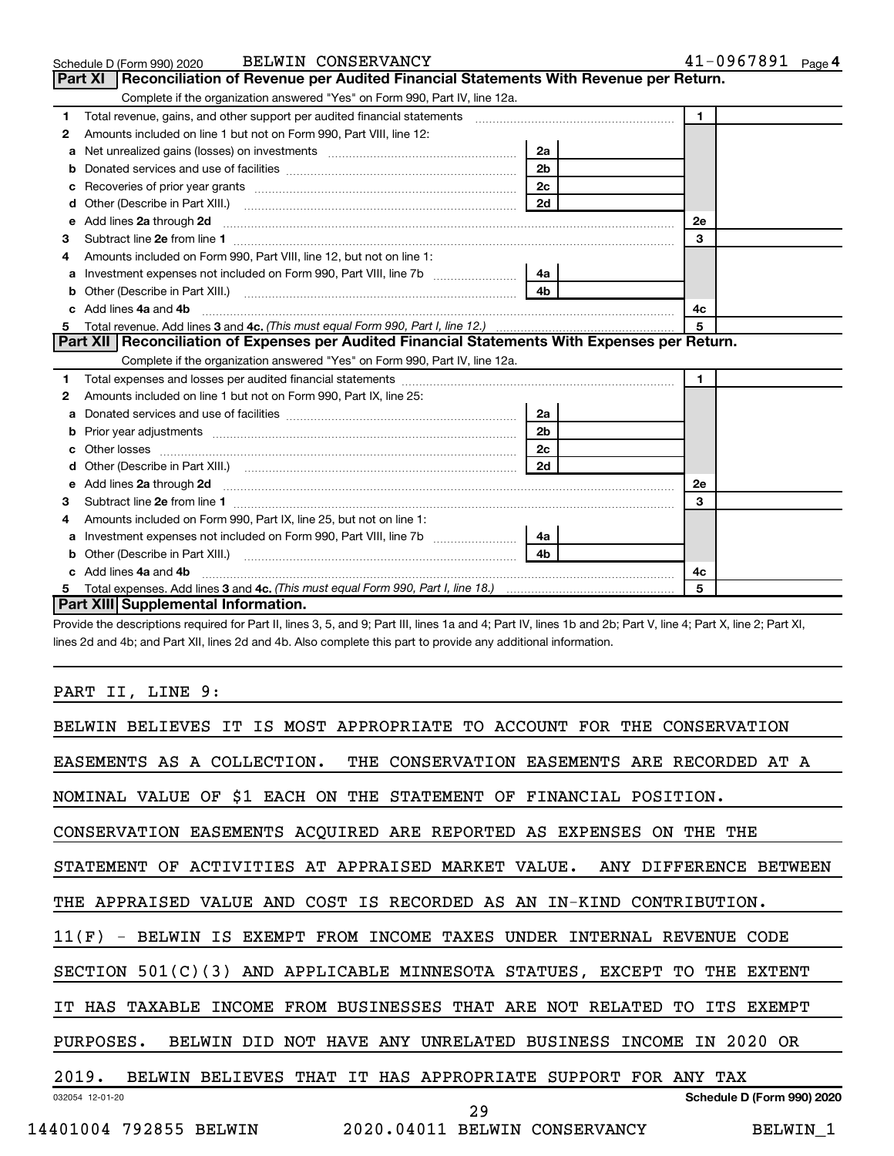|    | BELWIN CONSERVANCY<br>Schedule D (Form 990) 2020                                                                                                                                                                                     |                | $41 - 0967891$ Page 4 |
|----|--------------------------------------------------------------------------------------------------------------------------------------------------------------------------------------------------------------------------------------|----------------|-----------------------|
|    | Part XI   Reconciliation of Revenue per Audited Financial Statements With Revenue per Return.                                                                                                                                        |                |                       |
|    | Complete if the organization answered "Yes" on Form 990, Part IV, line 12a.                                                                                                                                                          |                |                       |
| 1  | Total revenue, gains, and other support per audited financial statements [[[[[[[[[[[[[[[[[[[[[[[[]]]]]]]]]]]]                                                                                                                        |                | $\mathbf{1}$          |
| 2  | Amounts included on line 1 but not on Form 990, Part VIII, line 12:                                                                                                                                                                  |                |                       |
| a  | Net unrealized gains (losses) on investments [111] [12] matter and the unrealized gains (losses) on investments                                                                                                                      | 2a             |                       |
|    |                                                                                                                                                                                                                                      | 2 <sub>b</sub> |                       |
| C  |                                                                                                                                                                                                                                      | 2c             |                       |
| d  |                                                                                                                                                                                                                                      | 2d             |                       |
| е  | Add lines 2a through 2d <b>continuum continuum contract and all the contract and all the contract and all the contract and all the contract of the contract of the contract of the contract of the contract of the contract of t</b> |                | 2e                    |
| 3  |                                                                                                                                                                                                                                      |                | 3                     |
|    | Amounts included on Form 990, Part VIII, line 12, but not on line 1:                                                                                                                                                                 |                |                       |
| a  |                                                                                                                                                                                                                                      | 4a             |                       |
| b  |                                                                                                                                                                                                                                      | 4 <sub>b</sub> |                       |
|    | Add lines 4a and 4b                                                                                                                                                                                                                  | 4с             |                       |
| 5  |                                                                                                                                                                                                                                      |                | 5                     |
|    | Part XII   Reconciliation of Expenses per Audited Financial Statements With Expenses per Return.                                                                                                                                     |                |                       |
|    | Complete if the organization answered "Yes" on Form 990, Part IV, line 12a.                                                                                                                                                          |                |                       |
| 1. |                                                                                                                                                                                                                                      |                | $\blacksquare$        |
| 2  | Amounts included on line 1 but not on Form 990, Part IX, line 25:                                                                                                                                                                    |                |                       |
| a  |                                                                                                                                                                                                                                      | 2a             |                       |
| b  |                                                                                                                                                                                                                                      | 2 <sub>b</sub> |                       |
|    |                                                                                                                                                                                                                                      | 2c             |                       |
| d  |                                                                                                                                                                                                                                      |                |                       |
| е  | Add lines 2a through 2d <b>manufactures</b> in the contract of the state of the state of the state of the state of the state of the state of the state of the state of the state of the state of the state of the state of the stat  |                | 2e                    |
| 3  |                                                                                                                                                                                                                                      |                | 3                     |
| 4  | Amounts included on Form 990, Part IX, line 25, but not on line 1:                                                                                                                                                                   |                |                       |
| a  | Investment expenses not included on Form 990, Part VIII, line 7b [11, 111, 120]                                                                                                                                                      | 4a             |                       |
|    |                                                                                                                                                                                                                                      | 4 <sub>h</sub> |                       |
| c. | Add lines 4a and 4b                                                                                                                                                                                                                  |                | 4с                    |
|    |                                                                                                                                                                                                                                      |                | 5                     |
|    | Part XIII Supplemental Information.                                                                                                                                                                                                  |                |                       |

Provide the descriptions required for Part II, lines 3, 5, and 9; Part III, lines 1a and 4; Part IV, lines 1b and 2b; Part V, line 4; Part X, line 2; Part XI, lines 2d and 4b; and Part XII, lines 2d and 4b. Also complete this part to provide any additional information.

#### PART II, LINE 9:

| IS MOST APPROPRIATE TO ACCOUNT FOR THE CONSERVATION<br>BELWIN BELIEVES<br>TT.                                |
|--------------------------------------------------------------------------------------------------------------|
| EASEMENTS AS A COLLECTION.<br>THE<br>CONSERVATION EASEMENTS ARE RECORDED AT A                                |
| NOMINAL VALUE OF \$1 EACH ON THE STATEMENT OF FINANCIAL POSITION.                                            |
| CONSERVATION EASEMENTS ACQUIRED ARE REPORTED AS EXPENSES<br>THE THE<br>ON                                    |
| STATEMENT OF<br>ACTIVITIES AT APPRAISED MARKET VALUE.<br>ANY DIFFERENCE BETWEEN                              |
| THE APPRAISED VALUE AND COST IS RECORDED AS AN IN-KIND CONTRIBUTION.                                         |
| 11(F)<br>IS<br>EXEMPT FROM INCOME TAXES UNDER<br>BELWIN<br>INTERNAL REVENUE CODE<br>$\overline{\phantom{a}}$ |
| SECTION $501(C)(3)$ and applicable minnesota statues, except to<br>THE<br>EXTENT                             |
| INCOME FROM BUSINESSES THAT ARE NOT RELATED<br>IT HAS TAXABLE<br>ITS<br>EXEMPT<br>TO.                        |
| NOT HAVE ANY UNRELATED<br>IN 2020 OR<br>PURPOSES.<br>BELWIN DID<br>BUSINESS INCOME                           |
| 2019.<br>BELIEVES THAT IT HAS APPROPRIATE<br>SUPPORT FOR ANY TAX<br><b>BELWIN</b>                            |
| Schedule D (Form 990) 2020<br>032054 12-01-20<br>29                                                          |
| 2020.04011 BELWIN CONSERVANCY<br>14401004<br>792855<br><b>BELWIN</b><br>BELWIN 1                             |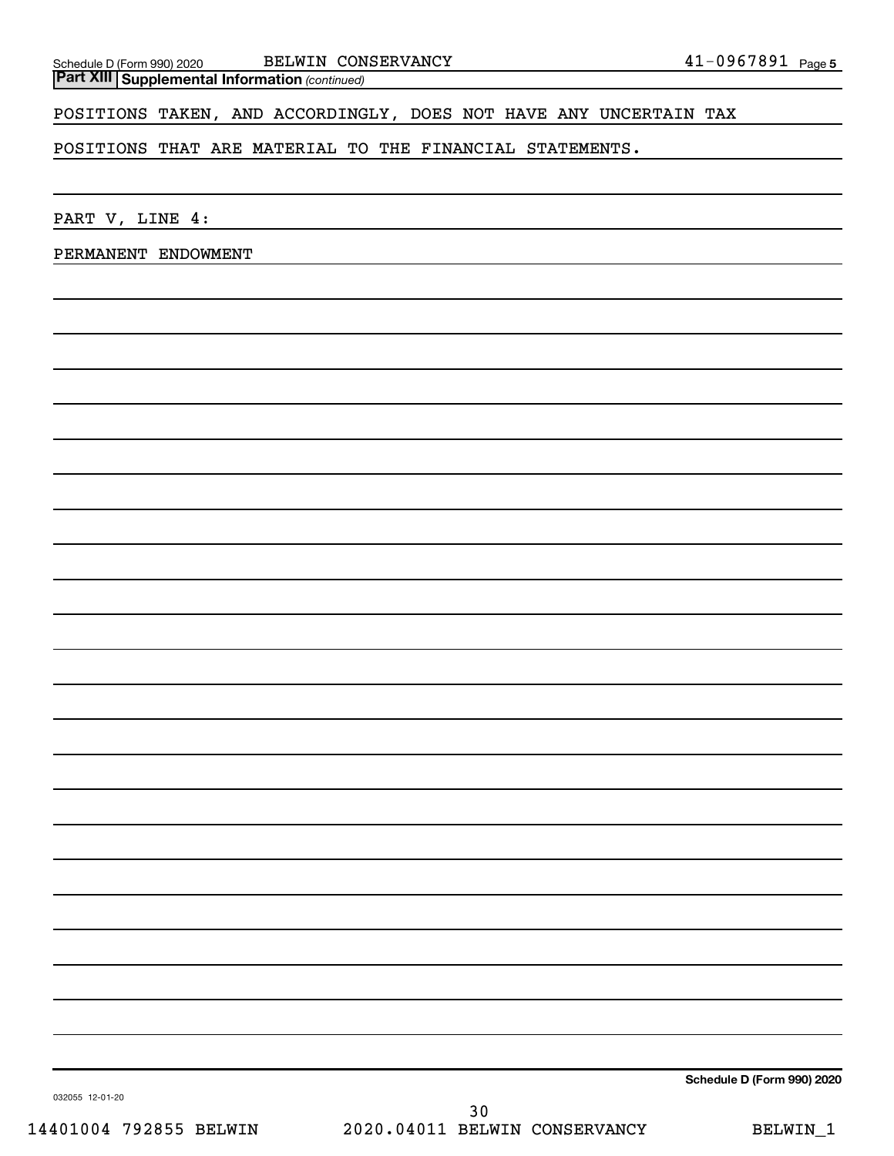*(continued)* **Part XIII Supplemental Information** 

#### POSITIONS TAKEN, AND ACCORDINGLY, DOES NOT HAVE ANY UNCERTAIN TAX

#### POSITIONS THAT ARE MATERIAL TO THE FINANCIAL STATEMENTS.

PART V, LINE 4:

PERMANENT ENDOWMENT

**Schedule D (Form 990) 2020**

032055 12-01-20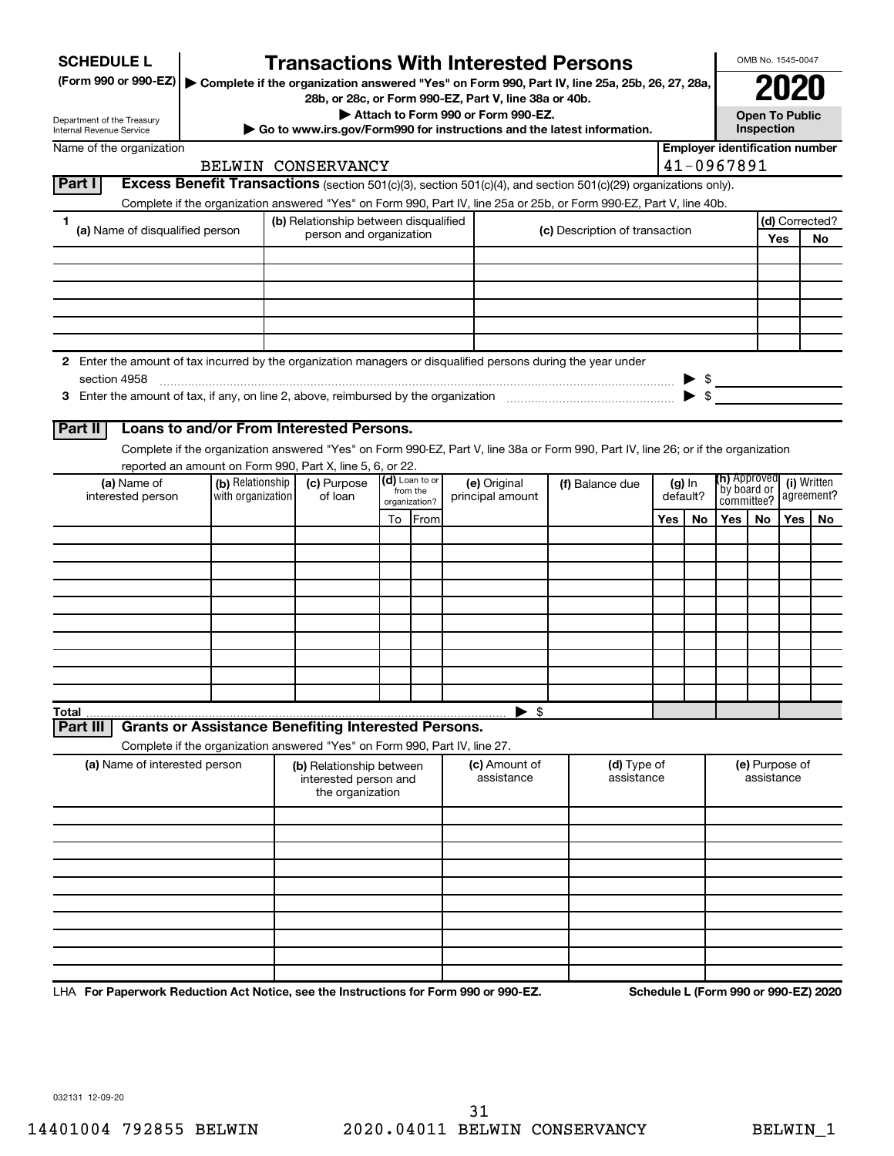| <b>SCHEDULE L</b>                                                                                                             |                    | <b>Transactions With Interested Persons</b>                                                                                        |  |                           |  |                                    |                           |                                |                              |                          |                     | OMB No. 1545-0047                     |            |                |
|-------------------------------------------------------------------------------------------------------------------------------|--------------------|------------------------------------------------------------------------------------------------------------------------------------|--|---------------------------|--|------------------------------------|---------------------------|--------------------------------|------------------------------|--------------------------|---------------------|---------------------------------------|------------|----------------|
| (Form 990 or 990-EZ)   Complete if the organization answered "Yes" on Form 990, Part IV, line 25a, 25b, 26, 27, 28a,          |                    |                                                                                                                                    |  |                           |  |                                    |                           |                                |                              |                          |                     |                                       |            |                |
| Department of the Treasury                                                                                                    |                    | 28b, or 28c, or Form 990-EZ, Part V, line 38a or 40b.                                                                              |  |                           |  | Attach to Form 990 or Form 990-EZ. |                           |                                |                              |                          |                     | <b>Open To Public</b>                 |            |                |
| <b>Internal Revenue Service</b>                                                                                               |                    | $\triangleright$ Go to www.irs.gov/Form990 for instructions and the latest information.                                            |  |                           |  |                                    |                           |                                |                              |                          |                     | Inspection                            |            |                |
| Name of the organization                                                                                                      | BELWIN CONSERVANCY |                                                                                                                                    |  |                           |  |                                    |                           |                                |                              |                          |                     | <b>Employer identification number</b> |            |                |
| Part I                                                                                                                        |                    | Excess Benefit Transactions (section 501(c)(3), section 501(c)(4), and section 501(c)(29) organizations only).                     |  |                           |  |                                    |                           |                                |                              |                          | 41-0967891          |                                       |            |                |
|                                                                                                                               |                    | Complete if the organization answered "Yes" on Form 990, Part IV, line 25a or 25b, or Form 990-EZ, Part V, line 40b.               |  |                           |  |                                    |                           |                                |                              |                          |                     |                                       |            |                |
| 1<br>(a) Name of disqualified person                                                                                          |                    | (b) Relationship between disqualified                                                                                              |  |                           |  |                                    |                           | (c) Description of transaction |                              |                          |                     |                                       |            | (d) Corrected? |
|                                                                                                                               |                    | person and organization                                                                                                            |  |                           |  |                                    |                           |                                |                              |                          |                     |                                       | Yes        | No             |
|                                                                                                                               |                    |                                                                                                                                    |  |                           |  |                                    |                           |                                |                              |                          |                     |                                       |            |                |
|                                                                                                                               |                    |                                                                                                                                    |  |                           |  |                                    |                           |                                |                              |                          |                     |                                       |            |                |
|                                                                                                                               |                    |                                                                                                                                    |  |                           |  |                                    |                           |                                |                              |                          |                     |                                       |            |                |
|                                                                                                                               |                    |                                                                                                                                    |  |                           |  |                                    |                           |                                |                              |                          |                     |                                       |            |                |
|                                                                                                                               |                    |                                                                                                                                    |  |                           |  |                                    |                           |                                |                              |                          |                     |                                       |            |                |
| 2 Enter the amount of tax incurred by the organization managers or disqualified persons during the year under<br>section 4958 |                    |                                                                                                                                    |  |                           |  |                                    |                           |                                |                              |                          |                     |                                       |            |                |
|                                                                                                                               |                    |                                                                                                                                    |  |                           |  |                                    |                           |                                |                              | $\blacktriangleright$ \$ | $\triangleright$ \$ |                                       |            |                |
|                                                                                                                               |                    |                                                                                                                                    |  |                           |  |                                    |                           |                                |                              |                          |                     |                                       |            |                |
| Part II                                                                                                                       |                    | Loans to and/or From Interested Persons.                                                                                           |  |                           |  |                                    |                           |                                |                              |                          |                     |                                       |            |                |
|                                                                                                                               |                    | Complete if the organization answered "Yes" on Form 990-EZ, Part V, line 38a or Form 990, Part IV, line 26; or if the organization |  |                           |  |                                    |                           |                                |                              |                          |                     |                                       |            |                |
| (a) Name of                                                                                                                   | (b) Relationship   | reported an amount on Form 990, Part X, line 5, 6, or 22.<br>(c) Purpose                                                           |  | (d) Loan to or            |  | (e) Original                       |                           | (f) Balance due                |                              | $(g)$ In                 | (h) Approved        |                                       |            | (i) Written    |
| interested person                                                                                                             | with organization  | of loan                                                                                                                            |  | from the<br>organization? |  | principal amount                   |                           |                                |                              | default?<br>committee?   |                     | `by board or                          | agreement? |                |
|                                                                                                                               |                    |                                                                                                                                    |  | To From                   |  |                                    |                           |                                | Yes                          | No                       | <b>Yes</b>          | No                                    | Yes        | No             |
|                                                                                                                               |                    |                                                                                                                                    |  |                           |  |                                    |                           |                                |                              |                          |                     |                                       |            |                |
|                                                                                                                               |                    |                                                                                                                                    |  |                           |  |                                    |                           |                                |                              |                          |                     |                                       |            |                |
|                                                                                                                               |                    |                                                                                                                                    |  |                           |  |                                    |                           |                                |                              |                          |                     |                                       |            |                |
|                                                                                                                               |                    |                                                                                                                                    |  |                           |  |                                    |                           |                                |                              |                          |                     |                                       |            |                |
|                                                                                                                               |                    |                                                                                                                                    |  |                           |  |                                    |                           |                                |                              |                          |                     |                                       |            |                |
|                                                                                                                               |                    |                                                                                                                                    |  |                           |  |                                    |                           |                                |                              |                          |                     |                                       |            |                |
|                                                                                                                               |                    |                                                                                                                                    |  |                           |  |                                    |                           |                                |                              |                          |                     |                                       |            |                |
|                                                                                                                               |                    |                                                                                                                                    |  |                           |  |                                    |                           |                                |                              |                          |                     |                                       |            |                |
| Total,                                                                                                                        |                    |                                                                                                                                    |  |                           |  | $\blacktriangleright$ \$           |                           |                                |                              |                          |                     |                                       |            |                |
| Part III                                                                                                                      |                    | <b>Grants or Assistance Benefiting Interested Persons.</b>                                                                         |  |                           |  |                                    |                           |                                |                              |                          |                     |                                       |            |                |
|                                                                                                                               |                    | Complete if the organization answered "Yes" on Form 990, Part IV, line 27.                                                         |  |                           |  |                                    |                           |                                |                              |                          |                     |                                       |            |                |
| (a) Name of interested person                                                                                                 |                    | (b) Relationship between<br>interested person and<br>the organization                                                              |  |                           |  | (c) Amount of<br>assistance        | (d) Type of<br>assistance |                                | (e) Purpose of<br>assistance |                          |                     |                                       |            |                |
|                                                                                                                               |                    |                                                                                                                                    |  |                           |  |                                    |                           |                                |                              |                          |                     |                                       |            |                |
|                                                                                                                               |                    |                                                                                                                                    |  |                           |  |                                    |                           |                                |                              |                          |                     |                                       |            |                |
|                                                                                                                               |                    |                                                                                                                                    |  |                           |  |                                    |                           |                                |                              |                          |                     |                                       |            |                |
|                                                                                                                               |                    |                                                                                                                                    |  |                           |  |                                    |                           |                                |                              |                          |                     |                                       |            |                |
|                                                                                                                               |                    |                                                                                                                                    |  |                           |  |                                    |                           |                                |                              |                          |                     |                                       |            |                |
|                                                                                                                               |                    |                                                                                                                                    |  |                           |  |                                    |                           |                                |                              |                          |                     |                                       |            |                |
|                                                                                                                               |                    |                                                                                                                                    |  |                           |  |                                    |                           |                                |                              |                          |                     |                                       |            |                |
|                                                                                                                               |                    |                                                                                                                                    |  |                           |  |                                    |                           |                                |                              |                          |                     |                                       |            |                |
|                                                                                                                               |                    |                                                                                                                                    |  |                           |  |                                    |                           |                                |                              |                          |                     |                                       |            |                |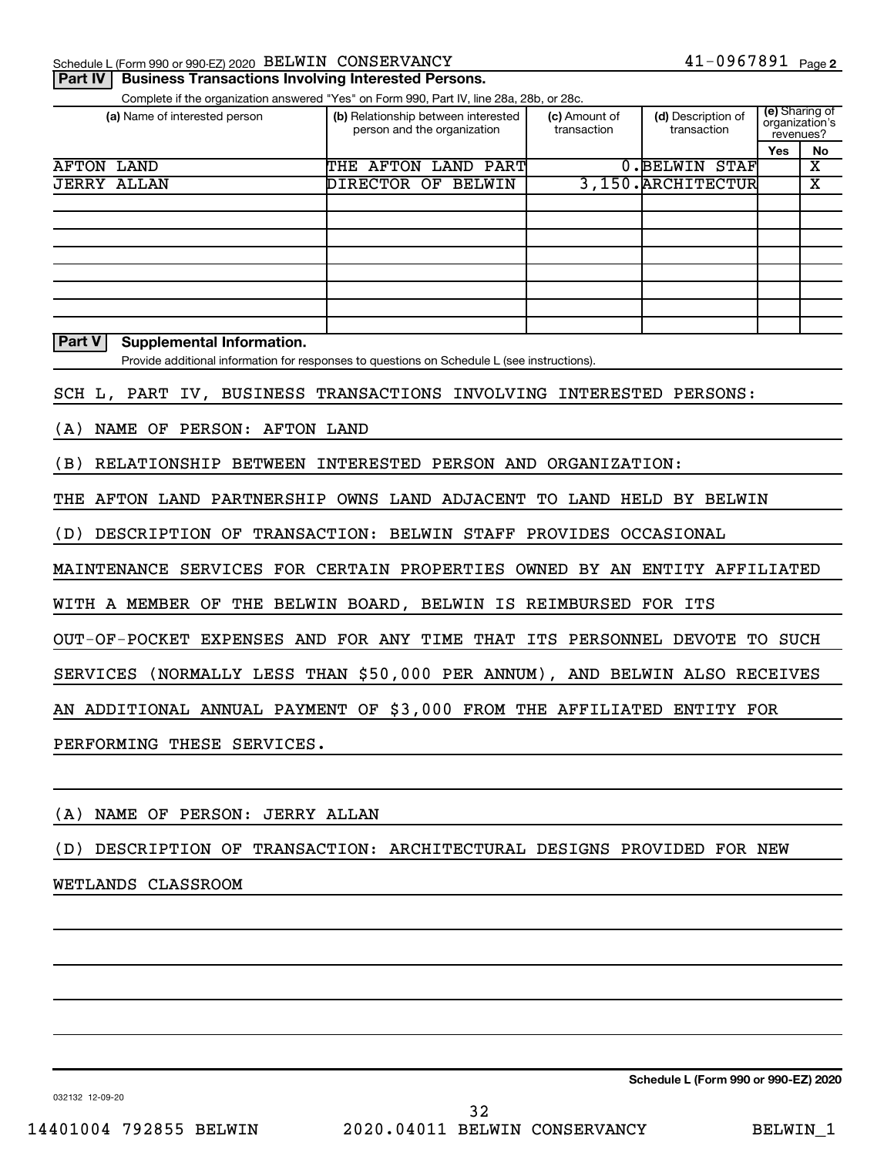Schedule L (Form 990 or 990-EZ) 2020 BELWIN CONSERVANCY  $41-0967891$  Page

#### **Part IV** Business Transactions Involving Interested Persons.

Complete if the organization answered "Yes" on Form 990, Part IV, line 28a, 28b, or 28c.

| (a) Name of interested person | (b) Relationship between interested<br>person and the organization | (c) Amount of<br>transaction | (d) Description of<br>transaction | (e) Sharing of<br>organization's<br>revenues? |    |
|-------------------------------|--------------------------------------------------------------------|------------------------------|-----------------------------------|-----------------------------------------------|----|
|                               |                                                                    |                              |                                   | <b>Yes</b>                                    | No |
| AFTON LAND                    | PART<br>AFTON<br>LAND<br>THE                                       |                              | 0. BELWIN STAF                    |                                               | х  |
| <b>JERRY ALLAN</b>            | DIRECTOR OF BELWIN                                                 |                              | 3, 150. ARCHITECTUR               |                                               | х  |
|                               |                                                                    |                              |                                   |                                               |    |
|                               |                                                                    |                              |                                   |                                               |    |
|                               |                                                                    |                              |                                   |                                               |    |
|                               |                                                                    |                              |                                   |                                               |    |
|                               |                                                                    |                              |                                   |                                               |    |
|                               |                                                                    |                              |                                   |                                               |    |
|                               |                                                                    |                              |                                   |                                               |    |
|                               |                                                                    |                              |                                   |                                               |    |

**Part V Supplemental Information.**

Provide additional information for responses to questions on Schedule L (see instructions).

SCH L, PART IV, BUSINESS TRANSACTIONS INVOLVING INTERESTED PERSONS:

(A) NAME OF PERSON: AFTON LAND

(B) RELATIONSHIP BETWEEN INTERESTED PERSON AND ORGANIZATION:

THE AFTON LAND PARTNERSHIP OWNS LAND ADJACENT TO LAND HELD BY BELWIN

(D) DESCRIPTION OF TRANSACTION: BELWIN STAFF PROVIDES OCCASIONAL

MAINTENANCE SERVICES FOR CERTAIN PROPERTIES OWNED BY AN ENTITY AFFILIATED

WITH A MEMBER OF THE BELWIN BOARD, BELWIN IS REIMBURSED FOR ITS

OUT-OF-POCKET EXPENSES AND FOR ANY TIME THAT ITS PERSONNEL DEVOTE TO SUCH

SERVICES (NORMALLY LESS THAN \$50,000 PER ANNUM), AND BELWIN ALSO RECEIVES

AN ADDITIONAL ANNUAL PAYMENT OF \$3,000 FROM THE AFFILIATED ENTITY FOR

PERFORMING THESE SERVICES.

(A) NAME OF PERSON: JERRY ALLAN

(D) DESCRIPTION OF TRANSACTION: ARCHITECTURAL DESIGNS PROVIDED FOR NEW

WETLANDS CLASSROOM

**Schedule L (Form 990 or 990-EZ) 2020**

032132 12-09-20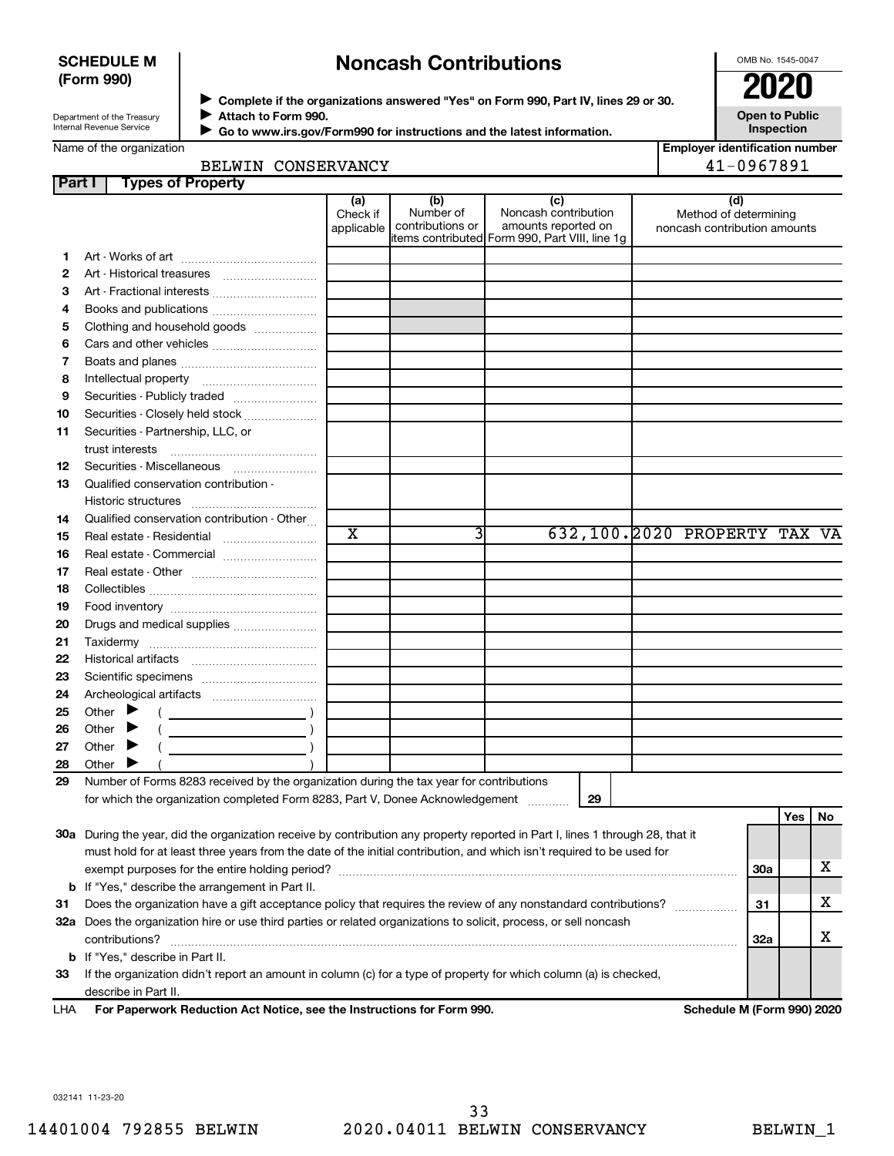#### **SCHEDULE M (Form 990)**

# **Noncash Contributions**

OMB No. 1545-0047

**Open to Public**

| Department of the Treasury |
|----------------------------|
| Internal Revenue Service   |

◆ Complete if the organizations answered "Yes" on Form 990, Part IV, lines 29 or 30.<br>● Complete if the organizations answered "Yes" on Form 990, Part IV, lines 29 or 30. **Attach to Form 990.**  $\blacktriangleright$ 

 **Go to www.irs.gov/Form990 for instructions and the latest information.** J

**Inspection Employer identification number**

| BELWIN CONSERVANCY | 41-0967891 |
|--------------------|------------|
|--------------------|------------|

| <b>Part I</b> | <b>Types of Property</b>                                                                                                                                                 |                               |                                      |                                                                                                       |                                                              |            |     |    |
|---------------|--------------------------------------------------------------------------------------------------------------------------------------------------------------------------|-------------------------------|--------------------------------------|-------------------------------------------------------------------------------------------------------|--------------------------------------------------------------|------------|-----|----|
|               |                                                                                                                                                                          | (a)<br>Check if<br>applicable | (b)<br>Number of<br>contributions or | (c)<br>Noncash contribution<br>amounts reported on<br>litems contributed Form 990, Part VIII, line 1g | (d)<br>Method of determining<br>noncash contribution amounts |            |     |    |
| 1.            |                                                                                                                                                                          |                               |                                      |                                                                                                       |                                                              |            |     |    |
| 2             |                                                                                                                                                                          |                               |                                      |                                                                                                       |                                                              |            |     |    |
| з             | Art - Fractional interests                                                                                                                                               |                               |                                      |                                                                                                       |                                                              |            |     |    |
| 4             | Books and publications                                                                                                                                                   |                               |                                      |                                                                                                       |                                                              |            |     |    |
| 5             | Clothing and household goods                                                                                                                                             |                               |                                      |                                                                                                       |                                                              |            |     |    |
| 6             | Cars and other vehicles                                                                                                                                                  |                               |                                      |                                                                                                       |                                                              |            |     |    |
| 7             |                                                                                                                                                                          |                               |                                      |                                                                                                       |                                                              |            |     |    |
| 8             |                                                                                                                                                                          |                               |                                      |                                                                                                       |                                                              |            |     |    |
| 9             |                                                                                                                                                                          |                               |                                      |                                                                                                       |                                                              |            |     |    |
| 10            | Securities - Closely held stock                                                                                                                                          |                               |                                      |                                                                                                       |                                                              |            |     |    |
| 11            | Securities - Partnership, LLC, or<br>trust interests                                                                                                                     |                               |                                      |                                                                                                       |                                                              |            |     |    |
| 12            | Securities - Miscellaneous                                                                                                                                               |                               |                                      |                                                                                                       |                                                              |            |     |    |
| 13            | Qualified conservation contribution -                                                                                                                                    |                               |                                      |                                                                                                       |                                                              |            |     |    |
| 14            | Qualified conservation contribution - Other                                                                                                                              |                               |                                      |                                                                                                       |                                                              |            |     |    |
| 15            |                                                                                                                                                                          | X                             | 3                                    |                                                                                                       | 632,100.2020 PROPERTY TAX VA                                 |            |     |    |
| 16            |                                                                                                                                                                          |                               |                                      |                                                                                                       |                                                              |            |     |    |
| 17            |                                                                                                                                                                          |                               |                                      |                                                                                                       |                                                              |            |     |    |
| 18            |                                                                                                                                                                          |                               |                                      |                                                                                                       |                                                              |            |     |    |
| 19            |                                                                                                                                                                          |                               |                                      |                                                                                                       |                                                              |            |     |    |
| 20            | Drugs and medical supplies                                                                                                                                               |                               |                                      |                                                                                                       |                                                              |            |     |    |
| 21            |                                                                                                                                                                          |                               |                                      |                                                                                                       |                                                              |            |     |    |
| 22            |                                                                                                                                                                          |                               |                                      |                                                                                                       |                                                              |            |     |    |
| 23            |                                                                                                                                                                          |                               |                                      |                                                                                                       |                                                              |            |     |    |
| 24            |                                                                                                                                                                          |                               |                                      |                                                                                                       |                                                              |            |     |    |
| 25            | Other                                                                                                                                                                    |                               |                                      |                                                                                                       |                                                              |            |     |    |
| 26            | Other                                                                                                                                                                    |                               |                                      |                                                                                                       |                                                              |            |     |    |
| 27            | Other<br>▸                                                                                                                                                               |                               |                                      |                                                                                                       |                                                              |            |     |    |
| 28            | Other                                                                                                                                                                    |                               |                                      |                                                                                                       |                                                              |            |     |    |
| 29            | Number of Forms 8283 received by the organization during the tax year for contributions<br>for which the organization completed Form 8283, Part V, Donee Acknowledgement |                               |                                      | 29                                                                                                    |                                                              |            |     |    |
|               |                                                                                                                                                                          |                               |                                      |                                                                                                       |                                                              |            | Yes | No |
|               | 30a During the year, did the organization receive by contribution any property reported in Part I, lines 1 through 28, that it                                           |                               |                                      |                                                                                                       |                                                              |            |     |    |
|               | must hold for at least three years from the date of the initial contribution, and which isn't required to be used for                                                    |                               |                                      |                                                                                                       |                                                              |            |     |    |
|               |                                                                                                                                                                          |                               |                                      |                                                                                                       |                                                              | <b>30a</b> |     | х  |
|               | <b>b</b> If "Yes," describe the arrangement in Part II.                                                                                                                  |                               |                                      |                                                                                                       |                                                              |            |     |    |
| 31            | Does the organization have a gift acceptance policy that requires the review of any nonstandard contributions?                                                           |                               |                                      |                                                                                                       |                                                              | 31         |     | х  |
|               | 32a Does the organization hire or use third parties or related organizations to solicit, process, or sell noncash<br>contributions?                                      |                               |                                      |                                                                                                       |                                                              | 32a        |     | х  |
|               | <b>b</b> If "Yes," describe in Part II.                                                                                                                                  |                               |                                      |                                                                                                       |                                                              |            |     |    |
| 33            | If the organization didn't report an amount in column (c) for a type of property for which column (a) is checked,                                                        |                               |                                      |                                                                                                       |                                                              |            |     |    |
|               | describe in Part II.                                                                                                                                                     |                               |                                      |                                                                                                       |                                                              |            |     |    |

**For Paperwork Reduction Act Notice, see the Instructions for Form 990. Schedule M (Form 990) 2020** LHA

032141 11-23-20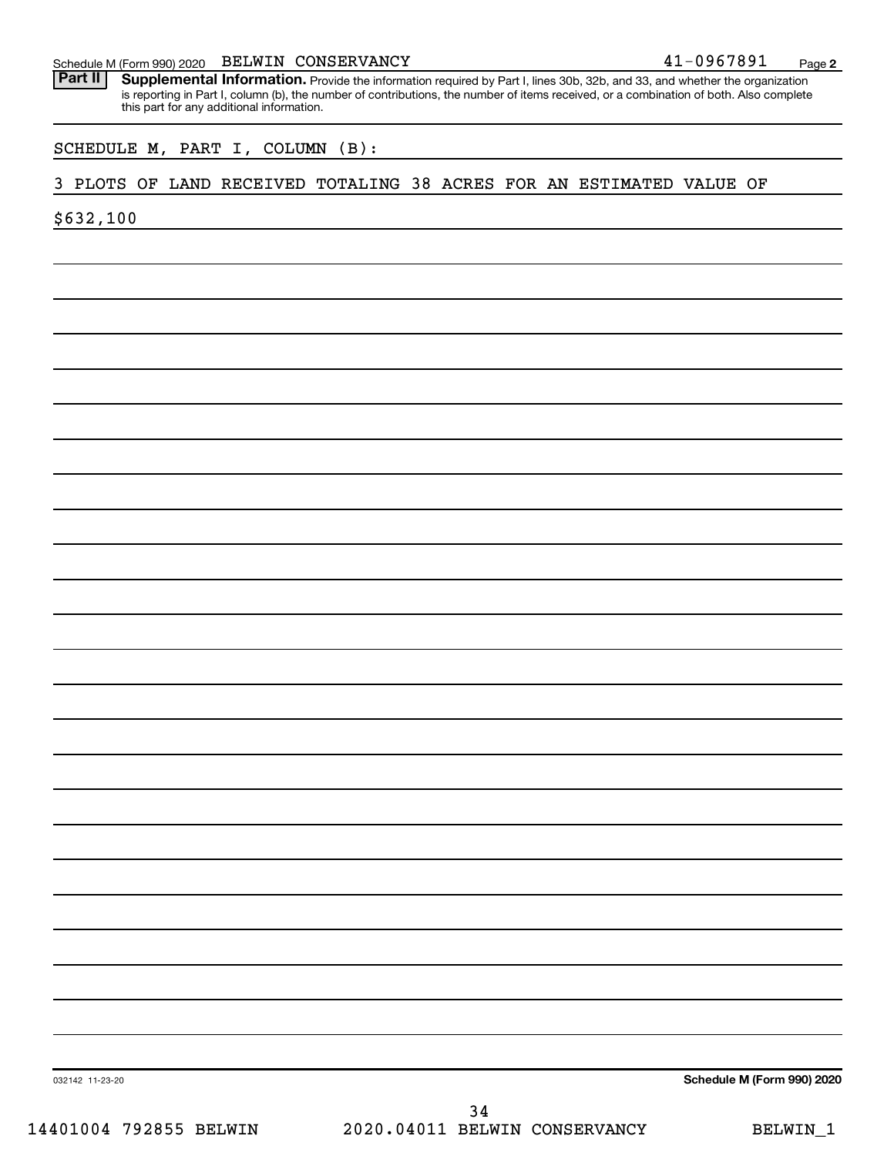#### Schedule M (Form 990) 2020 BELWIN CONSERVANCY  $41-0967891$  Page

Part II | Supplemental Information. Provide the information required by Part I, lines 30b, 32b, and 33, and whether the organization is reporting in Part I, column (b), the number of contributions, the number of items received, or a combination of both. Also complete this part for any additional information.

#### SCHEDULE M, PART I, COLUMN (B):

#### 3 PLOTS OF LAND RECEIVED TOTALING 38 ACRES FOR AN ESTIMATED VALUE OF

\$632,100

**Schedule M (Form 990) 2020**

**2**

032142 11-23-20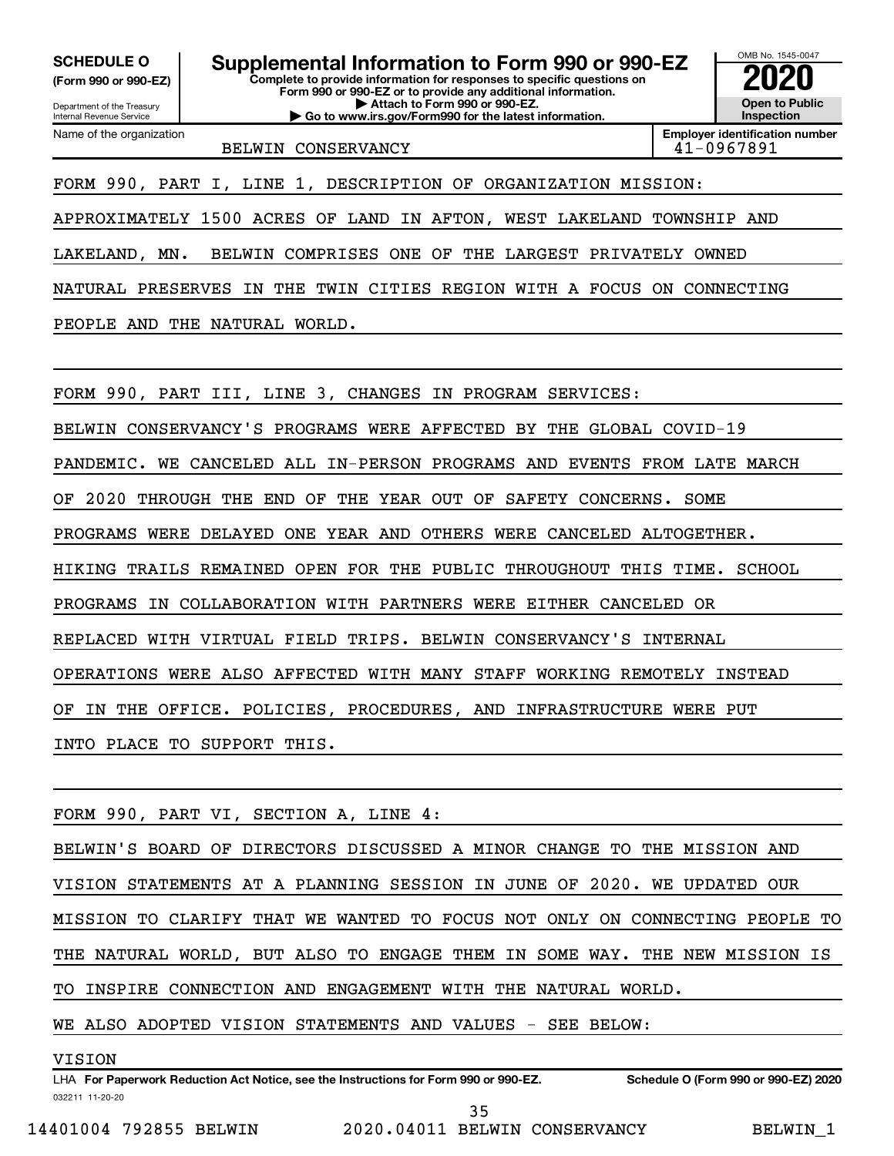Internal Revenue Service

Department of the Treasury **(Form 990 or 990-EZ)**

Name of the organization

**Complete to provide information for responses to specific questions on Form 990 or 990-EZ or to provide any additional information. | Attach to Form 990 or 990-EZ. | Go to www.irs.gov/Form990 for the latest information. SCHEDULE O Supplemental Information to Form 990 or 990-EZ 2020**<br>(Form 990 or 990-EZ) Complete to provide information for responses to specific questions on

BELWIN CONSERVANCY

**Employer identification number**

OMB No. 1545-0047

**Open to Public Inspection**

FORM 990, PART I, LINE 1, DESCRIPTION OF ORGANIZATION MISSION:

APPROXIMATELY 1500 ACRES OF LAND IN AFTON, WEST LAKELAND TOWNSHIP AND

LAKELAND, MN. BELWIN COMPRISES ONE OF THE LARGEST PRIVATELY OWNED

NATURAL PRESERVES IN THE TWIN CITIES REGION WITH A FOCUS ON CONNECTING

PEOPLE AND THE NATURAL WORLD.

FORM 990, PART III, LINE 3, CHANGES IN PROGRAM SERVICES:

BELWIN CONSERVANCY'S PROGRAMS WERE AFFECTED BY THE GLOBAL COVID-19

PANDEMIC. WE CANCELED ALL IN-PERSON PROGRAMS AND EVENTS FROM LATE MARCH

OF 2020 THROUGH THE END OF THE YEAR OUT OF SAFETY CONCERNS. SOME

PROGRAMS WERE DELAYED ONE YEAR AND OTHERS WERE CANCELED ALTOGETHER.

HIKING TRAILS REMAINED OPEN FOR THE PUBLIC THROUGHOUT THIS TIME. SCHOOL

PROGRAMS IN COLLABORATION WITH PARTNERS WERE EITHER CANCELED OR

REPLACED WITH VIRTUAL FIELD TRIPS. BELWIN CONSERVANCY'S INTERNAL

OPERATIONS WERE ALSO AFFECTED WITH MANY STAFF WORKING REMOTELY INSTEAD

OF IN THE OFFICE. POLICIES, PROCEDURES, AND INFRASTRUCTURE WERE PUT

INTO PLACE TO SUPPORT THIS.

FORM 990, PART VI, SECTION A, LINE 4: BELWIN'S BOARD OF DIRECTORS DISCUSSED A MINOR CHANGE TO THE MISSION AND VISION STATEMENTS AT A PLANNING SESSION IN JUNE OF 2020. WE UPDATED OUR MISSION TO CLARIFY THAT WE WANTED TO FOCUS NOT ONLY ON CONNECTING PEOPLE TO THE NATURAL WORLD, BUT ALSO TO ENGAGE THEM IN SOME WAY. THE NEW MISSION IS TO INSPIRE CONNECTION AND ENGAGEMENT WITH THE NATURAL WORLD. WE ALSO ADOPTED VISION STATEMENTS AND VALUES - SEE BELOW:

VISION

032211 11-20-20 **For Paperwork Reduction Act Notice, see the Instructions for Form 990 or 990-EZ. Schedule O (Form 990 or 990-EZ) 2020** LHA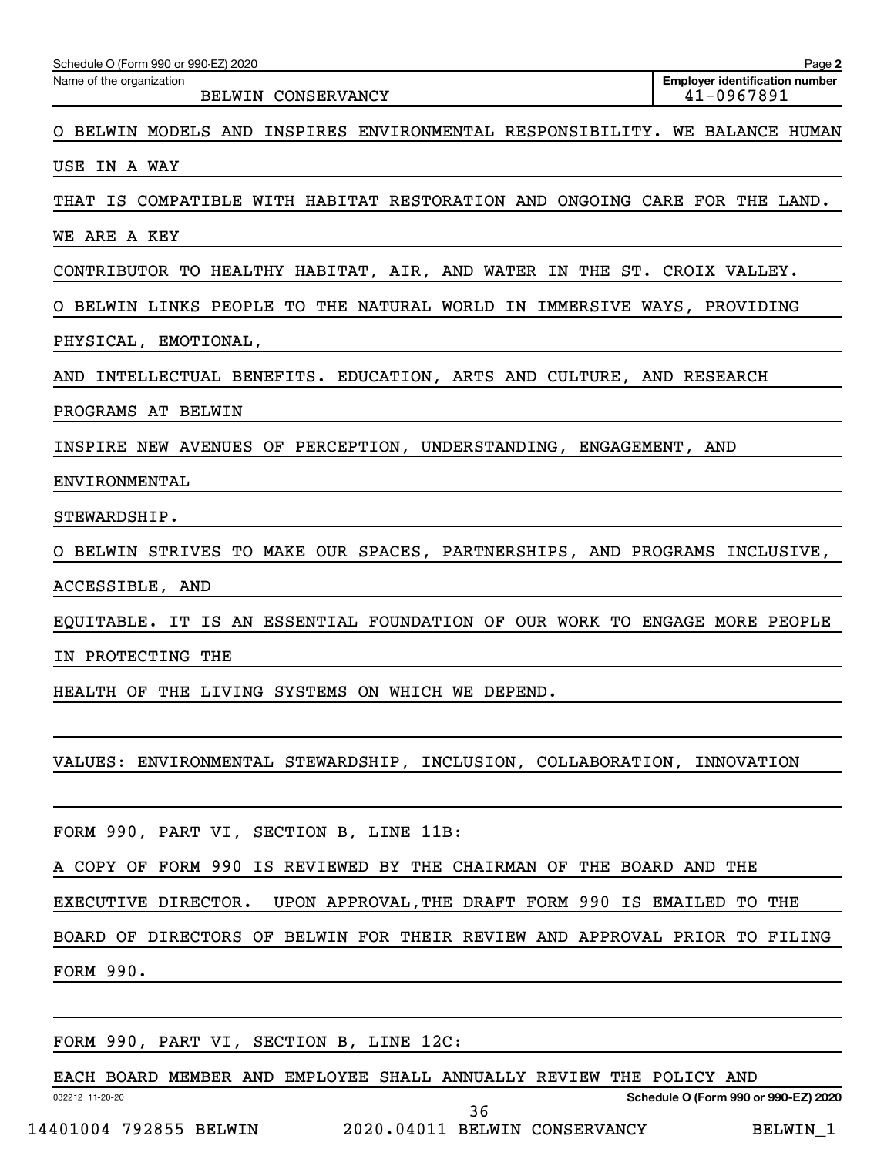| Schedule O (Form 990 or 990-EZ) 2020                                        | Page 2                                              |
|-----------------------------------------------------------------------------|-----------------------------------------------------|
| Name of the organization<br>BELWIN CONSERVANCY                              | <b>Employer identification number</b><br>41-0967891 |
| O BELWIN MODELS AND INSPIRES ENVIRONMENTAL RESPONSIBILITY. WE BALANCE HUMAN |                                                     |
| USE IN A WAY                                                                |                                                     |
| THAT IS COMPATIBLE WITH HABITAT RESTORATION AND ONGOING CARE FOR THE LAND.  |                                                     |
| WE ARE A KEY                                                                |                                                     |
| CONTRIBUTOR TO HEALTHY HABITAT, AIR, AND WATER IN THE ST. CROIX VALLEY.     |                                                     |
| O BELWIN LINKS PEOPLE TO THE NATURAL WORLD IN IMMERSIVE WAYS, PROVIDING     |                                                     |
| PHYSICAL, EMOTIONAL,                                                        |                                                     |
| AND INTELLECTUAL BENEFITS. EDUCATION, ARTS AND CULTURE, AND RESEARCH        |                                                     |
| PROGRAMS AT BELWIN                                                          |                                                     |
| INSPIRE NEW AVENUES OF PERCEPTION, UNDERSTANDING, ENGAGEMENT, AND           |                                                     |
| ENVIRONMENTAL                                                               |                                                     |
| STEWARDSHIP.                                                                |                                                     |
| O BELWIN STRIVES TO MAKE OUR SPACES, PARTNERSHIPS, AND PROGRAMS INCLUSIVE,  |                                                     |
| ACCESSIBLE, AND                                                             |                                                     |
| EQUITABLE. IT IS AN ESSENTIAL FOUNDATION OF OUR WORK TO ENGAGE MORE PEOPLE  |                                                     |
| IN PROTECTING THE                                                           |                                                     |
| HEALTH OF THE LIVING SYSTEMS ON WHICH WE DEPEND.                            |                                                     |
| VALUES: ENVIRONMENTAL STEWARDSHIP, INCLUSION, COLLABORATION, INNOVATION     |                                                     |
| FORM 990, PART VI, SECTION B, LINE 11B:                                     |                                                     |
| A COPY OF FORM 990 IS REVIEWED BY THE CHAIRMAN OF THE BOARD AND THE         |                                                     |
| EXECUTIVE DIRECTOR. UPON APPROVAL, THE DRAFT FORM 990 IS EMAILED TO THE     |                                                     |

BOARD OF DIRECTORS OF BELWIN FOR THEIR REVIEW AND APPROVAL PRIOR TO FILING FORM 990.

FORM 990, PART VI, SECTION B, LINE 12C:

032212 11-20-20 EACH BOARD MEMBER AND EMPLOYEE SHALL ANNUALLY REVIEW THE POLICY AND

**Schedule O (Form 990 or 990-EZ) 2020**

36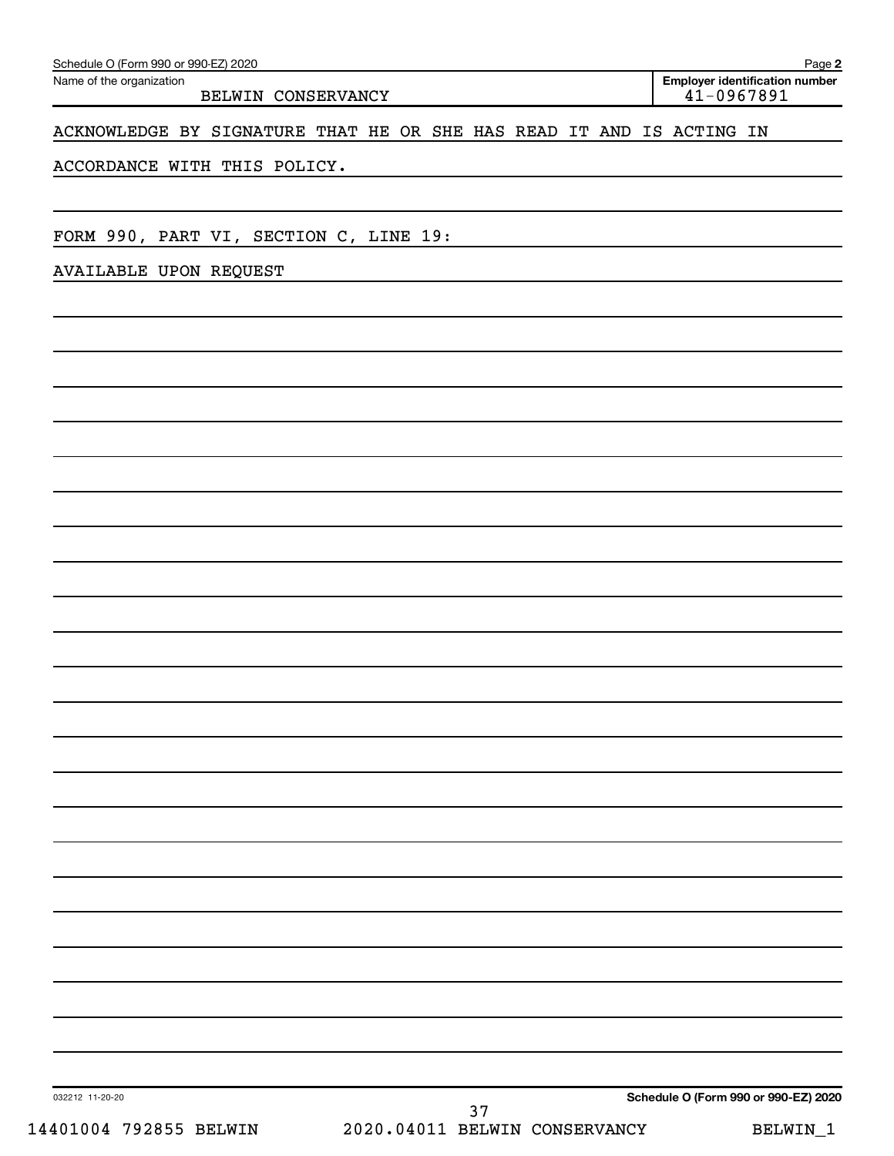| Name of the organization<br>BELWIN CONSERVANCY                                                                                                                                                                                                          | <b>Employer identification number</b><br>$41 - 0967891$ | Page 2 |
|---------------------------------------------------------------------------------------------------------------------------------------------------------------------------------------------------------------------------------------------------------|---------------------------------------------------------|--------|
| ACKNOWLEDGE BY SIGNATURE THAT HE OR SHE HAS READ IT AND IS ACTING IN                                                                                                                                                                                    |                                                         |        |
| ACCORDANCE WITH THIS POLICY.                                                                                                                                                                                                                            |                                                         |        |
| FORM 990, PART VI, SECTION C, LINE 19:<br>the control of the control of the control of the control of the control of the control of                                                                                                                     |                                                         |        |
| AVAILABLE UPON REQUEST<br>the control of the control of the control of the control of the control of the control of the control of the control of the control of the control of the control of the control of the control of the control of the control |                                                         |        |
|                                                                                                                                                                                                                                                         |                                                         |        |
|                                                                                                                                                                                                                                                         |                                                         |        |
|                                                                                                                                                                                                                                                         |                                                         |        |
|                                                                                                                                                                                                                                                         |                                                         |        |
|                                                                                                                                                                                                                                                         |                                                         |        |
|                                                                                                                                                                                                                                                         |                                                         |        |
|                                                                                                                                                                                                                                                         |                                                         |        |
|                                                                                                                                                                                                                                                         |                                                         |        |
|                                                                                                                                                                                                                                                         |                                                         |        |
|                                                                                                                                                                                                                                                         |                                                         |        |
|                                                                                                                                                                                                                                                         |                                                         |        |
|                                                                                                                                                                                                                                                         |                                                         |        |
|                                                                                                                                                                                                                                                         |                                                         |        |
|                                                                                                                                                                                                                                                         |                                                         |        |
|                                                                                                                                                                                                                                                         |                                                         |        |
| 032212 11-20-20                                                                                                                                                                                                                                         | Schedule O (Form 990 or 990-EZ) 2020                    |        |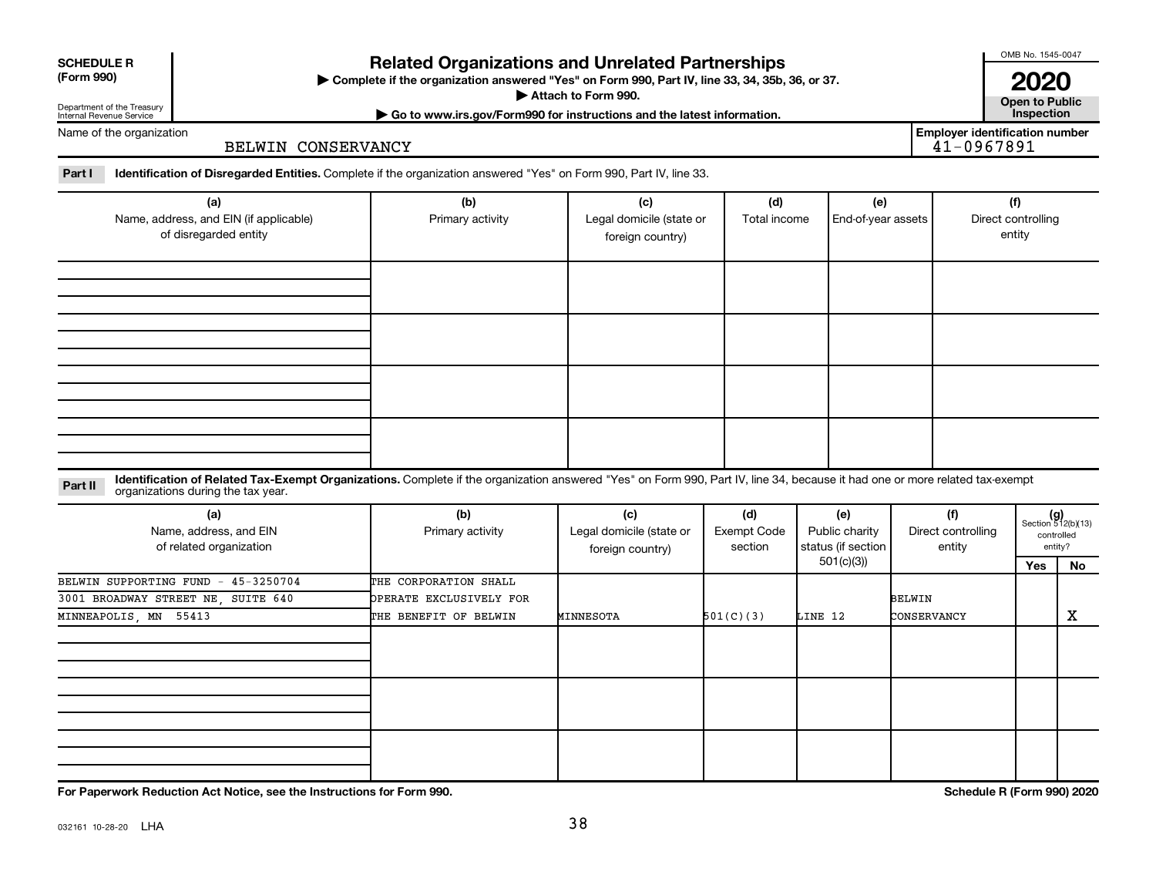| <b>SCHEDULE R</b> |  |
|-------------------|--|
|                   |  |

# Department of the Treasury Internal Revenue Service

### **Related Organizations and Unrelated Partnerships**

**(Form 990) Complete if the organization answered "Yes" on Form 990, Part IV, line 33, 34, 35b, 36, or 37.** |

■ Attach to Form 990. **Dependent of Attach to Form 990.** Open to Public

**| Go to www.irs.gov/Form990 for instructions and the latest information. Inspection**

Name of the organization

BELWIN CONSERVANCY

Part I ldentification of Disregarded Entities. Complete if the organization answered "Yes" on Form 990, Part IV, line 33.

| (a)<br>Name, address, and EIN (if applicable)<br>of disregarded entity | (b)<br>Primary activity | (c)<br>Legal domicile (state or<br>foreign country) | (d)<br>Total income | (e)<br>End-of-year assets | (f)<br>Direct controlling<br>entity |
|------------------------------------------------------------------------|-------------------------|-----------------------------------------------------|---------------------|---------------------------|-------------------------------------|
|                                                                        |                         |                                                     |                     |                           |                                     |
|                                                                        |                         |                                                     |                     |                           |                                     |
|                                                                        |                         |                                                     |                     |                           |                                     |
|                                                                        |                         |                                                     |                     |                           |                                     |

#### **Part II** Identification of Related Tax-Exempt Organizations. Complete if the organization answered "Yes" on Form 990, Part IV, line 34, because it had one or more related tax-exempt<br>Part II acconizations during the tax ye organizations during the tax year.

| (a)<br>Name, address, and EIN<br>of related organization | (b)<br>Primary activity | (c)<br>Legal domicile (state or<br>foreign country) | (d)<br><b>Exempt Code</b><br>section | (e)<br>Public charity<br>status (if section | (f)<br>Direct controlling<br>entity | $(g)$<br>Section 512(b)(13) | controlled<br>entity? |
|----------------------------------------------------------|-------------------------|-----------------------------------------------------|--------------------------------------|---------------------------------------------|-------------------------------------|-----------------------------|-----------------------|
|                                                          |                         |                                                     |                                      | 501(c)(3))                                  |                                     | Yes                         | No                    |
| BELWIN SUPPORTING FUND - 45-3250704                      | THE CORPORATION SHALL   |                                                     |                                      |                                             |                                     |                             |                       |
| 3001 BROADWAY STREET NE, SUITE 640                       | OPERATE EXCLUSIVELY FOR |                                                     |                                      |                                             | BELWIN                              |                             |                       |
| MINNEAPOLIS, MN 55413                                    | THE BENEFIT OF BELWIN   | MINNESOTA                                           | 501(C)(3)                            | LINE 12                                     | <b>CONSERVANCY</b>                  |                             | х                     |
|                                                          |                         |                                                     |                                      |                                             |                                     |                             |                       |
|                                                          |                         |                                                     |                                      |                                             |                                     |                             |                       |
|                                                          |                         |                                                     |                                      |                                             |                                     |                             |                       |

**For Paperwork Reduction Act Notice, see the Instructions for Form 990. Schedule R (Form 990) 2020**

032161 10-28-20 LHA

OMB No. 1545-0047

**2020**<br>Open to Public

**Employer identification number**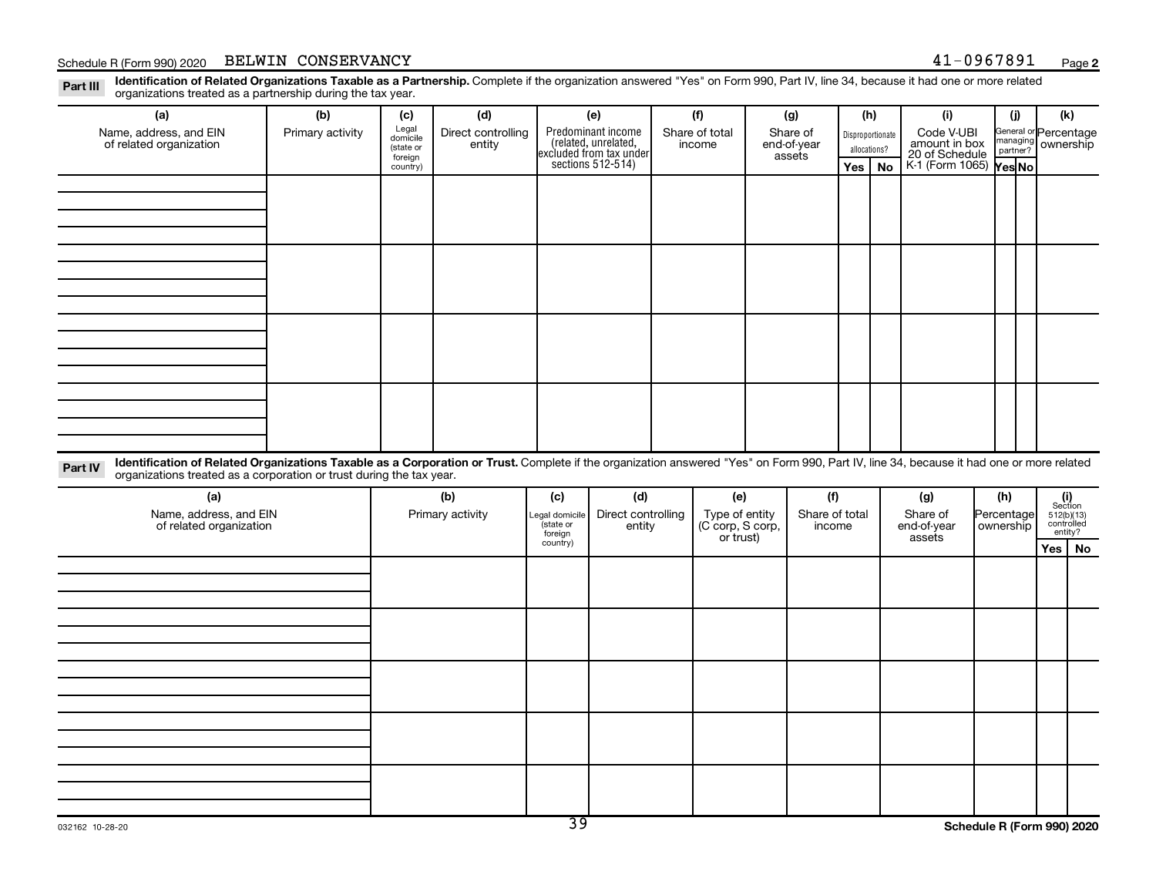#### Schedule R (Form 990) 2020 BELWIN CONSERVANCY Page (1998) 2020 BELWIN CONSERVANCY

Disproportionate (c)<br>Legal General or Part III Identification of Related Organizations Taxable as a Partnership. Complete if the organization answered "Yes" on Form 990, Part IV, line 34, because it had one or more related<br>Read to the organizations tracted as **(a) (b) (c) (d) (e) (f) (g) (h) (i) (j) (k)** Predominant income organizations treated as a partnership during the tax year. Name, address, and EIN Primary activity  $\parallel$  Legal  $\parallel$  Direct controlling Share of total Share of Code V-UBI

| Name, address, and EIN<br>of related organization<br>Primary activity |  | Legai<br>domicile<br>Direct controlling<br>entity<br>(state or<br>foreign |  | Predominant income<br>(related, unrelated,<br>excluded from tax under<br>sections 512-514) | Share of total<br>Share of<br>end-of-year<br>income<br>assets |  | Disproportionate<br>allocations? |          | Code V-UBI<br>amount in box<br>20 of Schedule<br>K-1 (Form 1065) <b>Yes No</b> | General or Percentage<br>managing<br>partner? ownership |  |  |  |  |  |  |  |  |  |  |  |  |  |  |  |  |  |  |  |  |  |
|-----------------------------------------------------------------------|--|---------------------------------------------------------------------------|--|--------------------------------------------------------------------------------------------|---------------------------------------------------------------|--|----------------------------------|----------|--------------------------------------------------------------------------------|---------------------------------------------------------|--|--|--|--|--|--|--|--|--|--|--|--|--|--|--|--|--|--|--|--|--|
|                                                                       |  | country)                                                                  |  |                                                                                            |                                                               |  |                                  | Yes   No |                                                                                |                                                         |  |  |  |  |  |  |  |  |  |  |  |  |  |  |  |  |  |  |  |  |  |
|                                                                       |  |                                                                           |  |                                                                                            |                                                               |  |                                  |          |                                                                                |                                                         |  |  |  |  |  |  |  |  |  |  |  |  |  |  |  |  |  |  |  |  |  |
|                                                                       |  |                                                                           |  |                                                                                            |                                                               |  |                                  |          |                                                                                |                                                         |  |  |  |  |  |  |  |  |  |  |  |  |  |  |  |  |  |  |  |  |  |
|                                                                       |  |                                                                           |  |                                                                                            |                                                               |  |                                  |          |                                                                                |                                                         |  |  |  |  |  |  |  |  |  |  |  |  |  |  |  |  |  |  |  |  |  |
|                                                                       |  |                                                                           |  |                                                                                            |                                                               |  |                                  |          |                                                                                |                                                         |  |  |  |  |  |  |  |  |  |  |  |  |  |  |  |  |  |  |  |  |  |
|                                                                       |  |                                                                           |  |                                                                                            |                                                               |  |                                  |          |                                                                                |                                                         |  |  |  |  |  |  |  |  |  |  |  |  |  |  |  |  |  |  |  |  |  |
|                                                                       |  |                                                                           |  |                                                                                            |                                                               |  |                                  |          |                                                                                |                                                         |  |  |  |  |  |  |  |  |  |  |  |  |  |  |  |  |  |  |  |  |  |
|                                                                       |  |                                                                           |  |                                                                                            |                                                               |  |                                  |          |                                                                                |                                                         |  |  |  |  |  |  |  |  |  |  |  |  |  |  |  |  |  |  |  |  |  |
|                                                                       |  |                                                                           |  |                                                                                            |                                                               |  |                                  |          |                                                                                |                                                         |  |  |  |  |  |  |  |  |  |  |  |  |  |  |  |  |  |  |  |  |  |
|                                                                       |  |                                                                           |  |                                                                                            |                                                               |  |                                  |          |                                                                                |                                                         |  |  |  |  |  |  |  |  |  |  |  |  |  |  |  |  |  |  |  |  |  |
|                                                                       |  |                                                                           |  |                                                                                            |                                                               |  |                                  |          |                                                                                |                                                         |  |  |  |  |  |  |  |  |  |  |  |  |  |  |  |  |  |  |  |  |  |
|                                                                       |  |                                                                           |  |                                                                                            |                                                               |  |                                  |          |                                                                                |                                                         |  |  |  |  |  |  |  |  |  |  |  |  |  |  |  |  |  |  |  |  |  |
|                                                                       |  |                                                                           |  |                                                                                            |                                                               |  |                                  |          |                                                                                |                                                         |  |  |  |  |  |  |  |  |  |  |  |  |  |  |  |  |  |  |  |  |  |
|                                                                       |  |                                                                           |  |                                                                                            |                                                               |  |                                  |          |                                                                                |                                                         |  |  |  |  |  |  |  |  |  |  |  |  |  |  |  |  |  |  |  |  |  |
|                                                                       |  |                                                                           |  |                                                                                            |                                                               |  |                                  |          |                                                                                |                                                         |  |  |  |  |  |  |  |  |  |  |  |  |  |  |  |  |  |  |  |  |  |
|                                                                       |  |                                                                           |  |                                                                                            |                                                               |  |                                  |          |                                                                                |                                                         |  |  |  |  |  |  |  |  |  |  |  |  |  |  |  |  |  |  |  |  |  |
|                                                                       |  |                                                                           |  |                                                                                            |                                                               |  |                                  |          |                                                                                |                                                         |  |  |  |  |  |  |  |  |  |  |  |  |  |  |  |  |  |  |  |  |  |

| <b>Part IV</b> | Identification of Related Organizations Taxable as a Corporation or Trust. Complete if the organization answered "Yes" on Form 990, Part IV, line 34, because it had one or more related |  |  |
|----------------|------------------------------------------------------------------------------------------------------------------------------------------------------------------------------------------|--|--|
|                | organizations treated as a corporation or trust during the tax year.                                                                                                                     |  |  |

| (a)<br>Name, address, and EIN<br>of related organization | (b)<br>(c)<br>Primary activity<br>Legal domicile<br>state or<br>foreign |          | (d)<br>Direct controlling<br>entity | (e)<br>Type of entity<br>(C corp, S corp,<br>or trust) | (f)<br>Share of total<br>income | (g)<br>Share of<br>end-of-year<br>assets | (h)<br>Percentage<br>  ownership | $\begin{array}{c} \textbf{(i)}\\ \text{Section}\\ 512 \text{(b)} \text{(13)}\\ \text{controlled} \\ \text{entity?} \end{array}$ |
|----------------------------------------------------------|-------------------------------------------------------------------------|----------|-------------------------------------|--------------------------------------------------------|---------------------------------|------------------------------------------|----------------------------------|---------------------------------------------------------------------------------------------------------------------------------|
|                                                          |                                                                         | country) |                                     |                                                        |                                 |                                          |                                  | Yes   No                                                                                                                        |
|                                                          |                                                                         |          |                                     |                                                        |                                 |                                          |                                  |                                                                                                                                 |
|                                                          |                                                                         |          |                                     |                                                        |                                 |                                          |                                  |                                                                                                                                 |
|                                                          |                                                                         |          |                                     |                                                        |                                 |                                          |                                  |                                                                                                                                 |
|                                                          |                                                                         |          |                                     |                                                        |                                 |                                          |                                  |                                                                                                                                 |
|                                                          |                                                                         |          |                                     |                                                        |                                 |                                          |                                  |                                                                                                                                 |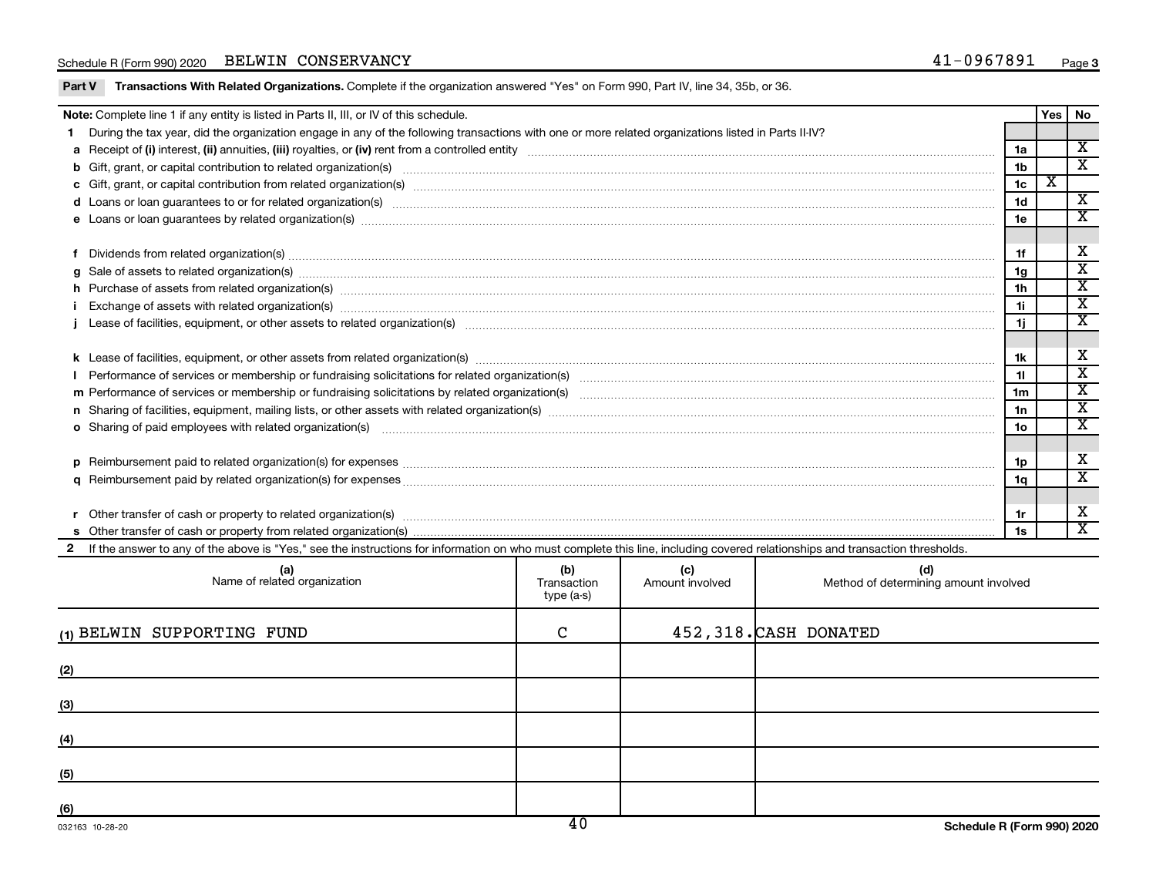#### Schedule R (Form 990) 2020 BELWIN CONSERVANCY Page (1998) 2020 BELWIN CONSERVANCY

Part V Transactions With Related Organizations. Complete if the organization answered "Yes" on Form 990, Part IV, line 34, 35b, or 36.

|                | Note: Complete line 1 if any entity is listed in Parts II, III, or IV of this schedule.                                                                                                                                        |  |  |              |                 |   | Yes   $No$                  |  |
|----------------|--------------------------------------------------------------------------------------------------------------------------------------------------------------------------------------------------------------------------------|--|--|--------------|-----------------|---|-----------------------------|--|
| 1.             | During the tax year, did the organization engage in any of the following transactions with one or more related organizations listed in Parts II-IV?                                                                            |  |  |              |                 |   | $\overline{\mathbf{X}}$     |  |
|                |                                                                                                                                                                                                                                |  |  |              |                 |   |                             |  |
|                |                                                                                                                                                                                                                                |  |  |              | 1 <sub>b</sub>  |   | X                           |  |
|                |                                                                                                                                                                                                                                |  |  |              | 1 <sub>c</sub>  | X |                             |  |
|                | d Loans or loan guarantees to or for related organization(s) mature content to the content of the content of the content of the content of the content of the content of the content of the content of the content of the cont |  |  |              | 1 <sub>d</sub>  |   | $\overline{\mathbf{x}}$     |  |
|                |                                                                                                                                                                                                                                |  |  |              | 1e              |   | $\overline{\mathbf{X}}$     |  |
|                |                                                                                                                                                                                                                                |  |  |              |                 |   |                             |  |
|                |                                                                                                                                                                                                                                |  |  |              | 1f              |   | X                           |  |
|                | $g$ Sale of assets to related organization(s) manufactured content to the content of the content of the content of the content of the content of the content of the content of the content of the content of the content of t  |  |  |              | 1 <sub>g</sub>  |   | $\overline{\textnormal{x}}$ |  |
|                |                                                                                                                                                                                                                                |  |  |              | 1 <sub>h</sub>  |   | $\overline{\mathbf{X}}$     |  |
|                | Exchange of assets with related organization(s) www.warehouse.com/www.warehouse.com/www.warehouse.com/www.warehouse.com/www.warehouse.com/www.warehouse.com/www.warehouse.com/www.warehouse.com/www.warehouse.com/www.warehous |  |  |              | 11              |   | $\overline{\mathbf{X}}$     |  |
|                |                                                                                                                                                                                                                                |  |  |              | 11              |   | $\overline{\textnormal{x}}$ |  |
|                |                                                                                                                                                                                                                                |  |  |              |                 |   |                             |  |
|                |                                                                                                                                                                                                                                |  |  |              | 1k              |   | X                           |  |
|                |                                                                                                                                                                                                                                |  |  |              | 11              |   | $\overline{\textbf{x}}$     |  |
|                |                                                                                                                                                                                                                                |  |  |              | 1 <sub>m</sub>  |   | $\overline{\textnormal{x}}$ |  |
|                |                                                                                                                                                                                                                                |  |  |              | 1n              |   | $\overline{\mathbf{X}}$     |  |
|                | <b>o</b> Sharing of paid employees with related organization(s)                                                                                                                                                                |  |  |              | 10 <sub>o</sub> |   | $\mathbf x$                 |  |
|                |                                                                                                                                                                                                                                |  |  |              |                 |   |                             |  |
|                |                                                                                                                                                                                                                                |  |  |              | 1p              |   | х                           |  |
|                |                                                                                                                                                                                                                                |  |  |              | 1q              |   | $\overline{\textnormal{x}}$ |  |
|                |                                                                                                                                                                                                                                |  |  |              |                 |   |                             |  |
|                | Other transfer of cash or property to related organization(s) www.communities.com/www.communities/communities/<br>1r                                                                                                           |  |  |              |                 |   |                             |  |
|                | 1s                                                                                                                                                                                                                             |  |  |              |                 |   | $\overline{\mathbf{X}}$     |  |
| $\overline{2}$ | If the answer to any of the above is "Yes," see the instructions for information on who must complete this line, including covered relationships and transaction thresholds.                                                   |  |  |              |                 |   |                             |  |
|                | $\sim$ $\sim$ $\sim$ $\sim$ $\sim$ $\sim$                                                                                                                                                                                      |  |  | $\mathbf{H}$ |                 |   |                             |  |

| (a)<br>Name of related organization | (b)<br>Transaction<br>type (a-s) | (c)<br>Amount involved | (d)<br>Method of determining amount involved |
|-------------------------------------|----------------------------------|------------------------|----------------------------------------------|
| (1) BELWIN SUPPORTING FUND          | C                                |                        | 452,318. CASH DONATED                        |
| (2)                                 |                                  |                        |                                              |
| (3)                                 |                                  |                        |                                              |
| (4)                                 |                                  |                        |                                              |
| (5)                                 |                                  |                        |                                              |
| (6)                                 | $\overline{10}$                  |                        |                                              |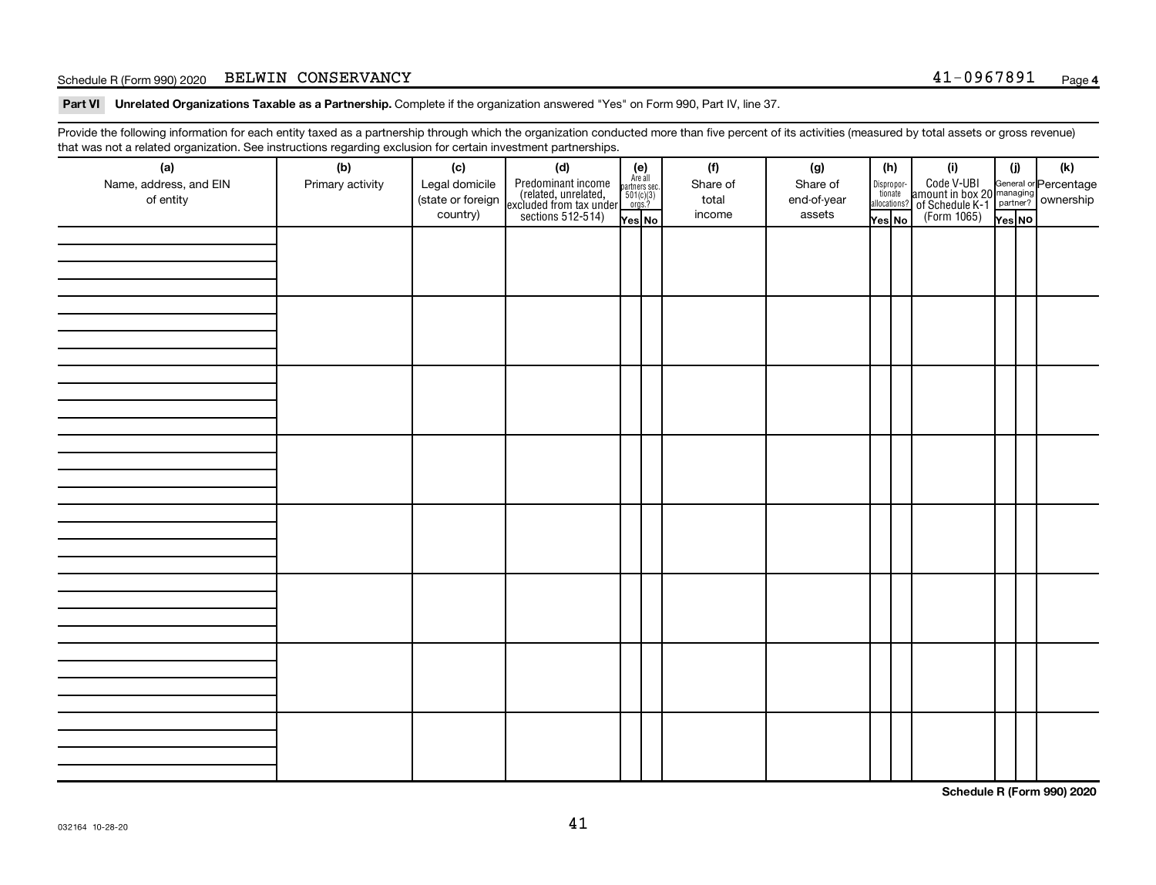#### Schedule R (Form 990) 2020 BELWIN CONSERVANCY Page (1998) 2020 BELWIN CONSERVANCY

Part VI Unrelated Organizations Taxable as a Partnership. Complete if the organization answered "Yes" on Form 990, Part IV, line 37.

Provide the following information for each entity taxed as a partnership through which the organization conducted more than five percent of its activities (measured by total assets or gross revenue) that was not a related organization. See instructions regarding exclusion for certain investment partnerships.

| (a)                    | $\cdots$ y $\cdots$<br>(b) | (c)               | . <b>. .</b><br><br>(d)                                                                    |                                                          |  | (f)      | (g)         | (h)    |                       | (i)                                                                                              | (i)    |  | (k) |  |  |
|------------------------|----------------------------|-------------------|--------------------------------------------------------------------------------------------|----------------------------------------------------------|--|----------|-------------|--------|-----------------------|--------------------------------------------------------------------------------------------------|--------|--|-----|--|--|
| Name, address, and EIN | Primary activity           | Legal domicile    |                                                                                            | (e)<br>Are all<br>partners sec.<br>$501(c)(3)$<br>orgs.? |  | Share of | Share of    |        |                       |                                                                                                  |        |  |     |  |  |
| of entity              |                            | (state or foreign |                                                                                            |                                                          |  | total    | end-of-year |        | Dispropor-<br>tionate |                                                                                                  |        |  |     |  |  |
|                        |                            | country)          | Predominant income<br>(related, unrelated,<br>excluded from tax under<br>sections 512-514) |                                                          |  | income   | assets      | Yes No | allocations?          | Code V-UBI<br>amount in box 20 managing<br>of Schedule K-1<br>(Form 1065)<br>$\overline{Yes}$ No |        |  |     |  |  |
|                        |                            |                   |                                                                                            | Yes No                                                   |  |          |             |        |                       |                                                                                                  | Yes No |  |     |  |  |
|                        |                            |                   |                                                                                            |                                                          |  |          |             |        |                       |                                                                                                  |        |  |     |  |  |
|                        |                            |                   |                                                                                            |                                                          |  |          |             |        |                       |                                                                                                  |        |  |     |  |  |
|                        |                            |                   |                                                                                            |                                                          |  |          |             |        |                       |                                                                                                  |        |  |     |  |  |
|                        |                            |                   |                                                                                            |                                                          |  |          |             |        |                       |                                                                                                  |        |  |     |  |  |
|                        |                            |                   |                                                                                            |                                                          |  |          |             |        |                       |                                                                                                  |        |  |     |  |  |
|                        |                            |                   |                                                                                            |                                                          |  |          |             |        |                       |                                                                                                  |        |  |     |  |  |
|                        |                            |                   |                                                                                            |                                                          |  |          |             |        |                       |                                                                                                  |        |  |     |  |  |
|                        |                            |                   |                                                                                            |                                                          |  |          |             |        |                       |                                                                                                  |        |  |     |  |  |
|                        |                            |                   |                                                                                            |                                                          |  |          |             |        |                       |                                                                                                  |        |  |     |  |  |
|                        |                            |                   |                                                                                            |                                                          |  |          |             |        |                       |                                                                                                  |        |  |     |  |  |
|                        |                            |                   |                                                                                            |                                                          |  |          |             |        |                       |                                                                                                  |        |  |     |  |  |
|                        |                            |                   |                                                                                            |                                                          |  |          |             |        |                       |                                                                                                  |        |  |     |  |  |
|                        |                            |                   |                                                                                            |                                                          |  |          |             |        |                       |                                                                                                  |        |  |     |  |  |
|                        |                            |                   |                                                                                            |                                                          |  |          |             |        |                       |                                                                                                  |        |  |     |  |  |
|                        |                            |                   |                                                                                            |                                                          |  |          |             |        |                       |                                                                                                  |        |  |     |  |  |
|                        |                            |                   |                                                                                            |                                                          |  |          |             |        |                       |                                                                                                  |        |  |     |  |  |
|                        |                            |                   |                                                                                            |                                                          |  |          |             |        |                       |                                                                                                  |        |  |     |  |  |
|                        |                            |                   |                                                                                            |                                                          |  |          |             |        |                       |                                                                                                  |        |  |     |  |  |
|                        |                            |                   |                                                                                            |                                                          |  |          |             |        |                       |                                                                                                  |        |  |     |  |  |
|                        |                            |                   |                                                                                            |                                                          |  |          |             |        |                       |                                                                                                  |        |  |     |  |  |
|                        |                            |                   |                                                                                            |                                                          |  |          |             |        |                       |                                                                                                  |        |  |     |  |  |
|                        |                            |                   |                                                                                            |                                                          |  |          |             |        |                       |                                                                                                  |        |  |     |  |  |
|                        |                            |                   |                                                                                            |                                                          |  |          |             |        |                       |                                                                                                  |        |  |     |  |  |
|                        |                            |                   |                                                                                            |                                                          |  |          |             |        |                       |                                                                                                  |        |  |     |  |  |
|                        |                            |                   |                                                                                            |                                                          |  |          |             |        |                       |                                                                                                  |        |  |     |  |  |
|                        |                            |                   |                                                                                            |                                                          |  |          |             |        |                       |                                                                                                  |        |  |     |  |  |
|                        |                            |                   |                                                                                            |                                                          |  |          |             |        |                       |                                                                                                  |        |  |     |  |  |
|                        |                            |                   |                                                                                            |                                                          |  |          |             |        |                       |                                                                                                  |        |  |     |  |  |
|                        |                            |                   |                                                                                            |                                                          |  |          |             |        |                       |                                                                                                  |        |  |     |  |  |
|                        |                            |                   |                                                                                            |                                                          |  |          |             |        |                       |                                                                                                  |        |  |     |  |  |
|                        |                            |                   |                                                                                            |                                                          |  |          |             |        |                       |                                                                                                  |        |  |     |  |  |
|                        |                            |                   |                                                                                            |                                                          |  |          |             |        |                       |                                                                                                  |        |  |     |  |  |
|                        |                            |                   |                                                                                            |                                                          |  |          |             |        |                       |                                                                                                  |        |  |     |  |  |
|                        |                            |                   |                                                                                            |                                                          |  |          |             |        |                       |                                                                                                  |        |  |     |  |  |

**Schedule R (Form 990) 2020**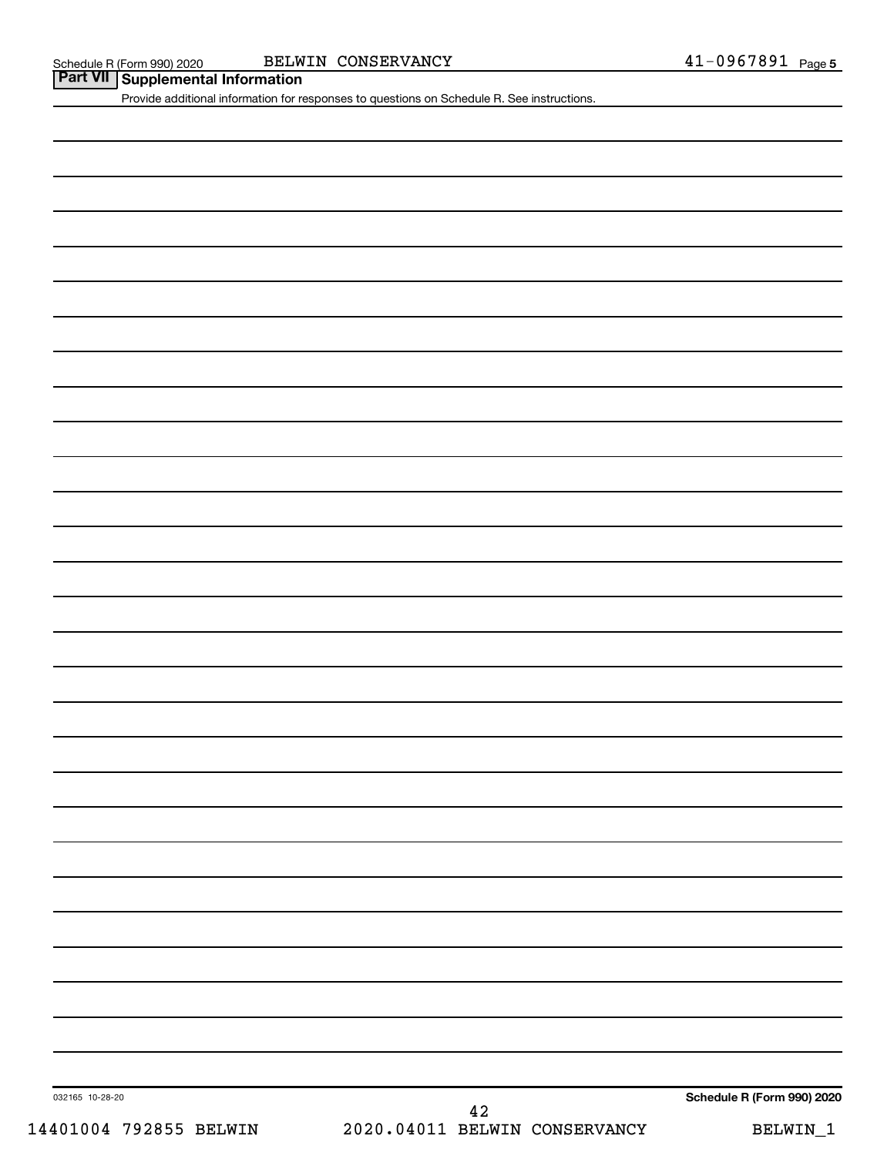#### Schedule R (Form 990) 2020 Page BELWIN CONSERVANCY 41-0967891

# **Part VII Schedule R (Form 990) 2020** BELW<br>**Part VII Supplemental Information**

Provide additional information for responses to questions on Schedule R. See instructions.

032165 10-28-20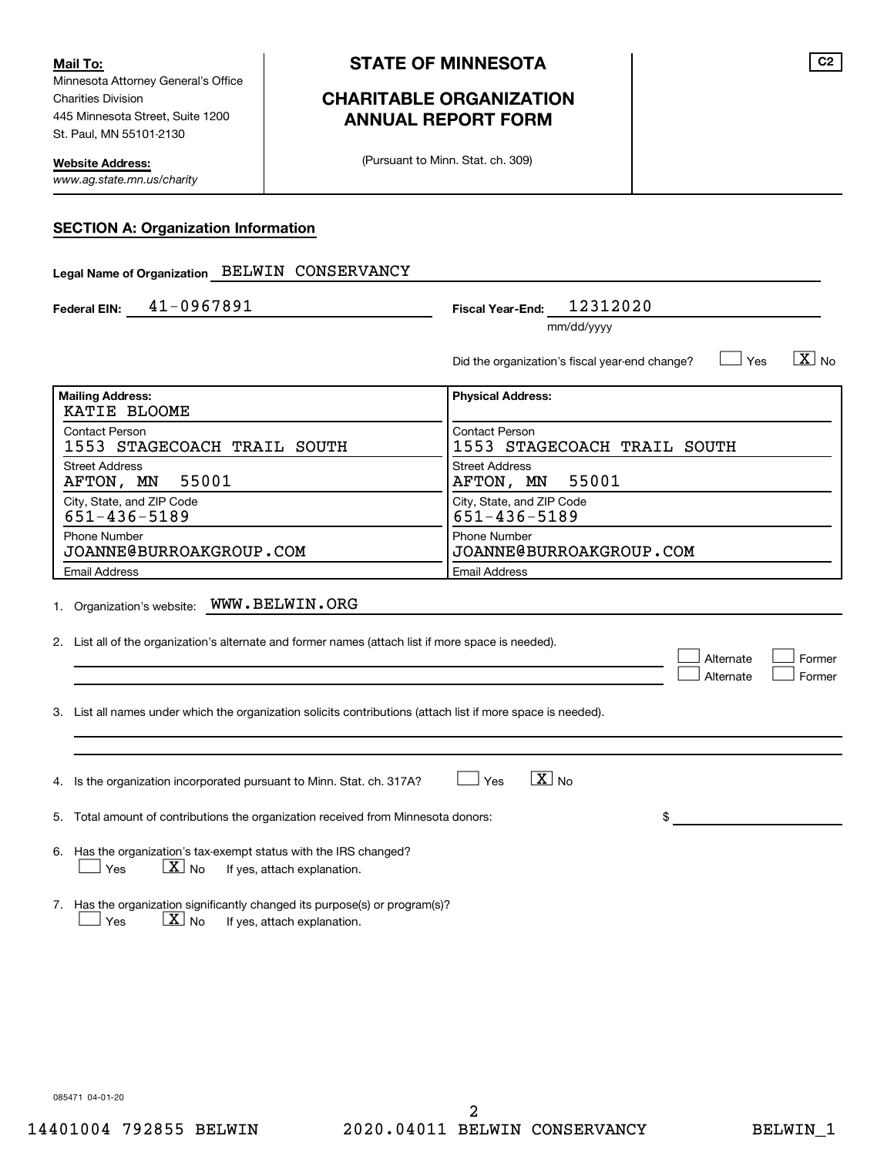Minnesota Attorney General's Office Charities Division 445 Minnesota Street, Suite 1200 St. Paul, MN 55101-2130 **Mail To:**

**Website Address:**

*www.ag.state.mn.us/charity*

### **STATE OF MINNESOTA**

## **CHARITABLE ORGANIZATION ANNUAL REPORT FORM**

(Pursuant to Minn. Stat. ch. 309)

**SECTION A: Organization Information**

| Legal Name of Organization BELWIN CONSERVANCY                                                                                                                                                                                                                    |                                                                                |  |  |  |  |  |
|------------------------------------------------------------------------------------------------------------------------------------------------------------------------------------------------------------------------------------------------------------------|--------------------------------------------------------------------------------|--|--|--|--|--|
| 41-0967891<br><b>Federal EIN:</b>                                                                                                                                                                                                                                | 12312020<br><b>Fiscal Year-End:</b>                                            |  |  |  |  |  |
|                                                                                                                                                                                                                                                                  | mm/dd/yyyy                                                                     |  |  |  |  |  |
|                                                                                                                                                                                                                                                                  | $\boxed{\text{X}}$ No<br>Yes<br>Did the organization's fiscal year-end change? |  |  |  |  |  |
| <b>Mailing Address:</b><br>KATIE BLOOME                                                                                                                                                                                                                          | <b>Physical Address:</b>                                                       |  |  |  |  |  |
| Contact Person<br>1553 STAGECOACH TRAIL SOUTH                                                                                                                                                                                                                    | Contact Person<br>1553 STAGECOACH TRAIL SOUTH                                  |  |  |  |  |  |
| <b>Street Address</b><br>55001<br>AFTON, MN                                                                                                                                                                                                                      | <b>Street Address</b><br>55001<br>AFTON, MN                                    |  |  |  |  |  |
| City, State, and ZIP Code<br>$651 - 436 - 5189$                                                                                                                                                                                                                  | City, State, and ZIP Code<br>$651 - 436 - 5189$                                |  |  |  |  |  |
| Phone Number<br>JOANNE@BURROAKGROUP.COM                                                                                                                                                                                                                          | Phone Number<br>JOANNE@BURROAKGROUP.COM                                        |  |  |  |  |  |
| <b>Email Address</b>                                                                                                                                                                                                                                             | <b>Email Address</b>                                                           |  |  |  |  |  |
| 1. Organization's website: WWW.BELWIN.ORG<br>2. List all of the organization's alternate and former names (attach list if more space is needed).<br>3. List all names under which the organization solicits contributions (attach list if more space is needed). | Alternate<br>Former<br>Alternate<br>Former                                     |  |  |  |  |  |
|                                                                                                                                                                                                                                                                  |                                                                                |  |  |  |  |  |
| Is the organization incorporated pursuant to Minn. Stat. ch. 317A?<br>4.<br>5. Total amount of contributions the organization received from Minnesota donors:                                                                                                    | $\boxed{\text{X}}$ No<br>Yes<br>\$                                             |  |  |  |  |  |
|                                                                                                                                                                                                                                                                  |                                                                                |  |  |  |  |  |
| 6. Has the organization's tax-exempt status with the IRS changed?<br>$X _{N_Q}$<br>If yes, attach explanation.<br>Yes                                                                                                                                            |                                                                                |  |  |  |  |  |
| 7. Has the organization significantly changed its purpose(s) or program(s)?<br>$\boxed{\text{X}}$ No<br>Yes<br>If yes, attach explanation.                                                                                                                       |                                                                                |  |  |  |  |  |

085471 04-01-20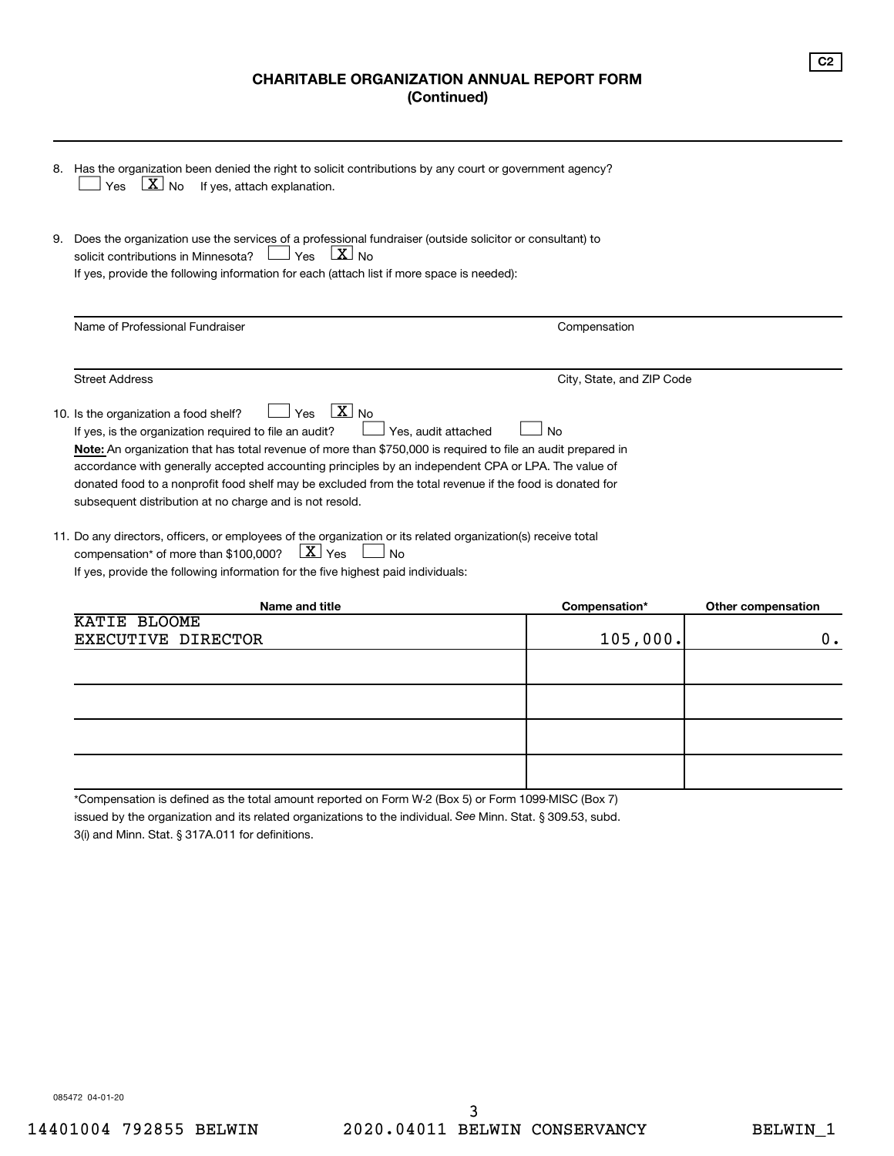#### **CHARITABLE ORGANIZATION ANNUAL REPORT FORM (Continued)**

|    | 8. Has the organization been denied the right to solicit contributions by any court or government agency?<br>$\lfloor x \rfloor$ No<br>If yes, attach explanation.<br>Yes                                                                                                                                                                                                                                                                                                                                                                              |                           |                    |  |  |  |  |  |
|----|--------------------------------------------------------------------------------------------------------------------------------------------------------------------------------------------------------------------------------------------------------------------------------------------------------------------------------------------------------------------------------------------------------------------------------------------------------------------------------------------------------------------------------------------------------|---------------------------|--------------------|--|--|--|--|--|
| 9. | Does the organization use the services of a professional fundraiser (outside solicitor or consultant) to<br>$ X _{N_Q}$<br>Yes<br>solicit contributions in Minnesota?<br>If yes, provide the following information for each (attach list if more space is needed):                                                                                                                                                                                                                                                                                     |                           |                    |  |  |  |  |  |
|    | Name of Professional Fundraiser                                                                                                                                                                                                                                                                                                                                                                                                                                                                                                                        | Compensation              |                    |  |  |  |  |  |
|    | <b>Street Address</b>                                                                                                                                                                                                                                                                                                                                                                                                                                                                                                                                  | City, State, and ZIP Code |                    |  |  |  |  |  |
|    | $\overline{X}$ No<br>10. Is the organization a food shelf?<br>Yes<br>Yes, audit attached<br>If yes, is the organization required to file an audit?<br>No<br>Note: An organization that has total revenue of more than \$750,000 is required to file an audit prepared in<br>accordance with generally accepted accounting principles by an independent CPA or LPA. The value of<br>donated food to a nonprofit food shelf may be excluded from the total revenue if the food is donated for<br>subsequent distribution at no charge and is not resold. |                           |                    |  |  |  |  |  |
|    | 11. Do any directors, officers, or employees of the organization or its related organization(s) receive total<br>$\lfloor \mathbf{X} \rfloor$ Yes<br>compensation* of more than \$100,000?<br>N <sub>o</sub><br>If yes, provide the following information for the five highest paid individuals:                                                                                                                                                                                                                                                       |                           |                    |  |  |  |  |  |
|    |                                                                                                                                                                                                                                                                                                                                                                                                                                                                                                                                                        |                           |                    |  |  |  |  |  |
|    | Name and title<br>KATIE BLOOME                                                                                                                                                                                                                                                                                                                                                                                                                                                                                                                         | Compensation*             | Other compensation |  |  |  |  |  |
|    | EXECUTIVE DIRECTOR                                                                                                                                                                                                                                                                                                                                                                                                                                                                                                                                     | 105,000.                  | 0.                 |  |  |  |  |  |
|    |                                                                                                                                                                                                                                                                                                                                                                                                                                                                                                                                                        |                           |                    |  |  |  |  |  |

\*Compensation is defined as the total amount reported on Form W-2 (Box 5) or Form 1099-MISC (Box 7)

issued by the organization and its related organizations to the individual. See Minn. Stat. § 309.53, subd.

3(i) and Minn. Stat. § 317A.011 for definitions.

085472 04-01-20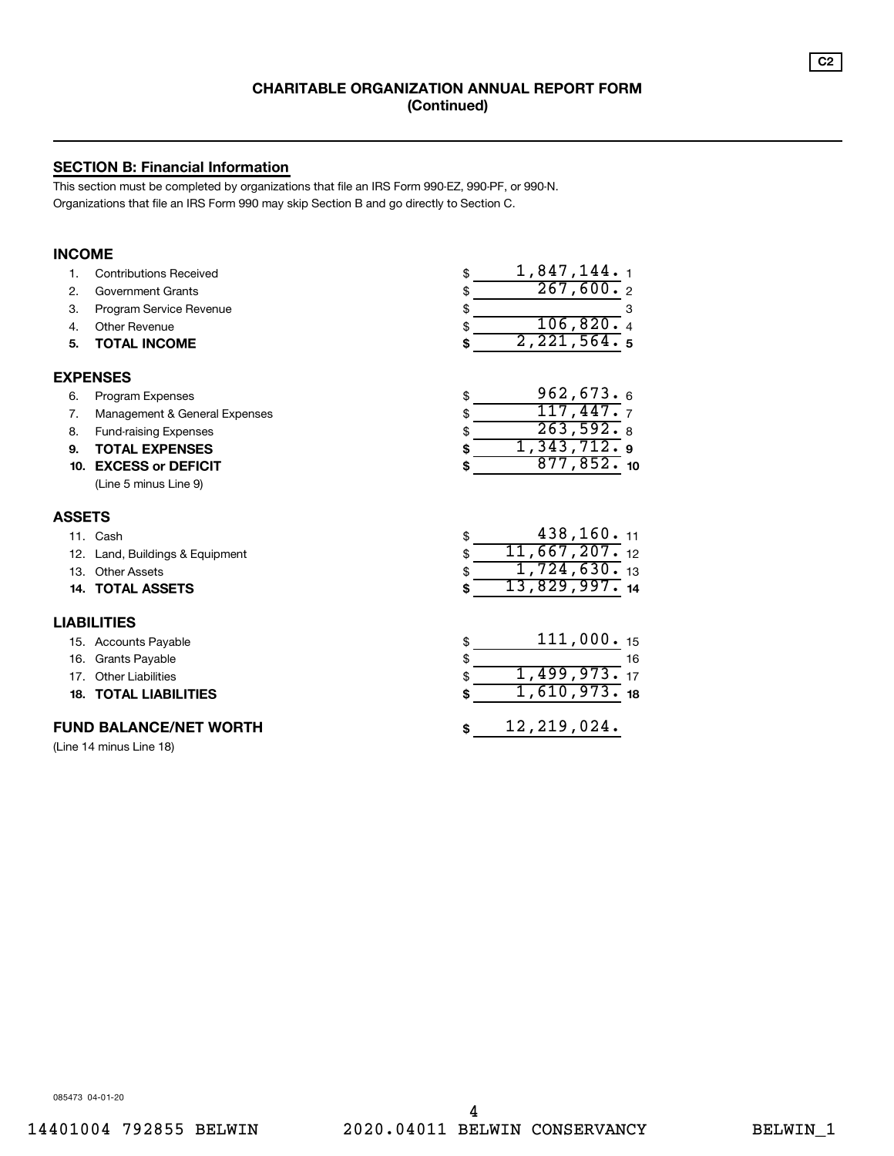#### **SECTION B: Financial Information**

This section must be completed by organizations that file an IRS Form 990-EZ, 990-PF, or 990-N. Organizations that file an IRS Form 990 may skip Section B and go directly to Section C.

#### **INCOME**

| 1.               | <b>Contributions Received</b>   | \$<br>1,847,144.                  |
|------------------|---------------------------------|-----------------------------------|
| 2.               | Government Grants               | \$<br>267,600.                    |
| 3.               | Program Service Revenue         | \$<br>3                           |
| $\overline{4}$ . | Other Revenue                   | \$<br>106,820.                    |
| 5.               | <b>TOTAL INCOME</b>             | \$<br>2, 221, 564.                |
| <b>EXPENSES</b>  |                                 |                                   |
| 6.               | Program Expenses                | \$<br>$962,673 \cdot 6$           |
| 7.               | Management & General Expenses   | \$<br>117,447.7                   |
| 8.               | <b>Fund-raising Expenses</b>    | \$<br>263,592.8                   |
| 9.               | <b>TOTAL EXPENSES</b>           | \$<br>1,343,712.9                 |
|                  | 10. EXCESS or DEFICIT           | \$<br>$877,852.$ 10               |
|                  | (Line 5 minus Line 9)           |                                   |
| <b>ASSETS</b>    |                                 |                                   |
|                  | 11. Cash                        | \$<br>438, 160.11                 |
|                  | 12. Land, Buildings & Equipment | \$<br>$11,667,207.$ <sub>12</sub> |
|                  | 13. Other Assets                | \$<br>$1,724,630.$ <sub>13</sub>  |
|                  | <b>14. TOTAL ASSETS</b>         | \$<br>13,829,997.14               |
|                  | <b>LIABILITIES</b>              |                                   |
|                  | 15. Accounts Payable            | \$<br>111,000.<br>15              |
|                  | 16. Grants Payable              | \$<br>16                          |
| 17.              | <b>Other Liabilities</b>        | \$<br>1,499,973.<br>17            |
|                  | <b>18. TOTAL LIABILITIES</b>    | \$<br>1,610,973.<br>18            |
|                  | <b>FUND BALANCE/NET WORTH</b>   | \$<br>12,219,024.                 |
|                  | (Line 14 minus Line 18)         |                                   |

085473 04-01-20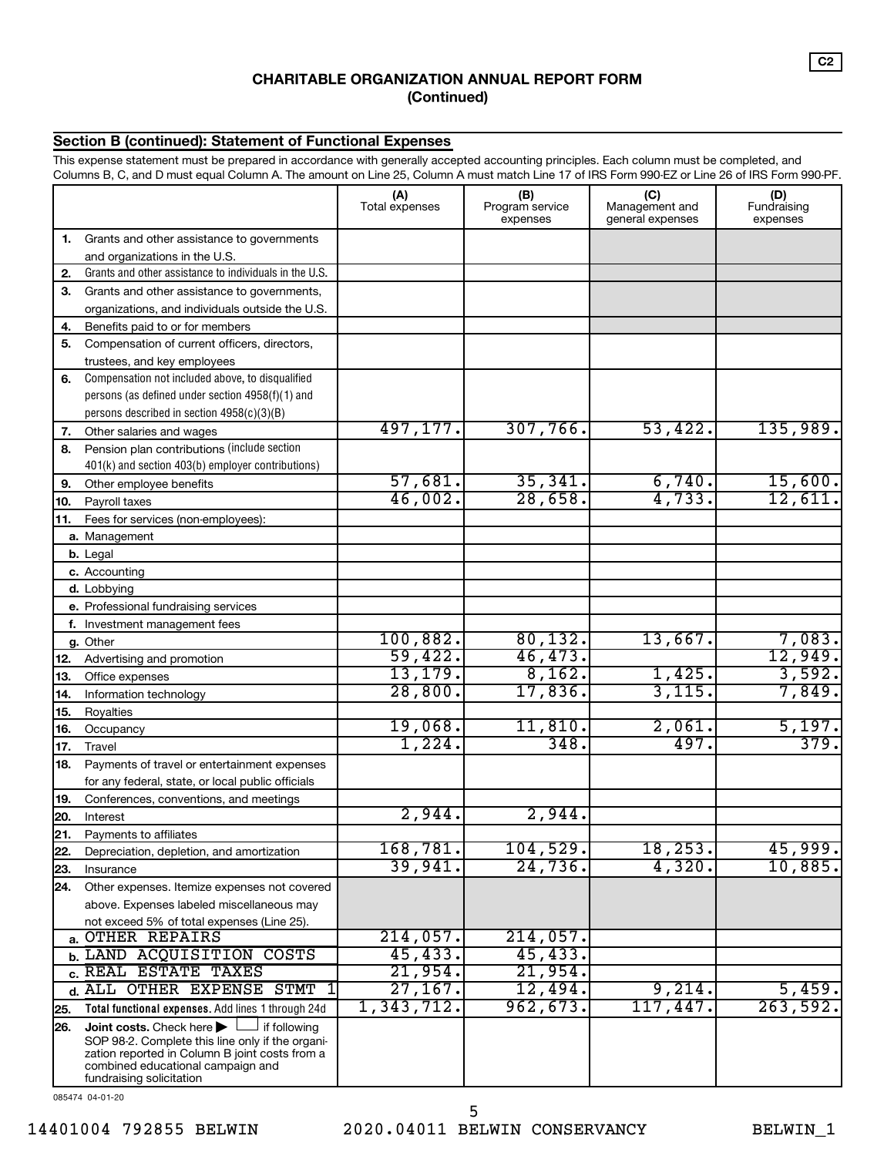#### **CHARITABLE ORGANIZATION ANNUAL REPORT FORM (Continued)**

#### **Section B (continued): Statement of Functional Expenses**

This expense statement must be prepared in accordance with generally accepted accounting principles. Each column must be completed, and Columns B, C, and D must equal Column A. The amount on Line 25, Column A must match Line 17 of IRS Form 990-EZ or Line 26 of IRS Form 990-PF.

|     |                                                                                                                                                                                                                                      | (A)<br>Total expenses | (B)<br>Program service<br>expenses | (C)<br>Management and<br>general expenses | (D)<br>Fundraising<br>expenses |
|-----|--------------------------------------------------------------------------------------------------------------------------------------------------------------------------------------------------------------------------------------|-----------------------|------------------------------------|-------------------------------------------|--------------------------------|
| 1.  | Grants and other assistance to governments                                                                                                                                                                                           |                       |                                    |                                           |                                |
|     | and organizations in the U.S.                                                                                                                                                                                                        |                       |                                    |                                           |                                |
| 2.  | Grants and other assistance to individuals in the U.S.                                                                                                                                                                               |                       |                                    |                                           |                                |
| З.  | Grants and other assistance to governments,                                                                                                                                                                                          |                       |                                    |                                           |                                |
|     | organizations, and individuals outside the U.S.                                                                                                                                                                                      |                       |                                    |                                           |                                |
| 4.  | Benefits paid to or for members                                                                                                                                                                                                      |                       |                                    |                                           |                                |
| 5.  | Compensation of current officers, directors,<br>trustees, and key employees                                                                                                                                                          |                       |                                    |                                           |                                |
| 6.  | Compensation not included above, to disqualified                                                                                                                                                                                     |                       |                                    |                                           |                                |
|     | persons (as defined under section 4958(f)(1) and                                                                                                                                                                                     |                       |                                    |                                           |                                |
|     | persons described in section 4958(c)(3)(B)                                                                                                                                                                                           |                       |                                    |                                           |                                |
| 7.  | Other salaries and wages                                                                                                                                                                                                             | 497, 177.             | 307,766.                           | 53,422.                                   | 135,989.                       |
| 8.  | Pension plan contributions (include section                                                                                                                                                                                          |                       |                                    |                                           |                                |
|     | 401(k) and section 403(b) employer contributions)                                                                                                                                                                                    |                       |                                    |                                           |                                |
| 9.  | Other employee benefits                                                                                                                                                                                                              | 57,681.               | 35,341.                            |                                           |                                |
| 10. | Payroll taxes                                                                                                                                                                                                                        | 46,002.               | 28,658.                            | $\frac{6,740}{4,733}$                     | $\frac{15,600}{12,611}$        |
| 11. | Fees for services (non-employees):                                                                                                                                                                                                   |                       |                                    |                                           |                                |
|     | a. Management                                                                                                                                                                                                                        |                       |                                    |                                           |                                |
|     | b. Legal                                                                                                                                                                                                                             |                       |                                    |                                           |                                |
|     | c. Accounting                                                                                                                                                                                                                        |                       |                                    |                                           |                                |
|     | d. Lobbying                                                                                                                                                                                                                          |                       |                                    |                                           |                                |
|     | e. Professional fundraising services                                                                                                                                                                                                 |                       |                                    |                                           |                                |
|     | f. Investment management fees                                                                                                                                                                                                        |                       |                                    |                                           |                                |
|     | g. Other                                                                                                                                                                                                                             | 100,882.              | 80, 132.                           | 13,667.                                   | 7,083.                         |
| 12. | Advertising and promotion                                                                                                                                                                                                            | 59,422.               | 46, 473.                           |                                           | 12,949.                        |
| 13. | Office expenses                                                                                                                                                                                                                      | 13, 179.              | 8,162.                             | 1,425.                                    | 3,592.                         |
| 14. | Information technology                                                                                                                                                                                                               | 28,800.               | 17,836.                            | 3,115.                                    | 7,849.                         |
| 15. | Royalties                                                                                                                                                                                                                            |                       |                                    |                                           |                                |
| 16. | Occupancy                                                                                                                                                                                                                            | 19,068.               | 11,810.                            | 2,061                                     | 5,197.                         |
| 17. | Travel                                                                                                                                                                                                                               | 1,224.                | 348.                               | 497.                                      | 379.                           |
| 18. | Payments of travel or entertainment expenses                                                                                                                                                                                         |                       |                                    |                                           |                                |
|     | for any federal, state, or local public officials                                                                                                                                                                                    |                       |                                    |                                           |                                |
| 19. | Conferences, conventions, and meetings                                                                                                                                                                                               |                       |                                    |                                           |                                |
| 20. | Interest                                                                                                                                                                                                                             | 2,944.                | 2,944.                             |                                           |                                |
| 21. | Payments to affiliates                                                                                                                                                                                                               |                       |                                    |                                           |                                |
| 22. | Depreciation, depletion, and amortization                                                                                                                                                                                            | 168, 781.             | 104,529.                           | 18, 253.                                  | 45,999.                        |
| 23. | Insurance                                                                                                                                                                                                                            | 39,941.               | 24,736.                            | 4,320                                     | 10,885.                        |
| 24. | Other expenses. Itemize expenses not covered                                                                                                                                                                                         |                       |                                    |                                           |                                |
|     | above. Expenses labeled miscellaneous may                                                                                                                                                                                            |                       |                                    |                                           |                                |
|     | not exceed 5% of total expenses (Line 25).                                                                                                                                                                                           |                       |                                    |                                           |                                |
|     | a. OTHER REPAIRS                                                                                                                                                                                                                     | 214,057.              | 214,057.                           |                                           |                                |
|     | b. LAND ACQUISITION COSTS                                                                                                                                                                                                            | 45, 433.              | 45, 433.                           |                                           |                                |
|     | c. REAL ESTATE TAXES                                                                                                                                                                                                                 | 21,954.               | 21,954.                            |                                           |                                |
|     | d. ALL OTHER EXPENSE STMT                                                                                                                                                                                                            | 27, 167.              | 12,494.                            | 9,214.                                    | 5,459.                         |
| 25. | Total functional expenses. Add lines 1 through 24d                                                                                                                                                                                   | 1,343,712.            | 962,673.                           | 117,447.                                  | 263,592.                       |
| 26. | Joint costs. Check here $\blacktriangleright$<br>if following<br>SOP 98-2. Complete this line only if the organi-<br>zation reported in Column B joint costs from a<br>combined educational campaign and<br>fundraising solicitation |                       |                                    |                                           |                                |

085474 04-01-20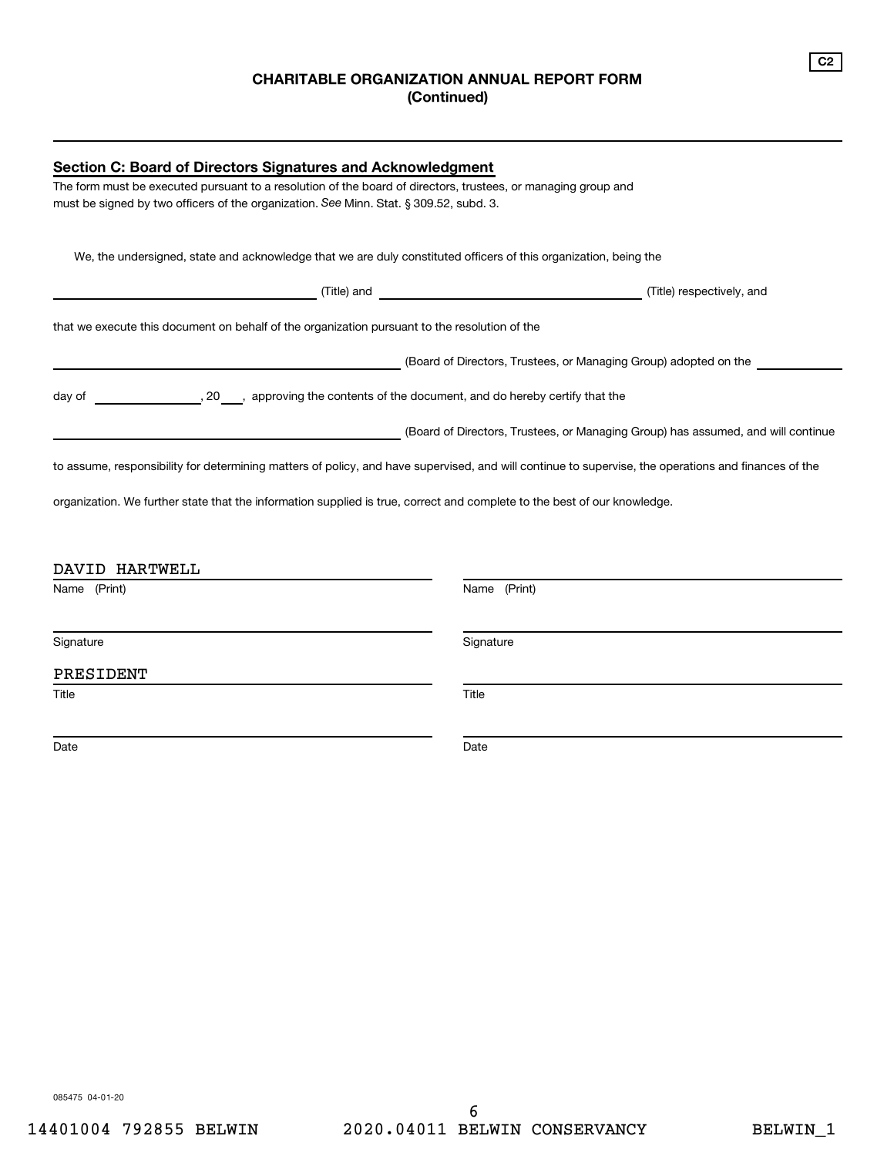#### **CHARITABLE ORGANIZATION ANNUAL REPORT FORM (Continued)**

| Section C: Board of Directors Signatures and Acknowledgment                                                                                          |                                                                                  |  |  |  |  |  |
|------------------------------------------------------------------------------------------------------------------------------------------------------|----------------------------------------------------------------------------------|--|--|--|--|--|
| The form must be executed pursuant to a resolution of the board of directors, trustees, or managing group and                                        |                                                                                  |  |  |  |  |  |
| must be signed by two officers of the organization. See Minn. Stat. § 309.52, subd. 3.                                                               |                                                                                  |  |  |  |  |  |
|                                                                                                                                                      |                                                                                  |  |  |  |  |  |
| We, the undersigned, state and acknowledge that we are duly constituted officers of this organization, being the                                     |                                                                                  |  |  |  |  |  |
|                                                                                                                                                      | $\overline{a}$ (Title) and $\overline{a}$<br>(Title) respectively, and           |  |  |  |  |  |
| that we execute this document on behalf of the organization pursuant to the resolution of the                                                        |                                                                                  |  |  |  |  |  |
|                                                                                                                                                      | (Board of Directors, Trustees, or Managing Group) adopted on the                 |  |  |  |  |  |
| day of state of the contents of the document, and do hereby certify that the                                                                         |                                                                                  |  |  |  |  |  |
|                                                                                                                                                      | (Board of Directors, Trustees, or Managing Group) has assumed, and will continue |  |  |  |  |  |
| to assume, responsibility for determining matters of policy, and have supervised, and will continue to supervise, the operations and finances of the |                                                                                  |  |  |  |  |  |
| organization. We further state that the information supplied is true, correct and complete to the best of our knowledge.                             |                                                                                  |  |  |  |  |  |
| DAVID HARTWELL                                                                                                                                       |                                                                                  |  |  |  |  |  |
| Name (Print)                                                                                                                                         | Name (Print)                                                                     |  |  |  |  |  |
| Signature                                                                                                                                            | Signature                                                                        |  |  |  |  |  |
| PRESIDENT                                                                                                                                            |                                                                                  |  |  |  |  |  |
| Title                                                                                                                                                | Title                                                                            |  |  |  |  |  |
| Date                                                                                                                                                 | Date                                                                             |  |  |  |  |  |
|                                                                                                                                                      |                                                                                  |  |  |  |  |  |